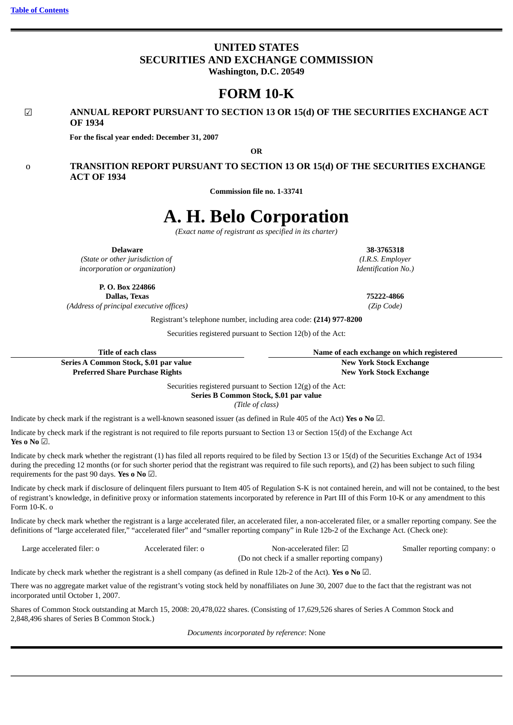# **UNITED STATES SECURITIES AND EXCHANGE COMMISSION Washington, D.C. 20549**

# **FORM 10-K**

# ☑ **ANNUAL REPORT PURSUANT TO SECTION 13 OR 15(d) OF THE SECURITIES EXCHANGE ACT OF 1934**

**For the fiscal year ended: December 31, 2007**

**OR**

# o **TRANSITION REPORT PURSUANT TO SECTION 13 OR 15(d) OF THE SECURITIES EXCHANGE ACT OF 1934**

**Commission file no. 1-33741**

# **A. H. Belo Corporation**

*(Exact name of registrant as specified in its charter)*

*(State or other jurisdiction of incorporation or organization)*

> **P. O. Box 224866 Dallas, Texas**

*(Address of principal executive offices)*

**Preferred Share Purchase Rights**

Registrant's telephone number, including area code: **(214) 977-8200**

Securities registered pursuant to Section 12(b) of the Act:

| Title of each class                    | Name of each exchange on which registered |
|----------------------------------------|-------------------------------------------|
| Series A Common Stock, \$.01 par value | New York Stock Exchange                   |

**New York Stock Exchange New York Stock Exchange**

Securities registered pursuant to Section 12(g) of the Act:

**Series B Common Stock, \$.01 par value** *(Title of class)*

Indicate by check mark if the registrant is a well-known seasoned issuer (as defined in Rule 405 of the Act) **Yes o No** ☑.

Indicate by check mark if the registrant is not required to file reports pursuant to Section 13 or Section 15(d) of the Exchange Act **Yes o No** ☑.

Indicate by check mark whether the registrant (1) has filed all reports required to be filed by Section 13 or 15(d) of the Securities Exchange Act of 1934 during the preceding 12 months (or for such shorter period that the registrant was required to file such reports), and (2) has been subject to such filing requirements for the past 90 days. **Yes o No** ☑.

Indicate by check mark if disclosure of delinquent filers pursuant to Item 405 of Regulation S-K is not contained herein, and will not be contained, to the best of registrant's knowledge, in definitive proxy or information statements incorporated by reference in Part III of this Form 10-K or any amendment to this Form 10-K. o

Indicate by check mark whether the registrant is a large accelerated filer, an accelerated filer, a non-accelerated filer, or a smaller reporting company. See the definitions of "large accelerated filer," "accelerated filer" and "smaller reporting company" in Rule 12b-2 of the Exchange Act. (Check one):

| Large accelerated filer: o | Accelerated filer: o | Non-accelerated filer: $\boxtimes$            | Smaller reporting company: o |
|----------------------------|----------------------|-----------------------------------------------|------------------------------|
|                            |                      | (Do not check if a smaller reporting company) |                              |

Indicate by check mark whether the registrant is a shell company (as defined in Rule 12b-2 of the Act). **Yes o No** ☑.

There was no aggregate market value of the registrant's voting stock held by nonaffiliates on June 30, 2007 due to the fact that the registrant was not incorporated until October 1, 2007.

Shares of Common Stock outstanding at March 15, 2008: 20,478,022 shares. (Consisting of 17,629,526 shares of Series A Common Stock and 2,848,496 shares of Series B Common Stock.)

*Documents incorporated by reference*: None

**Delaware 38-3765318** *(I.R.S. Employer Identification No.)*

**75222-4866** *(Zip Code)*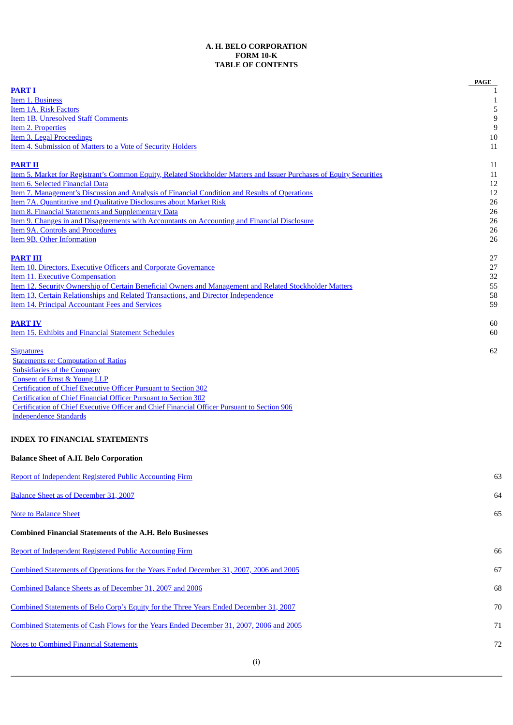# **A. H. BELO CORPORATION FORM 10-K TABLE OF CONTENTS**

<span id="page-2-0"></span>

|                                                                                                                                                                                | PAGE             |
|--------------------------------------------------------------------------------------------------------------------------------------------------------------------------------|------------------|
| <b>PART I</b>                                                                                                                                                                  | 1                |
| Item 1. Business<br><b>Item 1A. Risk Factors</b>                                                                                                                               | 1<br>5           |
| <b>Item 1B. Unresolved Staff Comments</b>                                                                                                                                      | $\boldsymbol{9}$ |
| <b>Item 2. Properties</b>                                                                                                                                                      | $9\,$            |
| Item 3. Legal Proceedings                                                                                                                                                      | 10               |
| <b>Item 4. Submission of Matters to a Vote of Security Holders</b>                                                                                                             | 11               |
| <b>PART II</b>                                                                                                                                                                 | 11               |
| <u>Item 5. Market for Registrant's Common Equity, Related Stockholder Matters and Issuer Purchases of Equity Securities</u>                                                    | 11               |
| Item 6. Selected Financial Data                                                                                                                                                | 12               |
| Item 7. Management's Discussion and Analysis of Financial Condition and Results of Operations<br>Item 7A. Quantitative and Qualitative Disclosures about Market Risk           | 12               |
| <b>Item 8. Financial Statements and Supplementary Data</b>                                                                                                                     | 26<br>26         |
| Item 9. Changes in and Disagreements with Accountants on Accounting and Financial Disclosure                                                                                   | 26               |
| <b>Item 9A. Controls and Procedures</b>                                                                                                                                        | 26               |
| <b>Item 9B. Other Information</b>                                                                                                                                              | 26               |
| <b>PART III</b>                                                                                                                                                                | 27               |
| <b>Item 10. Directors, Executive Officers and Corporate Governance</b>                                                                                                         | 27               |
| <b>Item 11. Executive Compensation</b>                                                                                                                                         | 32               |
| Item 12. Security Ownership of Certain Beneficial Owners and Management and Related Stockholder Matters                                                                        | 55               |
| Item 13. Certain Relationships and Related Transactions, and Director Independence                                                                                             | 58               |
| <b>Item 14. Principal Accountant Fees and Services</b>                                                                                                                         | 59               |
| <b>PART IV</b>                                                                                                                                                                 | 60               |
| Item 15. Exhibits and Financial Statement Schedules                                                                                                                            | 60               |
| <b>Signatures</b>                                                                                                                                                              | 62               |
| <b>Statements re: Computation of Ratios</b>                                                                                                                                    |                  |
| <b>Subsidiaries of the Company</b>                                                                                                                                             |                  |
| <b>Consent of Ernst &amp; Young LLP</b>                                                                                                                                        |                  |
| <b>Certification of Chief Executive Officer Pursuant to Section 302</b>                                                                                                        |                  |
| <b>Certification of Chief Financial Officer Pursuant to Section 302</b><br><b>Certification of Chief Executive Officer and Chief Financial Officer Pursuant to Section 906</b> |                  |
| <b>Independence Standards</b>                                                                                                                                                  |                  |
| <b>INDEX TO FINANCIAL STATEMENTS</b>                                                                                                                                           |                  |
| <b>Balance Sheet of A.H. Belo Corporation</b>                                                                                                                                  |                  |
| <b>Report of Independent Registered Public Accounting Firm</b>                                                                                                                 | 63               |
| Balance Sheet as of December 31, 2007                                                                                                                                          | 64               |
| <b>Note to Balance Sheet</b>                                                                                                                                                   | 65               |
| <b>Combined Financial Statements of the A.H. Belo Businesses</b>                                                                                                               |                  |
| <b>Report of Independent Registered Public Accounting Firm</b>                                                                                                                 | 66               |
| Combined Statements of Operations for the Years Ended December 31, 2007, 2006 and 2005                                                                                         | 67               |
|                                                                                                                                                                                |                  |
| Combined Balance Sheets as of December 31, 2007 and 2006                                                                                                                       | 68               |
| <b>Combined Statements of Belo Corp's Equity for the Three Years Ended December 31, 2007</b>                                                                                   | 70               |
| Combined Statements of Cash Flows for the Years Ended December 31, 2007, 2006 and 2005                                                                                         | 71               |
| <b>Notes to Combined Financial Statements</b>                                                                                                                                  | 72               |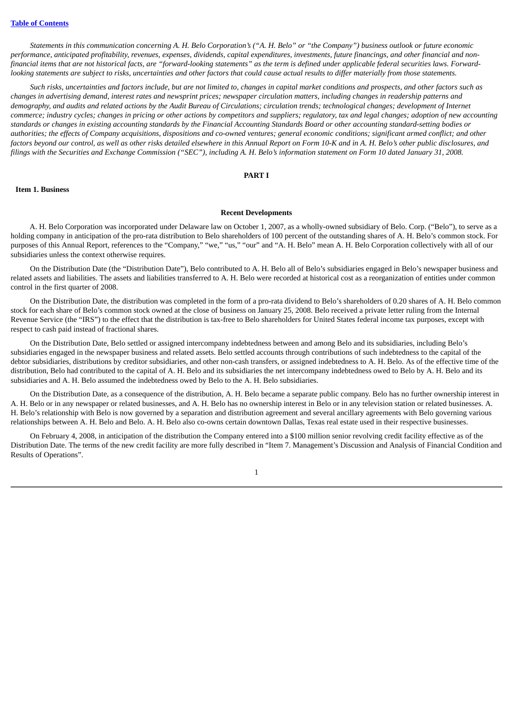Statements in this communication concerning A. H. Belo Corporation's ("A. H. Belo" or "the Company") business outlook or future economic performance, anticipated profitability, revenues, expenses, dividends, capital expenditures, investments, future financings, and other financial and nonfinancial items that are not historical facts, are "forward-looking statements" as the term is defined under applicable federal securities laws. Forwardlooking statements are subject to risks, uncertainties and other factors that could cause actual results to differ materially from those statements.

Such risks, uncertainties and factors include, but are not limited to, changes in capital market conditions and prospects, and other factors such as changes in advertising demand, interest rates and newsprint prices; newspaper circulation matters, including changes in readership patterns and demography, and audits and related actions by the Audit Bureau of Circulations; circulation trends; technological changes; development of Internet commerce; industry cycles; changes in pricing or other actions by competitors and suppliers; regulatory, tax and legal changes; adoption of new accounting standards or changes in existing accounting standards by the Financial Accounting Standards Board or other accounting standard-setting bodies or authorities; the effects of Company acquisitions, dispositions and co-owned ventures; general economic conditions; significant armed conflict; and other factors beyond our control, as well as other risks detailed elsewhere in this Annual Report on Form 10-K and in A. H. Belo's other public disclosures, and filings with the Securities and Exchange Commission ("SEC"), including A. H. Belo's information statement on Form 10 dated January 31, 2008.

#### **PART I**

#### <span id="page-3-1"></span><span id="page-3-0"></span>**Item 1. Business**

#### **Recent Developments**

A. H. Belo Corporation was incorporated under Delaware law on October 1, 2007, as a wholly-owned subsidiary of Belo. Corp. ("Belo"), to serve as a holding company in anticipation of the pro-rata distribution to Belo shareholders of 100 percent of the outstanding shares of A. H. Belo's common stock. For purposes of this Annual Report, references to the "Company," "we," "us," "our" and "A. H. Belo" mean A. H. Belo Corporation collectively with all of our subsidiaries unless the context otherwise requires.

On the Distribution Date (the "Distribution Date"), Belo contributed to A. H. Belo all of Belo's subsidiaries engaged in Belo's newspaper business and related assets and liabilities. The assets and liabilities transferred to A. H. Belo were recorded at historical cost as a reorganization of entities under common control in the first quarter of 2008.

On the Distribution Date, the distribution was completed in the form of a pro-rata dividend to Belo's shareholders of 0.20 shares of A. H. Belo common stock for each share of Belo's common stock owned at the close of business on January 25, 2008. Belo received a private letter ruling from the Internal Revenue Service (the "IRS") to the effect that the distribution is tax-free to Belo shareholders for United States federal income tax purposes, except with respect to cash paid instead of fractional shares.

On the Distribution Date, Belo settled or assigned intercompany indebtedness between and among Belo and its subsidiaries, including Belo's subsidiaries engaged in the newspaper business and related assets. Belo settled accounts through contributions of such indebtedness to the capital of the debtor subsidiaries, distributions by creditor subsidiaries, and other non-cash transfers, or assigned indebtedness to A. H. Belo. As of the effective time of the distribution, Belo had contributed to the capital of A. H. Belo and its subsidiaries the net intercompany indebtedness owed to Belo by A. H. Belo and its subsidiaries and A. H. Belo assumed the indebtedness owed by Belo to the A. H. Belo subsidiaries.

On the Distribution Date, as a consequence of the distribution, A. H. Belo became a separate public company. Belo has no further ownership interest in A. H. Belo or in any newspaper or related businesses, and A. H. Belo has no ownership interest in Belo or in any television station or related businesses. A. H. Belo's relationship with Belo is now governed by a separation and distribution agreement and several ancillary agreements with Belo governing various relationships between A. H. Belo and Belo. A. H. Belo also co-owns certain downtown Dallas, Texas real estate used in their respective businesses.

On February 4, 2008, in anticipation of the distribution the Company entered into a \$100 million senior revolving credit facility effective as of the Distribution Date. The terms of the new credit facility are more fully described in "Item 7. Management's Discussion and Analysis of Financial Condition and Results of Operations".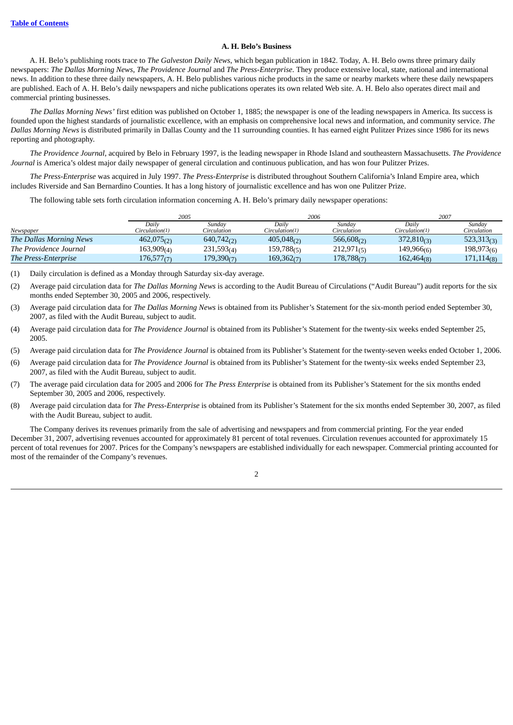# **A. H. Belo's Business**

A. H. Belo's publishing roots trace to *The Galveston Daily News*, which began publication in 1842. Today, A. H. Belo owns three primary daily newspapers: *The Dallas Morning News*, *The Providence Journal* and *The Press-Enterprise*. They produce extensive local, state, national and international news. In addition to these three daily newspapers, A. H. Belo publishes various niche products in the same or nearby markets where these daily newspapers are published. Each of A. H. Belo's daily newspapers and niche publications operates its own related Web site. A. H. Belo also operates direct mail and commercial printing businesses.

*The Dallas Morning News'* first edition was published on October 1, 1885; the newspaper is one of the leading newspapers in America. Its success is founded upon the highest standards of journalistic excellence, with an emphasis on comprehensive local news and information, and community service. *The Dallas Morning News* is distributed primarily in Dallas County and the 11 surrounding counties. It has earned eight Pulitzer Prizes since 1986 for its news reporting and photography.

*The Providence Journal*, acquired by Belo in February 1997, is the leading newspaper in Rhode Island and southeastern Massachusetts. *The Providence Journal* is America's oldest major daily newspaper of general circulation and continuous publication, and has won four Pulitzer Prizes.

*The Press-Enterprise* was acquired in July 1997. *The Press-Enterprise* is distributed throughout Southern California's Inland Empire area, which includes Riverside and San Bernardino Counties. It has a long history of journalistic excellence and has won one Pulitzer Prize.

The following table sets forth circulation information concerning A. H. Belo's primary daily newspaper operations:

|                             | 2005           |                 | 2006            |                        |                          | 2007                     |  |
|-----------------------------|----------------|-----------------|-----------------|------------------------|--------------------------|--------------------------|--|
|                             | Dailv          | Sunday          | Dailv           | Sunday                 | Dailv                    | Sunday                   |  |
| Newspaper                   | Circulation(1) | Circulation     | Circulation(1)  | Circulation            | Circulation(1)           | Circulation              |  |
| The Dallas Morning News     | 462,075(2)     | $640,742_{(2)}$ | $405,048_{(2)}$ | 566,608 <sub>(2)</sub> | $372,810_{(3)}$          | $523,313$ <sub>(3)</sub> |  |
| The Providence Journal      | 163,909(4)     | 231,593(4)      | 159,788(5)      | 212,971(5)             | $149,966$ <sub>(6)</sub> | 198,973(6)               |  |
| <b>The Press-Enterprise</b> | 176,577(7)     | 179,390(7)      | 169,362(7)      | 178,788(7)             | 162,464(8)               | 171, 114(8)              |  |

(1) Daily circulation is defined as a Monday through Saturday six-day average.

- (2) Average paid circulation data for *The Dallas Morning News* is according to the Audit Bureau of Circulations ("Audit Bureau") audit reports for the six months ended September 30, 2005 and 2006, respectively.
- (3) Average paid circulation data for *The Dallas Morning News* is obtained from its Publisher's Statement for the six-month period ended September 30, 2007, as filed with the Audit Bureau, subject to audit.
- (4) Average paid circulation data for *The Providence Journal* is obtained from its Publisher's Statement for the twenty-six weeks ended September 25, 2005.
- (5) Average paid circulation data for *The Providence Journal* is obtained from its Publisher's Statement for the twenty-seven weeks ended October 1, 2006.
- (6) Average paid circulation data for *The Providence Journal* is obtained from its Publisher's Statement for the twenty-six weeks ended September 23, 2007, as filed with the Audit Bureau, subject to audit.
- (7) The average paid circulation data for 2005 and 2006 for *The Press Enterprise* is obtained from its Publisher's Statement for the six months ended September 30, 2005 and 2006, respectively.
- (8) Average paid circulation data for *The Press-Enterprise* is obtained from its Publisher's Statement for the six months ended September 30, 2007, as filed with the Audit Bureau, subject to audit.

The Company derives its revenues primarily from the sale of advertising and newspapers and from commercial printing. For the year ended December 31, 2007, advertising revenues accounted for approximately 81 percent of total revenues. Circulation revenues accounted for approximately 15 percent of total revenues for 2007. Prices for the Company's newspapers are established individually for each newspaper. Commercial printing accounted for most of the remainder of the Company's revenues.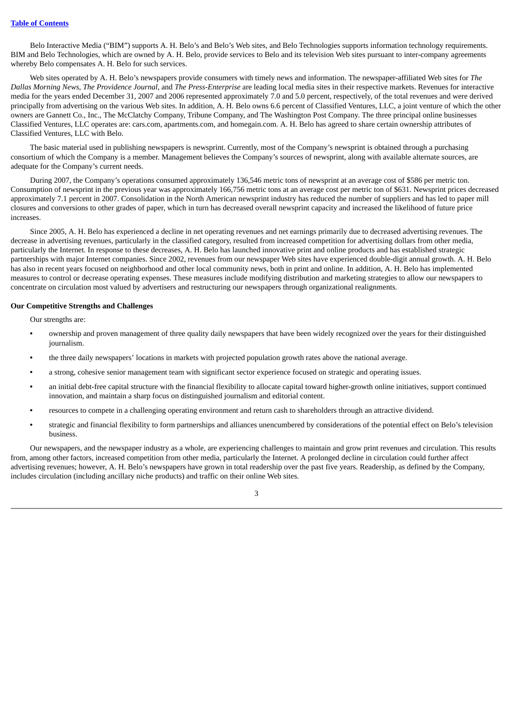Belo Interactive Media ("BIM") supports A. H. Belo's and Belo's Web sites, and Belo Technologies supports information technology requirements. BIM and Belo Technologies, which are owned by A. H. Belo, provide services to Belo and its television Web sites pursuant to inter-company agreements whereby Belo compensates A. H. Belo for such services.

Web sites operated by A. H. Belo's newspapers provide consumers with timely news and information. The newspaper-affiliated Web sites for *The Dallas Morning News*, *The Providence Journal*, and *The Press-Enterprise* are leading local media sites in their respective markets. Revenues for interactive media for the years ended December 31, 2007 and 2006 represented approximately 7.0 and 5.0 percent, respectively, of the total revenues and were derived principally from advertising on the various Web sites. In addition, A. H. Belo owns 6.6 percent of Classified Ventures, LLC, a joint venture of which the other owners are Gannett Co., Inc., The McClatchy Company, Tribune Company, and The Washington Post Company. The three principal online businesses Classified Ventures, LLC operates are: cars.com, apartments.com, and homegain.com. A. H. Belo has agreed to share certain ownership attributes of Classified Ventures, LLC with Belo.

The basic material used in publishing newspapers is newsprint. Currently, most of the Company's newsprint is obtained through a purchasing consortium of which the Company is a member. Management believes the Company's sources of newsprint, along with available alternate sources, are adequate for the Company's current needs.

During 2007, the Company's operations consumed approximately 136,546 metric tons of newsprint at an average cost of \$586 per metric ton. Consumption of newsprint in the previous year was approximately 166,756 metric tons at an average cost per metric ton of \$631. Newsprint prices decreased approximately 7.1 percent in 2007. Consolidation in the North American newsprint industry has reduced the number of suppliers and has led to paper mill closures and conversions to other grades of paper, which in turn has decreased overall newsprint capacity and increased the likelihood of future price increases.

Since 2005, A. H. Belo has experienced a decline in net operating revenues and net earnings primarily due to decreased advertising revenues. The decrease in advertising revenues, particularly in the classified category, resulted from increased competition for advertising dollars from other media, particularly the Internet. In response to these decreases, A. H. Belo has launched innovative print and online products and has established strategic partnerships with major Internet companies. Since 2002, revenues from our newspaper Web sites have experienced double-digit annual growth. A. H. Belo has also in recent years focused on neighborhood and other local community news, both in print and online. In addition, A. H. Belo has implemented measures to control or decrease operating expenses. These measures include modifying distribution and marketing strategies to allow our newspapers to concentrate on circulation most valued by advertisers and restructuring our newspapers through organizational realignments.

# **Our Competitive Strengths and Challenges**

Our strengths are:

- **•** ownership and proven management of three quality daily newspapers that have been widely recognized over the years for their distinguished journalism.
- **•** the three daily newspapers' locations in markets with projected population growth rates above the national average.
- **•** a strong, cohesive senior management team with significant sector experience focused on strategic and operating issues.
- **•** an initial debt-free capital structure with the financial flexibility to allocate capital toward higher-growth online initiatives, support continued innovation, and maintain a sharp focus on distinguished journalism and editorial content.
- **•** resources to compete in a challenging operating environment and return cash to shareholders through an attractive dividend.
- **•** strategic and financial flexibility to form partnerships and alliances unencumbered by considerations of the potential effect on Belo's television business.

Our newspapers, and the newspaper industry as a whole, are experiencing challenges to maintain and grow print revenues and circulation. This results from, among other factors, increased competition from other media, particularly the Internet. A prolonged decline in circulation could further affect advertising revenues; however, A. H. Belo's newspapers have grown in total readership over the past five years. Readership, as defined by the Company, includes circulation (including ancillary niche products) and traffic on their online Web sites.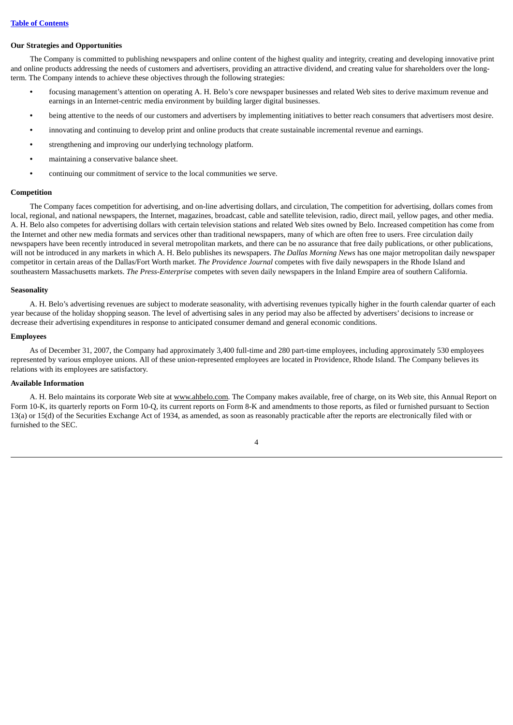#### **Our Strategies and Opportunities**

The Company is committed to publishing newspapers and online content of the highest quality and integrity, creating and developing innovative print and online products addressing the needs of customers and advertisers, providing an attractive dividend, and creating value for shareholders over the longterm. The Company intends to achieve these objectives through the following strategies:

- **•** focusing management's attention on operating A. H. Belo's core newspaper businesses and related Web sites to derive maximum revenue and earnings in an Internet-centric media environment by building larger digital businesses.
- **•** being attentive to the needs of our customers and advertisers by implementing initiatives to better reach consumers that advertisers most desire.
- **•** innovating and continuing to develop print and online products that create sustainable incremental revenue and earnings.
- **•** strengthening and improving our underlying technology platform.
- **•** maintaining a conservative balance sheet.
- **•** continuing our commitment of service to the local communities we serve.

#### **Competition**

The Company faces competition for advertising, and on-line advertising dollars, and circulation, The competition for advertising, dollars comes from local, regional, and national newspapers, the Internet, magazines, broadcast, cable and satellite television, radio, direct mail, yellow pages, and other media. A. H. Belo also competes for advertising dollars with certain television stations and related Web sites owned by Belo. Increased competition has come from the Internet and other new media formats and services other than traditional newspapers, many of which are often free to users. Free circulation daily newspapers have been recently introduced in several metropolitan markets, and there can be no assurance that free daily publications, or other publications, will not be introduced in any markets in which A. H. Belo publishes its newspapers. *The Dallas Morning News* has one major metropolitan daily newspaper competitor in certain areas of the Dallas/Fort Worth market. *The Providence Journal* competes with five daily newspapers in the Rhode Island and southeastern Massachusetts markets. *The Press-Enterprise* competes with seven daily newspapers in the Inland Empire area of southern California.

#### **Seasonality**

A. H. Belo's advertising revenues are subject to moderate seasonality, with advertising revenues typically higher in the fourth calendar quarter of each year because of the holiday shopping season. The level of advertising sales in any period may also be affected by advertisers' decisions to increase or decrease their advertising expenditures in response to anticipated consumer demand and general economic conditions.

## **Employees**

As of December 31, 2007, the Company had approximately 3,400 full-time and 280 part-time employees, including approximately 530 employees represented by various employee unions. All of these union-represented employees are located in Providence, Rhode Island. The Company believes its relations with its employees are satisfactory.

#### **Available Information**

A. H. Belo maintains its corporate Web site at www.ahbelo.com. The Company makes available, free of charge, on its Web site, this Annual Report on Form 10-K, its quarterly reports on Form 10-Q, its current reports on Form 8-K and amendments to those reports, as filed or furnished pursuant to Section 13(a) or 15(d) of the Securities Exchange Act of 1934, as amended, as soon as reasonably practicable after the reports are electronically filed with or furnished to the SEC.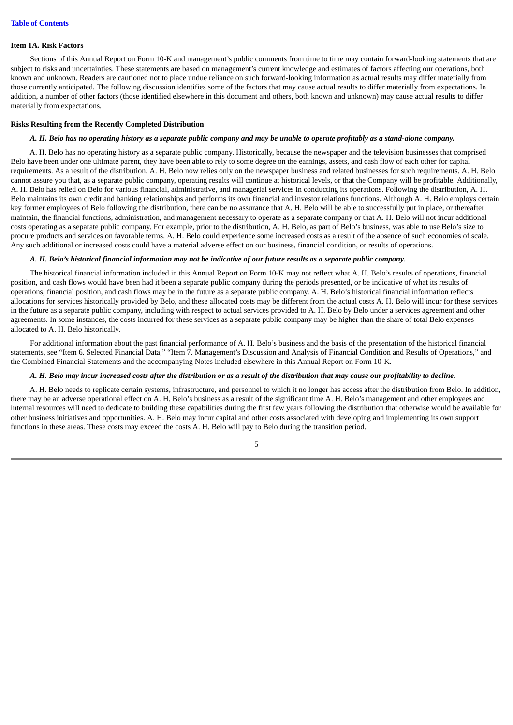#### <span id="page-7-0"></span>**Item 1A. Risk Factors**

Sections of this Annual Report on Form 10-K and management's public comments from time to time may contain forward-looking statements that are subject to risks and uncertainties. These statements are based on management's current knowledge and estimates of factors affecting our operations, both known and unknown. Readers are cautioned not to place undue reliance on such forward-looking information as actual results may differ materially from those currently anticipated. The following discussion identifies some of the factors that may cause actual results to differ materially from expectations. In addition, a number of other factors (those identified elsewhere in this document and others, both known and unknown) may cause actual results to differ materially from expectations*.*

#### **Risks Resulting from the Recently Completed Distribution**

# A. H. Belo has no operating history as a separate public company and may be unable to operate profitably as a stand-alone company.

A. H. Belo has no operating history as a separate public company. Historically, because the newspaper and the television businesses that comprised Belo have been under one ultimate parent, they have been able to rely to some degree on the earnings, assets, and cash flow of each other for capital requirements. As a result of the distribution, A. H. Belo now relies only on the newspaper business and related businesses for such requirements. A. H. Belo cannot assure you that, as a separate public company, operating results will continue at historical levels, or that the Company will be profitable. Additionally, A. H. Belo has relied on Belo for various financial, administrative, and managerial services in conducting its operations. Following the distribution, A. H. Belo maintains its own credit and banking relationships and performs its own financial and investor relations functions. Although A. H. Belo employs certain key former employees of Belo following the distribution, there can be no assurance that A. H. Belo will be able to successfully put in place, or thereafter maintain, the financial functions, administration, and management necessary to operate as a separate company or that A. H. Belo will not incur additional costs operating as a separate public company. For example, prior to the distribution, A. H. Belo, as part of Belo's business, was able to use Belo's size to procure products and services on favorable terms. A. H. Belo could experience some increased costs as a result of the absence of such economies of scale. Any such additional or increased costs could have a material adverse effect on our business, financial condition, or results of operations.

# A. H. Belo's historical financial information may not be indicative of our future results as a separate public company.

The historical financial information included in this Annual Report on Form 10-K may not reflect what A. H. Belo's results of operations, financial position, and cash flows would have been had it been a separate public company during the periods presented, or be indicative of what its results of operations, financial position, and cash flows may be in the future as a separate public company. A. H. Belo's historical financial information reflects allocations for services historically provided by Belo, and these allocated costs may be different from the actual costs A. H. Belo will incur for these services in the future as a separate public company, including with respect to actual services provided to A. H. Belo by Belo under a services agreement and other agreements. In some instances, the costs incurred for these services as a separate public company may be higher than the share of total Belo expenses allocated to A. H. Belo historically.

For additional information about the past financial performance of A. H. Belo's business and the basis of the presentation of the historical financial statements, see "Item 6. Selected Financial Data," "Item 7. Management's Discussion and Analysis of Financial Condition and Results of Operations," and the Combined Financial Statements and the accompanying Notes included elsewhere in this Annual Report on Form 10-K.

#### A. H. Belo may incur increased costs after the distribution or as a result of the distribution that may cause our profitability to decline.

A. H. Belo needs to replicate certain systems, infrastructure, and personnel to which it no longer has access after the distribution from Belo. In addition, there may be an adverse operational effect on A. H. Belo's business as a result of the significant time A. H. Belo's management and other employees and internal resources will need to dedicate to building these capabilities during the first few years following the distribution that otherwise would be available for other business initiatives and opportunities. A. H. Belo may incur capital and other costs associated with developing and implementing its own support functions in these areas. These costs may exceed the costs A. H. Belo will pay to Belo during the transition period.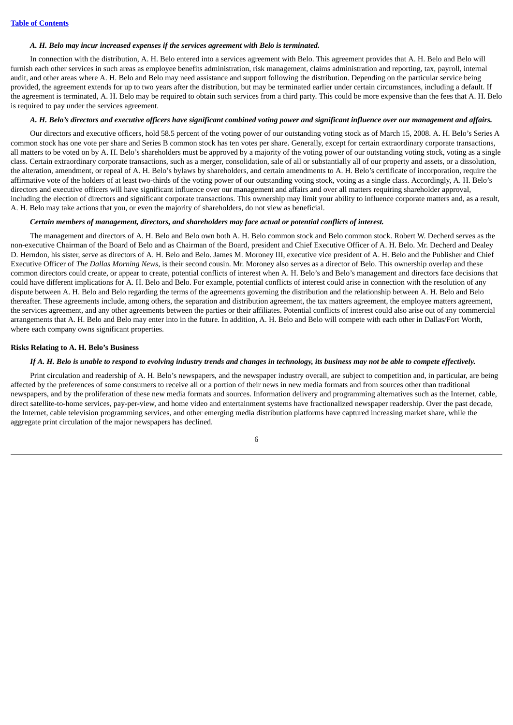#### *A. H. Belo may incur increased expenses if the services agreement with Belo is terminated.*

In connection with the distribution, A. H. Belo entered into a services agreement with Belo. This agreement provides that A. H. Belo and Belo will furnish each other services in such areas as employee benefits administration, risk management, claims administration and reporting, tax, payroll, internal audit, and other areas where A. H. Belo and Belo may need assistance and support following the distribution. Depending on the particular service being provided, the agreement extends for up to two years after the distribution, but may be terminated earlier under certain circumstances, including a default. If the agreement is terminated, A. H. Belo may be required to obtain such services from a third party. This could be more expensive than the fees that A. H. Belo is required to pay under the services agreement.

#### A. H. Belo's directors and executive officers have significant combined voting power and significant influence over our management and affairs.

Our directors and executive officers, hold 58.5 percent of the voting power of our outstanding voting stock as of March 15, 2008. A. H. Belo's Series A common stock has one vote per share and Series B common stock has ten votes per share. Generally, except for certain extraordinary corporate transactions, all matters to be voted on by A. H. Belo's shareholders must be approved by a majority of the voting power of our outstanding voting stock, voting as a single class. Certain extraordinary corporate transactions, such as a merger, consolidation, sale of all or substantially all of our property and assets, or a dissolution, the alteration, amendment, or repeal of A. H. Belo's bylaws by shareholders, and certain amendments to A. H. Belo's certificate of incorporation, require the affirmative vote of the holders of at least two-thirds of the voting power of our outstanding voting stock, voting as a single class. Accordingly, A. H. Belo's directors and executive officers will have significant influence over our management and affairs and over all matters requiring shareholder approval, including the election of directors and significant corporate transactions. This ownership may limit your ability to influence corporate matters and, as a result, A. H. Belo may take actions that you, or even the majority of shareholders, do not view as beneficial.

# *Certain members of management, directors, and shareholders may face actual or potential conflicts of interest.*

The management and directors of A. H. Belo and Belo own both A. H. Belo common stock and Belo common stock. Robert W. Decherd serves as the non-executive Chairman of the Board of Belo and as Chairman of the Board, president and Chief Executive Officer of A. H. Belo. Mr. Decherd and Dealey D. Herndon, his sister, serve as directors of A. H. Belo and Belo. James M. Moroney III, executive vice president of A. H. Belo and the Publisher and Chief Executive Officer of *The Dallas Morning News*, is their second cousin. Mr. Moroney also serves as a director of Belo. This ownership overlap and these common directors could create, or appear to create, potential conflicts of interest when A. H. Belo's and Belo's management and directors face decisions that could have different implications for A. H. Belo and Belo. For example, potential conflicts of interest could arise in connection with the resolution of any dispute between A. H. Belo and Belo regarding the terms of the agreements governing the distribution and the relationship between A. H. Belo and Belo thereafter. These agreements include, among others, the separation and distribution agreement, the tax matters agreement, the employee matters agreement, the services agreement, and any other agreements between the parties or their affiliates. Potential conflicts of interest could also arise out of any commercial arrangements that A. H. Belo and Belo may enter into in the future. In addition, A. H. Belo and Belo will compete with each other in Dallas/Fort Worth, where each company owns significant properties.

#### **Risks Relating to A. H. Belo's Business**

#### If A. H. Belo is unable to respond to evolving industry trends and changes in technology, its business may not be able to compete effectively.

Print circulation and readership of A. H. Belo's newspapers, and the newspaper industry overall, are subject to competition and, in particular, are being affected by the preferences of some consumers to receive all or a portion of their news in new media formats and from sources other than traditional newspapers, and by the proliferation of these new media formats and sources. Information delivery and programming alternatives such as the Internet, cable, direct satellite-to-home services, pay-per-view, and home video and entertainment systems have fractionalized newspaper readership. Over the past decade, the Internet, cable television programming services, and other emerging media distribution platforms have captured increasing market share, while the aggregate print circulation of the major newspapers has declined.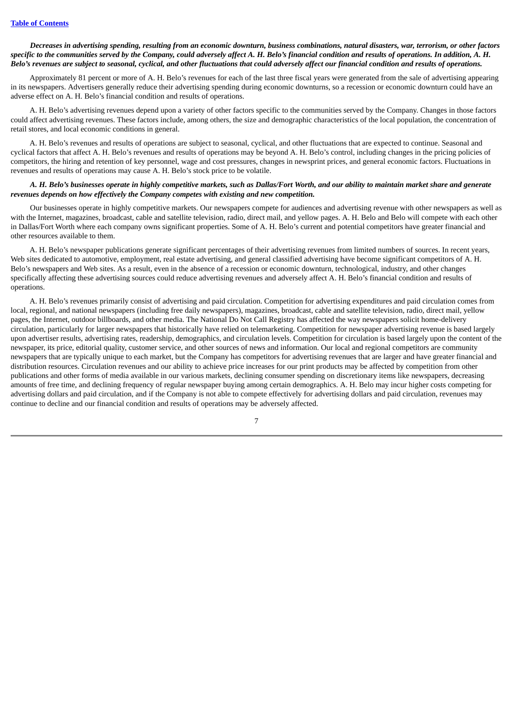# Decreases in advertising spending, resulting from an economic downturn, business combinations, natural disasters, war, terrorism, or other factors specific to the communities served by the Company, could adversely affect A. H. Belo's financial condition and results of operations. In addition, A. H. Belo's revenues are subject to seasonal, cyclical, and other fluctuations that could adversely affect our financial condition and results of operations.

Approximately 81 percent or more of A. H. Belo's revenues for each of the last three fiscal years were generated from the sale of advertising appearing in its newspapers. Advertisers generally reduce their advertising spending during economic downturns, so a recession or economic downturn could have an adverse effect on A. H. Belo's financial condition and results of operations.

A. H. Belo's advertising revenues depend upon a variety of other factors specific to the communities served by the Company. Changes in those factors could affect advertising revenues. These factors include, among others, the size and demographic characteristics of the local population, the concentration of retail stores, and local economic conditions in general.

A. H. Belo's revenues and results of operations are subject to seasonal, cyclical, and other fluctuations that are expected to continue. Seasonal and cyclical factors that affect A. H. Belo's revenues and results of operations may be beyond A. H. Belo's control, including changes in the pricing policies of competitors, the hiring and retention of key personnel, wage and cost pressures, changes in newsprint prices, and general economic factors. Fluctuations in revenues and results of operations may cause A. H. Belo's stock price to be volatile.

# A. H. Belo's businesses operate in highly competitive markets, such as Dallas/Fort Worth, and our ability to maintain market share and generate *revenues depends on how effectively the Company competes with existing and new competition.*

Our businesses operate in highly competitive markets. Our newspapers compete for audiences and advertising revenue with other newspapers as well as with the Internet, magazines, broadcast, cable and satellite television, radio, direct mail, and yellow pages. A. H. Belo and Belo will compete with each other in Dallas/Fort Worth where each company owns significant properties. Some of A. H. Belo's current and potential competitors have greater financial and other resources available to them.

A. H. Belo's newspaper publications generate significant percentages of their advertising revenues from limited numbers of sources. In recent years, Web sites dedicated to automotive, employment, real estate advertising, and general classified advertising have become significant competitors of A. H. Belo's newspapers and Web sites. As a result, even in the absence of a recession or economic downturn, technological, industry, and other changes specifically affecting these advertising sources could reduce advertising revenues and adversely affect A. H. Belo's financial condition and results of operations.

A. H. Belo's revenues primarily consist of advertising and paid circulation. Competition for advertising expenditures and paid circulation comes from local, regional, and national newspapers (including free daily newspapers), magazines, broadcast, cable and satellite television, radio, direct mail, yellow pages, the Internet, outdoor billboards, and other media. The National Do Not Call Registry has affected the way newspapers solicit home-delivery circulation, particularly for larger newspapers that historically have relied on telemarketing. Competition for newspaper advertising revenue is based largely upon advertiser results, advertising rates, readership, demographics, and circulation levels. Competition for circulation is based largely upon the content of the newspaper, its price, editorial quality, customer service, and other sources of news and information. Our local and regional competitors are community newspapers that are typically unique to each market, but the Company has competitors for advertising revenues that are larger and have greater financial and distribution resources. Circulation revenues and our ability to achieve price increases for our print products may be affected by competition from other publications and other forms of media available in our various markets, declining consumer spending on discretionary items like newspapers, decreasing amounts of free time, and declining frequency of regular newspaper buying among certain demographics. A. H. Belo may incur higher costs competing for advertising dollars and paid circulation, and if the Company is not able to compete effectively for advertising dollars and paid circulation, revenues may continue to decline and our financial condition and results of operations may be adversely affected.

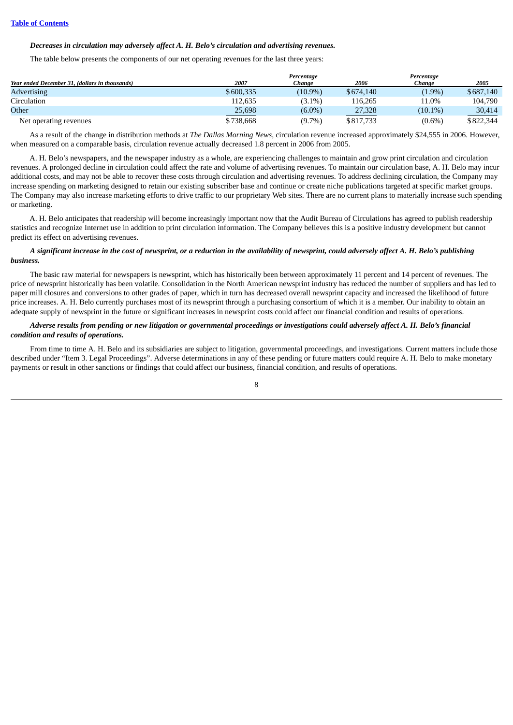## *Decreases in circulation may adversely affect A. H. Belo's circulation and advertising revenues.*

The table below presents the components of our net operating revenues for the last three years:

|                                                |           | Percentage |           | Percentage |           |
|------------------------------------------------|-----------|------------|-----------|------------|-----------|
| Year ended December 31, (dollars in thousands) | 2007      | Chanae     | 2006      | Chanae     | 2005      |
| <b>Advertising</b>                             | \$600.335 | $(10.9\%)$ | \$674,140 | $(1.9\%)$  | \$687,140 |
| Circulation                                    | 112.635   | $(3.1\%)$  | 116.265   | 11.0%      | 104.790   |
| Other                                          | 25,698    | $(6.0\%)$  | 27,328    | $(10.1\%)$ | 30,414    |
| Net operating revenues                         | \$738.668 | $(9.7\%)$  | \$817,733 | $(0.6\%)$  | \$822,344 |

As a result of the change in distribution methods at *The Dallas Morning News*, circulation revenue increased approximately \$24,555 in 2006. However, when measured on a comparable basis, circulation revenue actually decreased 1.8 percent in 2006 from 2005.

A. H. Belo's newspapers, and the newspaper industry as a whole, are experiencing challenges to maintain and grow print circulation and circulation revenues. A prolonged decline in circulation could affect the rate and volume of advertising revenues. To maintain our circulation base, A. H. Belo may incur additional costs, and may not be able to recover these costs through circulation and advertising revenues. To address declining circulation, the Company may increase spending on marketing designed to retain our existing subscriber base and continue or create niche publications targeted at specific market groups. The Company may also increase marketing efforts to drive traffic to our proprietary Web sites. There are no current plans to materially increase such spending or marketing.

A. H. Belo anticipates that readership will become increasingly important now that the Audit Bureau of Circulations has agreed to publish readership statistics and recognize Internet use in addition to print circulation information. The Company believes this is a positive industry development but cannot predict its effect on advertising revenues.

## A significant increase in the cost of newsprint, or a reduction in the availability of newsprint, could adversely affect A. H. Belo's publishing *business.*

The basic raw material for newspapers is newsprint, which has historically been between approximately 11 percent and 14 percent of revenues. The price of newsprint historically has been volatile. Consolidation in the North American newsprint industry has reduced the number of suppliers and has led to paper mill closures and conversions to other grades of paper, which in turn has decreased overall newsprint capacity and increased the likelihood of future price increases. A. H. Belo currently purchases most of its newsprint through a purchasing consortium of which it is a member. Our inability to obtain an adequate supply of newsprint in the future or significant increases in newsprint costs could affect our financial condition and results of operations.

# Adverse results from pending or new litigation or governmental proceedings or investigations could adversely affect A. H. Belo's financial *condition and results of operations.*

From time to time A. H. Belo and its subsidiaries are subject to litigation, governmental proceedings, and investigations. Current matters include those described under "Item 3. Legal Proceedings". Adverse determinations in any of these pending or future matters could require A. H. Belo to make monetary payments or result in other sanctions or findings that could affect our business, financial condition, and results of operations.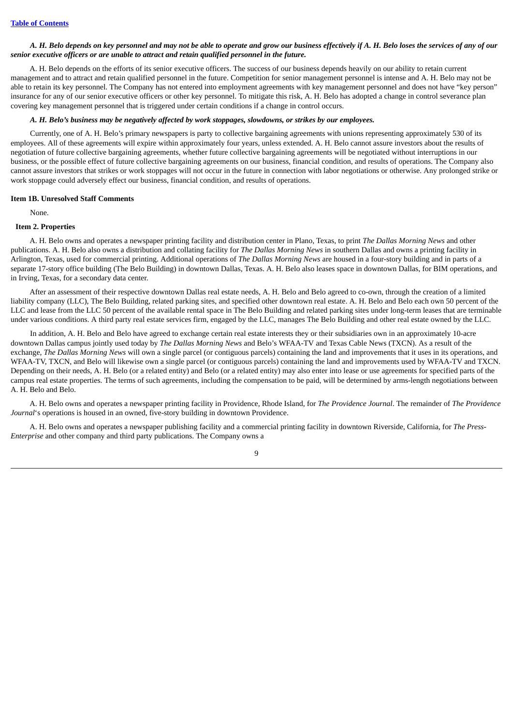# A. H. Belo depends on key personnel and may not be able to operate and grow our business effectively if A. H. Belo loses the services of any of our *senior executive officers or are unable to attract and retain qualified personnel in the future.*

A. H. Belo depends on the efforts of its senior executive officers. The success of our business depends heavily on our ability to retain current management and to attract and retain qualified personnel in the future. Competition for senior management personnel is intense and A. H. Belo may not be able to retain its key personnel. The Company has not entered into employment agreements with key management personnel and does not have "key person" insurance for any of our senior executive officers or other key personnel. To mitigate this risk, A. H. Belo has adopted a change in control severance plan covering key management personnel that is triggered under certain conditions if a change in control occurs.

# A. H. Belo's business may be negatively affected by work stoppages, slowdowns, or strikes by our employees.

Currently, one of A. H. Belo's primary newspapers is party to collective bargaining agreements with unions representing approximately 530 of its employees. All of these agreements will expire within approximately four years, unless extended. A. H. Belo cannot assure investors about the results of negotiation of future collective bargaining agreements, whether future collective bargaining agreements will be negotiated without interruptions in our business, or the possible effect of future collective bargaining agreements on our business, financial condition, and results of operations. The Company also cannot assure investors that strikes or work stoppages will not occur in the future in connection with labor negotiations or otherwise. Any prolonged strike or work stoppage could adversely effect our business, financial condition, and results of operations.

# <span id="page-11-0"></span>**Item 1B. Unresolved Staff Comments**

None.

#### <span id="page-11-1"></span>**Item 2. Properties**

A. H. Belo owns and operates a newspaper printing facility and distribution center in Plano, Texas, to print *The Dallas Morning News* and other publications. A. H. Belo also owns a distribution and collating facility for *The Dallas Morning News* in southern Dallas and owns a printing facility in Arlington, Texas, used for commercial printing. Additional operations of *The Dallas Morning News* are housed in a four-story building and in parts of a separate 17-story office building (The Belo Building) in downtown Dallas, Texas. A. H. Belo also leases space in downtown Dallas, for BIM operations, and in Irving, Texas, for a secondary data center.

After an assessment of their respective downtown Dallas real estate needs, A. H. Belo and Belo agreed to co-own, through the creation of a limited liability company (LLC), The Belo Building, related parking sites, and specified other downtown real estate. A. H. Belo and Belo each own 50 percent of the LLC and lease from the LLC 50 percent of the available rental space in The Belo Building and related parking sites under long-term leases that are terminable under various conditions. A third party real estate services firm, engaged by the LLC, manages The Belo Building and other real estate owned by the LLC.

In addition, A. H. Belo and Belo have agreed to exchange certain real estate interests they or their subsidiaries own in an approximately 10-acre downtown Dallas campus jointly used today by *The Dallas Morning News* and Belo's WFAA-TV and Texas Cable News (TXCN). As a result of the exchange, *The Dallas Morning News* will own a single parcel (or contiguous parcels) containing the land and improvements that it uses in its operations, and WFAA-TV, TXCN, and Belo will likewise own a single parcel (or contiguous parcels) containing the land and improvements used by WFAA-TV and TXCN. Depending on their needs, A. H. Belo (or a related entity) and Belo (or a related entity) may also enter into lease or use agreements for specified parts of the campus real estate properties. The terms of such agreements, including the compensation to be paid, will be determined by arms-length negotiations between A. H. Belo and Belo.

A. H. Belo owns and operates a newspaper printing facility in Providence, Rhode Island, for *The Providence Journal*. The remainder of *The Providence Journal*'s operations is housed in an owned, five-story building in downtown Providence.

A. H. Belo owns and operates a newspaper publishing facility and a commercial printing facility in downtown Riverside, California, for *The Press-Enterprise* and other company and third party publications. The Company owns a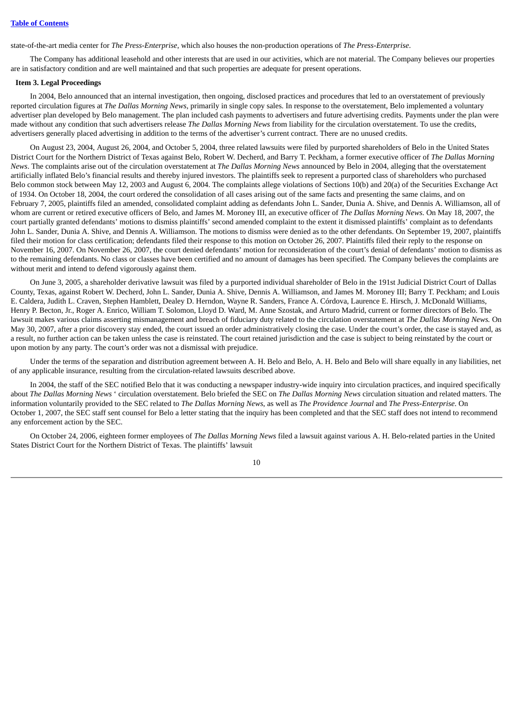state-of-the-art media center for *The Press-Enterprise*, which also houses the non-production operations of *The Press-Enterprise*.

The Company has additional leasehold and other interests that are used in our activities, which are not material. The Company believes our properties are in satisfactory condition and are well maintained and that such properties are adequate for present operations.

#### <span id="page-12-0"></span>**Item 3. Legal Proceedings**

In 2004, Belo announced that an internal investigation, then ongoing, disclosed practices and procedures that led to an overstatement of previously reported circulation figures at *The Dallas Morning News*, primarily in single copy sales. In response to the overstatement, Belo implemented a voluntary advertiser plan developed by Belo management. The plan included cash payments to advertisers and future advertising credits. Payments under the plan were made without any condition that such advertisers release *The Dallas Morning News* from liability for the circulation overstatement. To use the credits, advertisers generally placed advertising in addition to the terms of the advertiser's current contract. There are no unused credits.

On August 23, 2004, August 26, 2004, and October 5, 2004, three related lawsuits were filed by purported shareholders of Belo in the United States District Court for the Northern District of Texas against Belo, Robert W. Decherd, and Barry T. Peckham, a former executive officer of *The Dallas Morning News*. The complaints arise out of the circulation overstatement at *The Dallas Morning News* announced by Belo in 2004, alleging that the overstatement artificially inflated Belo's financial results and thereby injured investors. The plaintiffs seek to represent a purported class of shareholders who purchased Belo common stock between May 12, 2003 and August 6, 2004. The complaints allege violations of Sections 10(b) and 20(a) of the Securities Exchange Act of 1934. On October 18, 2004, the court ordered the consolidation of all cases arising out of the same facts and presenting the same claims, and on February 7, 2005, plaintiffs filed an amended, consolidated complaint adding as defendants John L. Sander, Dunia A. Shive, and Dennis A. Williamson, all of whom are current or retired executive officers of Belo, and James M. Moroney III, an executive officer of *The Dallas Morning News*. On May 18, 2007, the court partially granted defendants' motions to dismiss plaintiffs' second amended complaint to the extent it dismissed plaintiffs' complaint as to defendants John L. Sander, Dunia A. Shive, and Dennis A. Williamson. The motions to dismiss were denied as to the other defendants. On September 19, 2007, plaintiffs filed their motion for class certification; defendants filed their response to this motion on October 26, 2007. Plaintiffs filed their reply to the response on November 16, 2007. On November 26, 2007, the court denied defendants' motion for reconsideration of the court's denial of defendants' motion to dismiss as to the remaining defendants. No class or classes have been certified and no amount of damages has been specified. The Company believes the complaints are without merit and intend to defend vigorously against them.

On June 3, 2005, a shareholder derivative lawsuit was filed by a purported individual shareholder of Belo in the 191st Judicial District Court of Dallas County, Texas, against Robert W. Decherd, John L. Sander, Dunia A. Shive, Dennis A. Williamson, and James M. Moroney III; Barry T. Peckham; and Louis E. Caldera, Judith L. Craven, Stephen Hamblett, Dealey D. Herndon, Wayne R. Sanders, France A. Córdova, Laurence E. Hirsch, J. McDonald Williams, Henry P. Becton, Jr., Roger A. Enrico, William T. Solomon, Lloyd D. Ward, M. Anne Szostak, and Arturo Madrid, current or former directors of Belo. The lawsuit makes various claims asserting mismanagement and breach of fiduciary duty related to the circulation overstatement at *The Dallas Morning News.* On May 30, 2007, after a prior discovery stay ended, the court issued an order administratively closing the case. Under the court's order, the case is stayed and, as a result, no further action can be taken unless the case is reinstated. The court retained jurisdiction and the case is subject to being reinstated by the court or upon motion by any party. The court's order was not a dismissal with prejudice.

Under the terms of the separation and distribution agreement between A. H. Belo and Belo, A. H. Belo and Belo will share equally in any liabilities, net of any applicable insurance, resulting from the circulation-related lawsuits described above.

In 2004, the staff of the SEC notified Belo that it was conducting a newspaper industry-wide inquiry into circulation practices, and inquired specifically about *The Dallas Morning News* ' circulation overstatement. Belo briefed the SEC on *The Dallas Morning News* circulation situation and related matters. The information voluntarily provided to the SEC related to *The Dallas Morning News*, as well as *The Providence Journal* and *The Press-Enterprise*. On October 1, 2007, the SEC staff sent counsel for Belo a letter stating that the inquiry has been completed and that the SEC staff does not intend to recommend any enforcement action by the SEC.

On October 24, 2006, eighteen former employees of *The Dallas Morning News* filed a lawsuit against various A. H. Belo-related parties in the United States District Court for the Northern District of Texas. The plaintiffs' lawsuit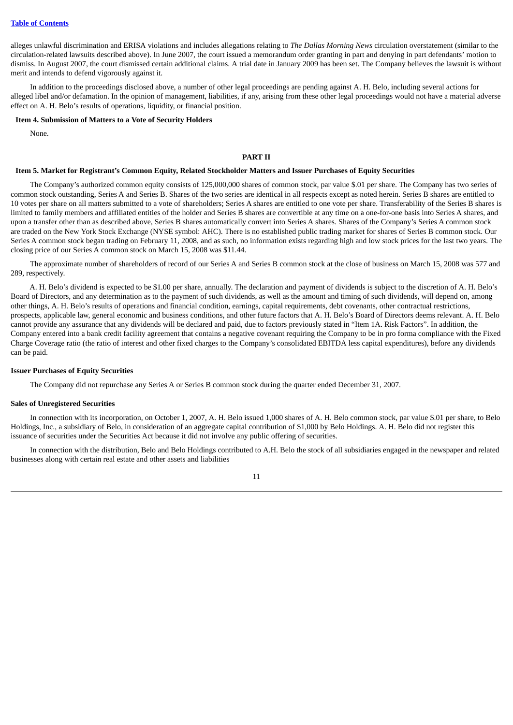alleges unlawful discrimination and ERISA violations and includes allegations relating to *The Dallas Morning News* circulation overstatement (similar to the circulation-related lawsuits described above). In June 2007, the court issued a memorandum order granting in part and denying in part defendants' motion to dismiss. In August 2007, the court dismissed certain additional claims. A trial date in January 2009 has been set. The Company believes the lawsuit is without merit and intends to defend vigorously against it.

In addition to the proceedings disclosed above, a number of other legal proceedings are pending against A. H. Belo, including several actions for alleged libel and/or defamation. In the opinion of management, liabilities, if any, arising from these other legal proceedings would not have a material adverse effect on A. H. Belo's results of operations, liquidity, or financial position.

# <span id="page-13-0"></span>**Item 4. Submission of Matters to a Vote of Security Holders**

<span id="page-13-1"></span>None.

# **PART II**

#### <span id="page-13-2"></span>Item 5. Market for Registrant's Common Equity, Related Stockholder Matters and Issuer Purchases of Equity Securities

The Company's authorized common equity consists of 125,000,000 shares of common stock, par value \$.01 per share. The Company has two series of common stock outstanding, Series A and Series B. Shares of the two series are identical in all respects except as noted herein. Series B shares are entitled to 10 votes per share on all matters submitted to a vote of shareholders; Series A shares are entitled to one vote per share. Transferability of the Series B shares is limited to family members and affiliated entities of the holder and Series B shares are convertible at any time on a one-for-one basis into Series A shares, and upon a transfer other than as described above, Series B shares automatically convert into Series A shares. Shares of the Company's Series A common stock are traded on the New York Stock Exchange (NYSE symbol: AHC). There is no established public trading market for shares of Series B common stock. Our Series A common stock began trading on February 11, 2008, and as such, no information exists regarding high and low stock prices for the last two years. The closing price of our Series A common stock on March 15, 2008 was \$11.44.

The approximate number of shareholders of record of our Series A and Series B common stock at the close of business on March 15, 2008 was 577 and 289, respectively.

A. H. Belo's dividend is expected to be \$1.00 per share, annually. The declaration and payment of dividends is subject to the discretion of A. H. Belo's Board of Directors, and any determination as to the payment of such dividends, as well as the amount and timing of such dividends, will depend on, among other things, A. H. Belo's results of operations and financial condition, earnings, capital requirements, debt covenants, other contractual restrictions, prospects, applicable law, general economic and business conditions, and other future factors that A. H. Belo's Board of Directors deems relevant. A. H. Belo cannot provide any assurance that any dividends will be declared and paid, due to factors previously stated in "Item 1A. Risk Factors". In addition, the Company entered into a bank credit facility agreement that contains a negative covenant requiring the Company to be in pro forma compliance with the Fixed Charge Coverage ratio (the ratio of interest and other fixed charges to the Company's consolidated EBITDA less capital expenditures), before any dividends can be paid.

#### **Issuer Purchases of Equity Securities**

The Company did not repurchase any Series A or Series B common stock during the quarter ended December 31, 2007.

#### **Sales of Unregistered Securities**

In connection with its incorporation, on October 1, 2007, A. H. Belo issued 1,000 shares of A. H. Belo common stock, par value \$.01 per share, to Belo Holdings, Inc., a subsidiary of Belo, in consideration of an aggregate capital contribution of \$1,000 by Belo Holdings. A. H. Belo did not register this issuance of securities under the Securities Act because it did not involve any public offering of securities.

In connection with the distribution, Belo and Belo Holdings contributed to A.H. Belo the stock of all subsidiaries engaged in the newspaper and related businesses along with certain real estate and other assets and liabilities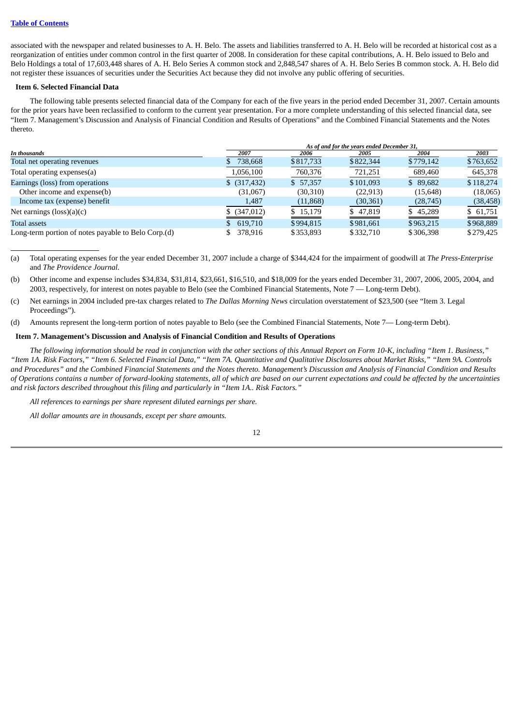associated with the newspaper and related businesses to A. H. Belo. The assets and liabilities transferred to A. H. Belo will be recorded at historical cost as a reorganization of entities under common control in the first quarter of 2008. In consideration for these capital contributions, A. H. Belo issued to Belo and Belo Holdings a total of 17,603,448 shares of A. H. Belo Series A common stock and 2,848,547 shares of A. H. Belo Series B common stock. A. H. Belo did not register these issuances of securities under the Securities Act because they did not involve any public offering of securities.

#### <span id="page-14-0"></span>**Item 6. Selected Financial Data**

The following table presents selected financial data of the Company for each of the five years in the period ended December 31, 2007. Certain amounts for the prior years have been reclassified to conform to the current year presentation. For a more complete understanding of this selected financial data, see "Item 7. Management's Discussion and Analysis of Financial Condition and Results of Operations" and the Combined Financial Statements and the Notes thereto.

|                                                     | As of and for the years ended December 31, |           |           |           |           |
|-----------------------------------------------------|--------------------------------------------|-----------|-----------|-----------|-----------|
| In thousands                                        | 2007                                       | 2006      | 2005      | 2004      | 2003      |
| Total net operating revenues                        | 738,668                                    | \$817,733 | \$822,344 | \$779,142 | \$763,652 |
| Total operating expenses(a)                         | 1,056,100                                  | 760,376   | 721,251   | 689,460   | 645,378   |
| Earnings (loss) from operations                     | $$$ (317,432)                              | \$57,357  | \$101.093 | \$89.682  | \$118.274 |
| Other income and expense(b)                         | (31,067)                                   | (30,310)  | (22, 913) | (15,648)  | (18,065)  |
| Income tax (expense) benefit                        | 1,487                                      | (11,868)  | (30, 361) | (28, 745) | (38, 458) |
| Net earnings $(\text{loss})(a)(c)$                  | $$$ (347,012)                              | \$15,179  | \$47,819  | \$45,289  | \$61,751  |
| Total assets                                        | 619,710                                    | \$994,815 | \$981,661 | \$963,215 | \$968,889 |
| Long-term portion of notes payable to Belo Corp.(d) | 378,916                                    | \$353,893 | \$332,710 | \$306,398 | \$279,425 |

(a) Total operating expenses for the year ended December 31, 2007 include a charge of \$344,424 for the impairment of goodwill at *The Press-Enterprise* and *The Providence Journal.*

(b) Other income and expense includes \$34,834, \$31,814, \$23,661, \$16,510, and \$18,009 for the years ended December 31, 2007, 2006, 2005, 2004, and 2003, respectively, for interest on notes payable to Belo (see the Combined Financial Statements, Note 7 — Long-term Debt).

(c) Net earnings in 2004 included pre-tax charges related to *The Dallas Morning News* circulation overstatement of \$23,500 (see "Item 3. Legal Proceedings").

(d) Amounts represent the long-term portion of notes payable to Belo (see the Combined Financial Statements, Note 7— Long-term Debt).

# <span id="page-14-1"></span>**Item 7. Management's Discussion and Analysis of Financial Condition and Results of Operations**

The following information should be read in conjunction with the other sections of this Annual Report on Form 10-K, including "Item 1. Business," "Item 1A. Risk Factors," "Item 6. Selected Financial Data," "Item 7A. Quantitative and Qualitative Disclosures about Market Risks," "Item 9A. Controls and Procedures" and the Combined Financial Statements and the Notes thereto. Management's Discussion and Analysis of Financial Condition and Results of Operations contains a number of forward-looking statements, all of which are based on our current expectations and could be affected by the uncertainties *and risk factors described throughout this filing and particularly in "Item 1A.. Risk Factors."*

*All references to earnings per share represent diluted earnings per share.*

*All dollar amounts are in thousands, except per share amounts.*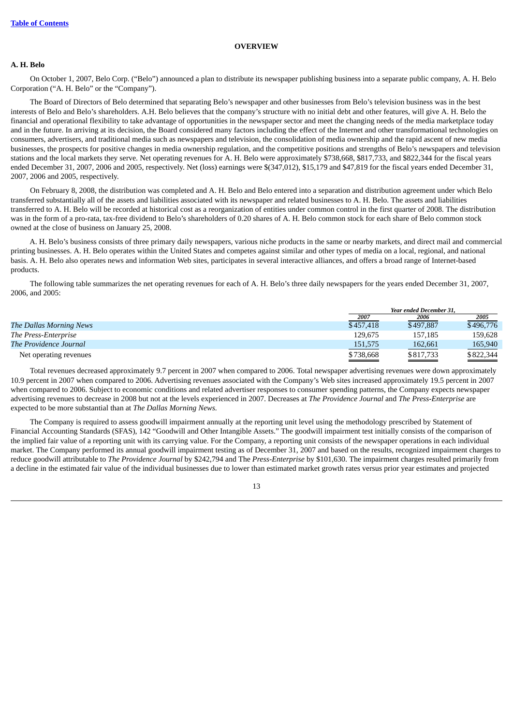# **OVERVIEW**

# **A. H. Belo**

On October 1, 2007, Belo Corp. ("Belo") announced a plan to distribute its newspaper publishing business into a separate public company, A. H. Belo Corporation ("A. H. Belo" or the "Company").

The Board of Directors of Belo determined that separating Belo's newspaper and other businesses from Belo's television business was in the best interests of Belo and Belo's shareholders. A.H. Belo believes that the company's structure with no initial debt and other features, will give A. H. Belo the financial and operational flexibility to take advantage of opportunities in the newspaper sector and meet the changing needs of the media marketplace today and in the future. In arriving at its decision, the Board considered many factors including the effect of the Internet and other transformational technologies on consumers, advertisers, and traditional media such as newspapers and television, the consolidation of media ownership and the rapid ascent of new media businesses, the prospects for positive changes in media ownership regulation, and the competitive positions and strengths of Belo's newspapers and television stations and the local markets they serve. Net operating revenues for A. H. Belo were approximately \$738,668, \$817,733, and \$822,344 for the fiscal years ended December 31, 2007, 2006 and 2005, respectively. Net (loss) earnings were \$(347,012), \$15,179 and \$47,819 for the fiscal years ended December 31, 2007, 2006 and 2005, respectively.

On February 8, 2008, the distribution was completed and A. H. Belo and Belo entered into a separation and distribution agreement under which Belo transferred substantially all of the assets and liabilities associated with its newspaper and related businesses to A. H. Belo. The assets and liabilities transferred to A. H. Belo will be recorded at historical cost as a reorganization of entities under common control in the first quarter of 2008. The distribution was in the form of a pro-rata, tax-free dividend to Belo's shareholders of 0.20 shares of A. H. Belo common stock for each share of Belo common stock owned at the close of business on January 25, 2008.

A. H. Belo's business consists of three primary daily newspapers, various niche products in the same or nearby markets, and direct mail and commercial printing businesses. A. H. Belo operates within the United States and competes against similar and other types of media on a local, regional, and national basis. A. H. Belo also operates news and information Web sites, participates in several interactive alliances, and offers a broad range of Internet-based products.

The following table summarizes the net operating revenues for each of A. H. Belo's three daily newspapers for the years ended December 31, 2007, 2006, and 2005:

|                                |           | <b>Year ended December 31.</b> |           |  |
|--------------------------------|-----------|--------------------------------|-----------|--|
|                                | 2007      | 2006                           | 2005      |  |
| <b>The Dallas Morning News</b> | \$457,418 | \$497,887                      | \$496,776 |  |
| The Press-Enterprise           | 129.675   | 157.185                        | 159.628   |  |
| The Providence Journal         | 151,575   | 162,661                        | 165,940   |  |
| Net operating revenues         | \$738,668 | \$817,733                      | \$822,344 |  |

Total revenues decreased approximately 9.7 percent in 2007 when compared to 2006. Total newspaper advertising revenues were down approximately 10.9 percent in 2007 when compared to 2006. Advertising revenues associated with the Company's Web sites increased approximately 19.5 percent in 2007 when compared to 2006. Subject to economic conditions and related advertiser responses to consumer spending patterns, the Company expects newspaper advertising revenues to decrease in 2008 but not at the levels experienced in 2007. Decreases at *The Providence Journal* and *The Press-Enterprise* are expected to be more substantial than at *The Dallas Morning News.*

The Company is required to assess goodwill impairment annually at the reporting unit level using the methodology prescribed by Statement of Financial Accounting Standards (SFAS), 142 "Goodwill and Other Intangible Assets." The goodwill impairment test initially consists of the comparison of the implied fair value of a reporting unit with its carrying value. For the Company, a reporting unit consists of the newspaper operations in each individual market. The Company performed its annual goodwill impairment testing as of December 31, 2007 and based on the results, recognized impairment charges to reduce goodwill attributable to *The Providence Journal* by \$242,794 and The *Press-Enterprise* by \$101,630. The impairment charges resulted primarily from a decline in the estimated fair value of the individual businesses due to lower than estimated market growth rates versus prior year estimates and projected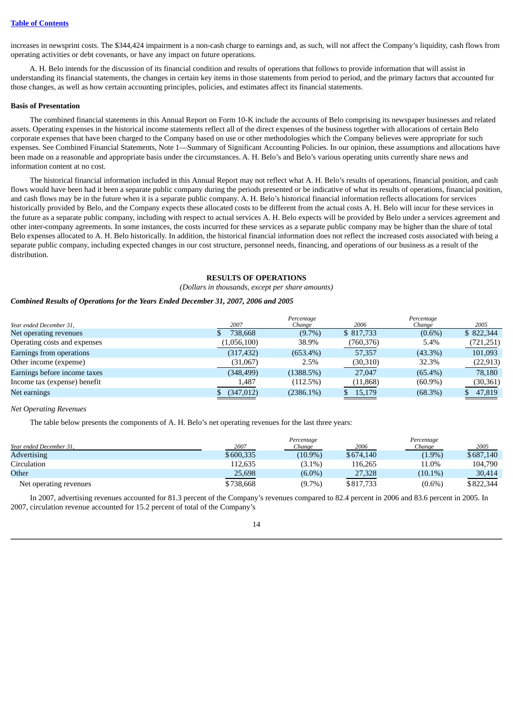increases in newsprint costs. The \$344,424 impairment is a non-cash charge to earnings and, as such, will not affect the Company's liquidity, cash flows from operating activities or debt covenants, or have any impact on future operations.

A. H. Belo intends for the discussion of its financial condition and results of operations that follows to provide information that will assist in understanding its financial statements, the changes in certain key items in those statements from period to period, and the primary factors that accounted for those changes, as well as how certain accounting principles, policies, and estimates affect its financial statements.

#### **Basis of Presentation**

The combined financial statements in this Annual Report on Form 10-K include the accounts of Belo comprising its newspaper businesses and related assets. Operating expenses in the historical income statements reflect all of the direct expenses of the business together with allocations of certain Belo corporate expenses that have been charged to the Company based on use or other methodologies which the Company believes were appropriate for such expenses. See Combined Financial Statements, Note 1—Summary of Significant Accounting Policies. In our opinion, these assumptions and allocations have been made on a reasonable and appropriate basis under the circumstances. A. H. Belo's and Belo's various operating units currently share news and information content at no cost.

The historical financial information included in this Annual Report may not reflect what A. H. Belo's results of operations, financial position, and cash flows would have been had it been a separate public company during the periods presented or be indicative of what its results of operations, financial position, and cash flows may be in the future when it is a separate public company. A. H. Belo's historical financial information reflects allocations for services historically provided by Belo, and the Company expects these allocated costs to be different from the actual costs A. H. Belo will incur for these services in the future as a separate public company, including with respect to actual services A. H. Belo expects will be provided by Belo under a services agreement and other inter-company agreements. In some instances, the costs incurred for these services as a separate public company may be higher than the share of total Belo expenses allocated to A. H. Belo historically. In addition, the historical financial information does not reflect the increased costs associated with being a separate public company, including expected changes in our cost structure, personnel needs, financing, and operations of our business as a result of the distribution.

# **RESULTS OF OPERATIONS**

## *(Dollars in thousands, except per share amounts)*

## *Combined Results of Operations for the Years Ended December 31, 2007, 2006 and 2005*

|                              |             | Percentage   |              | Percentage |           |
|------------------------------|-------------|--------------|--------------|------------|-----------|
| Year ended December 31,      | 2007        | Change       | 2006         | Change     | 2005      |
| Net operating revenues       | 738,668     | $(9.7\%)$    | \$817,733    | $(0.6\%)$  | \$822,344 |
| Operating costs and expenses | (1,056,100) | 38.9%        | (760, 376)   | 5.4%       | (721,251) |
| Earnings from operations     | (317, 432)  | $(653.4\%)$  | 57,357       | $(43.3\%)$ | 101,093   |
| Other income (expense)       | (31,067)    | 2.5%         | (30,310)     | 32.3%      | (22, 913) |
| Earnings before income taxes | (348, 499)  | (1388.5%)    | 27,047       | $(65.4\%)$ | 78.180    |
| Income tax (expense) benefit | 1,487       | (112.5%)     | (11, 868)    | $(60.9\%)$ | (30, 361) |
| Net earnings                 | (347, 012)  | $(2386.1\%)$ | 15,179<br>S. | (68.3%)    | 47,819    |
|                              |             |              |              |            |           |

#### *Net Operating Revenues*

The table below presents the components of A. H. Belo's net operating revenues for the last three years:

| Year ended December 31, | 2007      | Percentage<br>Change | 2006      | Percentage<br>Change | 2005      |
|-------------------------|-----------|----------------------|-----------|----------------------|-----------|
| <b>Advertising</b>      | \$600,335 | $(10.9\%)$           | \$674,140 | $(1.9\%)$            | \$687,140 |
| Circulation             | 112,635   | $(3.1\%)$            | 116,265   | 11.0%                | 104,790   |
| Other                   | 25,698    | $(6.0\%)$            | 27,328    | $(10.1\%)$           | 30,414    |
| Net operating revenues  | \$738,668 | $(9.7\%)$            | \$817,733 | $(0.6\%)$            | \$822,344 |

In 2007, advertising revenues accounted for 81.3 percent of the Company's revenues compared to 82.4 percent in 2006 and 83.6 percent in 2005. In 2007, circulation revenue accounted for 15.2 percent of total of the Company's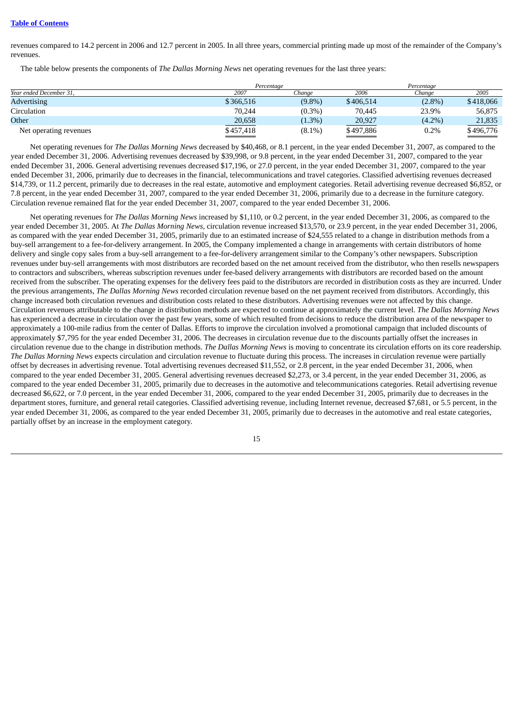## **Table of [Contents](#page-2-0)**

revenues compared to 14.2 percent in 2006 and 12.7 percent in 2005. In all three years, commercial printing made up most of the remainder of the Company's revenues.

The table below presents the components of *The Dallas Morning News* net operating revenues for the last three years:

|                         |           | Percentage |           | Percentage |           |
|-------------------------|-----------|------------|-----------|------------|-----------|
| Year ended December 31, | 2007      | Chanae     | 2006      | Chanae     | 2005      |
| <b>Advertising</b>      | \$366,516 | $(9.8\%)$  | \$406.514 | $(2.8\%)$  | \$418,066 |
| Circulation             | 70.244    | $(0.3\%)$  | 70,445    | 23.9%      | 56,875    |
| Other                   | 20,658    | $(1.3\%)$  | 20,927    | $(4.2\%)$  | 21,835    |
| Net operating revenues  | \$457,418 | $(8.1\%)$  | \$497,886 | 0.2%       | \$496,776 |

Net operating revenues for *The Dallas Morning News* decreased by \$40,468, or 8.1 percent, in the year ended December 31, 2007, as compared to the year ended December 31, 2006. Advertising revenues decreased by \$39,998, or 9.8 percent, in the year ended December 31, 2007, compared to the year ended December 31, 2006. General advertising revenues decreased \$17,196, or 27.0 percent, in the year ended December 31, 2007, compared to the year ended December 31, 2006, primarily due to decreases in the financial, telecommunications and travel categories. Classified advertising revenues decreased \$14,739, or 11.2 percent, primarily due to decreases in the real estate, automotive and employment categories. Retail advertising revenue decreased \$6,852, or 7.8 percent, in the year ended December 31, 2007, compared to the year ended December 31, 2006, primarily due to a decrease in the furniture category. Circulation revenue remained flat for the year ended December 31, 2007, compared to the year ended December 31, 2006.

Net operating revenues for *The Dallas Morning News* increased by \$1,110, or 0.2 percent, in the year ended December 31, 2006, as compared to the year ended December 31, 2005. At *The Dallas Morning News,* circulation revenue increased \$13,570, or 23.9 percent, in the year ended December 31, 2006, as compared with the year ended December 31, 2005, primarily due to an estimated increase of \$24,555 related to a change in distribution methods from a buy-sell arrangement to a fee-for-delivery arrangement. In 2005, the Company implemented a change in arrangements with certain distributors of home delivery and single copy sales from a buy-sell arrangement to a fee-for-delivery arrangement similar to the Company's other newspapers. Subscription revenues under buy-sell arrangements with most distributors are recorded based on the net amount received from the distributor, who then resells newspapers to contractors and subscribers, whereas subscription revenues under fee-based delivery arrangements with distributors are recorded based on the amount received from the subscriber. The operating expenses for the delivery fees paid to the distributors are recorded in distribution costs as they are incurred. Under the previous arrangements, *The Dallas Morning News* recorded circulation revenue based on the net payment received from distributors. Accordingly, this change increased both circulation revenues and distribution costs related to these distributors. Advertising revenues were not affected by this change. Circulation revenues attributable to the change in distribution methods are expected to continue at approximately the current level. *The Dallas Morning News* has experienced a decrease in circulation over the past few years, some of which resulted from decisions to reduce the distribution area of the newspaper to approximately a 100-mile radius from the center of Dallas. Efforts to improve the circulation involved a promotional campaign that included discounts of approximately \$7,795 for the year ended December 31, 2006. The decreases in circulation revenue due to the discounts partially offset the increases in circulation revenue due to the change in distribution methods. *The Dallas Morning News* is moving to concentrate its circulation efforts on its core readership. *The Dallas Morning News* expects circulation and circulation revenue to fluctuate during this process. The increases in circulation revenue were partially offset by decreases in advertising revenue. Total advertising revenues decreased \$11,552, or 2.8 percent, in the year ended December 31, 2006, when compared to the year ended December 31, 2005. General advertising revenues decreased \$2,273, or 3.4 percent, in the year ended December 31, 2006, as compared to the year ended December 31, 2005, primarily due to decreases in the automotive and telecommunications categories. Retail advertising revenue decreased \$6,622, or 7.0 percent, in the year ended December 31, 2006, compared to the year ended December 31, 2005, primarily due to decreases in the department stores, furniture, and general retail categories. Classified advertising revenue, including Internet revenue, decreased \$7,681, or 5.5 percent, in the year ended December 31, 2006, as compared to the year ended December 31, 2005, primarily due to decreases in the automotive and real estate categories, partially offset by an increase in the employment category.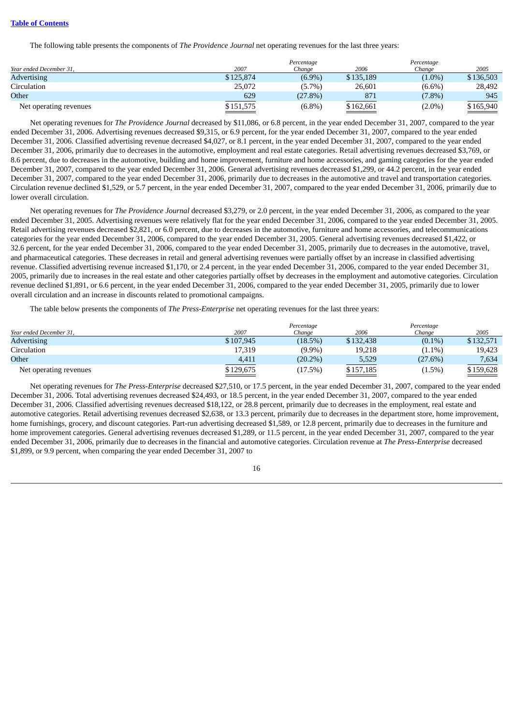# **Table of [Contents](#page-2-0)**

The following table presents the components of *The Providence Journal* net operating revenues for the last three years:

|                         |           | Percentage |           | Percentage |           |
|-------------------------|-----------|------------|-----------|------------|-----------|
| Year ended December 31. | 2007      | Chanae     | 2006      | Chanae     | 2005      |
| <b>Advertising</b>      | \$125,874 | $(6.9\%)$  | \$135,189 | $(1.0\%)$  | \$136,503 |
| Circulation             | 25,072    | $(5.7\%)$  | 26,601    | $(6.6\%)$  | 28,492    |
| Other                   | 629       | (27.8%)    | 871       | $(7.8\%)$  | 945       |
| Net operating revenues  | \$151,575 | $(6.8\%)$  | \$162,661 | $(2.0\%)$  | \$165,940 |

Net operating revenues for *The Providence Journal* decreased by \$11,086, or 6.8 percent, in the year ended December 31, 2007, compared to the year ended December 31, 2006. Advertising revenues decreased \$9,315, or 6.9 percent, for the year ended December 31, 2007, compared to the year ended December 31, 2006. Classified advertising revenue decreased \$4,027, or 8.1 percent, in the year ended December 31, 2007, compared to the year ended December 31, 2006, primarily due to decreases in the automotive, employment and real estate categories. Retail advertising revenues decreased \$3,769, or 8.6 percent, due to decreases in the automotive, building and home improvement, furniture and home accessories, and gaming categories for the year ended December 31, 2007, compared to the year ended December 31, 2006. General advertising revenues decreased \$1,299, or 44.2 percent, in the year ended December 31, 2007, compared to the year ended December 31, 2006, primarily due to decreases in the automotive and travel and transportation categories. Circulation revenue declined \$1,529, or 5.7 percent, in the year ended December 31, 2007, compared to the year ended December 31, 2006, primarily due to lower overall circulation.

Net operating revenues for *The Providence Journal* decreased \$3,279, or 2.0 percent, in the year ended December 31, 2006, as compared to the year ended December 31, 2005. Advertising revenues were relatively flat for the year ended December 31, 2006, compared to the year ended December 31, 2005. Retail advertising revenues decreased \$2,821, or 6.0 percent, due to decreases in the automotive, furniture and home accessories, and telecommunications categories for the year ended December 31, 2006, compared to the year ended December 31, 2005. General advertising revenues decreased \$1,422, or 32.6 percent, for the year ended December 31, 2006, compared to the year ended December 31, 2005, primarily due to decreases in the automotive, travel, and pharmaceutical categories. These decreases in retail and general advertising revenues were partially offset by an increase in classified advertising revenue. Classified advertising revenue increased \$1,170, or 2.4 percent, in the year ended December 31, 2006, compared to the year ended December 31, 2005, primarily due to increases in the real estate and other categories partially offset by decreases in the employment and automotive categories. Circulation revenue declined \$1,891, or 6.6 percent, in the year ended December 31, 2006, compared to the year ended December 31, 2005, primarily due to lower overall circulation and an increase in discounts related to promotional campaigns.

The table below presents the components of *The Press-Enterprise* net operating revenues for the last three years:

| Year ended December 31, | 2007      | Percentage<br>Chanae | 2006      | Percentage<br>Chanae | 2005      |
|-------------------------|-----------|----------------------|-----------|----------------------|-----------|
| <b>Advertising</b>      | \$107.945 | (18.5%)              | \$132,438 | $(0.1\%)$            | \$132,571 |
| Circulation             | 17,319    | $(9.9\%)$            | 19,218    | $(1.1\%)$            | 19,423    |
| Other                   | 4,411     | $(20.2\%)$           | 5,529     | (27.6%)              | 7,634     |
| Net operating revenues  | \$129,675 | (17.5%)              | \$157,185 | (1.5%)               | \$159,628 |

Net operating revenues for *The Press-Enterprise* decreased \$27,510, or 17.5 percent, in the year ended December 31, 2007, compared to the year ended December 31, 2006. Total advertising revenues decreased \$24,493, or 18.5 percent, in the year ended December 31, 2007, compared to the year ended December 31, 2006. Classified advertising revenues decreased \$18,122, or 28.8 percent, primarily due to decreases in the employment, real estate and automotive categories. Retail advertising revenues decreased \$2,638, or 13.3 percent, primarily due to decreases in the department store, home improvement, home furnishings, grocery, and discount categories. Part-run advertising decreased \$1,589, or 12.8 percent, primarily due to decreases in the furniture and home improvement categories. General advertising revenues decreased \$1,289, or 11.5 percent, in the year ended December 31, 2007, compared to the year ended December 31, 2006, primarily due to decreases in the financial and automotive categories. Circulation revenue at *The Press-Enterprise* decreased \$1,899, or 9.9 percent, when comparing the year ended December 31, 2007 to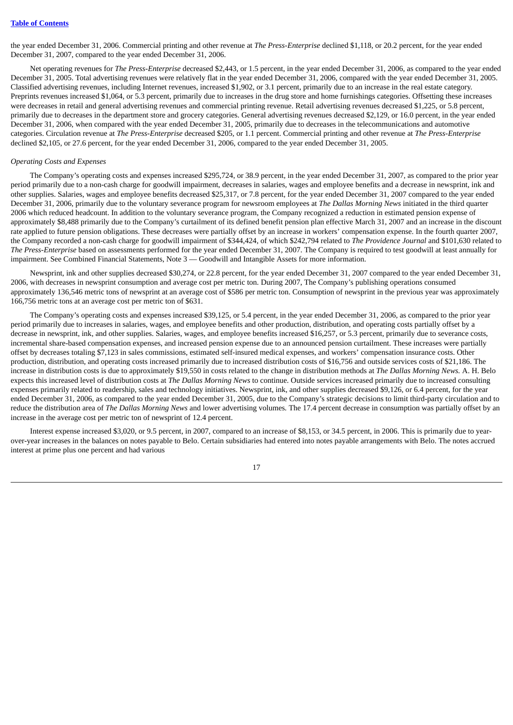the year ended December 31, 2006. Commercial printing and other revenue at *The Press-Enterprise* declined \$1,118, or 20.2 percent, for the year ended December 31, 2007, compared to the year ended December 31, 2006.

Net operating revenues for *The Press-Enterprise* decreased \$2,443, or 1.5 percent, in the year ended December 31, 2006, as compared to the year ended December 31, 2005. Total advertising revenues were relatively flat in the year ended December 31, 2006, compared with the year ended December 31, 2005. Classified advertising revenues, including Internet revenues, increased \$1,902, or 3.1 percent, primarily due to an increase in the real estate category. Preprints revenues increased \$1,064, or 5.3 percent, primarily due to increases in the drug store and home furnishings categories. Offsetting these increases were decreases in retail and general advertising revenues and commercial printing revenue. Retail advertising revenues decreased \$1,225, or 5.8 percent, primarily due to decreases in the department store and grocery categories. General advertising revenues decreased \$2,129, or 16.0 percent, in the year ended December 31, 2006, when compared with the year ended December 31, 2005, primarily due to decreases in the telecommunications and automotive categories. Circulation revenue at *The Press-Enterprise* decreased \$205, or 1.1 percent. Commercial printing and other revenue at *The Press-Enterprise* declined \$2,105, or 27.6 percent, for the year ended December 31, 2006, compared to the year ended December 31, 2005.

#### *Operating Costs and Expenses*

The Company's operating costs and expenses increased \$295,724, or 38.9 percent, in the year ended December 31, 2007, as compared to the prior year period primarily due to a non-cash charge for goodwill impairment, decreases in salaries, wages and employee benefits and a decrease in newsprint, ink and other supplies. Salaries, wages and employee benefits decreased \$25,317, or 7.8 percent, for the year ended December 31, 2007 compared to the year ended December 31, 2006, primarily due to the voluntary severance program for newsroom employees at *The Dallas Morning News* initiated in the third quarter 2006 which reduced headcount. In addition to the voluntary severance program, the Company recognized a reduction in estimated pension expense of approximately \$8,488 primarily due to the Company's curtailment of its defined benefit pension plan effective March 31, 2007 and an increase in the discount rate applied to future pension obligations. These decreases were partially offset by an increase in workers' compensation expense. In the fourth quarter 2007, the Company recorded a non-cash charge for goodwill impairment of \$344,424, of which \$242,794 related to *The Providence Journal* and \$101,630 related to *The Press-Enterprise* based on assessments performed for the year ended December 31, 2007. The Company is required to test goodwill at least annually for impairment. See Combined Financial Statements, Note 3 — Goodwill and Intangible Assets for more information.

Newsprint, ink and other supplies decreased \$30,274, or 22.8 percent, for the year ended December 31, 2007 compared to the year ended December 31, 2006, with decreases in newsprint consumption and average cost per metric ton. During 2007, The Company's publishing operations consumed approximately 136,546 metric tons of newsprint at an average cost of \$586 per metric ton. Consumption of newsprint in the previous year was approximately 166,756 metric tons at an average cost per metric ton of \$631.

The Company's operating costs and expenses increased \$39,125, or 5.4 percent, in the year ended December 31, 2006, as compared to the prior year period primarily due to increases in salaries, wages, and employee benefits and other production, distribution, and operating costs partially offset by a decrease in newsprint, ink, and other supplies. Salaries, wages, and employee benefits increased \$16,257, or 5.3 percent, primarily due to severance costs, incremental share-based compensation expenses, and increased pension expense due to an announced pension curtailment. These increases were partially offset by decreases totaling \$7,123 in sales commissions, estimated self-insured medical expenses, and workers' compensation insurance costs. Other production, distribution, and operating costs increased primarily due to increased distribution costs of \$16,756 and outside services costs of \$21,186. The increase in distribution costs is due to approximately \$19,550 in costs related to the change in distribution methods at *The Dallas Morning News.* A. H. Belo expects this increased level of distribution costs at *The Dallas Morning News* to continue. Outside services increased primarily due to increased consulting expenses primarily related to readership, sales and technology initiatives. Newsprint, ink, and other supplies decreased \$9,126, or 6.4 percent, for the year ended December 31, 2006, as compared to the year ended December 31, 2005, due to the Company's strategic decisions to limit third-party circulation and to reduce the distribution area of *The Dallas Morning News* and lower advertising volumes*.* The 17.4 percent decrease in consumption was partially offset by an increase in the average cost per metric ton of newsprint of 12.4 percent.

Interest expense increased \$3,020, or 9.5 percent, in 2007, compared to an increase of \$8,153, or 34.5 percent, in 2006. This is primarily due to yearover-year increases in the balances on notes payable to Belo. Certain subsidiaries had entered into notes payable arrangements with Belo. The notes accrued interest at prime plus one percent and had various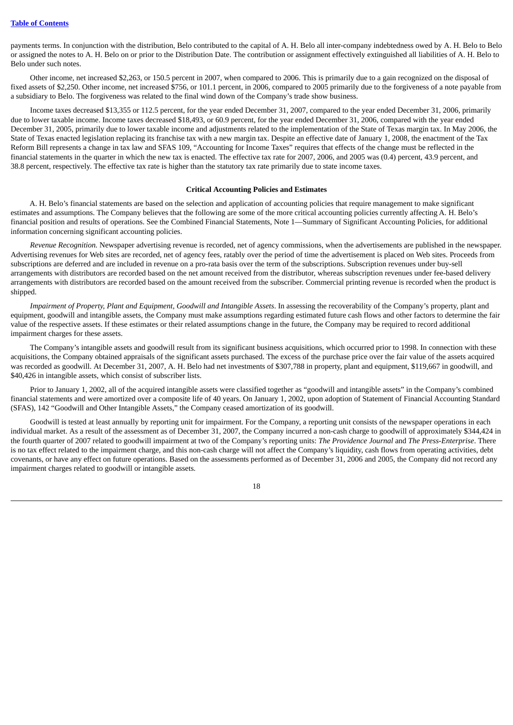payments terms. In conjunction with the distribution, Belo contributed to the capital of A. H. Belo all inter-company indebtedness owed by A. H. Belo to Belo or assigned the notes to A. H. Belo on or prior to the Distribution Date. The contribution or assignment effectively extinguished all liabilities of A. H. Belo to Belo under such notes.

Other income, net increased \$2,263, or 150.5 percent in 2007, when compared to 2006. This is primarily due to a gain recognized on the disposal of fixed assets of \$2,250. Other income, net increased \$756, or 101.1 percent, in 2006, compared to 2005 primarily due to the forgiveness of a note payable from a subsidiary to Belo. The forgiveness was related to the final wind down of the Company's trade show business.

Income taxes decreased \$13,355 or 112.5 percent, for the year ended December 31, 2007, compared to the year ended December 31, 2006, primarily due to lower taxable income. Income taxes decreased \$18,493, or 60.9 percent, for the year ended December 31, 2006, compared with the year ended December 31, 2005, primarily due to lower taxable income and adjustments related to the implementation of the State of Texas margin tax. In May 2006, the State of Texas enacted legislation replacing its franchise tax with a new margin tax. Despite an effective date of January 1, 2008, the enactment of the Tax Reform Bill represents a change in tax law and SFAS 109, "Accounting for Income Taxes" requires that effects of the change must be reflected in the financial statements in the quarter in which the new tax is enacted. The effective tax rate for 2007, 2006, and 2005 was (0.4) percent, 43.9 percent, and 38.8 percent, respectively. The effective tax rate is higher than the statutory tax rate primarily due to state income taxes.

#### **Critical Accounting Policies and Estimates**

A. H. Belo's financial statements are based on the selection and application of accounting policies that require management to make significant estimates and assumptions. The Company believes that the following are some of the more critical accounting policies currently affecting A. H. Belo's financial position and results of operations. See the Combined Financial Statements, Note 1—Summary of Significant Accounting Policies, for additional information concerning significant accounting policies.

*Revenue Recognition.* Newspaper advertising revenue is recorded, net of agency commissions, when the advertisements are published in the newspaper. Advertising revenues for Web sites are recorded, net of agency fees, ratably over the period of time the advertisement is placed on Web sites. Proceeds from subscriptions are deferred and are included in revenue on a pro-rata basis over the term of the subscriptions. Subscription revenues under buy-sell arrangements with distributors are recorded based on the net amount received from the distributor, whereas subscription revenues under fee-based delivery arrangements with distributors are recorded based on the amount received from the subscriber. Commercial printing revenue is recorded when the product is shipped.

*Impairment of Property, Plant and Equipment, Goodwill and Intangible Assets*. In assessing the recoverability of the Company's property, plant and equipment, goodwill and intangible assets, the Company must make assumptions regarding estimated future cash flows and other factors to determine the fair value of the respective assets. If these estimates or their related assumptions change in the future, the Company may be required to record additional impairment charges for these assets.

The Company's intangible assets and goodwill result from its significant business acquisitions, which occurred prior to 1998. In connection with these acquisitions, the Company obtained appraisals of the significant assets purchased. The excess of the purchase price over the fair value of the assets acquired was recorded as goodwill. At December 31, 2007, A. H. Belo had net investments of \$307,788 in property, plant and equipment, \$119,667 in goodwill, and \$40,426 in intangible assets, which consist of subscriber lists.

Prior to January 1, 2002, all of the acquired intangible assets were classified together as "goodwill and intangible assets" in the Company's combined financial statements and were amortized over a composite life of 40 years. On January 1, 2002, upon adoption of Statement of Financial Accounting Standard (SFAS), 142 "Goodwill and Other Intangible Assets," the Company ceased amortization of its goodwill.

Goodwill is tested at least annually by reporting unit for impairment. For the Company, a reporting unit consists of the newspaper operations in each individual market. As a result of the assessment as of December 31, 2007, the Company incurred a non-cash charge to goodwill of approximately \$344,424 in the fourth quarter of 2007 related to goodwill impairment at two of the Company's reporting units: *The Providence Journal* and *The Press-Enterprise*. There is no tax effect related to the impairment charge, and this non-cash charge will not affect the Company's liquidity, cash flows from operating activities, debt covenants, or have any effect on future operations. Based on the assessments performed as of December 31, 2006 and 2005, the Company did not record any impairment charges related to goodwill or intangible assets.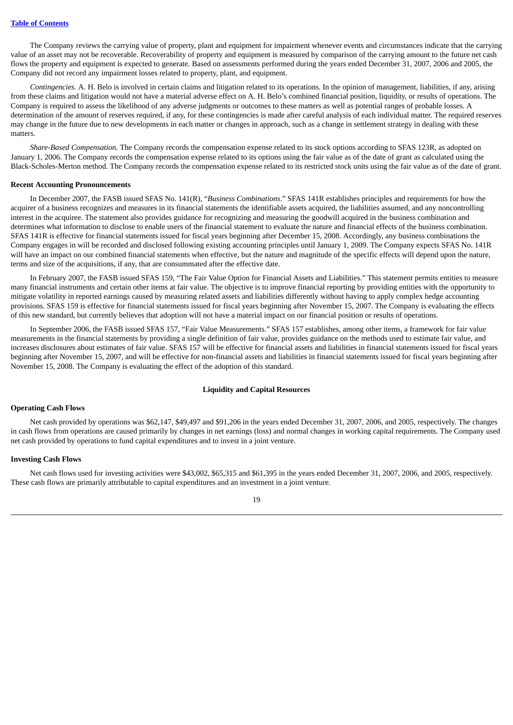The Company reviews the carrying value of property, plant and equipment for impairment whenever events and circumstances indicate that the carrying value of an asset may not be recoverable. Recoverability of property and equipment is measured by comparison of the carrying amount to the future net cash flows the property and equipment is expected to generate. Based on assessments performed during the years ended December 31, 2007, 2006 and 2005, the Company did not record any impairment losses related to property, plant, and equipment.

*Contingencies.* A. H. Belo is involved in certain claims and litigation related to its operations. In the opinion of management, liabilities, if any, arising from these claims and litigation would not have a material adverse effect on A. H. Belo's combined financial position, liquidity, or results of operations. The Company is required to assess the likelihood of any adverse judgments or outcomes to these matters as well as potential ranges of probable losses. A determination of the amount of reserves required, if any, for these contingencies is made after careful analysis of each individual matter. The required reserves may change in the future due to new developments in each matter or changes in approach, such as a change in settlement strategy in dealing with these matters.

*Share-Based Compensation.* The Company records the compensation expense related to its stock options according to SFAS 123R, as adopted on January 1, 2006. The Company records the compensation expense related to its options using the fair value as of the date of grant as calculated using the Black-Scholes-Merton method. The Company records the compensation expense related to its restricted stock units using the fair value as of the date of grant.

#### **Recent Accounting Pronouncements**

In December 2007, the FASB issued SFAS No. 141(R), "*Business Combinations*." SFAS 141R establishes principles and requirements for how the acquirer of a business recognizes and measures in its financial statements the identifiable assets acquired, the liabilities assumed, and any noncontrolling interest in the acquiree. The statement also provides guidance for recognizing and measuring the goodwill acquired in the business combination and determines what information to disclose to enable users of the financial statement to evaluate the nature and financial effects of the business combination. SFAS 141R is effective for financial statements issued for fiscal years beginning after December 15, 2008. Accordingly, any business combinations the Company engages in will be recorded and disclosed following existing accounting principles until January 1, 2009. The Company expects SFAS No. 141R will have an impact on our combined financial statements when effective, but the nature and magnitude of the specific effects will depend upon the nature, terms and size of the acquisitions, if any, that are consummated after the effective date.

In February 2007, the FASB issued SFAS 159, "The Fair Value Option for Financial Assets and Liabilities." This statement permits entities to measure many financial instruments and certain other items at fair value. The objective is to improve financial reporting by providing entities with the opportunity to mitigate volatility in reported earnings caused by measuring related assets and liabilities differently without having to apply complex hedge accounting provisions. SFAS 159 is effective for financial statements issued for fiscal years beginning after November 15, 2007. The Company is evaluating the effects of this new standard, but currently believes that adoption will not have a material impact on our financial position or results of operations.

In September 2006, the FASB issued SFAS 157, "Fair Value Measurements." SFAS 157 establishes, among other items, a framework for fair value measurements in the financial statements by providing a single definition of fair value, provides guidance on the methods used to estimate fair value, and increases disclosures about estimates of fair value. SFAS 157 will be effective for financial assets and liabilities in financial statements issued for fiscal years beginning after November 15, 2007, and will be effective for non-financial assets and liabilities in financial statements issued for fiscal years beginning after November 15, 2008. The Company is evaluating the effect of the adoption of this standard.

# **Liquidity and Capital Resources**

#### **Operating Cash Flows**

Net cash provided by operations was \$62,147, \$49,497 and \$91,206 in the years ended December 31, 2007, 2006, and 2005, respectively. The changes in cash flows from operations are caused primarily by changes in net earnings (loss) and normal changes in working capital requirements. The Company used net cash provided by operations to fund capital expenditures and to invest in a joint venture.

# **Investing Cash Flows**

Net cash flows used for investing activities were \$43,002, \$65,315 and \$61,395 in the years ended December 31, 2007, 2006, and 2005, respectively. These cash flows are primarily attributable to capital expenditures and an investment in a joint venture.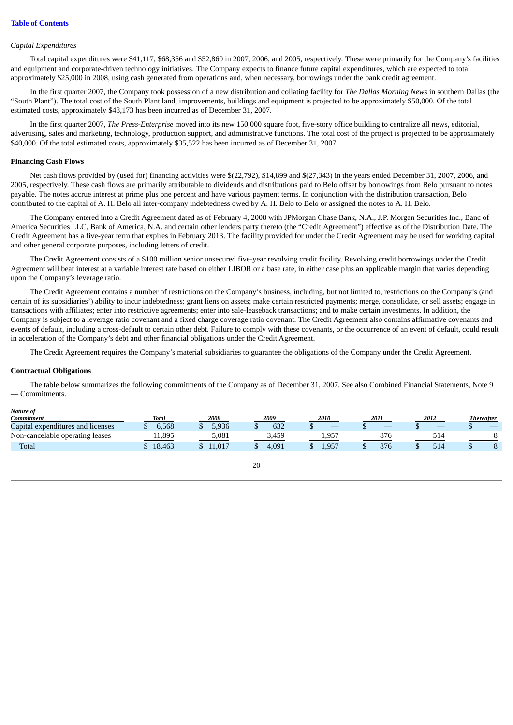#### *Capital Expenditures*

Total capital expenditures were \$41,117, \$68,356 and \$52,860 in 2007, 2006, and 2005, respectively. These were primarily for the Company's facilities and equipment and corporate-driven technology initiatives. The Company expects to finance future capital expenditures, which are expected to total approximately \$25,000 in 2008, using cash generated from operations and, when necessary, borrowings under the bank credit agreement.

In the first quarter 2007, the Company took possession of a new distribution and collating facility for *The Dallas Morning News* in southern Dallas (the "South Plant"). The total cost of the South Plant land, improvements, buildings and equipment is projected to be approximately \$50,000. Of the total estimated costs, approximately \$48,173 has been incurred as of December 31, 2007.

In the first quarter 2007, *The Press-Enterprise* moved into its new 150,000 square foot, five-story office building to centralize all news, editorial, advertising, sales and marketing, technology, production support, and administrative functions. The total cost of the project is projected to be approximately \$40,000. Of the total estimated costs, approximately \$35,522 has been incurred as of December 31, 2007.

#### **Financing Cash Flows**

Net cash flows provided by (used for) financing activities were \$(22,792), \$14,899 and \$(27,343) in the years ended December 31, 2007, 2006, and 2005, respectively. These cash flows are primarily attributable to dividends and distributions paid to Belo offset by borrowings from Belo pursuant to notes payable. The notes accrue interest at prime plus one percent and have various payment terms. In conjunction with the distribution transaction, Belo contributed to the capital of A. H. Belo all inter-company indebtedness owed by A. H. Belo to Belo or assigned the notes to A. H. Belo.

The Company entered into a Credit Agreement dated as of February 4, 2008 with JPMorgan Chase Bank, N.A., J.P. Morgan Securities Inc., Banc of America Securities LLC, Bank of America, N.A. and certain other lenders party thereto (the "Credit Agreement") effective as of the Distribution Date. The Credit Agreement has a five-year term that expires in February 2013. The facility provided for under the Credit Agreement may be used for working capital and other general corporate purposes, including letters of credit.

The Credit Agreement consists of a \$100 million senior unsecured five-year revolving credit facility. Revolving credit borrowings under the Credit Agreement will bear interest at a variable interest rate based on either LIBOR or a base rate, in either case plus an applicable margin that varies depending upon the Company's leverage ratio.

The Credit Agreement contains a number of restrictions on the Company's business, including, but not limited to, restrictions on the Company's (and certain of its subsidiaries') ability to incur indebtedness; grant liens on assets; make certain restricted payments; merge, consolidate, or sell assets; engage in transactions with affiliates; enter into restrictive agreements; enter into sale-leaseback transactions; and to make certain investments. In addition, the Company is subject to a leverage ratio covenant and a fixed charge coverage ratio covenant. The Credit Agreement also contains affirmative covenants and events of default, including a cross-default to certain other debt. Failure to comply with these covenants, or the occurrence of an event of default, could result in acceleration of the Company's debt and other financial obligations under the Credit Agreement.

The Credit Agreement requires the Company's material subsidiaries to guarantee the obligations of the Company under the Credit Agreement.

#### **Contractual Obligations**

The table below summarizes the following commitments of the Company as of December 31, 2007. See also Combined Financial Statements, Note 9 — Commitments.

*Nature of*

| <br><b>Commitment</b>             | <b>Total</b> | 2008  | 2009  | 2010       | 2011 | 2012            | <b>Thereafter</b> |
|-----------------------------------|--------------|-------|-------|------------|------|-----------------|-------------------|
| Capital expenditures and licenses | 6.568        | 5.936 | 632   | _          | _    | _               |                   |
| Non-cancelable operating leases   | 11,895       | 5,081 | 3,459 | $1,95^{-}$ | 876  | 14ه             |                   |
| Total                             | 18,463       | .017  | 4,091 | Q57<br>エコロ | 876  | 0 <sup>10</sup> |                   |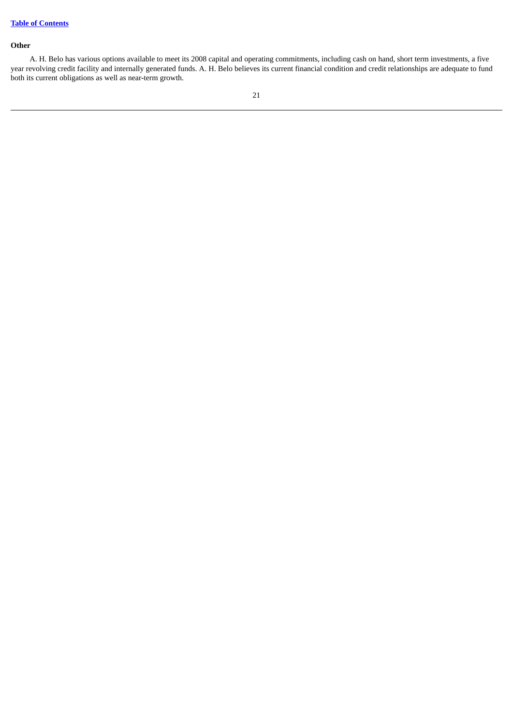# **Other**

A. H. Belo has various options available to meet its 2008 capital and operating commitments, including cash on hand, short term investments, a five year revolving credit facility and internally generated funds. A. H. Belo believes its current financial condition and credit relationships are adequate to fund both its current obligations as well as near-term growth.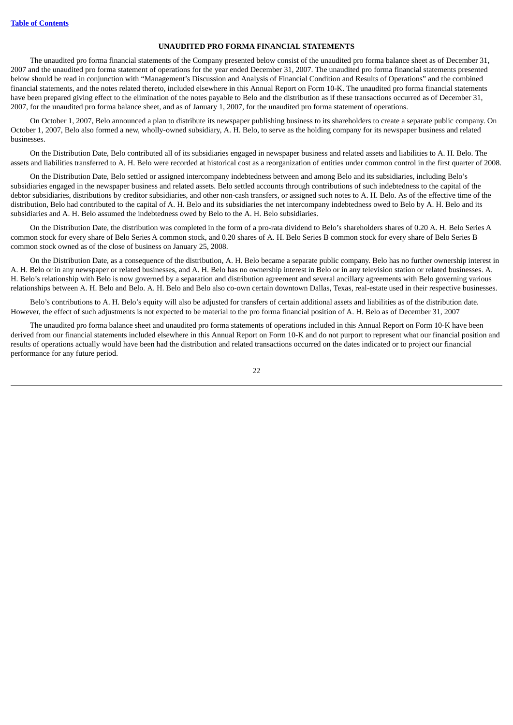#### **UNAUDITED PRO FORMA FINANCIAL STATEMENTS**

The unaudited pro forma financial statements of the Company presented below consist of the unaudited pro forma balance sheet as of December 31, 2007 and the unaudited pro forma statement of operations for the year ended December 31, 2007. The unaudited pro forma financial statements presented below should be read in conjunction with "Management's Discussion and Analysis of Financial Condition and Results of Operations" and the combined financial statements, and the notes related thereto, included elsewhere in this Annual Report on Form 10-K. The unaudited pro forma financial statements have been prepared giving effect to the elimination of the notes payable to Belo and the distribution as if these transactions occurred as of December 31, 2007, for the unaudited pro forma balance sheet, and as of January 1, 2007, for the unaudited pro forma statement of operations.

On October 1, 2007, Belo announced a plan to distribute its newspaper publishing business to its shareholders to create a separate public company. On October 1, 2007, Belo also formed a new, wholly-owned subsidiary, A. H. Belo, to serve as the holding company for its newspaper business and related businesses.

On the Distribution Date, Belo contributed all of its subsidiaries engaged in newspaper business and related assets and liabilities to A. H. Belo. The assets and liabilities transferred to A. H. Belo were recorded at historical cost as a reorganization of entities under common control in the first quarter of 2008.

On the Distribution Date, Belo settled or assigned intercompany indebtedness between and among Belo and its subsidiaries, including Belo's subsidiaries engaged in the newspaper business and related assets. Belo settled accounts through contributions of such indebtedness to the capital of the debtor subsidiaries, distributions by creditor subsidiaries, and other non-cash transfers, or assigned such notes to A. H. Belo. As of the effective time of the distribution, Belo had contributed to the capital of A. H. Belo and its subsidiaries the net intercompany indebtedness owed to Belo by A. H. Belo and its subsidiaries and A. H. Belo assumed the indebtedness owed by Belo to the A. H. Belo subsidiaries.

On the Distribution Date, the distribution was completed in the form of a pro-rata dividend to Belo's shareholders shares of 0.20 A. H. Belo Series A common stock for every share of Belo Series A common stock, and 0.20 shares of A. H. Belo Series B common stock for every share of Belo Series B common stock owned as of the close of business on January 25, 2008.

On the Distribution Date, as a consequence of the distribution, A. H. Belo became a separate public company. Belo has no further ownership interest in A. H. Belo or in any newspaper or related businesses, and A. H. Belo has no ownership interest in Belo or in any television station or related businesses. A. H. Belo's relationship with Belo is now governed by a separation and distribution agreement and several ancillary agreements with Belo governing various relationships between A. H. Belo and Belo. A. H. Belo and Belo also co-own certain downtown Dallas, Texas, real-estate used in their respective businesses.

Belo's contributions to A. H. Belo's equity will also be adjusted for transfers of certain additional assets and liabilities as of the distribution date. However, the effect of such adjustments is not expected to be material to the pro forma financial position of A. H. Belo as of December 31, 2007

The unaudited pro forma balance sheet and unaudited pro forma statements of operations included in this Annual Report on Form 10-K have been derived from our financial statements included elsewhere in this Annual Report on Form 10-K and do not purport to represent what our financial position and results of operations actually would have been had the distribution and related transactions occurred on the dates indicated or to project our financial performance for any future period.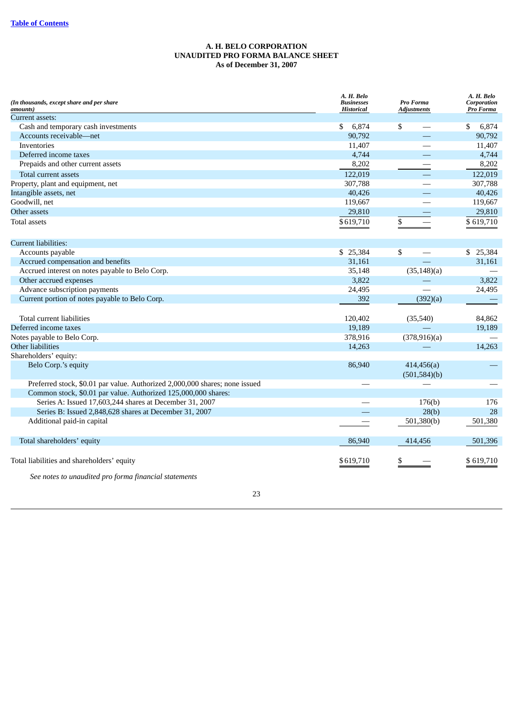# **A. H. BELO CORPORATION UNAUDITED PRO FORMA BALANCE SHEET As of December 31, 2007**

| (In thousands, except share and per share<br>amounts)                       | A. H. Belo<br><b>Businesses</b><br><b>Historical</b> | Pro Forma<br>Adjustments    | A. H. Belo<br>Corporation<br>Pro Forma |
|-----------------------------------------------------------------------------|------------------------------------------------------|-----------------------------|----------------------------------------|
| Current assets:                                                             |                                                      |                             |                                        |
| Cash and temporary cash investments                                         | 6,874<br>\$                                          | \$                          | 6,874<br>\$                            |
| Accounts receivable-net                                                     | 90.792                                               |                             | 90,792                                 |
| Inventories                                                                 | 11,407                                               |                             | 11,407                                 |
| Deferred income taxes                                                       | 4,744                                                |                             | 4,744                                  |
| Prepaids and other current assets                                           | 8,202                                                |                             | 8,202                                  |
| Total current assets                                                        | 122,019                                              |                             | 122,019                                |
| Property, plant and equipment, net                                          | 307,788                                              |                             | 307,788                                |
| Intangible assets, net                                                      | 40,426                                               |                             | 40,426                                 |
| Goodwill, net                                                               | 119,667                                              |                             | 119,667                                |
| Other assets                                                                | 29,810                                               |                             | 29,810                                 |
| <b>Total assets</b>                                                         | \$619,710                                            | \$                          | \$619,710                              |
| <b>Current liabilities:</b>                                                 |                                                      |                             |                                        |
| Accounts payable                                                            | \$25,384                                             | \$                          | \$25,384                               |
| Accrued compensation and benefits                                           | 31,161                                               |                             | 31,161                                 |
| Accrued interest on notes payable to Belo Corp.                             | 35,148                                               | (35, 148)(a)                |                                        |
| Other accrued expenses                                                      | 3,822                                                |                             | 3,822                                  |
| Advance subscription payments                                               | 24,495                                               |                             | 24,495                                 |
| Current portion of notes payable to Belo Corp.                              | 392                                                  | (392)(a)                    |                                        |
| Total current liabilities                                                   | 120,402                                              | (35,540)                    | 84,862                                 |
| Deferred income taxes                                                       | 19,189                                               |                             | 19,189                                 |
| Notes payable to Belo Corp.                                                 | 378,916                                              | (378,916)(a)                |                                        |
| <b>Other liabilities</b>                                                    | 14,263                                               |                             | 14,263                                 |
| Shareholders' equity:                                                       |                                                      |                             |                                        |
| Belo Corp.'s equity                                                         | 86,940                                               | 414,456(a)<br>(501, 584)(b) |                                        |
| Preferred stock, \$0.01 par value. Authorized 2,000,000 shares; none issued |                                                      |                             |                                        |
| Common stock, \$0.01 par value. Authorized 125,000,000 shares:              |                                                      |                             |                                        |
| Series A: Issued 17,603,244 shares at December 31, 2007                     |                                                      | 176(b)                      | 176                                    |
| Series B: Issued 2,848,628 shares at December 31, 2007                      |                                                      | 28(b)                       | 28                                     |
| Additional paid-in capital                                                  |                                                      | 501,380(b)                  | 501,380                                |
| Total shareholders' equity                                                  | 86,940                                               | 414,456                     | 501,396                                |
| Total liabilities and shareholders' equity                                  | \$619,710                                            | \$                          | \$619,710                              |

*See notes to unaudited pro forma financial statements*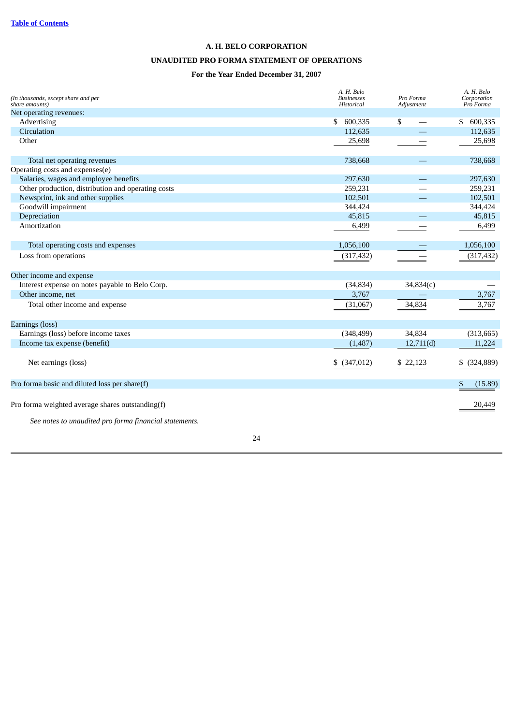# **A. H. BELO CORPORATION**

# **UNAUDITED PRO FORMA STATEMENT OF OPERATIONS**

# **For the Year Ended December 31, 2007**

| (In thousands, except share and per<br>share amounts)                                                      | A. H. Belo<br><b>Businesses</b><br>Historical | Pro Forma<br>Adjustment | A. H. Belo<br>Corporation<br>Pro Forma |
|------------------------------------------------------------------------------------------------------------|-----------------------------------------------|-------------------------|----------------------------------------|
| Net operating revenues:                                                                                    |                                               |                         |                                        |
| Advertising                                                                                                | 600,335<br>\$                                 | \$                      | 600,335<br>S.                          |
| Circulation                                                                                                | 112,635                                       |                         | 112,635                                |
| Other                                                                                                      | 25,698                                        |                         | 25,698                                 |
| Total net operating revenues                                                                               | 738,668                                       |                         | 738,668                                |
| Operating costs and expenses(e)                                                                            |                                               |                         |                                        |
| Salaries, wages and employee benefits                                                                      | 297,630                                       |                         | 297,630                                |
| Other production, distribution and operating costs                                                         | 259,231                                       |                         | 259,231                                |
| Newsprint, ink and other supplies                                                                          | 102,501                                       |                         | 102,501                                |
| Goodwill impairment                                                                                        | 344,424                                       |                         | 344,424                                |
| Depreciation                                                                                               | 45,815                                        |                         | 45,815                                 |
| Amortization                                                                                               | 6,499                                         |                         | 6,499                                  |
| Total operating costs and expenses                                                                         | 1,056,100                                     |                         | 1,056,100                              |
| Loss from operations                                                                                       | (317, 432)                                    |                         | (317, 432)                             |
| Other income and expense                                                                                   |                                               |                         |                                        |
| Interest expense on notes payable to Belo Corp.                                                            | (34, 834)                                     | 34,834(c)               |                                        |
| Other income, net                                                                                          | 3,767                                         |                         | 3,767                                  |
| Total other income and expense                                                                             | (31,067)                                      | 34,834                  | 3,767                                  |
| Earnings (loss)                                                                                            |                                               |                         |                                        |
| Earnings (loss) before income taxes                                                                        | (348, 499)                                    | 34,834                  | (313, 665)                             |
| Income tax expense (benefit)                                                                               | (1,487)                                       | 12,711(d)               | 11,224                                 |
| Net earnings (loss)                                                                                        | (347, 012)<br>\$                              | \$22,123                | (324, 889)<br>\$                       |
| Pro forma basic and diluted loss per share(f)                                                              |                                               |                         | (15.89)<br>\$                          |
| Pro forma weighted average shares outstanding(f)<br>See notes to unaudited pro forma financial statements. |                                               |                         | 20,449                                 |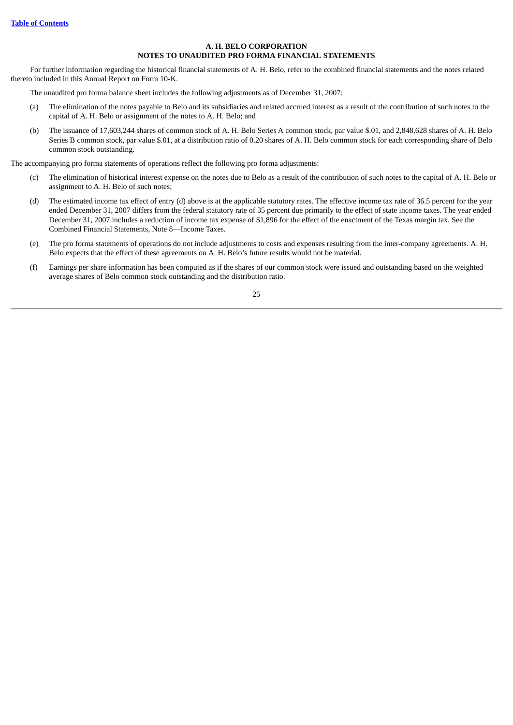# **A. H. BELO CORPORATION NOTES TO UNAUDITED PRO FORMA FINANCIAL STATEMENTS**

For further information regarding the historical financial statements of A. H. Belo, refer to the combined financial statements and the notes related thereto included in this Annual Report on Form 10-K.

The unaudited pro forma balance sheet includes the following adjustments as of December 31, 2007:

- (a) The elimination of the notes payable to Belo and its subsidiaries and related accrued interest as a result of the contribution of such notes to the capital of A. H. Belo or assignment of the notes to A. H. Belo; and
- (b) The issuance of 17,603,244 shares of common stock of A. H. Belo Series A common stock, par value \$.01, and 2,848,628 shares of A. H. Belo Series B common stock, par value \$.01, at a distribution ratio of 0.20 shares of A. H. Belo common stock for each corresponding share of Belo common stock outstanding.

The accompanying pro forma statements of operations reflect the following pro forma adjustments:

- (c) The elimination of historical interest expense on the notes due to Belo as a result of the contribution of such notes to the capital of A. H. Belo or assignment to A. H. Belo of such notes;
- (d) The estimated income tax effect of entry (d) above is at the applicable statutory rates. The effective income tax rate of 36.5 percent for the year ended December 31, 2007 differs from the federal statutory rate of 35 percent due primarily to the effect of state income taxes. The year ended December 31, 2007 includes a reduction of income tax expense of \$1,896 for the effect of the enactment of the Texas margin tax. See the Combined Financial Statements, Note 8—Income Taxes.
- (e) The pro forma statements of operations do not include adjustments to costs and expenses resulting from the inter-company agreements. A. H. Belo expects that the effect of these agreements on A. H. Belo's future results would not be material.
- (f) Earnings per share information has been computed as if the shares of our common stock were issued and outstanding based on the weighted average shares of Belo common stock outstanding and the distribution ratio.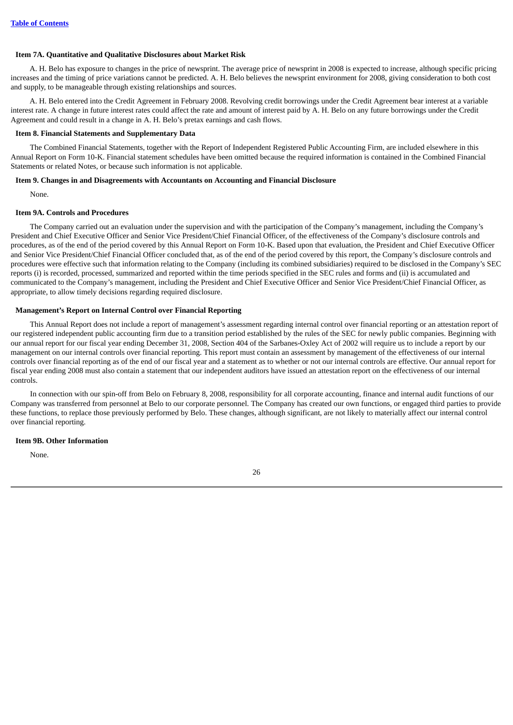# <span id="page-28-0"></span>**Item 7A. Quantitative and Qualitative Disclosures about Market Risk**

A. H. Belo has exposure to changes in the price of newsprint. The average price of newsprint in 2008 is expected to increase, although specific pricing increases and the timing of price variations cannot be predicted. A. H. Belo believes the newsprint environment for 2008, giving consideration to both cost and supply, to be manageable through existing relationships and sources.

A. H. Belo entered into the Credit Agreement in February 2008. Revolving credit borrowings under the Credit Agreement bear interest at a variable interest rate. A change in future interest rates could affect the rate and amount of interest paid by A. H. Belo on any future borrowings under the Credit Agreement and could result in a change in A. H. Belo's pretax earnings and cash flows.

# <span id="page-28-1"></span>**Item 8. Financial Statements and Supplementary Data**

The Combined Financial Statements, together with the Report of Independent Registered Public Accounting Firm, are included elsewhere in this Annual Report on Form 10-K. Financial statement schedules have been omitted because the required information is contained in the Combined Financial Statements or related Notes, or because such information is not applicable.

# <span id="page-28-2"></span>**Item 9. Changes in and Disagreements with Accountants on Accounting and Financial Disclosure**

None.

# <span id="page-28-3"></span>**Item 9A. Controls and Procedures**

The Company carried out an evaluation under the supervision and with the participation of the Company's management, including the Company's President and Chief Executive Officer and Senior Vice President/Chief Financial Officer, of the effectiveness of the Company's disclosure controls and procedures, as of the end of the period covered by this Annual Report on Form 10-K. Based upon that evaluation, the President and Chief Executive Officer and Senior Vice President/Chief Financial Officer concluded that, as of the end of the period covered by this report, the Company's disclosure controls and procedures were effective such that information relating to the Company (including its combined subsidiaries) required to be disclosed in the Company's SEC reports (i) is recorded, processed, summarized and reported within the time periods specified in the SEC rules and forms and (ii) is accumulated and communicated to the Company's management, including the President and Chief Executive Officer and Senior Vice President/Chief Financial Officer, as appropriate, to allow timely decisions regarding required disclosure.

# **Management's Report on Internal Control over Financial Reporting**

This Annual Report does not include a report of management's assessment regarding internal control over financial reporting or an attestation report of our registered independent public accounting firm due to a transition period established by the rules of the SEC for newly public companies. Beginning with our annual report for our fiscal year ending December 31, 2008, Section 404 of the Sarbanes-Oxley Act of 2002 will require us to include a report by our management on our internal controls over financial reporting. This report must contain an assessment by management of the effectiveness of our internal controls over financial reporting as of the end of our fiscal year and a statement as to whether or not our internal controls are effective. Our annual report for fiscal year ending 2008 must also contain a statement that our independent auditors have issued an attestation report on the effectiveness of our internal controls.

In connection with our spin-off from Belo on February 8, 2008, responsibility for all corporate accounting, finance and internal audit functions of our Company was transferred from personnel at Belo to our corporate personnel. The Company has created our own functions, or engaged third parties to provide these functions, to replace those previously performed by Belo. These changes, although significant, are not likely to materially affect our internal control over financial reporting.

# <span id="page-28-4"></span>**Item 9B. Other Information**

None.

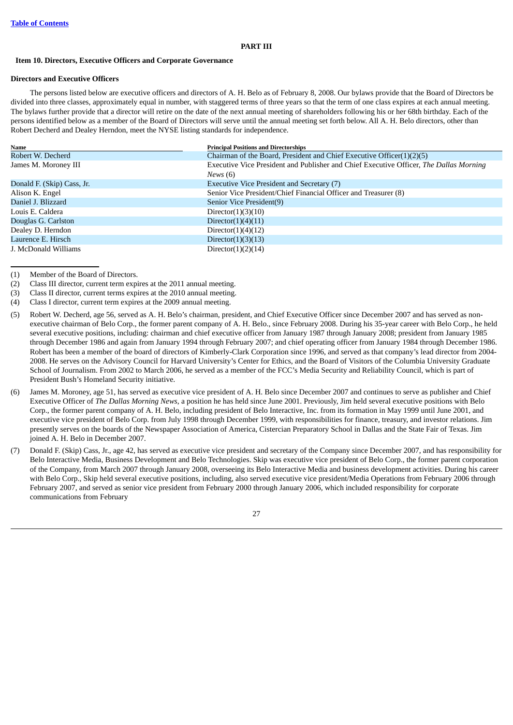## **PART III**

#### <span id="page-29-1"></span><span id="page-29-0"></span>**Item 10. Directors, Executive Officers and Corporate Governance**

#### **Directors and Executive Officers**

The persons listed below are executive officers and directors of A. H. Belo as of February 8, 2008. Our bylaws provide that the Board of Directors be divided into three classes, approximately equal in number, with staggered terms of three years so that the term of one class expires at each annual meeting. The bylaws further provide that a director will retire on the date of the next annual meeting of shareholders following his or her 68th birthday. Each of the persons identified below as a member of the Board of Directors will serve until the annual meeting set forth below. All A. H. Belo directors, other than Robert Decherd and Dealey Herndon, meet the NYSE listing standards for independence.

| Name                       | <b>Principal Positions and Directorships</b>                                           |
|----------------------------|----------------------------------------------------------------------------------------|
| Robert W. Decherd          | Chairman of the Board, President and Chief Executive Officer(1)(2)(5)                  |
| James M. Moroney III       | Executive Vice President and Publisher and Chief Executive Officer, The Dallas Morning |
|                            | News $(6)$                                                                             |
| Donald F. (Skip) Cass, Jr. | <b>Executive Vice President and Secretary (7)</b>                                      |
| Alison K. Engel            | Senior Vice President/Chief Financial Officer and Treasurer (8)                        |
| Daniel J. Blizzard         | Senior Vice President(9)                                                               |
| Louis E. Caldera           | Director $(1)(3)(10)$                                                                  |
| Douglas G. Carlston        | Director $(1)(4)(11)$                                                                  |
| Dealey D. Herndon          | Director $(1)(4)(12)$                                                                  |
| Laurence E. Hirsch         | Director $(1)(3)(13)$                                                                  |
| J. McDonald Williams       | Director $(1)(2)(14)$                                                                  |

(1) Member of the Board of Directors.

- (2) Class III director, current term expires at the 2011 annual meeting.
- (3) Class II director, current terms expires at the 2010 annual meeting.
- (4) Class I director, current term expires at the 2009 annual meeting.
- (5) Robert W. Decherd, age 56, served as A. H. Belo's chairman, president, and Chief Executive Officer since December 2007 and has served as nonexecutive chairman of Belo Corp., the former parent company of A. H. Belo., since February 2008. During his 35-year career with Belo Corp., he held several executive positions, including: chairman and chief executive officer from January 1987 through January 2008; president from January 1985 through December 1986 and again from January 1994 through February 2007; and chief operating officer from January 1984 through December 1986. Robert has been a member of the board of directors of Kimberly-Clark Corporation since 1996, and served as that company's lead director from 2004- 2008. He serves on the Advisory Council for Harvard University's Center for Ethics, and the Board of Visitors of the Columbia University Graduate School of Journalism. From 2002 to March 2006, he served as a member of the FCC's Media Security and Reliability Council, which is part of President Bush's Homeland Security initiative.
- (6) James M. Moroney, age 51, has served as executive vice president of A. H. Belo since December 2007 and continues to serve as publisher and Chief Executive Officer of *The Dallas Morning News*, a position he has held since June 2001. Previously, Jim held several executive positions with Belo Corp., the former parent company of A. H. Belo, including president of Belo Interactive, Inc. from its formation in May 1999 until June 2001, and executive vice president of Belo Corp. from July 1998 through December 1999, with responsibilities for finance, treasury, and investor relations. Jim presently serves on the boards of the Newspaper Association of America, Cistercian Preparatory School in Dallas and the State Fair of Texas. Jim joined A. H. Belo in December 2007.
- (7) Donald F. (Skip) Cass, Jr., age 42, has served as executive vice president and secretary of the Company since December 2007, and has responsibility for Belo Interactive Media, Business Development and Belo Technologies. Skip was executive vice president of Belo Corp., the former parent corporation of the Company, from March 2007 through January 2008, overseeing its Belo Interactive Media and business development activities. During his career with Belo Corp., Skip held several executive positions, including, also served executive vice president/Media Operations from February 2006 through February 2007, and served as senior vice president from February 2000 through January 2006, which included responsibility for corporate communications from February

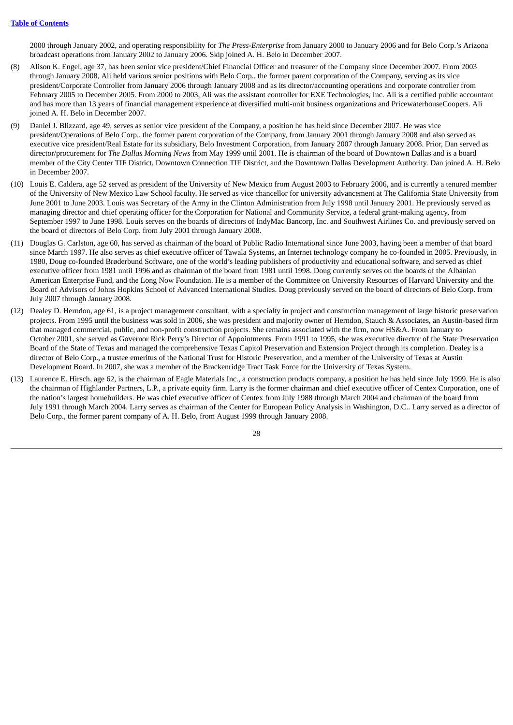2000 through January 2002, and operating responsibility for *The Press-Enterprise* from January 2000 to January 2006 and for Belo Corp.'s Arizona broadcast operations from January 2002 to January 2006. Skip joined A. H. Belo in December 2007.

- (8) Alison K. Engel, age 37, has been senior vice president/Chief Financial Officer and treasurer of the Company since December 2007. From 2003 through January 2008, Ali held various senior positions with Belo Corp., the former parent corporation of the Company, serving as its vice president/Corporate Controller from January 2006 through January 2008 and as its director/accounting operations and corporate controller from February 2005 to December 2005. From 2000 to 2003, Ali was the assistant controller for EXE Technologies, Inc. Ali is a certified public accountant and has more than 13 years of financial management experience at diversified multi-unit business organizations and PricewaterhouseCoopers. Ali joined A. H. Belo in December 2007.
- (9) Daniel J. Blizzard, age 49, serves as senior vice president of the Company, a position he has held since December 2007. He was vice president/Operations of Belo Corp., the former parent corporation of the Company, from January 2001 through January 2008 and also served as executive vice president/Real Estate for its subsidiary, Belo Investment Corporation, from January 2007 through January 2008. Prior, Dan served as director/procurement for *The Dallas Morning News* from May 1999 until 2001. He is chairman of the board of Downtown Dallas and is a board member of the City Center TIF District, Downtown Connection TIF District, and the Downtown Dallas Development Authority. Dan joined A. H. Belo in December 2007.
- (10) Louis E. Caldera, age 52 served as president of the University of New Mexico from August 2003 to February 2006, and is currently a tenured member of the University of New Mexico Law School faculty. He served as vice chancellor for university advancement at The California State University from June 2001 to June 2003. Louis was Secretary of the Army in the Clinton Administration from July 1998 until January 2001. He previously served as managing director and chief operating officer for the Corporation for National and Community Service, a federal grant-making agency, from September 1997 to June 1998. Louis serves on the boards of directors of IndyMac Bancorp, Inc. and Southwest Airlines Co. and previously served on the board of directors of Belo Corp. from July 2001 through January 2008.
- (11) Douglas G. Carlston, age 60, has served as chairman of the board of Public Radio International since June 2003, having been a member of that board since March 1997. He also serves as chief executive officer of Tawala Systems, an Internet technology company he co-founded in 2005. Previously, in 1980, Doug co-founded Brøderbund Software, one of the world's leading publishers of productivity and educational software, and served as chief executive officer from 1981 until 1996 and as chairman of the board from 1981 until 1998. Doug currently serves on the boards of the Albanian American Enterprise Fund, and the Long Now Foundation. He is a member of the Committee on University Resources of Harvard University and the Board of Advisors of Johns Hopkins School of Advanced International Studies. Doug previously served on the board of directors of Belo Corp. from July 2007 through January 2008.
- (12) Dealey D. Herndon, age 61, is a project management consultant, with a specialty in project and construction management of large historic preservation projects. From 1995 until the business was sold in 2006, she was president and majority owner of Herndon, Stauch & Associates, an Austin-based firm that managed commercial, public, and non-profit construction projects. She remains associated with the firm, now HS&A. From January to October 2001, she served as Governor Rick Perry's Director of Appointments. From 1991 to 1995, she was executive director of the State Preservation Board of the State of Texas and managed the comprehensive Texas Capitol Preservation and Extension Project through its completion. Dealey is a director of Belo Corp., a trustee emeritus of the National Trust for Historic Preservation, and a member of the University of Texas at Austin Development Board. In 2007, she was a member of the Brackenridge Tract Task Force for the University of Texas System.
- (13) Laurence E. Hirsch, age 62, is the chairman of Eagle Materials Inc., a construction products company, a position he has held since July 1999. He is also the chairman of Highlander Partners, L.P., a private equity firm. Larry is the former chairman and chief executive officer of Centex Corporation, one of the nation's largest homebuilders. He was chief executive officer of Centex from July 1988 through March 2004 and chairman of the board from July 1991 through March 2004. Larry serves as chairman of the Center for European Policy Analysis in Washington, D.C.. Larry served as a director of Belo Corp., the former parent company of A. H. Belo, from August 1999 through January 2008.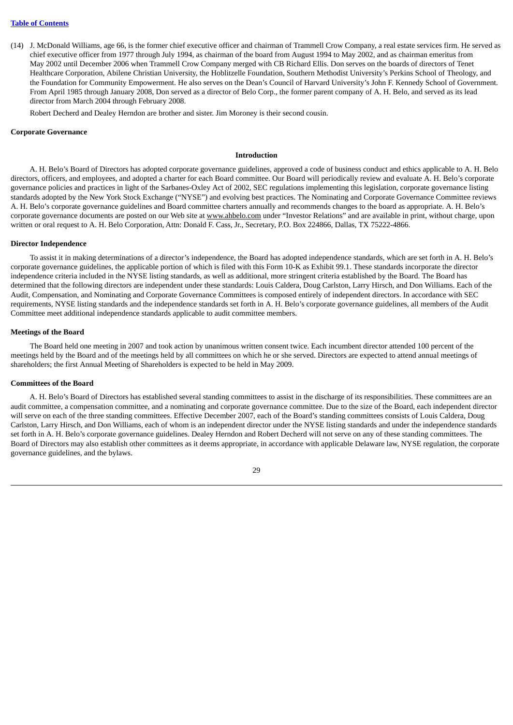(14) J. McDonald Williams, age 66, is the former chief executive officer and chairman of Trammell Crow Company, a real estate services firm. He served as chief executive officer from 1977 through July 1994, as chairman of the board from August 1994 to May 2002, and as chairman emeritus from May 2002 until December 2006 when Trammell Crow Company merged with CB Richard Ellis. Don serves on the boards of directors of Tenet Healthcare Corporation, Abilene Christian University, the Hoblitzelle Foundation, Southern Methodist University's Perkins School of Theology, and the Foundation for Community Empowerment. He also serves on the Dean's Council of Harvard University's John F. Kennedy School of Government. From April 1985 through January 2008, Don served as a director of Belo Corp., the former parent company of A. H. Belo, and served as its lead director from March 2004 through February 2008.

Robert Decherd and Dealey Herndon are brother and sister. Jim Moroney is their second cousin.

#### **Corporate Governance**

## **Introduction**

A. H. Belo's Board of Directors has adopted corporate governance guidelines, approved a code of business conduct and ethics applicable to A. H. Belo directors, officers, and employees, and adopted a charter for each Board committee. Our Board will periodically review and evaluate A. H. Belo's corporate governance policies and practices in light of the Sarbanes-Oxley Act of 2002, SEC regulations implementing this legislation, corporate governance listing standards adopted by the New York Stock Exchange ("NYSE") and evolving best practices. The Nominating and Corporate Governance Committee reviews A. H. Belo's corporate governance guidelines and Board committee charters annually and recommends changes to the board as appropriate. A. H. Belo's corporate governance documents are posted on our Web site at www.ahbelo.com under "Investor Relations" and are available in print, without charge, upon written or oral request to A. H. Belo Corporation, Attn: Donald F. Cass, Jr., Secretary, P.O. Box 224866, Dallas, TX 75222-4866.

#### **Director Independence**

To assist it in making determinations of a director's independence, the Board has adopted independence standards, which are set forth in A. H. Belo's corporate governance guidelines, the applicable portion of which is filed with this Form 10-K as Exhibit 99.1. These standards incorporate the director independence criteria included in the NYSE listing standards, as well as additional, more stringent criteria established by the Board. The Board has determined that the following directors are independent under these standards: Louis Caldera, Doug Carlston, Larry Hirsch, and Don Williams. Each of the Audit, Compensation, and Nominating and Corporate Governance Committees is composed entirely of independent directors. In accordance with SEC requirements, NYSE listing standards and the independence standards set forth in A. H. Belo's corporate governance guidelines, all members of the Audit Committee meet additional independence standards applicable to audit committee members.

#### **Meetings of the Board**

The Board held one meeting in 2007 and took action by unanimous written consent twice. Each incumbent director attended 100 percent of the meetings held by the Board and of the meetings held by all committees on which he or she served. Directors are expected to attend annual meetings of shareholders; the first Annual Meeting of Shareholders is expected to be held in May 2009.

# **Committees of the Board**

A. H. Belo's Board of Directors has established several standing committees to assist in the discharge of its responsibilities. These committees are an audit committee, a compensation committee, and a nominating and corporate governance committee. Due to the size of the Board, each independent director will serve on each of the three standing committees. Effective December 2007, each of the Board's standing committees consists of Louis Caldera, Doug Carlston, Larry Hirsch, and Don Williams, each of whom is an independent director under the NYSE listing standards and under the independence standards set forth in A. H. Belo's corporate governance guidelines. Dealey Herndon and Robert Decherd will not serve on any of these standing committees. The Board of Directors may also establish other committees as it deems appropriate, in accordance with applicable Delaware law, NYSE regulation, the corporate governance guidelines, and the bylaws.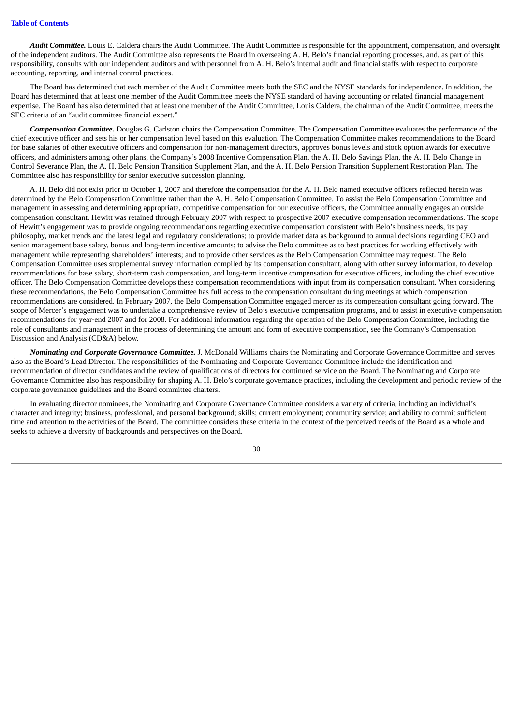*Audit Committee.* Louis E. Caldera chairs the Audit Committee. The Audit Committee is responsible for the appointment, compensation, and oversight of the independent auditors. The Audit Committee also represents the Board in overseeing A. H. Belo's financial reporting processes, and, as part of this responsibility, consults with our independent auditors and with personnel from A. H. Belo's internal audit and financial staffs with respect to corporate accounting, reporting, and internal control practices.

The Board has determined that each member of the Audit Committee meets both the SEC and the NYSE standards for independence. In addition, the Board has determined that at least one member of the Audit Committee meets the NYSE standard of having accounting or related financial management expertise. The Board has also determined that at least one member of the Audit Committee, Louis Caldera, the chairman of the Audit Committee, meets the SEC criteria of an "audit committee financial expert."

*Compensation Committee.* Douglas G. Carlston chairs the Compensation Committee. The Compensation Committee evaluates the performance of the chief executive officer and sets his or her compensation level based on this evaluation. The Compensation Committee makes recommendations to the Board for base salaries of other executive officers and compensation for non-management directors, approves bonus levels and stock option awards for executive officers, and administers among other plans, the Company's 2008 Incentive Compensation Plan, the A. H. Belo Savings Plan, the A. H. Belo Change in Control Severance Plan, the A. H. Belo Pension Transition Supplement Plan, and the A. H. Belo Pension Transition Supplement Restoration Plan. The Committee also has responsibility for senior executive succession planning.

A. H. Belo did not exist prior to October 1, 2007 and therefore the compensation for the A. H. Belo named executive officers reflected herein was determined by the Belo Compensation Committee rather than the A. H. Belo Compensation Committee. To assist the Belo Compensation Committee and management in assessing and determining appropriate, competitive compensation for our executive officers, the Committee annually engages an outside compensation consultant. Hewitt was retained through February 2007 with respect to prospective 2007 executive compensation recommendations. The scope of Hewitt's engagement was to provide ongoing recommendations regarding executive compensation consistent with Belo's business needs, its pay philosophy, market trends and the latest legal and regulatory considerations; to provide market data as background to annual decisions regarding CEO and senior management base salary, bonus and long-term incentive amounts; to advise the Belo committee as to best practices for working effectively with management while representing shareholders' interests; and to provide other services as the Belo Compensation Committee may request. The Belo Compensation Committee uses supplemental survey information compiled by its compensation consultant, along with other survey information, to develop recommendations for base salary, short-term cash compensation, and long-term incentive compensation for executive officers, including the chief executive officer. The Belo Compensation Committee develops these compensation recommendations with input from its compensation consultant. When considering these recommendations, the Belo Compensation Committee has full access to the compensation consultant during meetings at which compensation recommendations are considered. In February 2007, the Belo Compensation Committee engaged mercer as its compensation consultant going forward. The scope of Mercer's engagement was to undertake a comprehensive review of Belo's executive compensation programs, and to assist in executive compensation recommendations for year-end 2007 and for 2008. For additional information regarding the operation of the Belo Compensation Committee, including the role of consultants and management in the process of determining the amount and form of executive compensation, see the Company's Compensation Discussion and Analysis (CD&A) below.

*Nominating and Corporate Governance Committee.* J. McDonald Williams chairs the Nominating and Corporate Governance Committee and serves also as the Board's Lead Director. The responsibilities of the Nominating and Corporate Governance Committee include the identification and recommendation of director candidates and the review of qualifications of directors for continued service on the Board. The Nominating and Corporate Governance Committee also has responsibility for shaping A. H. Belo's corporate governance practices, including the development and periodic review of the corporate governance guidelines and the Board committee charters.

In evaluating director nominees, the Nominating and Corporate Governance Committee considers a variety of criteria, including an individual's character and integrity; business, professional, and personal background; skills; current employment; community service; and ability to commit sufficient time and attention to the activities of the Board. The committee considers these criteria in the context of the perceived needs of the Board as a whole and seeks to achieve a diversity of backgrounds and perspectives on the Board.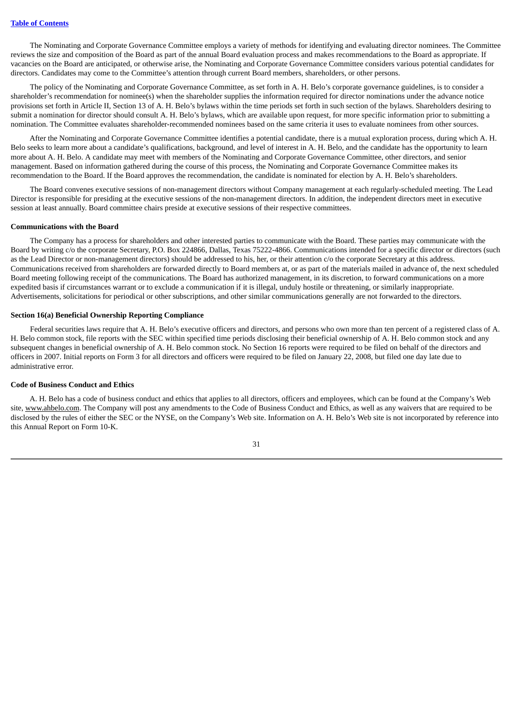The Nominating and Corporate Governance Committee employs a variety of methods for identifying and evaluating director nominees. The Committee reviews the size and composition of the Board as part of the annual Board evaluation process and makes recommendations to the Board as appropriate. If vacancies on the Board are anticipated, or otherwise arise, the Nominating and Corporate Governance Committee considers various potential candidates for directors. Candidates may come to the Committee's attention through current Board members, shareholders, or other persons.

The policy of the Nominating and Corporate Governance Committee, as set forth in A. H. Belo's corporate governance guidelines, is to consider a shareholder's recommendation for nominee(s) when the shareholder supplies the information required for director nominations under the advance notice provisions set forth in Article II, Section 13 of A. H. Belo's bylaws within the time periods set forth in such section of the bylaws. Shareholders desiring to submit a nomination for director should consult A. H. Belo's bylaws, which are available upon request, for more specific information prior to submitting a nomination. The Committee evaluates shareholder-recommended nominees based on the same criteria it uses to evaluate nominees from other sources.

After the Nominating and Corporate Governance Committee identifies a potential candidate, there is a mutual exploration process, during which A. H. Belo seeks to learn more about a candidate's qualifications, background, and level of interest in A. H. Belo, and the candidate has the opportunity to learn more about A. H. Belo. A candidate may meet with members of the Nominating and Corporate Governance Committee, other directors, and senior management. Based on information gathered during the course of this process, the Nominating and Corporate Governance Committee makes its recommendation to the Board. If the Board approves the recommendation, the candidate is nominated for election by A. H. Belo's shareholders.

The Board convenes executive sessions of non-management directors without Company management at each regularly-scheduled meeting. The Lead Director is responsible for presiding at the executive sessions of the non-management directors. In addition, the independent directors meet in executive session at least annually. Board committee chairs preside at executive sessions of their respective committees.

#### **Communications with the Board**

The Company has a process for shareholders and other interested parties to communicate with the Board. These parties may communicate with the Board by writing c/o the corporate Secretary, P.O. Box 224866, Dallas, Texas 75222-4866. Communications intended for a specific director or directors (such as the Lead Director or non-management directors) should be addressed to his, her, or their attention c/o the corporate Secretary at this address. Communications received from shareholders are forwarded directly to Board members at, or as part of the materials mailed in advance of, the next scheduled Board meeting following receipt of the communications. The Board has authorized management, in its discretion, to forward communications on a more expedited basis if circumstances warrant or to exclude a communication if it is illegal, unduly hostile or threatening, or similarly inappropriate. Advertisements, solicitations for periodical or other subscriptions, and other similar communications generally are not forwarded to the directors.

## **Section 16(a) Beneficial Ownership Reporting Compliance**

Federal securities laws require that A. H. Belo's executive officers and directors, and persons who own more than ten percent of a registered class of A. H. Belo common stock, file reports with the SEC within specified time periods disclosing their beneficial ownership of A. H. Belo common stock and any subsequent changes in beneficial ownership of A. H. Belo common stock. No Section 16 reports were required to be filed on behalf of the directors and officers in 2007. Initial reports on Form 3 for all directors and officers were required to be filed on January 22, 2008, but filed one day late due to administrative error.

#### **Code of Business Conduct and Ethics**

A. H. Belo has a code of business conduct and ethics that applies to all directors, officers and employees, which can be found at the Company's Web site, www.ahbelo.com. The Company will post any amendments to the Code of Business Conduct and Ethics, as well as any waivers that are required to be disclosed by the rules of either the SEC or the NYSE, on the Company's Web site. Information on A. H. Belo's Web site is not incorporated by reference into this Annual Report on Form 10-K.

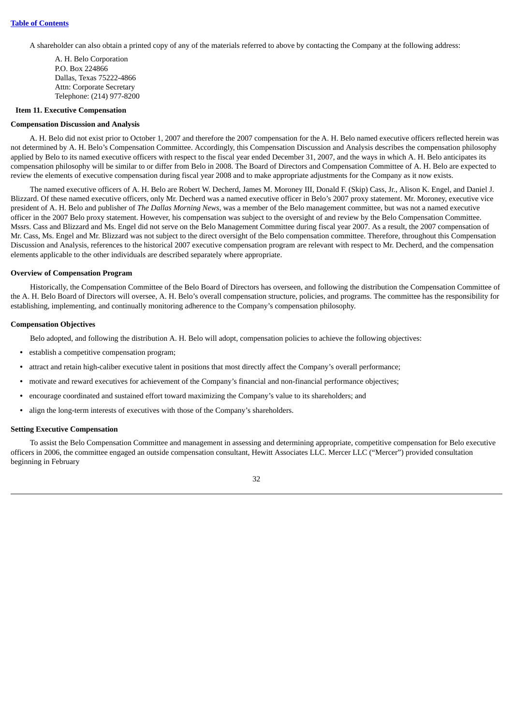A shareholder can also obtain a printed copy of any of the materials referred to above by contacting the Company at the following address:

A. H. Belo Corporation P.O. Box 224866 Dallas, Texas 75222-4866 Attn: Corporate Secretary Telephone: (214) 977-8200

#### <span id="page-34-0"></span>**Item 11. Executive Compensation**

#### **Compensation Discussion and Analysis**

A. H. Belo did not exist prior to October 1, 2007 and therefore the 2007 compensation for the A. H. Belo named executive officers reflected herein was not determined by A. H. Belo's Compensation Committee. Accordingly, this Compensation Discussion and Analysis describes the compensation philosophy applied by Belo to its named executive officers with respect to the fiscal year ended December 31, 2007, and the ways in which A. H. Belo anticipates its compensation philosophy will be similar to or differ from Belo in 2008. The Board of Directors and Compensation Committee of A. H. Belo are expected to review the elements of executive compensation during fiscal year 2008 and to make appropriate adjustments for the Company as it now exists.

The named executive officers of A. H. Belo are Robert W. Decherd, James M. Moroney III, Donald F. (Skip) Cass, Jr., Alison K. Engel, and Daniel J. Blizzard. Of these named executive officers, only Mr. Decherd was a named executive officer in Belo's 2007 proxy statement. Mr. Moroney, executive vice president of A. H. Belo and publisher of *The Dallas Morning News,* was a member of the Belo management committee, but was not a named executive officer in the 2007 Belo proxy statement. However, his compensation was subject to the oversight of and review by the Belo Compensation Committee. Mssrs. Cass and Blizzard and Ms. Engel did not serve on the Belo Management Committee during fiscal year 2007. As a result, the 2007 compensation of Mr. Cass, Ms. Engel and Mr. Blizzard was not subject to the direct oversight of the Belo compensation committee. Therefore, throughout this Compensation Discussion and Analysis, references to the historical 2007 executive compensation program are relevant with respect to Mr. Decherd, and the compensation elements applicable to the other individuals are described separately where appropriate.

#### **Overview of Compensation Program**

Historically, the Compensation Committee of the Belo Board of Directors has overseen, and following the distribution the Compensation Committee of the A. H. Belo Board of Directors will oversee, A. H. Belo's overall compensation structure, policies, and programs. The committee has the responsibility for establishing, implementing, and continually monitoring adherence to the Company's compensation philosophy.

#### **Compensation Objectives**

Belo adopted, and following the distribution A. H. Belo will adopt, compensation policies to achieve the following objectives:

- **•** establish a competitive compensation program;
- **•** attract and retain high-caliber executive talent in positions that most directly affect the Company's overall performance;
- **•** motivate and reward executives for achievement of the Company's financial and non-financial performance objectives;
- **•** encourage coordinated and sustained effort toward maximizing the Company's value to its shareholders; and
- **•** align the long-term interests of executives with those of the Company's shareholders.

#### **Setting Executive Compensation**

To assist the Belo Compensation Committee and management in assessing and determining appropriate, competitive compensation for Belo executive officers in 2006, the committee engaged an outside compensation consultant, Hewitt Associates LLC. Mercer LLC ("Mercer") provided consultation beginning in February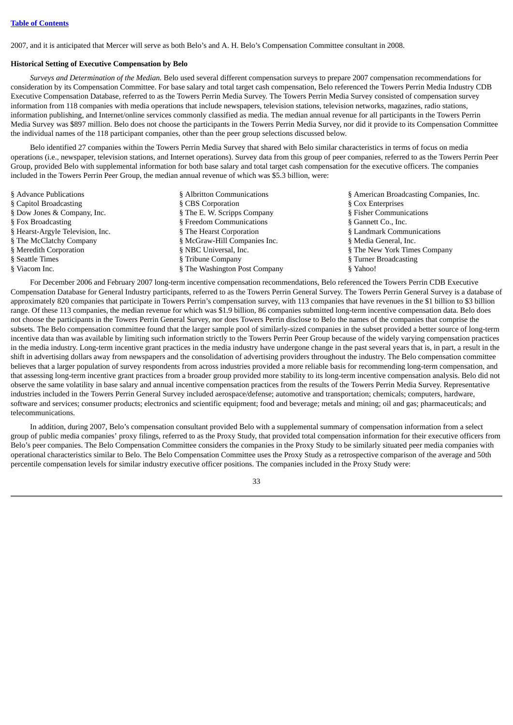2007, and it is anticipated that Mercer will serve as both Belo's and A. H. Belo's Compensation Committee consultant in 2008.

# **Historical Setting of Executive Compensation by Belo**

*Surveys and Determination of the Median.* Belo used several different compensation surveys to prepare 2007 compensation recommendations for consideration by its Compensation Committee. For base salary and total target cash compensation, Belo referenced the Towers Perrin Media Industry CDB Executive Compensation Database, referred to as the Towers Perrin Media Survey. The Towers Perrin Media Survey consisted of compensation survey information from 118 companies with media operations that include newspapers, television stations, television networks, magazines, radio stations, information publishing, and Internet/online services commonly classified as media. The median annual revenue for all participants in the Towers Perrin Media Survey was \$897 million. Belo does not choose the participants in the Towers Perrin Media Survey, nor did it provide to its Compensation Committee the individual names of the 118 participant companies, other than the peer group selections discussed below.

Belo identified 27 companies within the Towers Perrin Media Survey that shared with Belo similar characteristics in terms of focus on media operations (i.e., newspaper, television stations, and Internet operations). Survey data from this group of peer companies, referred to as the Towers Perrin Peer Group, provided Belo with supplemental information for both base salary and total target cash compensation for the executive officers. The companies included in the Towers Perrin Peer Group, the median annual revenue of which was \$5.3 billion, were:

| § Advance Publications           | § Albritton Communications    | § American Broadcasting Companies, Inc. |
|----------------------------------|-------------------------------|-----------------------------------------|
| § Capitol Broadcasting           | § CBS Corporation             | § Cox Enterprises                       |
| § Dow Jones & Company, Inc.      | § The E. W. Scripps Company   | § Fisher Communications                 |
| § Fox Broadcasting               | § Freedom Communications      | § Gannett Co., Inc.                     |
| § Hearst-Argyle Television, Inc. | § The Hearst Corporation      | § Landmark Communications               |
| § The McClatchy Company          | § McGraw-Hill Companies Inc.  | § Media General, Inc.                   |
| § Meredith Corporation           | § NBC Universal, Inc.         | § The New York Times Company            |
| § Seattle Times                  | § Tribune Company             | § Turner Broadcasting                   |
| § Viacom Inc.                    | § The Washington Post Company | § Yahoo!                                |

For December 2006 and February 2007 long-term incentive compensation recommendations, Belo referenced the Towers Perrin CDB Executive Compensation Database for General Industry participants, referred to as the Towers Perrin General Survey. The Towers Perrin General Survey is a database of approximately 820 companies that participate in Towers Perrin's compensation survey, with 113 companies that have revenues in the \$1 billion to \$3 billion range. Of these 113 companies, the median revenue for which was \$1.9 billion, 86 companies submitted long-term incentive compensation data. Belo does not choose the participants in the Towers Perrin General Survey, nor does Towers Perrin disclose to Belo the names of the companies that comprise the subsets. The Belo compensation committee found that the larger sample pool of similarly-sized companies in the subset provided a better source of long-term incentive data than was available by limiting such information strictly to the Towers Perrin Peer Group because of the widely varying compensation practices in the media industry. Long-term incentive grant practices in the media industry have undergone change in the past several years that is, in part, a result in the shift in advertising dollars away from newspapers and the consolidation of advertising providers throughout the industry. The Belo compensation committee believes that a larger population of survey respondents from across industries provided a more reliable basis for recommending long-term compensation, and that assessing long-term incentive grant practices from a broader group provided more stability to its long-term incentive compensation analysis. Belo did not observe the same volatility in base salary and annual incentive compensation practices from the results of the Towers Perrin Media Survey. Representative industries included in the Towers Perrin General Survey included aerospace/defense; automotive and transportation; chemicals; computers, hardware, software and services; consumer products; electronics and scientific equipment; food and beverage; metals and mining; oil and gas; pharmaceuticals; and telecommunications.

In addition, during 2007, Belo's compensation consultant provided Belo with a supplemental summary of compensation information from a select group of public media companies' proxy filings, referred to as the Proxy Study, that provided total compensation information for their executive officers from Belo's peer companies. The Belo Compensation Committee considers the companies in the Proxy Study to be similarly situated peer media companies with operational characteristics similar to Belo. The Belo Compensation Committee uses the Proxy Study as a retrospective comparison of the average and 50th percentile compensation levels for similar industry executive officer positions. The companies included in the Proxy Study were:

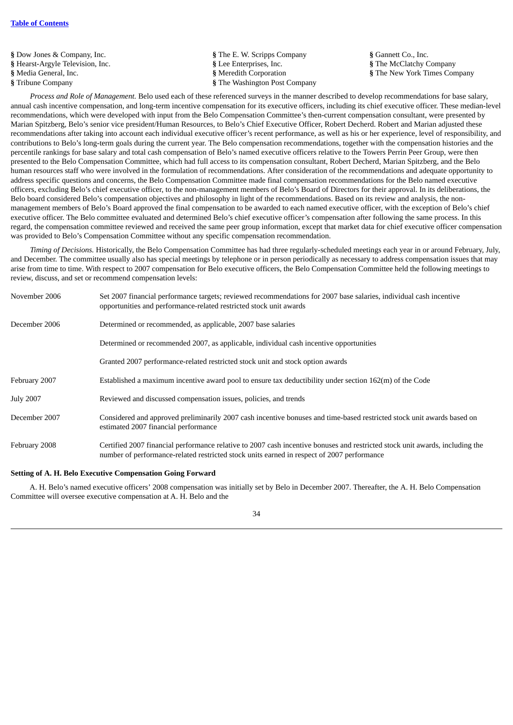**§** Dow Jones & Company, Inc. **§** The E. W. Scripps Company **§** Gannett Co., Inc. **§** Hearst-Argyle Television, Inc. **§** Lee Enterprises, Inc. **§** The McClatchy Company **§** Media General, Inc. **§** Meredith Corporation **§** The New York Times Company **§** Tribune Company **§** The Washington Post Company

*Process and Role of Management.* Belo used each of these referenced surveys in the manner described to develop recommendations for base salary, annual cash incentive compensation, and long-term incentive compensation for its executive officers, including its chief executive officer. These median-level recommendations, which were developed with input from the Belo Compensation Committee's then-current compensation consultant, were presented by Marian Spitzberg, Belo's senior vice president/Human Resources, to Belo's Chief Executive Officer, Robert Decherd. Robert and Marian adjusted these recommendations after taking into account each individual executive officer's recent performance, as well as his or her experience, level of responsibility, and contributions to Belo's long-term goals during the current year. The Belo compensation recommendations, together with the compensation histories and the percentile rankings for base salary and total cash compensation of Belo's named executive officers relative to the Towers Perrin Peer Group, were then presented to the Belo Compensation Committee, which had full access to its compensation consultant, Robert Decherd, Marian Spitzberg, and the Belo human resources staff who were involved in the formulation of recommendations. After consideration of the recommendations and adequate opportunity to address specific questions and concerns, the Belo Compensation Committee made final compensation recommendations for the Belo named executive officers, excluding Belo's chief executive officer, to the non-management members of Belo's Board of Directors for their approval. In its deliberations, the Belo board considered Belo's compensation objectives and philosophy in light of the recommendations. Based on its review and analysis, the nonmanagement members of Belo's Board approved the final compensation to be awarded to each named executive officer, with the exception of Belo's chief executive officer. The Belo committee evaluated and determined Belo's chief executive officer's compensation after following the same process. In this regard, the compensation committee reviewed and received the same peer group information, except that market data for chief executive officer compensation was provided to Belo's Compensation Committee without any specific compensation recommendation.

*Timing of Decisions.* Historically, the Belo Compensation Committee has had three regularly-scheduled meetings each year in or around February, July, and December. The committee usually also has special meetings by telephone or in person periodically as necessary to address compensation issues that may arise from time to time. With respect to 2007 compensation for Belo executive officers, the Belo Compensation Committee held the following meetings to review, discuss, and set or recommend compensation levels:

| November 2006    | Set 2007 financial performance targets; reviewed recommendations for 2007 base salaries, individual cash incentive<br>opportunities and performance-related restricted stock unit awards                                   |
|------------------|----------------------------------------------------------------------------------------------------------------------------------------------------------------------------------------------------------------------------|
| December 2006    | Determined or recommended, as applicable, 2007 base salaries                                                                                                                                                               |
|                  | Determined or recommended 2007, as applicable, individual cash incentive opportunities                                                                                                                                     |
|                  | Granted 2007 performance-related restricted stock unit and stock option awards                                                                                                                                             |
| February 2007    | Established a maximum incentive award pool to ensure tax deductibility under section 162(m) of the Code                                                                                                                    |
| <b>July 2007</b> | Reviewed and discussed compensation issues, policies, and trends                                                                                                                                                           |
| December 2007    | Considered and approved preliminarily 2007 cash incentive bonuses and time-based restricted stock unit awards based on<br>estimated 2007 financial performance                                                             |
| February 2008    | Certified 2007 financial performance relative to 2007 cash incentive bonuses and restricted stock unit awards, including the<br>number of performance-related restricted stock units earned in respect of 2007 performance |

#### **Setting of A. H. Belo Executive Compensation Going Forward**

A. H. Belo's named executive officers' 2008 compensation was initially set by Belo in December 2007. Thereafter, the A. H. Belo Compensation Committee will oversee executive compensation at A. H. Belo and the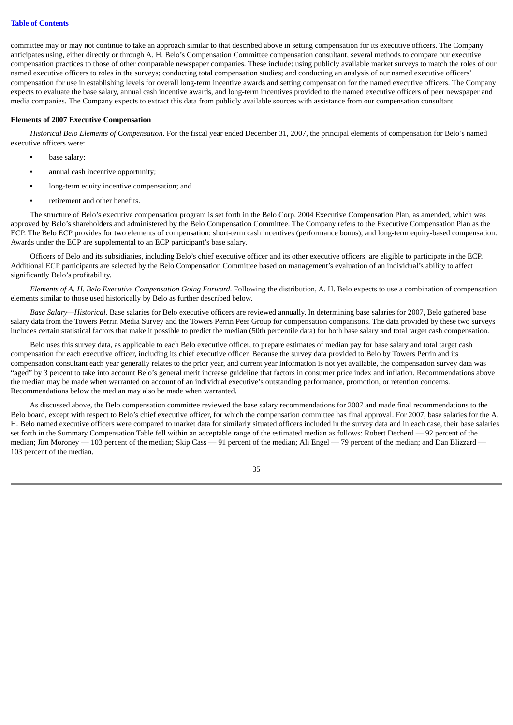committee may or may not continue to take an approach similar to that described above in setting compensation for its executive officers. The Company anticipates using, either directly or through A. H. Belo's Compensation Committee compensation consultant, several methods to compare our executive compensation practices to those of other comparable newspaper companies. These include: using publicly available market surveys to match the roles of our named executive officers to roles in the surveys; conducting total compensation studies; and conducting an analysis of our named executive officers' compensation for use in establishing levels for overall long-term incentive awards and setting compensation for the named executive officers. The Company expects to evaluate the base salary, annual cash incentive awards, and long-term incentives provided to the named executive officers of peer newspaper and media companies. The Company expects to extract this data from publicly available sources with assistance from our compensation consultant.

#### **Elements of 2007 Executive Compensation**

*Historical Belo Elements of Compensation*. For the fiscal year ended December 31, 2007, the principal elements of compensation for Belo's named executive officers were:

- **•** base salary;
- **•** annual cash incentive opportunity;
- **•** long-term equity incentive compensation; and
- **•** retirement and other benefits.

The structure of Belo's executive compensation program is set forth in the Belo Corp. 2004 Executive Compensation Plan, as amended, which was approved by Belo's shareholders and administered by the Belo Compensation Committee. The Company refers to the Executive Compensation Plan as the ECP. The Belo ECP provides for two elements of compensation: short-term cash incentives (performance bonus), and long-term equity-based compensation. Awards under the ECP are supplemental to an ECP participant's base salary.

Officers of Belo and its subsidiaries, including Belo's chief executive officer and its other executive officers, are eligible to participate in the ECP. Additional ECP participants are selected by the Belo Compensation Committee based on management's evaluation of an individual's ability to affect significantly Belo's profitability.

*Elements of A. H. Belo Executive Compensation Going Forward*. Following the distribution, A. H. Belo expects to use a combination of compensation elements similar to those used historically by Belo as further described below.

*Base Salary—Historical.* Base salaries for Belo executive officers are reviewed annually. In determining base salaries for 2007, Belo gathered base salary data from the Towers Perrin Media Survey and the Towers Perrin Peer Group for compensation comparisons. The data provided by these two surveys includes certain statistical factors that make it possible to predict the median (50th percentile data) for both base salary and total target cash compensation.

Belo uses this survey data, as applicable to each Belo executive officer, to prepare estimates of median pay for base salary and total target cash compensation for each executive officer, including its chief executive officer. Because the survey data provided to Belo by Towers Perrin and its compensation consultant each year generally relates to the prior year, and current year information is not yet available, the compensation survey data was "aged" by 3 percent to take into account Belo's general merit increase guideline that factors in consumer price index and inflation. Recommendations above the median may be made when warranted on account of an individual executive's outstanding performance, promotion, or retention concerns. Recommendations below the median may also be made when warranted.

As discussed above, the Belo compensation committee reviewed the base salary recommendations for 2007 and made final recommendations to the Belo board, except with respect to Belo's chief executive officer, for which the compensation committee has final approval. For 2007, base salaries for the A. H. Belo named executive officers were compared to market data for similarly situated officers included in the survey data and in each case, their base salaries set forth in the Summary Compensation Table fell within an acceptable range of the estimated median as follows: Robert Decherd — 92 percent of the median; Jim Moroney — 103 percent of the median; Skip Cass — 91 percent of the median; Ali Engel — 79 percent of the median; and Dan Blizzard -103 percent of the median.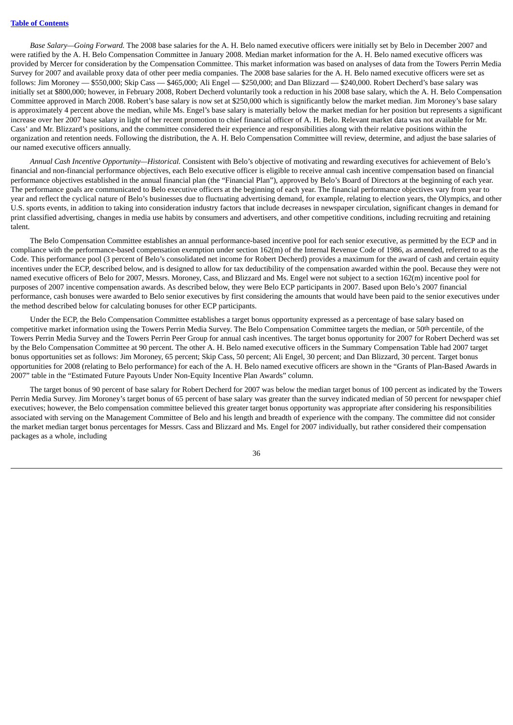*Base Salary—Going Forward.* The 2008 base salaries for the A. H. Belo named executive officers were initially set by Belo in December 2007 and were ratified by the A. H. Belo Compensation Committee in January 2008. Median market information for the A. H. Belo named executive officers was provided by Mercer for consideration by the Compensation Committee. This market information was based on analyses of data from the Towers Perrin Media Survey for 2007 and available proxy data of other peer media companies. The 2008 base salaries for the A. H. Belo named executive officers were set as follows: Jim Moroney — \$550,000; Skip Cass — \$465,000; Ali Engel — \$250,000; and Dan Blizzard — \$240,000. Robert Decherd's base salary was initially set at \$800,000; however, in February 2008, Robert Decherd voluntarily took a reduction in his 2008 base salary, which the A. H. Belo Compensation Committee approved in March 2008. Robert's base salary is now set at \$250,000 which is significantly below the market median. Jim Moroney's base salary is approximately 4 percent above the median, while Ms. Engel's base salary is materially below the market median for her position but represents a significant increase over her 2007 base salary in light of her recent promotion to chief financial officer of A. H. Belo. Relevant market data was not available for Mr. Cass' and Mr. Blizzard's positions, and the committee considered their experience and responsibilities along with their relative positions within the organization and retention needs. Following the distribution, the A. H. Belo Compensation Committee will review, determine, and adjust the base salaries of our named executive officers annually.

*Annual Cash Incentive Opportunity—Historical.* Consistent with Belo's objective of motivating and rewarding executives for achievement of Belo's financial and non-financial performance objectives, each Belo executive officer is eligible to receive annual cash incentive compensation based on financial performance objectives established in the annual financial plan (the "Financial Plan"), approved by Belo's Board of Directors at the beginning of each year. The performance goals are communicated to Belo executive officers at the beginning of each year. The financial performance objectives vary from year to year and reflect the cyclical nature of Belo's businesses due to fluctuating advertising demand, for example, relating to election years, the Olympics, and other U.S. sports events, in addition to taking into consideration industry factors that include decreases in newspaper circulation, significant changes in demand for print classified advertising, changes in media use habits by consumers and advertisers, and other competitive conditions, including recruiting and retaining talent.

The Belo Compensation Committee establishes an annual performance-based incentive pool for each senior executive, as permitted by the ECP and in compliance with the performance-based compensation exemption under section 162(m) of the Internal Revenue Code of 1986, as amended, referred to as the Code. This performance pool (3 percent of Belo's consolidated net income for Robert Decherd) provides a maximum for the award of cash and certain equity incentives under the ECP, described below, and is designed to allow for tax deductibility of the compensation awarded within the pool. Because they were not named executive officers of Belo for 2007, Messrs. Moroney, Cass, and Blizzard and Ms. Engel were not subject to a section 162(m) incentive pool for purposes of 2007 incentive compensation awards. As described below, they were Belo ECP participants in 2007. Based upon Belo's 2007 financial performance, cash bonuses were awarded to Belo senior executives by first considering the amounts that would have been paid to the senior executives under the method described below for calculating bonuses for other ECP participants.

Under the ECP, the Belo Compensation Committee establishes a target bonus opportunity expressed as a percentage of base salary based on competitive market information using the Towers Perrin Media Survey. The Belo Compensation Committee targets the median, or 50th percentile, of the Towers Perrin Media Survey and the Towers Perrin Peer Group for annual cash incentives. The target bonus opportunity for 2007 for Robert Decherd was set by the Belo Compensation Committee at 90 percent. The other A. H. Belo named executive officers in the Summary Compensation Table had 2007 target bonus opportunities set as follows: Jim Moroney, 65 percent; Skip Cass, 50 percent; Ali Engel, 30 percent; and Dan Blizzard, 30 percent. Target bonus opportunities for 2008 (relating to Belo performance) for each of the A. H. Belo named executive officers are shown in the "Grants of Plan-Based Awards in 2007" table in the "Estimated Future Payouts Under Non-Equity Incentive Plan Awards" column.

The target bonus of 90 percent of base salary for Robert Decherd for 2007 was below the median target bonus of 100 percent as indicated by the Towers Perrin Media Survey. Jim Moroney's target bonus of 65 percent of base salary was greater than the survey indicated median of 50 percent for newspaper chief executives; however, the Belo compensation committee believed this greater target bonus opportunity was appropriate after considering his responsibilities associated with serving on the Management Committee of Belo and his length and breadth of experience with the company. The committee did not consider the market median target bonus percentages for Messrs. Cass and Blizzard and Ms. Engel for 2007 individually, but rather considered their compensation packages as a whole, including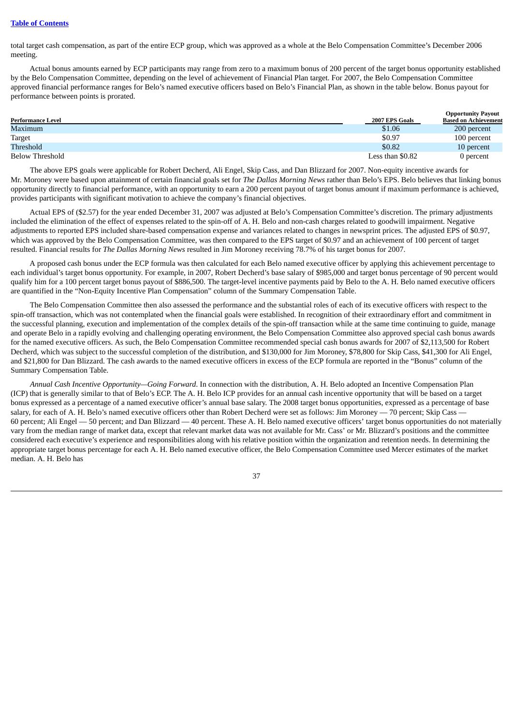#### **Table of [Contents](#page-2-0)**

total target cash compensation, as part of the entire ECP group, which was approved as a whole at the Belo Compensation Committee's December 2006 meeting.

Actual bonus amounts earned by ECP participants may range from zero to a maximum bonus of 200 percent of the target bonus opportunity established by the Belo Compensation Committee, depending on the level of achievement of Financial Plan target. For 2007, the Belo Compensation Committee approved financial performance ranges for Belo's named executive officers based on Belo's Financial Plan, as shown in the table below. Bonus payout for performance between points is prorated.

|                          |                  | <b>Opportunity Payout</b>   |
|--------------------------|------------------|-----------------------------|
| <b>Performance Level</b> | 2007 EPS Goals   | <b>Based on Achievement</b> |
| Maximum                  | \$1.06           | 200 percent                 |
| Target                   | \$0.97           | 100 percent                 |
| Threshold                | \$0.82           | 10 percent                  |
| Below Threshold          | Less than \$0.82 | 0 percent                   |

The above EPS goals were applicable for Robert Decherd, Ali Engel, Skip Cass, and Dan Blizzard for 2007. Non-equity incentive awards for Mr. Moroney were based upon attainment of certain financial goals set for *The Dallas Morning News* rather than Belo's EPS. Belo believes that linking bonus opportunity directly to financial performance, with an opportunity to earn a 200 percent payout of target bonus amount if maximum performance is achieved, provides participants with significant motivation to achieve the company's financial objectives.

Actual EPS of (\$2.57) for the year ended December 31, 2007 was adjusted at Belo's Compensation Committee's discretion. The primary adjustments included the elimination of the effect of expenses related to the spin-off of A. H. Belo and non-cash charges related to goodwill impairment. Negative adjustments to reported EPS included share-based compensation expense and variances related to changes in newsprint prices. The adjusted EPS of \$0.97, which was approved by the Belo Compensation Committee, was then compared to the EPS target of \$0.97 and an achievement of 100 percent of target resulted. Financial results for *The Dallas Morning News* resulted in Jim Moroney receiving 78.7% of his target bonus for 2007.

A proposed cash bonus under the ECP formula was then calculated for each Belo named executive officer by applying this achievement percentage to each individual's target bonus opportunity. For example, in 2007, Robert Decherd's base salary of \$985,000 and target bonus percentage of 90 percent would qualify him for a 100 percent target bonus payout of \$886,500. The target-level incentive payments paid by Belo to the A. H. Belo named executive officers are quantified in the "Non-Equity Incentive Plan Compensation" column of the Summary Compensation Table.

The Belo Compensation Committee then also assessed the performance and the substantial roles of each of its executive officers with respect to the spin-off transaction, which was not contemplated when the financial goals were established. In recognition of their extraordinary effort and commitment in the successful planning, execution and implementation of the complex details of the spin-off transaction while at the same time continuing to guide, manage and operate Belo in a rapidly evolving and challenging operating environment, the Belo Compensation Committee also approved special cash bonus awards for the named executive officers. As such, the Belo Compensation Committee recommended special cash bonus awards for 2007 of \$2,113,500 for Robert Decherd, which was subject to the successful completion of the distribution, and \$130,000 for Jim Moroney, \$78,800 for Skip Cass, \$41,300 for Ali Engel, and \$21,800 for Dan Blizzard. The cash awards to the named executive officers in excess of the ECP formula are reported in the "Bonus" column of the Summary Compensation Table.

*Annual Cash Incentive Opportunity—Going Forward*. In connection with the distribution, A. H. Belo adopted an Incentive Compensation Plan (ICP) that is generally similar to that of Belo's ECP. The A. H. Belo ICP provides for an annual cash incentive opportunity that will be based on a target bonus expressed as a percentage of a named executive officer's annual base salary. The 2008 target bonus opportunities, expressed as a percentage of base salary, for each of A. H. Belo's named executive officers other than Robert Decherd were set as follows: Jim Moroney — 70 percent; Skip Cass -60 percent; Ali Engel — 50 percent; and Dan Blizzard — 40 percent. These A. H. Belo named executive officers' target bonus opportunities do not materially vary from the median range of market data, except that relevant market data was not available for Mr. Cass' or Mr. Blizzard's positions and the committee considered each executive's experience and responsibilities along with his relative position within the organization and retention needs. In determining the appropriate target bonus percentage for each A. H. Belo named executive officer, the Belo Compensation Committee used Mercer estimates of the market median. A. H. Belo has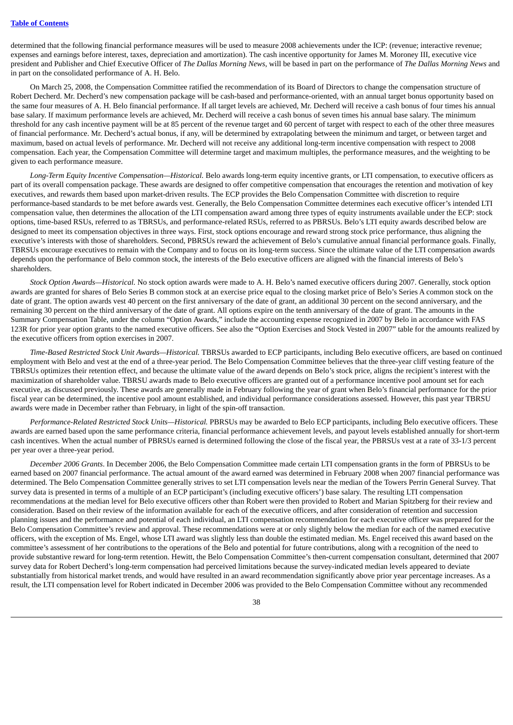determined that the following financial performance measures will be used to measure 2008 achievements under the ICP: (revenue; interactive revenue; expenses and earnings before interest, taxes, depreciation and amortization). The cash incentive opportunity for James M. Moroney III, executive vice president and Publisher and Chief Executive Officer of *The Dallas Morning News*, will be based in part on the performance of *The Dallas Morning News* and in part on the consolidated performance of A. H. Belo.

On March 25, 2008, the Compensation Committee ratified the recommendation of its Board of Directors to change the compensation structure of Robert Decherd. Mr. Decherd's new compensation package will be cash-based and performance-oriented, with an annual target bonus opportunity based on the same four measures of A. H. Belo financial performance. If all target levels are achieved, Mr. Decherd will receive a cash bonus of four times his annual base salary. If maximum performance levels are achieved, Mr. Decherd will receive a cash bonus of seven times his annual base salary. The minimum threshold for any cash incentive payment will be at 85 percent of the revenue target and 60 percent of target with respect to each of the other three measures of financial performance. Mr. Decherd's actual bonus, if any, will be determined by extrapolating between the minimum and target, or between target and maximum, based on actual levels of performance. Mr. Decherd will not receive any additional long-term incentive compensation with respect to 2008 compensation. Each year, the Compensation Committee will determine target and maximum multiples, the performance measures, and the weighting to be given to each performance measure.

*Long-Term Equity Incentive Compensation—Historical.* Belo awards long-term equity incentive grants, or LTI compensation, to executive officers as part of its overall compensation package. These awards are designed to offer competitive compensation that encourages the retention and motivation of key executives, and rewards them based upon market-driven results. The ECP provides the Belo Compensation Committee with discretion to require performance-based standards to be met before awards vest. Generally, the Belo Compensation Committee determines each executive officer's intended LTI compensation value, then determines the allocation of the LTI compensation award among three types of equity instruments available under the ECP: stock options, time-based RSUs, referred to as TBRSUs, and performance-related RSUs, referred to as PBRSUs. Belo's LTI equity awards described below are designed to meet its compensation objectives in three ways. First, stock options encourage and reward strong stock price performance, thus aligning the executive's interests with those of shareholders. Second, PBRSUs reward the achievement of Belo's cumulative annual financial performance goals. Finally, TBRSUs encourage executives to remain with the Company and to focus on its long-term success. Since the ultimate value of the LTI compensation awards depends upon the performance of Belo common stock, the interests of the Belo executive officers are aligned with the financial interests of Belo's shareholders.

*Stock Option Awards—Historical.* No stock option awards were made to A. H. Belo's named executive officers during 2007. Generally, stock option awards are granted for shares of Belo Series B common stock at an exercise price equal to the closing market price of Belo's Series A common stock on the date of grant. The option awards vest 40 percent on the first anniversary of the date of grant, an additional 30 percent on the second anniversary, and the remaining 30 percent on the third anniversary of the date of grant. All options expire on the tenth anniversary of the date of grant. The amounts in the Summary Compensation Table, under the column "Option Awards," include the accounting expense recognized in 2007 by Belo in accordance with FAS 123R for prior year option grants to the named executive officers. See also the "Option Exercises and Stock Vested in 2007" table for the amounts realized by the executive officers from option exercises in 2007.

*Time-Based Restricted Stock Unit Awards—Historical.* TBRSUs awarded to ECP participants, including Belo executive officers, are based on continued employment with Belo and vest at the end of a three-year period. The Belo Compensation Committee believes that the three-year cliff vesting feature of the TBRSUs optimizes their retention effect, and because the ultimate value of the award depends on Belo's stock price, aligns the recipient's interest with the maximization of shareholder value. TBRSU awards made to Belo executive officers are granted out of a performance incentive pool amount set for each executive, as discussed previously. These awards are generally made in February following the year of grant when Belo's financial performance for the prior fiscal year can be determined, the incentive pool amount established, and individual performance considerations assessed. However, this past year TBRSU awards were made in December rather than February, in light of the spin-off transaction.

*Performance-Related Restricted Stock Units—Historical.* PBRSUs may be awarded to Belo ECP participants, including Belo executive officers. These awards are earned based upon the same performance criteria, financial performance achievement levels, and payout levels established annually for short-term cash incentives. When the actual number of PBRSUs earned is determined following the close of the fiscal year, the PBRSUs vest at a rate of 33-1/3 percent per year over a three-year period.

*December 2006 Grants*. In December 2006, the Belo Compensation Committee made certain LTI compensation grants in the form of PBRSUs to be earned based on 2007 financial performance. The actual amount of the award earned was determined in February 2008 when 2007 financial performance was determined. The Belo Compensation Committee generally strives to set LTI compensation levels near the median of the Towers Perrin General Survey. That survey data is presented in terms of a multiple of an ECP participant's (including executive officers') base salary. The resulting LTI compensation recommendations at the median level for Belo executive officers other than Robert were then provided to Robert and Marian Spitzberg for their review and consideration. Based on their review of the information available for each of the executive officers, and after consideration of retention and succession planning issues and the performance and potential of each individual, an LTI compensation recommendation for each executive officer was prepared for the Belo Compensation Committee's review and approval. These recommendations were at or only slightly below the median for each of the named executive officers, with the exception of Ms. Engel, whose LTI award was slightly less than double the estimated median. Ms. Engel received this award based on the committee's assessment of her contributions to the operations of the Belo and potential for future contributions, along with a recognition of the need to provide substantive reward for long-term retention. Hewitt, the Belo Compensation Committee's then-current compensation consultant, determined that 2007 survey data for Robert Decherd's long-term compensation had perceived limitations because the survey-indicated median levels appeared to deviate substantially from historical market trends, and would have resulted in an award recommendation significantly above prior year percentage increases. As a result, the LTI compensation level for Robert indicated in December 2006 was provided to the Belo Compensation Committee without any recommended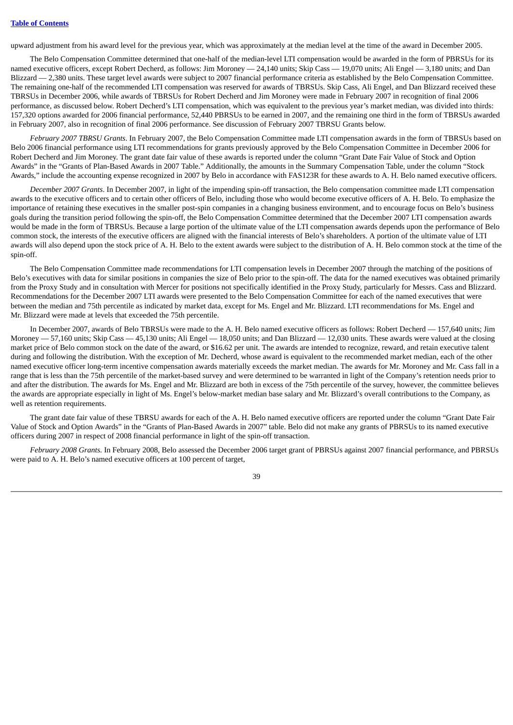upward adjustment from his award level for the previous year, which was approximately at the median level at the time of the award in December 2005.

The Belo Compensation Committee determined that one-half of the median-level LTI compensation would be awarded in the form of PBRSUs for its named executive officers, except Robert Decherd, as follows: Jim Moroney - 24,140 units; Skip Cass - 19,070 units; Ali Engel - 3,180 units; and Dan Blizzard — 2,380 units. These target level awards were subject to 2007 financial performance criteria as established by the Belo Compensation Committee. The remaining one-half of the recommended LTI compensation was reserved for awards of TBRSUs. Skip Cass, Ali Engel, and Dan Blizzard received these TBRSUs in December 2006, while awards of TBRSUs for Robert Decherd and Jim Moroney were made in February 2007 in recognition of final 2006 performance, as discussed below. Robert Decherd's LTI compensation, which was equivalent to the previous year's market median, was divided into thirds: 157,320 options awarded for 2006 financial performance, 52,440 PBRSUs to be earned in 2007, and the remaining one third in the form of TBRSUs awarded in February 2007, also in recognition of final 2006 performance. See discussion of February 2007 TBRSU Grants below.

*February 2007 TBRSU Grants*. In February 2007, the Belo Compensation Committee made LTI compensation awards in the form of TBRSUs based on Belo 2006 financial performance using LTI recommendations for grants previously approved by the Belo Compensation Committee in December 2006 for Robert Decherd and Jim Moroney. The grant date fair value of these awards is reported under the column "Grant Date Fair Value of Stock and Option Awards" in the "Grants of Plan-Based Awards in 2007 Table." Additionally, the amounts in the Summary Compensation Table, under the column "Stock Awards," include the accounting expense recognized in 2007 by Belo in accordance with FAS123R for these awards to A. H. Belo named executive officers.

*December 2007 Grants*. In December 2007, in light of the impending spin-off transaction, the Belo compensation committee made LTI compensation awards to the executive officers and to certain other officers of Belo, including those who would become executive officers of A. H. Belo. To emphasize the importance of retaining these executives in the smaller post-spin companies in a changing business environment, and to encourage focus on Belo's business goals during the transition period following the spin-off, the Belo Compensation Committee determined that the December 2007 LTI compensation awards would be made in the form of TBRSUs. Because a large portion of the ultimate value of the LTI compensation awards depends upon the performance of Belo common stock, the interests of the executive officers are aligned with the financial interests of Belo's shareholders. A portion of the ultimate value of LTI awards will also depend upon the stock price of A. H. Belo to the extent awards were subject to the distribution of A. H. Belo common stock at the time of the spin-off.

The Belo Compensation Committee made recommendations for LTI compensation levels in December 2007 through the matching of the positions of Belo's executives with data for similar positions in companies the size of Belo prior to the spin-off. The data for the named executives was obtained primarily from the Proxy Study and in consultation with Mercer for positions not specifically identified in the Proxy Study, particularly for Messrs. Cass and Blizzard. Recommendations for the December 2007 LTI awards were presented to the Belo Compensation Committee for each of the named executives that were between the median and 75th percentile as indicated by market data, except for Ms. Engel and Mr. Blizzard. LTI recommendations for Ms. Engel and Mr. Blizzard were made at levels that exceeded the 75th percentile.

In December 2007, awards of Belo TBRSUs were made to the A. H. Belo named executive officers as follows: Robert Decherd — 157,640 units; Jim Moroney — 57,160 units; Skip Cass — 45,130 units; Ali Engel — 18,050 units; and Dan Blizzard — 12,030 units. These awards were valued at the closing market price of Belo common stock on the date of the award, or \$16.62 per unit. The awards are intended to recognize, reward, and retain executive talent during and following the distribution. With the exception of Mr. Decherd, whose award is equivalent to the recommended market median, each of the other named executive officer long-term incentive compensation awards materially exceeds the market median. The awards for Mr. Moroney and Mr. Cass fall in a range that is less than the 75th percentile of the market-based survey and were determined to be warranted in light of the Company's retention needs prior to and after the distribution. The awards for Ms. Engel and Mr. Blizzard are both in excess of the 75th percentile of the survey, however, the committee believes the awards are appropriate especially in light of Ms. Engel's below-market median base salary and Mr. Blizzard's overall contributions to the Company, as well as retention requirements.

The grant date fair value of these TBRSU awards for each of the A. H. Belo named executive officers are reported under the column "Grant Date Fair Value of Stock and Option Awards" in the "Grants of Plan-Based Awards in 2007" table. Belo did not make any grants of PBRSUs to its named executive officers during 2007 in respect of 2008 financial performance in light of the spin-off transaction.

*February 2008 Grants.* In February 2008, Belo assessed the December 2006 target grant of PBRSUs against 2007 financial performance, and PBRSUs were paid to A. H. Belo's named executive officers at 100 percent of target,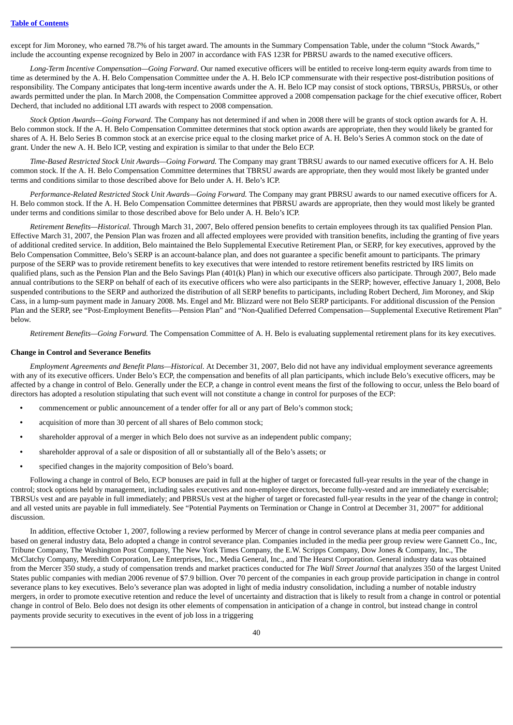except for Jim Moroney, who earned 78.7% of his target award. The amounts in the Summary Compensation Table, under the column "Stock Awards," include the accounting expense recognized by Belo in 2007 in accordance with FAS 123R for PBRSU awards to the named executive officers.

*Long-Term Incentive Compensation—Going Forward*. Our named executive officers will be entitled to receive long-term equity awards from time to time as determined by the A. H. Belo Compensation Committee under the A. H. Belo ICP commensurate with their respective post-distribution positions of responsibility. The Company anticipates that long-term incentive awards under the A. H. Belo ICP may consist of stock options, TBRSUs, PBRSUs, or other awards permitted under the plan. In March 2008, the Compensation Committee approved a 2008 compensation package for the chief executive officer, Robert Decherd, that included no additional LTI awards with respect to 2008 compensation.

*Stock Option Awards—Going Forward.* The Company has not determined if and when in 2008 there will be grants of stock option awards for A. H. Belo common stock. If the A. H. Belo Compensation Committee determines that stock option awards are appropriate, then they would likely be granted for shares of A. H. Belo Series B common stock at an exercise price equal to the closing market price of A. H. Belo's Series A common stock on the date of grant. Under the new A. H. Belo ICP, vesting and expiration is similar to that under the Belo ECP.

*Time-Based Restricted Stock Unit Awards—Going Forward.* The Company may grant TBRSU awards to our named executive officers for A. H. Belo common stock. If the A. H. Belo Compensation Committee determines that TBRSU awards are appropriate, then they would most likely be granted under terms and conditions similar to those described above for Belo under A. H. Belo's ICP.

*Performance-Related Restricted Stock Unit Awards—Going Forward.* The Company may grant PBRSU awards to our named executive officers for A. H. Belo common stock. If the A. H. Belo Compensation Committee determines that PBRSU awards are appropriate, then they would most likely be granted under terms and conditions similar to those described above for Belo under A. H. Belo's ICP.

*Retirement Benefits—Historical.* Through March 31, 2007, Belo offered pension benefits to certain employees through its tax qualified Pension Plan. Effective March 31, 2007, the Pension Plan was frozen and all affected employees were provided with transition benefits, including the granting of five years of additional credited service. In addition, Belo maintained the Belo Supplemental Executive Retirement Plan, or SERP, for key executives, approved by the Belo Compensation Committee, Belo's SERP is an account-balance plan, and does not guarantee a specific benefit amount to participants. The primary purpose of the SERP was to provide retirement benefits to key executives that were intended to restore retirement benefits restricted by IRS limits on qualified plans, such as the Pension Plan and the Belo Savings Plan (401(k) Plan) in which our executive officers also participate. Through 2007, Belo made annual contributions to the SERP on behalf of each of its executive officers who were also participants in the SERP; however, effective January 1, 2008, Belo suspended contributions to the SERP and authorized the distribution of all SERP benefits to participants, including Robert Decherd, Jim Moroney, and Skip Cass, in a lump-sum payment made in January 2008. Ms. Engel and Mr. Blizzard were not Belo SERP participants. For additional discussion of the Pension Plan and the SERP, see "Post-Employment Benefits—Pension Plan" and "Non-Qualified Deferred Compensation—Supplemental Executive Retirement Plan" below.

*Retirement Benefits—Going Forward.* The Compensation Committee of A. H. Belo is evaluating supplemental retirement plans for its key executives.

#### **Change in Control and Severance Benefits**

*Employment Agreements and Benefit Plans—Historical*. At December 31, 2007, Belo did not have any individual employment severance agreements with any of its executive officers. Under Belo's ECP, the compensation and benefits of all plan participants, which include Belo's executive officers, may be affected by a change in control of Belo. Generally under the ECP, a change in control event means the first of the following to occur, unless the Belo board of directors has adopted a resolution stipulating that such event will not constitute a change in control for purposes of the ECP:

- **•** commencement or public announcement of a tender offer for all or any part of Belo's common stock;
- **•** acquisition of more than 30 percent of all shares of Belo common stock;
- **•** shareholder approval of a merger in which Belo does not survive as an independent public company;
- **•** shareholder approval of a sale or disposition of all or substantially all of the Belo's assets; or
- **•** specified changes in the majority composition of Belo's board.

Following a change in control of Belo, ECP bonuses are paid in full at the higher of target or forecasted full-year results in the year of the change in control; stock options held by management, including sales executives and non-employee directors, become fully-vested and are immediately exercisable; TBRSUs vest and are payable in full immediately; and PBRSUs vest at the higher of target or forecasted full-year results in the year of the change in control; and all vested units are payable in full immediately. See "Potential Payments on Termination or Change in Control at December 31, 2007" for additional discussion.

In addition, effective October 1, 2007, following a review performed by Mercer of change in control severance plans at media peer companies and based on general industry data, Belo adopted a change in control severance plan. Companies included in the media peer group review were Gannett Co., Inc, Tribune Company, The Washington Post Company, The New York Times Company, the E.W. Scripps Company, Dow Jones & Company, Inc., The McClatchy Company, Meredith Corporation, Lee Enterprises, Inc., Media General, Inc., and The Hearst Corporation. General industry data was obtained from the Mercer 350 study, a study of compensation trends and market practices conducted for *The Wall Street Journal* that analyzes 350 of the largest United States public companies with median 2006 revenue of \$7.9 billion. Over 70 percent of the companies in each group provide participation in change in control severance plans to key executives. Belo's severance plan was adopted in light of media industry consolidation, including a number of notable industry mergers, in order to promote executive retention and reduce the level of uncertainty and distraction that is likely to result from a change in control or potential change in control of Belo. Belo does not design its other elements of compensation in anticipation of a change in control, but instead change in control payments provide security to executives in the event of job loss in a triggering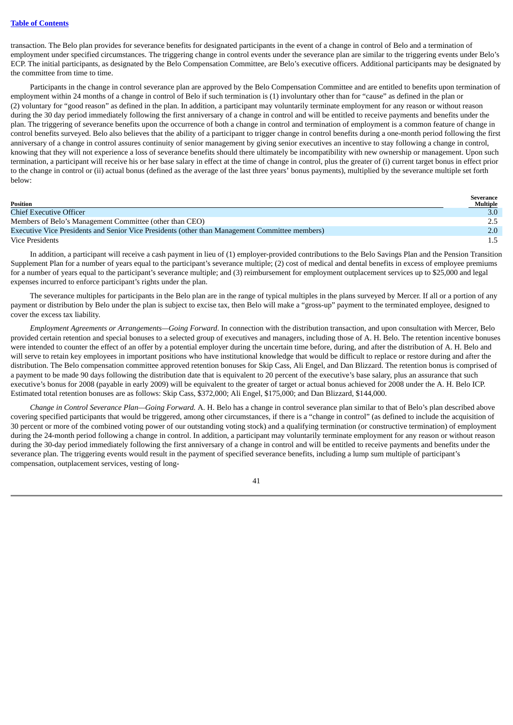transaction. The Belo plan provides for severance benefits for designated participants in the event of a change in control of Belo and a termination of employment under specified circumstances. The triggering change in control events under the severance plan are similar to the triggering events under Belo's ECP. The initial participants, as designated by the Belo Compensation Committee, are Belo's executive officers. Additional participants may be designated by the committee from time to time.

Participants in the change in control severance plan are approved by the Belo Compensation Committee and are entitled to benefits upon termination of employment within 24 months of a change in control of Belo if such termination is (1) involuntary other than for "cause" as defined in the plan or (2) voluntary for "good reason" as defined in the plan. In addition, a participant may voluntarily terminate employment for any reason or without reason during the 30 day period immediately following the first anniversary of a change in control and will be entitled to receive payments and benefits under the plan. The triggering of severance benefits upon the occurrence of both a change in control and termination of employment is a common feature of change in control benefits surveyed. Belo also believes that the ability of a participant to trigger change in control benefits during a one-month period following the first anniversary of a change in control assures continuity of senior management by giving senior executives an incentive to stay following a change in control, knowing that they will not experience a loss of severance benefits should there ultimately be incompatibility with new ownership or management. Upon such termination, a participant will receive his or her base salary in effect at the time of change in control, plus the greater of (i) current target bonus in effect prior to the change in control or (ii) actual bonus (defined as the average of the last three years' bonus payments), multiplied by the severance multiple set forth below:

| Position                                                                                       | Severance<br>Multiple |
|------------------------------------------------------------------------------------------------|-----------------------|
| <b>Chief Executive Officer</b>                                                                 | 3.0 <sub>1</sub>      |
| Members of Belo's Management Committee (other than CEO)                                        | 2.5                   |
| Executive Vice Presidents and Senior Vice Presidents (other than Management Committee members) | $2.0^{\circ}$         |
| <b>Vice Presidents</b>                                                                         | $1.5 -$               |

In addition, a participant will receive a cash payment in lieu of (1) employer-provided contributions to the Belo Savings Plan and the Pension Transition Supplement Plan for a number of years equal to the participant's severance multiple; (2) cost of medical and dental benefits in excess of employee premiums for a number of years equal to the participant's severance multiple; and (3) reimbursement for employment outplacement services up to \$25,000 and legal expenses incurred to enforce participant's rights under the plan.

The severance multiples for participants in the Belo plan are in the range of typical multiples in the plans surveyed by Mercer. If all or a portion of any payment or distribution by Belo under the plan is subject to excise tax, then Belo will make a "gross-up" payment to the terminated employee, designed to cover the excess tax liability.

*Employment Agreements or Arrangements—Going Forward*. In connection with the distribution transaction, and upon consultation with Mercer, Belo provided certain retention and special bonuses to a selected group of executives and managers, including those of A. H. Belo. The retention incentive bonuses were intended to counter the effect of an offer by a potential employer during the uncertain time before, during, and after the distribution of A. H. Belo and will serve to retain key employees in important positions who have institutional knowledge that would be difficult to replace or restore during and after the distribution. The Belo compensation committee approved retention bonuses for Skip Cass, Ali Engel, and Dan Blizzard. The retention bonus is comprised of a payment to be made 90 days following the distribution date that is equivalent to 20 percent of the executive's base salary, plus an assurance that such executive's bonus for 2008 (payable in early 2009) will be equivalent to the greater of target or actual bonus achieved for 2008 under the A. H. Belo ICP. Estimated total retention bonuses are as follows: Skip Cass, \$372,000; Ali Engel, \$175,000; and Dan Blizzard, \$144,000.

*Change in Control Severance Plan—Going Forward.* A. H. Belo has a change in control severance plan similar to that of Belo's plan described above covering specified participants that would be triggered, among other circumstances, if there is a "change in control" (as defined to include the acquisition of 30 percent or more of the combined voting power of our outstanding voting stock) and a qualifying termination (or constructive termination) of employment during the 24-month period following a change in control. In addition, a participant may voluntarily terminate employment for any reason or without reason during the 30-day period immediately following the first anniversary of a change in control and will be entitled to receive payments and benefits under the severance plan. The triggering events would result in the payment of specified severance benefits, including a lump sum multiple of participant's compensation, outplacement services, vesting of long-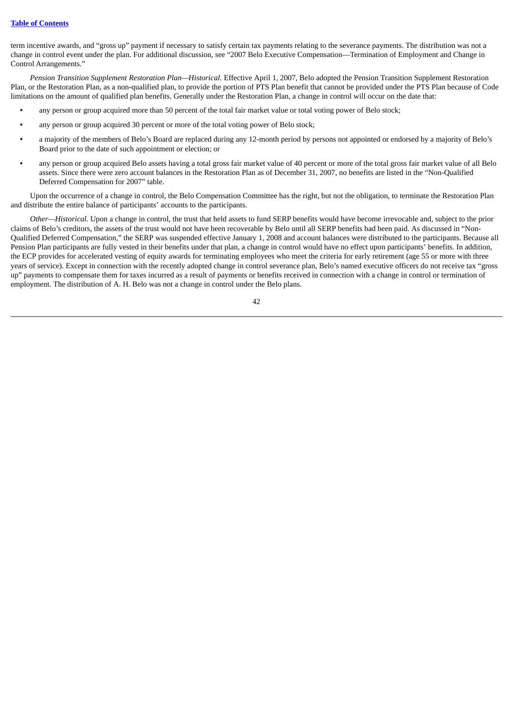term incentive awards, and "gross up" payment if necessary to satisfy certain tax payments relating to the severance payments. The distribution was not a change in control event under the plan. For additional discussion, see "2007 Belo Executive Compensation—Termination of Employment and Change in Control Arrangements."

*Pension Transition Supplement Restoration Plan—Historical.* Effective April 1, 2007, Belo adopted the Pension Transition Supplement Restoration Plan, or the Restoration Plan, as a non-qualified plan, to provide the portion of PTS Plan benefit that cannot be provided under the PTS Plan because of Code limitations on the amount of qualified plan benefits. Generally under the Restoration Plan, a change in control will occur on the date that:

- **•** any person or group acquired more than 50 percent of the total fair market value or total voting power of Belo stock;
- **•** any person or group acquired 30 percent or more of the total voting power of Belo stock;
- **•** a majority of the members of Belo's Board are replaced during any 12-month period by persons not appointed or endorsed by a majority of Belo's Board prior to the date of such appointment or election; or
- **•** any person or group acquired Belo assets having a total gross fair market value of 40 percent or more of the total gross fair market value of all Belo assets. Since there were zero account balances in the Restoration Plan as of December 31, 2007, no benefits are listed in the "Non-Qualified Deferred Compensation for 2007" table.

Upon the occurrence of a change in control, the Belo Compensation Committee has the right, but not the obligation, to terminate the Restoration Plan and distribute the entire balance of participants' accounts to the participants.

*Other—Historical.* Upon a change in control, the trust that held assets to fund SERP benefits would have become irrevocable and, subject to the prior claims of Belo's creditors, the assets of the trust would not have been recoverable by Belo until all SERP benefits had been paid. As discussed in "Non-Qualified Deferred Compensation," the SERP was suspended effective January 1, 2008 and account balances were distributed to the participants. Because all Pension Plan participants are fully vested in their benefits under that plan, a change in control would have no effect upon participants' benefits. In addition, the ECP provides for accelerated vesting of equity awards for terminating employees who meet the criteria for early retirement (age 55 or more with three years of service). Except in connection with the recently adopted change in control severance plan, Belo's named executive officers do not receive tax "gross up" payments to compensate them for taxes incurred as a result of payments or benefits received in connection with a change in control or termination of employment. The distribution of A. H. Belo was not a change in control under the Belo plans.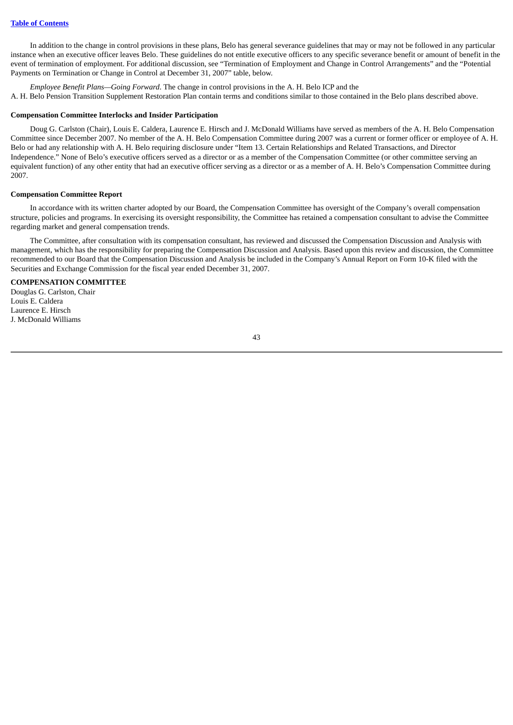In addition to the change in control provisions in these plans, Belo has general severance guidelines that may or may not be followed in any particular instance when an executive officer leaves Belo. These guidelines do not entitle executive officers to any specific severance benefit or amount of benefit in the event of termination of employment. For additional discussion, see "Termination of Employment and Change in Control Arrangements" and the "Potential Payments on Termination or Change in Control at December 31, 2007" table, below.

*Employee Benefit Plans—Going Forward*. The change in control provisions in the A. H. Belo ICP and the A. H. Belo Pension Transition Supplement Restoration Plan contain terms and conditions similar to those contained in the Belo plans described above.

#### **Compensation Committee Interlocks and Insider Participation**

Doug G. Carlston (Chair), Louis E. Caldera, Laurence E. Hirsch and J. McDonald Williams have served as members of the A. H. Belo Compensation Committee since December 2007. No member of the A. H. Belo Compensation Committee during 2007 was a current or former officer or employee of A. H. Belo or had any relationship with A. H. Belo requiring disclosure under "Item 13. Certain Relationships and Related Transactions, and Director Independence." None of Belo's executive officers served as a director or as a member of the Compensation Committee (or other committee serving an equivalent function) of any other entity that had an executive officer serving as a director or as a member of A. H. Belo's Compensation Committee during 2007.

#### **Compensation Committee Report**

In accordance with its written charter adopted by our Board, the Compensation Committee has oversight of the Company's overall compensation structure, policies and programs. In exercising its oversight responsibility, the Committee has retained a compensation consultant to advise the Committee regarding market and general compensation trends.

The Committee, after consultation with its compensation consultant, has reviewed and discussed the Compensation Discussion and Analysis with management, which has the responsibility for preparing the Compensation Discussion and Analysis. Based upon this review and discussion, the Committee recommended to our Board that the Compensation Discussion and Analysis be included in the Company's Annual Report on Form 10-K filed with the Securities and Exchange Commission for the fiscal year ended December 31, 2007.

### **COMPENSATION COMMITTEE**

Douglas G. Carlston, Chair Louis E. Caldera Laurence E. Hirsch J. McDonald Williams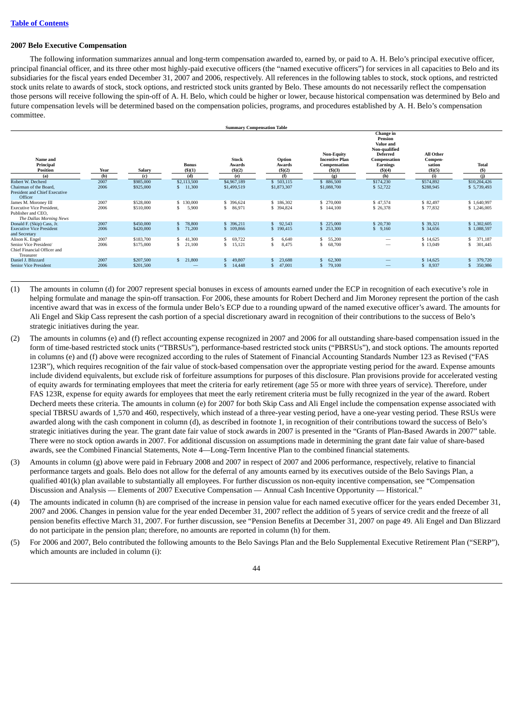#### **2007 Belo Executive Compensation**

The following information summarizes annual and long-term compensation awarded to, earned by, or paid to A. H. Belo's principal executive officer, principal financial officer, and its three other most highly-paid executive officers (the "named executive officers") for services in all capacities to Belo and its subsidiaries for the fiscal years ended December 31, 2007 and 2006, respectively. All references in the following tables to stock, stock options, and restricted stock units relate to awards of stock, stock options, and restricted stock units granted by Belo. These amounts do not necessarily reflect the compensation those persons will receive following the spin-off of A. H. Belo, which could be higher or lower, because historical compensation was determined by Belo and future compensation levels will be determined based on the compensation policies, programs, and procedures established by A. H. Belo's compensation committee.

|                                                                                                           | <b>Summary Compensation Table</b> |                        |                               |                                       |                                 |                                                                      |                                                                                                                    |                                          |                             |
|-----------------------------------------------------------------------------------------------------------|-----------------------------------|------------------------|-------------------------------|---------------------------------------|---------------------------------|----------------------------------------------------------------------|--------------------------------------------------------------------------------------------------------------------|------------------------------------------|-----------------------------|
| Name and<br>Principal<br><b>Position</b>                                                                  | Year                              | Salary                 | <b>Bonus</b><br>$($ \$ $)(1)$ | <b>Stock</b><br>Awards<br>$($ ) $(2)$ | Option<br>Awards<br>$($ ) $(2)$ | <b>Non-Equity</b><br><b>Incentive Plan</b><br>Compensation<br>(5)(3) | Change in<br>Pension<br>Value and<br>Non-qualified<br><b>Deferred</b><br>Compensation<br>Earnings<br>$($ \$ $)(4)$ | All Other<br>Compen-<br>sation<br>\$)(5) | <b>Total</b><br>(S)         |
| (a)                                                                                                       | (b)                               | (c)                    | (d)                           | (e)                                   | (f)                             | (g)                                                                  | (h)                                                                                                                | (i)                                      | (i)                         |
| Robert W. Decherd<br>Chairman of the Board,<br><b>President and Chief Executive</b><br>Officer            | 2007<br>2006                      | \$985,000<br>\$925,000 | \$2,113,500<br>11,300         | \$4,967,189<br>\$1,499,519            | \$503,115<br>\$1,873,307        | \$ 886,500<br>\$1,088,700                                            | \$174,230<br>\$52,722                                                                                              | \$574,892<br>\$288,945                   | \$10,204,426<br>\$5,739,493 |
| James M. Moroney III<br><b>Executive Vice President.</b><br>Publisher and CEO.<br>The Dallas Morning News | 2007<br>2006                      | \$528,000<br>\$510,000 | 130,000<br>S.<br>5,900<br>\$  | \$ 396,624<br>86,971<br>\$            | \$186,302<br>\$ 394,824         | \$ 270,000<br>\$144,100                                              | \$47,574<br>\$ 26,378                                                                                              | \$82,497<br>\$77,832                     | \$1,640,997<br>\$1,246,005  |
| Donald F. (Skip) Cass, Jr.<br><b>Executive Vice President</b><br>and Secretary                            | 2007<br>2006                      | \$450,000<br>\$420,000 | 78,800<br>71,200<br>£.        | 396,211<br>\$109,866                  | 92,543<br>\$190,415             | \$225,000<br>\$253,300                                               | \$ 20,730<br>\$9,160                                                                                               | \$ 39,321<br>\$ 34,656                   | \$1,302,605<br>\$1,088,597  |
| Alison K. Engel<br>Senior Vice President/<br>Chief Financial Officer and<br>Treasurer                     | 2007<br>2006                      | \$183,700<br>\$175,000 | 41,300<br>\$.<br>21,100<br>S  | 69,722<br>15,121<br>\$.               | 6,640<br>8,475                  | 55,200<br>68,700<br>s.                                               |                                                                                                                    | \$14,625<br>\$13,049                     | 371,187<br>301,445          |
| Daniel J. Blizzard<br><b>Senior Vice President</b>                                                        | 2007<br>2006                      | \$207,500<br>\$201,500 | 21,800<br>$\mathbf{s}$        | 49,807<br>£.<br>14,448<br>S           | 23,688<br>47,001                | 62,300<br>\$<br>79,100<br>\$.                                        |                                                                                                                    | \$14,625<br>\$8,937                      | 379,720<br>350,986          |

- (1) The amounts in column (d) for 2007 represent special bonuses in excess of amounts earned under the ECP in recognition of each executive's role in helping formulate and manage the spin-off transaction. For 2006, these amounts for Robert Decherd and Jim Moroney represent the portion of the cash incentive award that was in excess of the formula under Belo's ECP due to a rounding upward of the named executive officer's award. The amounts for Ali Engel and Skip Cass represent the cash portion of a special discretionary award in recognition of their contributions to the success of Belo's strategic initiatives during the year.
- (2) The amounts in columns (e) and (f) reflect accounting expense recognized in 2007 and 2006 for all outstanding share-based compensation issued in the form of time-based restricted stock units ("TBRSUs"), performance-based restricted stock units ("PBRSUs"), and stock options. The amounts reported in columns (e) and (f) above were recognized according to the rules of Statement of Financial Accounting Standards Number 123 as Revised ("FAS 123R"), which requires recognition of the fair value of stock-based compensation over the appropriate vesting period for the award. Expense amounts include dividend equivalents, but exclude risk of forfeiture assumptions for purposes of this disclosure. Plan provisions provide for accelerated vesting of equity awards for terminating employees that meet the criteria for early retirement (age 55 or more with three years of service). Therefore, under FAS 123R, expense for equity awards for employees that meet the early retirement criteria must be fully recognized in the year of the award. Robert Decherd meets these criteria. The amounts in column (e) for 2007 for both Skip Cass and Ali Engel include the compensation expense associated with special TBRSU awards of 1,570 and 460, respectively, which instead of a three-year vesting period, have a one-year vesting period. These RSUs were awarded along with the cash component in column (d), as described in footnote 1, in recognition of their contributions toward the success of Belo's strategic initiatives during the year. The grant date fair value of stock awards in 2007 is presented in the "Grants of Plan-Based Awards in 2007" table. There were no stock option awards in 2007. For additional discussion on assumptions made in determining the grant date fair value of share-based awards, see the Combined Financial Statements, Note 4—Long-Term Incentive Plan to the combined financial statements.
- (3) Amounts in column (g) above were paid in February 2008 and 2007 in respect of 2007 and 2006 performance, respectively, relative to financial performance targets and goals. Belo does not allow for the deferral of any amounts earned by its executives outside of the Belo Savings Plan, a qualified 401(k) plan available to substantially all employees. For further discussion os non-equity incentive compensation, see "Compensation Discussion and Analysis — Elements of 2007 Executive Compensation — Annual Cash Incentive Opportunity — Historical."
- (4) The amounts indicated in column (h) are comprised of the increase in pension value for each named executive officer for the years ended December 31, 2007 and 2006. Changes in pension value for the year ended December 31, 2007 reflect the addition of 5 years of service credit and the freeze of all pension benefits effective March 31, 2007. For further discussion, see "Pension Benefits at December 31, 2007 on page 49. Ali Engel and Dan Blizzard do not participate in the pension plan; therefore, no amounts are reported in column (h) for them.
- (5) For 2006 and 2007, Belo contributed the following amounts to the Belo Savings Plan and the Belo Supplemental Executive Retirement Plan ("SERP"), which amounts are included in column (i):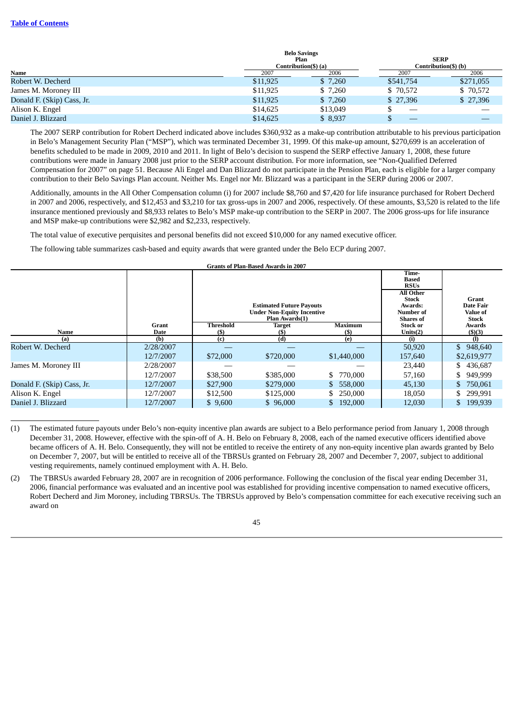#### **Table of [Contents](#page-2-0)**

|                            |          | <b>Belo Savings</b>  |           |                      |
|----------------------------|----------|----------------------|-----------|----------------------|
|                            |          | Plan                 |           | <b>SERP</b>          |
|                            |          | Contribution(\$) (a) |           | Contribution(\$) (b) |
| Name                       | 2007     | 2006                 | 2007      | 2006                 |
| Robert W. Decherd          | \$11,925 | \$7,260              | \$541,754 | \$271,055            |
| James M. Moroney III       | \$11,925 | \$7,260              | \$70,572  | \$70,572             |
| Donald F. (Skip) Cass, Jr. | \$11,925 | \$7,260              | \$27,396  | \$27,396             |
| Alison K. Engel            | \$14,625 | \$13,049             |           |                      |
| Daniel J. Blizzard         | \$14,625 | \$8,937              |           |                      |

The 2007 SERP contribution for Robert Decherd indicated above includes \$360,932 as a make-up contribution attributable to his previous participation in Belo's Management Security Plan ("MSP"), which was terminated December 31, 1999. Of this make-up amount, \$270,699 is an acceleration of benefits scheduled to be made in 2009, 2010 and 2011. In light of Belo's decision to suspend the SERP effective January 1, 2008, these future contributions were made in January 2008 just prior to the SERP account distribution. For more information, see "Non-Qualified Deferred Compensation for 2007" on page 51. Because Ali Engel and Dan Blizzard do not participate in the Pension Plan, each is eligible for a larger company contribution to their Belo Savings Plan account. Neither Ms. Engel nor Mr. Blizzard was a participant in the SERP during 2006 or 2007.

Additionally, amounts in the All Other Compensation column (i) for 2007 include \$8,760 and \$7,420 for life insurance purchased for Robert Decherd in 2007 and 2006, respectively, and \$12,453 and \$3,210 for tax gross-ups in 2007 and 2006, respectively. Of these amounts, \$3,520 is related to the life insurance mentioned previously and \$8,933 relates to Belo's MSP make-up contribution to the SERP in 2007. The 2006 gross-ups for life insurance and MSP make-up contributions were \$2,982 and \$2,233, respectively.

The total value of executive perquisites and personal benefits did not exceed \$10,000 for any named executive officer.

The following table summarizes cash-based and equity awards that were granted under the Belo ECP during 2007.

| <b>Grants of Plan-Based Awards in 2007</b> |           |                  |                                                                                        |                |                                                                                                               |                                         |
|--------------------------------------------|-----------|------------------|----------------------------------------------------------------------------------------|----------------|---------------------------------------------------------------------------------------------------------------|-----------------------------------------|
|                                            |           |                  | <b>Estimated Future Payouts</b><br><b>Under Non-Equity Incentive</b><br>Plan Awards(1) |                | Time-<br><b>Based</b><br><b>RSUs</b><br>All Other<br><b>Stock</b><br>Awards:<br>Number of<br><b>Shares</b> of | Grant<br>Date Fair<br>Value of<br>Stock |
|                                            | Grant     | <b>Threshold</b> | Target                                                                                 | <b>Maximum</b> | Stock or                                                                                                      | Awards                                  |
| Name                                       | Date      | $($)$            | (5)                                                                                    | (5)            | Units $(2)$                                                                                                   | (5)(3)                                  |
| (a)                                        | (b)       | (c)              | (d)                                                                                    | (e)            |                                                                                                               | $\Omega$                                |
| Robert W. Decherd                          | 2/28/2007 |                  |                                                                                        |                | 50,920                                                                                                        | \$948,640                               |
|                                            | 12/7/2007 | \$72,000         | \$720,000                                                                              | \$1,440,000    | 157,640                                                                                                       | \$2,619,977                             |
| James M. Moroney III                       | 2/28/2007 |                  |                                                                                        |                | 23,440                                                                                                        | \$436,687                               |
|                                            | 12/7/2007 | \$38,500         | \$385,000                                                                              | 770,000<br>S.  | 57,160                                                                                                        | \$949,999                               |
| Donald F. (Skip) Cass, Jr.                 | 12/7/2007 | \$27,900         | \$279,000                                                                              | \$ 558,000     | 45,130                                                                                                        | \$ 750,061                              |
| Alison K. Engel                            | 12/7/2007 | \$12,500         | \$125,000                                                                              | \$250,000      | 18,050                                                                                                        | \$ 299,991                              |
| Daniel J. Blizzard                         | 12/7/2007 | \$9,600          | \$96,000                                                                               | \$192,000      | 12,030                                                                                                        | \$ 199,939                              |

**Grants of Plan-Based Awards in 2007**

- (1) The estimated future payouts under Belo's non-equity incentive plan awards are subject to a Belo performance period from January 1, 2008 through December 31, 2008. However, effective with the spin-off of A. H. Belo on February 8, 2008, each of the named executive officers identified above became officers of A. H. Belo. Consequently, they will not be entitled to receive the entirety of any non-equity incentive plan awards granted by Belo on December 7, 2007, but will be entitled to receive all of the TBRSUs granted on February 28, 2007 and December 7, 2007, subject to additional vesting requirements, namely continued employment with A. H. Belo.
- (2) The TBRSUs awarded February 28, 2007 are in recognition of 2006 performance. Following the conclusion of the fiscal year ending December 31, 2006, financial performance was evaluated and an incentive pool was established for providing incentive compensation to named executive officers, Robert Decherd and Jim Moroney, including TBRSUs. The TBRSUs approved by Belo's compensation committee for each executive receiving such an award on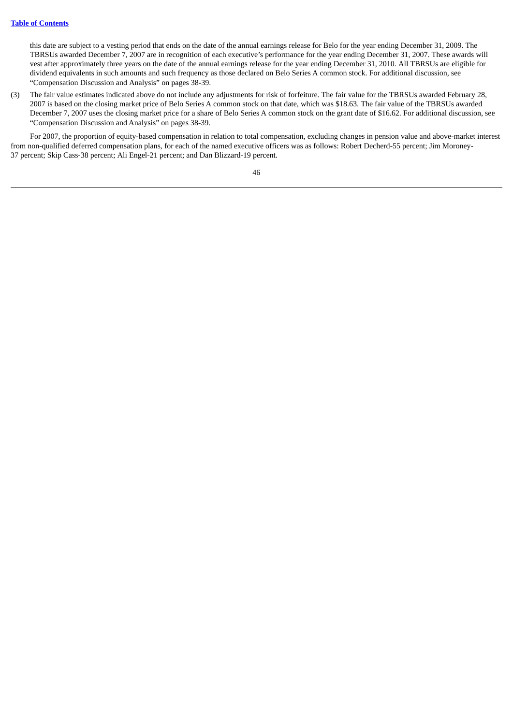this date are subject to a vesting period that ends on the date of the annual earnings release for Belo for the year ending December 31, 2009. The TBRSUs awarded December 7, 2007 are in recognition of each executive's performance for the year ending December 31, 2007. These awards will vest after approximately three years on the date of the annual earnings release for the year ending December 31, 2010. All TBRSUs are eligible for dividend equivalents in such amounts and such frequency as those declared on Belo Series A common stock. For additional discussion, see "Compensation Discussion and Analysis" on pages 38-39.

(3) The fair value estimates indicated above do not include any adjustments for risk of forfeiture. The fair value for the TBRSUs awarded February 28, 2007 is based on the closing market price of Belo Series A common stock on that date, which was \$18.63. The fair value of the TBRSUs awarded December 7, 2007 uses the closing market price for a share of Belo Series A common stock on the grant date of \$16.62. For additional discussion, see "Compensation Discussion and Analysis" on pages 38-39.

For 2007, the proportion of equity-based compensation in relation to total compensation, excluding changes in pension value and above-market interest from non-qualified deferred compensation plans, for each of the named executive officers was as follows: Robert Decherd-55 percent; Jim Moroney-37 percent; Skip Cass-38 percent; Ali Engel-21 percent; and Dan Blizzard-19 percent.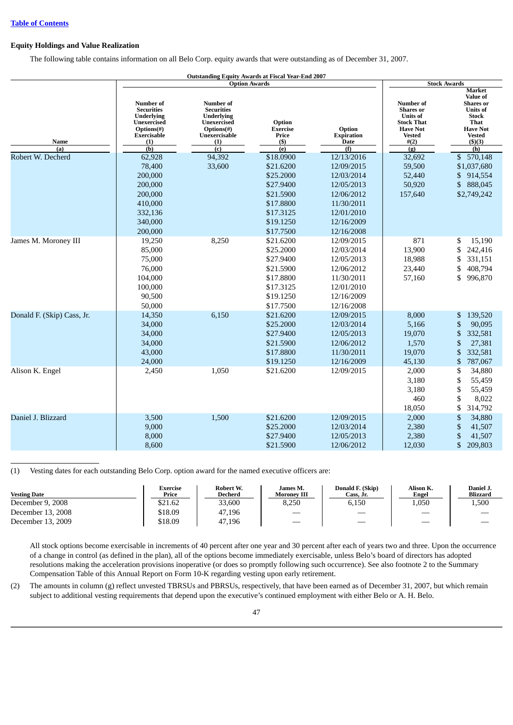### **Equity Holdings and Value Realization**

The following table contains information on all Belo Corp. equity awards that were outstanding as of December 31, 2007.

|                            |                                                                                                                             | <b>Outstanding Equity Awards at Fiscal Year-End 2007</b>                                                        |                                                                                                                   |                                                                                                                            |                                                                                                                          |                                                                                                                                                              |
|----------------------------|-----------------------------------------------------------------------------------------------------------------------------|-----------------------------------------------------------------------------------------------------------------|-------------------------------------------------------------------------------------------------------------------|----------------------------------------------------------------------------------------------------------------------------|--------------------------------------------------------------------------------------------------------------------------|--------------------------------------------------------------------------------------------------------------------------------------------------------------|
|                            |                                                                                                                             | <b>Option Awards</b>                                                                                            |                                                                                                                   |                                                                                                                            |                                                                                                                          | <b>Stock Awards</b>                                                                                                                                          |
| <b>Name</b>                | <b>Number</b> of<br><b>Securities</b><br><b>Underlying</b><br><b>Unexercised</b><br>Options(#)<br><b>Exercisable</b><br>(1) | <b>Number</b> of<br><b>Securities</b><br><b>Underlying</b><br>Unexercised<br>Options(#)<br>Unexercisable<br>(1) | Option<br><b>Exercise</b><br>Price<br>$($ \$                                                                      | Option<br><b>Expiration</b><br>Date                                                                                        | <b>Number</b> of<br><b>Shares</b> or<br><b>Units of</b><br><b>Stock That</b><br><b>Have Not</b><br><b>Vested</b><br>#(2) | <b>Market</b><br><b>Value of</b><br><b>Shares</b> or<br><b>Units of</b><br><b>Stock</b><br><b>That</b><br><b>Have Not</b><br><b>Vested</b><br>$($ \$) $($ 3) |
| (a)                        | (b)                                                                                                                         | $\overline{c}$                                                                                                  | (e)                                                                                                               | (f)                                                                                                                        | (g)                                                                                                                      | (h)                                                                                                                                                          |
| Robert W. Decherd          | 62,928<br>78,400<br>200,000<br>200,000<br>200,000<br>410,000<br>332,136<br>340,000<br>200,000                               | 94,392<br>33,600                                                                                                | \$18.0900<br>\$21.6200<br>\$25.2000<br>\$27.9400<br>\$21.5900<br>\$17.8800<br>\$17.3125<br>\$19.1250<br>\$17.7500 | 12/13/2016<br>12/09/2015<br>12/03/2014<br>12/05/2013<br>12/06/2012<br>11/30/2011<br>12/01/2010<br>12/16/2009<br>12/16/2008 | 32,692<br>59,500<br>52,440<br>50,920<br>157,640                                                                          | \$ 570,148<br>\$1,037,680<br>\$<br>914,554<br>\$<br>888,045<br>\$2,749,242                                                                                   |
| James M. Moroney III       | 19,250<br>85,000<br>75,000<br>76,000<br>104,000<br>100,000<br>90,500<br>50,000                                              | 8,250                                                                                                           | \$21.6200<br>\$25.2000<br>\$27.9400<br>\$21.5900<br>\$17.8800<br>\$17.3125<br>\$19.1250<br>\$17.7500              | 12/09/2015<br>12/03/2014<br>12/05/2013<br>12/06/2012<br>11/30/2011<br>12/01/2010<br>12/16/2009<br>12/16/2008               | 871<br>13,900<br>18,988<br>23,440<br>57,160                                                                              | \$<br>15,190<br>242,416<br>\$<br>\$<br>331,151<br>408,794<br>\$<br>996,870<br>\$                                                                             |
| Donald F. (Skip) Cass, Jr. | 14,350<br>34,000<br>34,000<br>34,000<br>43,000<br>24,000                                                                    | 6,150                                                                                                           | \$21.6200<br>\$25,2000<br>\$27.9400<br>\$21.5900<br>\$17.8800<br>\$19.1250                                        | 12/09/2015<br>12/03/2014<br>12/05/2013<br>12/06/2012<br>11/30/2011<br>12/16/2009                                           | 8,000<br>5,166<br>19,070<br>1,570<br>19,070<br>45,130                                                                    | 139,520<br>\$<br>\$<br>90,095<br>\$<br>332,581<br>\$<br>27,381<br>\$<br>332,581<br>\$<br>787,067                                                             |
| Alison K. Engel            | 2,450                                                                                                                       | 1,050                                                                                                           | \$21.6200                                                                                                         | 12/09/2015                                                                                                                 | 2,000<br>3,180<br>3,180<br>460<br>18,050                                                                                 | \$<br>34,880<br>\$<br>55,459<br>\$<br>55,459<br>\$<br>8,022<br>\$<br>314,792                                                                                 |
| Daniel J. Blizzard         | 3,500<br>9,000<br>8,000<br>8,600                                                                                            | 1,500                                                                                                           | \$21.6200<br>\$25.2000<br>\$27.9400<br>\$21.5900                                                                  | 12/09/2015<br>12/03/2014<br>12/05/2013<br>12/06/2012                                                                       | 2,000<br>2,380<br>2,380<br>12,030                                                                                        | \$<br>34,880<br>\$<br>41,507<br>\$<br>41,507<br>\$<br>209,803                                                                                                |

(1) Vesting dates for each outstanding Belo Corp. option award for the named executive officers are:

| <b>Vesting Date</b> | <b>Exercise</b><br>Price | Robert W.<br>Decherd | James M.<br><b>Moronev III</b> | Donald F. (Skip)<br>Cass, Jr. | Alison K.<br>Engel | Daniel J.<br><b>Blizzard</b>  |
|---------------------|--------------------------|----------------------|--------------------------------|-------------------------------|--------------------|-------------------------------|
| December 9, 2008    | \$21.62                  | 33.600               | 8,250                          | 6,150                         | 1,050              | 1,500                         |
| December 13, 2008   | \$18.09                  | 47,196               |                                |                               |                    | $\overbrace{\phantom{12333}}$ |
| December 13, 2009   | \$18.09                  | 47,196               | $\overbrace{\phantom{12332}}$  |                               |                    | $\overline{\phantom{a}}$      |

All stock options become exercisable in increments of 40 percent after one year and 30 percent after each of years two and three. Upon the occurrence of a change in control (as defined in the plan), all of the options become immediately exercisable, unless Belo's board of directors has adopted resolutions making the acceleration provisions inoperative (or does so promptly following such occurrence). See also footnote 2 to the Summary Compensation Table of this Annual Report on Form 10-K regarding vesting upon early retirement.

(2) The amounts in column (g) reflect unvested TBRSUs and PBRSUs, respectively, that have been earned as of December 31, 2007, but which remain subject to additional vesting requirements that depend upon the executive's continued employment with either Belo or A. H. Belo.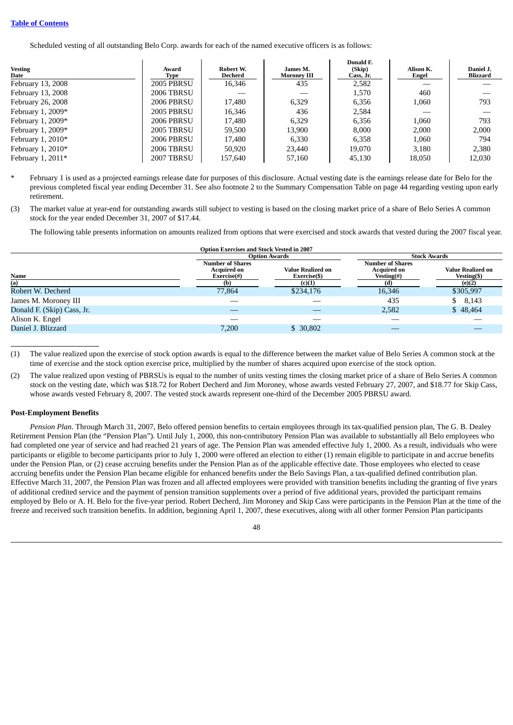Scheduled vesting of all outstanding Belo Corp. awards for each of the named executive officers is as follows:

| <b>Vesting</b><br>Date | Award<br>Type     | Robert W.<br>Decherd | James M.<br><b>Moroney III</b> | Donald F.<br>(Skip)<br>Cass, Jr. | Alison K.<br>Engel | Daniel J.<br><b>Blizzard</b> |
|------------------------|-------------------|----------------------|--------------------------------|----------------------------------|--------------------|------------------------------|
| February 13, 2008      | <b>2005 PBRSU</b> | 16,346               | 435                            | 2,582                            |                    |                              |
| February 13, 2008      | <b>2006 TBRSU</b> |                      |                                | 1,570                            | 460                |                              |
| February 26, 2008      | <b>2006 PBRSU</b> | 17.480               | 6,329                          | 6.356                            | 1,060              | 793                          |
| February 1, 2009*      | <b>2005 PBRSU</b> | 16.346               | 436                            | 2.584                            |                    |                              |
| February 1, 2009*      | <b>2006 PBRSU</b> | 17,480               | 6.329                          | 6.356                            | 1.060              | 793                          |
| February 1, 2009*      | <b>2005 TBRSU</b> | 59,500               | 13,900                         | 8.000                            | 2,000              | 2,000                        |
| February 1, 2010*      | <b>2006 PBRSU</b> | 17.480               | 6.330                          | 6,358                            | 1.060              | 794                          |
| February 1, 2010*      | <b>2006 TBRSU</b> | 50.920               | 23,440                         | 19.070                           | 3.180              | 2,380                        |
| February 1, $2011*$    | <b>2007 TBRSU</b> | 157,640              | 57,160                         | 45,130                           | 18,050             | 12,030                       |

February 1 is used as a projected earnings release date for purposes of this disclosure. Actual vesting date is the earnings release date for Belo for the previous completed fiscal year ending December 31. See also footnote 2 to the Summary Compensation Table on page 44 regarding vesting upon early retirement.

(3) The market value at year-end for outstanding awards still subject to vesting is based on the closing market price of a share of Belo Series A common stock for the year ended December 31, 2007 of \$17.44.

The following table presents information on amounts realized from options that were exercised and stock awards that vested during the 2007 fiscal year.

|                            | <b>Option Exercises and Stock Vested in 2007</b>             |                                   |                                                                     |                                         |
|----------------------------|--------------------------------------------------------------|-----------------------------------|---------------------------------------------------------------------|-----------------------------------------|
|                            |                                                              | <b>Option Awards</b>              |                                                                     | <b>Stock Awards</b>                     |
| <b>Name</b>                | <b>Number of Shares</b><br><b>Acquired on</b><br>Exercise(#) | Value Realized on<br>Exercise(\$) | <b>Number of Shares</b><br><b>Acquired on</b><br><b>Vesting</b> (#) | <b>Value Realized on</b><br>Vesting(\$) |
| (a)                        | (b)                                                          | (c)(1)                            | (d)                                                                 | (e)(2)                                  |
| Robert W. Decherd          | 77,864                                                       | \$234,176                         | 16,346                                                              | \$305,997                               |
| James M. Moroney III       |                                                              |                                   | 435                                                                 | 8,143<br>\$                             |
| Donald F. (Skip) Cass, Jr. | _                                                            |                                   | 2,582                                                               | \$48,464                                |
| Alison K. Engel            | __                                                           |                                   |                                                                     |                                         |
| Daniel J. Blizzard         | 7,200                                                        | \$30,802                          |                                                                     |                                         |
|                            |                                                              |                                   |                                                                     |                                         |

(1) The value realized upon the exercise of stock option awards is equal to the difference between the market value of Belo Series A common stock at the time of exercise and the stock option exercise price, multiplied by the number of shares acquired upon exercise of the stock option.

(2) The value realized upon vesting of PBRSUs is equal to the number of units vesting times the closing market price of a share of Belo Series A common stock on the vesting date, which was \$18.72 for Robert Decherd and Jim Moroney, whose awards vested February 27, 2007, and \$18.77 for Skip Cass, whose awards vested February 8, 2007. The vested stock awards represent one-third of the December 2005 PBRSU award.

### **Post-Employment Benefits**

*Pension Plan*. Through March 31, 2007, Belo offered pension benefits to certain employees through its tax-qualified pension plan, The G. B. Dealey Retirement Pension Plan (the "Pension Plan"). Until July 1, 2000, this non-contributory Pension Plan was available to substantially all Belo employees who had completed one year of service and had reached 21 years of age. The Pension Plan was amended effective July 1, 2000. As a result, individuals who were participants or eligible to become participants prior to July 1, 2000 were offered an election to either (1) remain eligible to participate in and accrue benefits under the Pension Plan, or (2) cease accruing benefits under the Pension Plan as of the applicable effective date. Those employees who elected to cease accruing benefits under the Pension Plan became eligible for enhanced benefits under the Belo Savings Plan, a tax-qualified defined contribution plan. Effective March 31, 2007, the Pension Plan was frozen and all affected employees were provided with transition benefits including the granting of five years of additional credited service and the payment of pension transition supplements over a period of five additional years, provided the participant remains employed by Belo or A. H. Belo for the five-year period. Robert Decherd, Jim Moroney and Skip Cass were participants in the Pension Plan at the time of the freeze and received such transition benefits. In addition, beginning April 1, 2007, these executives, along with all other former Pension Plan participants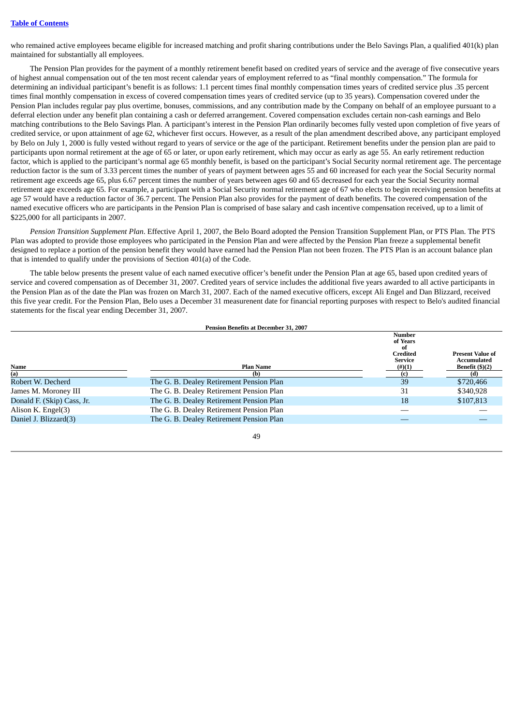who remained active employees became eligible for increased matching and profit sharing contributions under the Belo Savings Plan, a qualified 401(k) plan maintained for substantially all employees.

The Pension Plan provides for the payment of a monthly retirement benefit based on credited years of service and the average of five consecutive years of highest annual compensation out of the ten most recent calendar years of employment referred to as "final monthly compensation." The formula for determining an individual participant's benefit is as follows: 1.1 percent times final monthly compensation times years of credited service plus .35 percent times final monthly compensation in excess of covered compensation times years of credited service (up to 35 years). Compensation covered under the Pension Plan includes regular pay plus overtime, bonuses, commissions, and any contribution made by the Company on behalf of an employee pursuant to a deferral election under any benefit plan containing a cash or deferred arrangement. Covered compensation excludes certain non-cash earnings and Belo matching contributions to the Belo Savings Plan. A participant's interest in the Pension Plan ordinarily becomes fully vested upon completion of five years of credited service, or upon attainment of age 62, whichever first occurs. However, as a result of the plan amendment described above, any participant employed by Belo on July 1, 2000 is fully vested without regard to years of service or the age of the participant. Retirement benefits under the pension plan are paid to participants upon normal retirement at the age of 65 or later, or upon early retirement, which may occur as early as age 55. An early retirement reduction factor, which is applied to the participant's normal age 65 monthly benefit, is based on the participant's Social Security normal retirement age. The percentage reduction factor is the sum of 3.33 percent times the number of years of payment between ages 55 and 60 increased for each year the Social Security normal retirement age exceeds age 65, plus 6.67 percent times the number of years between ages 60 and 65 decreased for each year the Social Security normal retirement age exceeds age 65. For example, a participant with a Social Security normal retirement age of 67 who elects to begin receiving pension benefits at age 57 would have a reduction factor of 36.7 percent. The Pension Plan also provides for the payment of death benefits. The covered compensation of the named executive officers who are participants in the Pension Plan is comprised of base salary and cash incentive compensation received, up to a limit of \$225,000 for all participants in 2007.

*Pension Transition Supplement Plan*. Effective April 1, 2007, the Belo Board adopted the Pension Transition Supplement Plan, or PTS Plan. The PTS Plan was adopted to provide those employees who participated in the Pension Plan and were affected by the Pension Plan freeze a supplemental benefit designed to replace a portion of the pension benefit they would have earned had the Pension Plan not been frozen. The PTS Plan is an account balance plan that is intended to qualify under the provisions of Section 401(a) of the Code.

The table below presents the present value of each named executive officer's benefit under the Pension Plan at age 65, based upon credited years of service and covered compensation as of December 31, 2007. Credited years of service includes the additional five years awarded to all active participants in the Pension Plan as of the date the Plan was frozen on March 31, 2007. Each of the named executive officers, except Ali Engel and Dan Blizzard, received this five year credit. For the Pension Plan, Belo uses a December 31 measurenent date for financial reporting purposes with respect to Belo's audited financial statements for the fiscal year ending December 31, 2007.

|                            | <b>Pension Benefits at December 31, 2007</b> |                                                                      |                                        |
|----------------------------|----------------------------------------------|----------------------------------------------------------------------|----------------------------------------|
|                            |                                              | <b>Number</b><br>of Years<br>of<br><b>Credited</b><br><b>Service</b> | <b>Present Value of</b><br>Accumulated |
| Name                       | <b>Plan Name</b>                             | $(\#)(1)$                                                            | Benefit $(\frac{5}{2})$                |
| (a)                        | (b)                                          |                                                                      | (d)                                    |
| Robert W. Decherd          | The G. B. Dealey Retirement Pension Plan     | 39                                                                   | \$720,466                              |
| James M. Moroney III       | The G. B. Dealey Retirement Pension Plan     | 31                                                                   | \$340,928                              |
| Donald F. (Skip) Cass, Jr. | The G. B. Dealey Retirement Pension Plan     | 18                                                                   | \$107,813                              |
| Alison K. Engel(3)         | The G. B. Dealey Retirement Pension Plan     |                                                                      |                                        |
| Daniel J. Blizzard(3)      | The G. B. Dealey Retirement Pension Plan     |                                                                      |                                        |
|                            |                                              |                                                                      |                                        |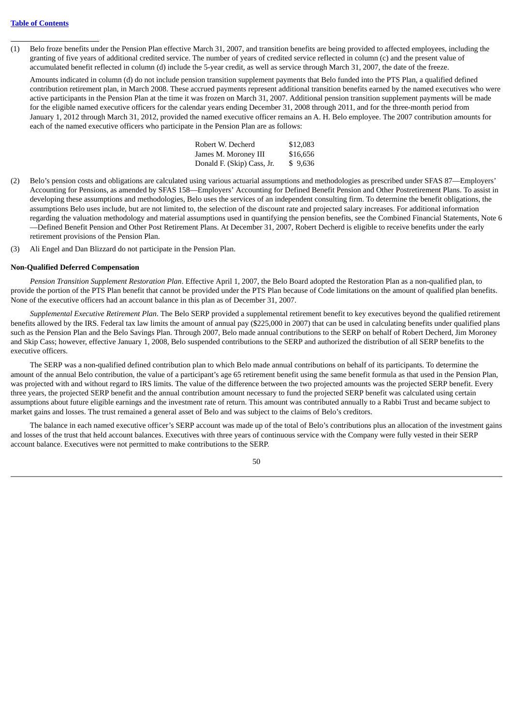(1) Belo froze benefits under the Pension Plan effective March 31, 2007, and transition benefits are being provided to affected employees, including the granting of five years of additional credited service. The number of years of credited service reflected in column (c) and the present value of accumulated benefit reflected in column (d) include the 5-year credit, as well as service through March 31, 2007, the date of the freeze.

Amounts indicated in column (d) do not include pension transition supplement payments that Belo funded into the PTS Plan, a qualified defined contribution retirement plan, in March 2008. These accrued payments represent additional transition benefits earned by the named executives who were active participants in the Pension Plan at the time it was frozen on March 31, 2007. Additional pension transition supplement payments will be made for the eligible named executive officers for the calendar years ending December 31, 2008 through 2011, and for the three-month period from January 1, 2012 through March 31, 2012, provided the named executive officer remains an A. H. Belo employee. The 2007 contribution amounts for each of the named executive officers who participate in the Pension Plan are as follows:

| Robert W. Decherd          | \$12,083 |
|----------------------------|----------|
| James M. Moroney III       | \$16,656 |
| Donald F. (Skip) Cass, Jr. | \$9,636  |

- (2) Belo's pension costs and obligations are calculated using various actuarial assumptions and methodologies as prescribed under SFAS 87—Employers' Accounting for Pensions, as amended by SFAS 158—Employers' Accounting for Defined Benefit Pension and Other Postretirement Plans. To assist in developing these assumptions and methodologies, Belo uses the services of an independent consulting firm. To determine the benefit obligations, the assumptions Belo uses include, but are not limited to, the selection of the discount rate and projected salary increases. For additional information regarding the valuation methodology and material assumptions used in quantifying the pension benefits, see the Combined Financial Statements, Note 6 —Defined Benefit Pension and Other Post Retirement Plans. At December 31, 2007, Robert Decherd is eligible to receive benefits under the early retirement provisions of the Pension Plan.
- (3) Ali Engel and Dan Blizzard do not participate in the Pension Plan.

#### **Non-Qualified Deferred Compensation**

*Pension Transition Supplement Restoration Plan*. Effective April 1, 2007, the Belo Board adopted the Restoration Plan as a non-qualified plan, to provide the portion of the PTS Plan benefit that cannot be provided under the PTS Plan because of Code limitations on the amount of qualified plan benefits. None of the executive officers had an account balance in this plan as of December 31, 2007.

*Supplemental Executive Retirement Plan*. The Belo SERP provided a supplemental retirement benefit to key executives beyond the qualified retirement benefits allowed by the IRS. Federal tax law limits the amount of annual pay (\$225,000 in 2007) that can be used in calculating benefits under qualified plans such as the Pension Plan and the Belo Savings Plan. Through 2007, Belo made annual contributions to the SERP on behalf of Robert Decherd, Jim Moroney and Skip Cass; however, effective January 1, 2008, Belo suspended contributions to the SERP and authorized the distribution of all SERP benefits to the executive officers.

The SERP was a non-qualified defined contribution plan to which Belo made annual contributions on behalf of its participants. To determine the amount of the annual Belo contribution, the value of a participant's age 65 retirement benefit using the same benefit formula as that used in the Pension Plan, was projected with and without regard to IRS limits. The value of the difference between the two projected amounts was the projected SERP benefit. Every three years, the projected SERP benefit and the annual contribution amount necessary to fund the projected SERP benefit was calculated using certain assumptions about future eligible earnings and the investment rate of return. This amount was contributed annually to a Rabbi Trust and became subject to market gains and losses. The trust remained a general asset of Belo and was subject to the claims of Belo's creditors.

The balance in each named executive officer's SERP account was made up of the total of Belo's contributions plus an allocation of the investment gains and losses of the trust that held account balances. Executives with three years of continuous service with the Company were fully vested in their SERP account balance. Executives were not permitted to make contributions to the SERP.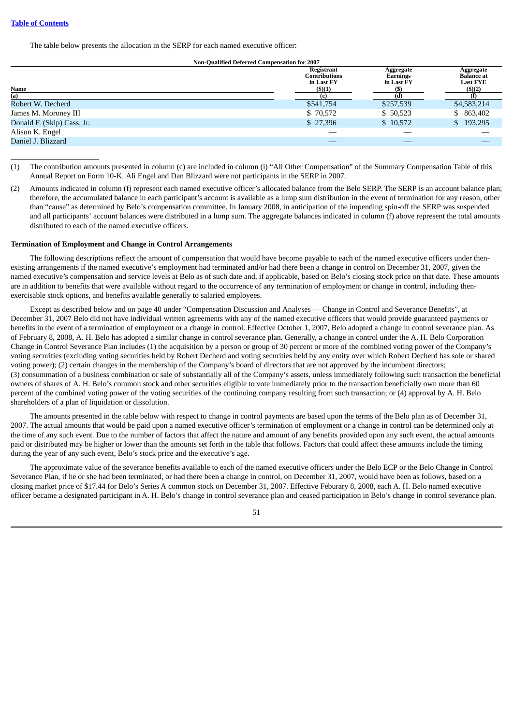The table below presents the allocation in the SERP for each named executive officer:

#### **Non-Qualified Deferred Compensation for 2007**

| Name                       | Registrant<br>Contributions<br>in Last FY<br>(5)(1) | Aggregate<br>Earnings<br>in Last FY | Aggregate<br><b>Balance</b> at<br><b>Last FYE</b><br>(5)(2) |
|----------------------------|-----------------------------------------------------|-------------------------------------|-------------------------------------------------------------|
| (a)                        |                                                     |                                     |                                                             |
| Robert W. Decherd          | \$541,754                                           | \$257,539                           | \$4,583,214                                                 |
| James M. Moroney III       | \$70,572                                            | \$50,523                            | \$ 863,402                                                  |
| Donald F. (Skip) Cass, Jr. | \$27,396                                            | \$10,572                            | \$193,295                                                   |
| Alison K. Engel            |                                                     | __                                  |                                                             |
| Daniel J. Blizzard         |                                                     |                                     |                                                             |

<sup>(1)</sup> The contribution amounts presented in column (c) are included in column (i) "All Other Compensation" of the Summary Compensation Table of this Annual Report on Form 10-K. Ali Engel and Dan Blizzard were not participants in the SERP in 2007.

(2) Amounts indicated in column (f) represent each named executive officer's allocated balance from the Belo SERP. The SERP is an account balance plan; therefore, the accumulated balance in each participant's account is available as a lump sum distribution in the event of termination for any reason, other than "cause" as determined by Belo's compensation committee. In January 2008, in anticipation of the impending spin-off the SERP was suspended and all participants' account balances were distributed in a lump sum. The aggregate balances indicated in column (f) above represent the total amounts distributed to each of the named executive officers.

#### **Termination of Employment and Change in Control Arrangements**

The following descriptions reflect the amount of compensation that would have become payable to each of the named executive officers under thenexisting arrangements if the named executive's employment had terminated and/or had there been a change in control on December 31, 2007, given the named executive's compensation and service levels at Belo as of such date and, if applicable, based on Belo's closing stock price on that date. These amounts are in addition to benefits that were available without regard to the occurrence of any termination of employment or change in control, including thenexercisable stock options, and benefits available generally to salaried employees.

Except as described below and on page 40 under "Compensation Discussion and Analyses — Change in Control and Severance Benefits", at December 31, 2007 Belo did not have individual written agreements with any of the named executive officers that would provide guaranteed payments or benefits in the event of a termination of employment or a change in control. Effective October 1, 2007, Belo adopted a change in control severance plan. As of February 8, 2008, A. H. Belo has adopted a similar change in control severance plan. Generally, a change in control under the A. H. Belo Corporation Change in Control Severance Plan includes (1) the acquisition by a person or group of 30 percent or more of the combined voting power of the Company's voting securities (excluding voting securities held by Robert Decherd and voting securities held by any entity over which Robert Decherd has sole or shared voting power); (2) certain changes in the membership of the Company's board of directors that are not approved by the incumbent directors; (3) consummation of a business combination or sale of substantially all of the Company's assets, unless immediately following such transaction the beneficial owners of shares of A. H. Belo's common stock and other securities eligible to vote immediately prior to the transaction beneficially own more than 60 percent of the combined voting power of the voting securities of the continuing company resulting from such transaction; or (4) approval by A. H. Belo shareholders of a plan of liquidation or dissolution.

The amounts presented in the table below with respect to change in control payments are based upon the terms of the Belo plan as of December 31, 2007. The actual amounts that would be paid upon a named executive officer's termination of employment or a change in control can be determined only at the time of any such event. Due to the number of factors that affect the nature and amount of any benefits provided upon any such event, the actual amounts paid or distributed may be higher or lower than the amounts set forth in the table that follows. Factors that could affect these amounts include the timing during the year of any such event, Belo's stock price and the executive's age.

The approximate value of the severance benefits available to each of the named executive officers under the Belo ECP or the Belo Change in Control Severance Plan, if he or she had been terminated, or had there been a change in control, on December 31, 2007, would have been as follows, based on a closing market price of \$17.44 for Belo's Series A common stock on December 31, 2007. Effective Feburary 8, 2008, each A. H. Belo named executive officer became a designated participant in A. H. Belo's change in control severance plan and ceased participation in Belo's change in control severance plan.

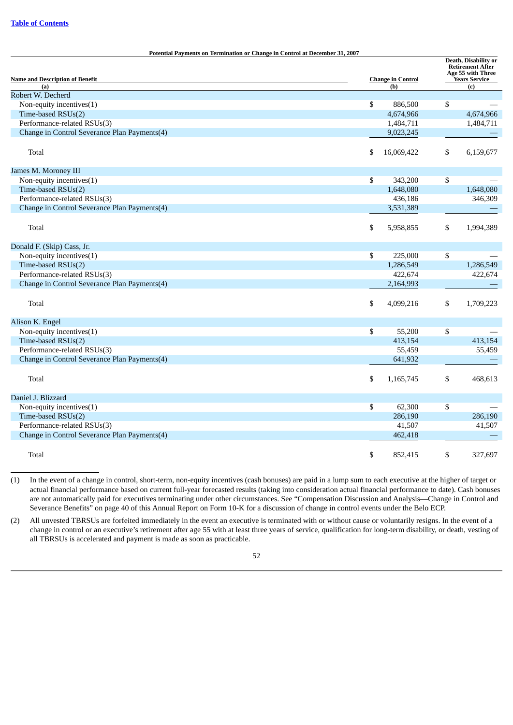| <b>Potential Payments on Termination or Change in Control at December 31, 2007</b> |    |                          |    | Death, Disability or                                                 |  |  |
|------------------------------------------------------------------------------------|----|--------------------------|----|----------------------------------------------------------------------|--|--|
|                                                                                    |    |                          |    | <b>Retirement After</b><br>Age 55 with Three<br><b>Years Service</b> |  |  |
| <b>Name and Description of Benefit</b>                                             |    | <b>Change in Control</b> |    |                                                                      |  |  |
| (a)                                                                                |    | (b)                      |    | (c)                                                                  |  |  |
| Robert W. Decherd                                                                  |    |                          |    |                                                                      |  |  |
| Non-equity incentives(1)                                                           | \$ | 886,500                  | \$ |                                                                      |  |  |
| Time-based RSUs(2)                                                                 |    | 4,674,966                |    | 4,674,966                                                            |  |  |
| Performance-related RSUs(3)                                                        |    | 1,484,711                |    | 1,484,711                                                            |  |  |
| Change in Control Severance Plan Payments(4)                                       |    | 9,023,245                |    |                                                                      |  |  |
|                                                                                    |    |                          |    |                                                                      |  |  |
| Total                                                                              | \$ | 16,069,422               | \$ | 6,159,677                                                            |  |  |
| James M. Moroney III                                                               |    |                          |    |                                                                      |  |  |
| Non-equity incentives(1)                                                           | \$ | 343,200                  | \$ |                                                                      |  |  |
| Time-based RSUs(2)                                                                 |    | 1,648,080                |    | 1,648,080                                                            |  |  |
| Performance-related RSUs(3)                                                        |    | 436,186                  |    | 346,309                                                              |  |  |
| Change in Control Severance Plan Payments(4)                                       |    | 3,531,389                |    |                                                                      |  |  |
|                                                                                    |    |                          |    |                                                                      |  |  |
| Total                                                                              | \$ | 5,958,855                | \$ | 1,994,389                                                            |  |  |
| Donald F. (Skip) Cass, Jr.                                                         |    |                          |    |                                                                      |  |  |
| Non-equity incentives(1)                                                           | \$ | 225,000                  | \$ |                                                                      |  |  |
| Time-based RSUs(2)                                                                 |    | 1,286,549                |    | 1,286,549                                                            |  |  |
| Performance-related RSUs(3)                                                        |    | 422,674                  |    | 422,674                                                              |  |  |
| Change in Control Severance Plan Payments(4)                                       |    | 2,164,993                |    |                                                                      |  |  |
|                                                                                    |    |                          |    |                                                                      |  |  |
| \$<br>Total                                                                        |    | 4,099,216                | \$ | 1,709,223                                                            |  |  |
| Alison K. Engel                                                                    |    |                          |    |                                                                      |  |  |
| Non-equity incentives(1)                                                           | \$ | 55,200                   | \$ |                                                                      |  |  |
| Time-based RSUs(2)                                                                 |    | 413,154                  |    | 413,154                                                              |  |  |
| Performance-related RSUs(3)                                                        |    | 55,459                   |    | 55,459                                                               |  |  |
| Change in Control Severance Plan Payments(4)                                       |    | 641,932                  |    |                                                                      |  |  |
|                                                                                    |    |                          |    |                                                                      |  |  |
| Total                                                                              | \$ | 1,165,745                | \$ | 468,613                                                              |  |  |
| Daniel J. Blizzard                                                                 |    |                          |    |                                                                      |  |  |
|                                                                                    |    |                          |    |                                                                      |  |  |
| Non-equity incentives(1)                                                           | \$ | 62,300                   | \$ |                                                                      |  |  |
| Time-based RSUs(2)                                                                 |    | 286,190                  |    | 286,190                                                              |  |  |
| Performance-related RSUs(3)                                                        |    | 41,507                   |    | 41,507                                                               |  |  |
| Change in Control Severance Plan Payments(4)                                       |    | 462,418                  |    |                                                                      |  |  |
| Total                                                                              | \$ | 852,415                  | \$ | 327,697                                                              |  |  |
|                                                                                    |    |                          |    |                                                                      |  |  |

(1) In the event of a change in control, short-term, non-equity incentives (cash bonuses) are paid in a lump sum to each executive at the higher of target or actual financial performance based on current full-year forecasted results (taking into consideration actual financial performance to date). Cash bonuses are not automatically paid for executives terminating under other circumstances. See "Compensation Discussion and Analysis—Change in Control and Severance Benefits" on page 40 of this Annual Report on Form 10-K for a discussion of change in control events under the Belo ECP.

(2) All unvested TBRSUs are forfeited immediately in the event an executive is terminated with or without cause or voluntarily resigns. In the event of a change in control or an executive's retirement after age 55 with at least three years of service, qualification for long-term disability, or death, vesting of all TBRSUs is accelerated and payment is made as soon as practicable.

<sup>52</sup>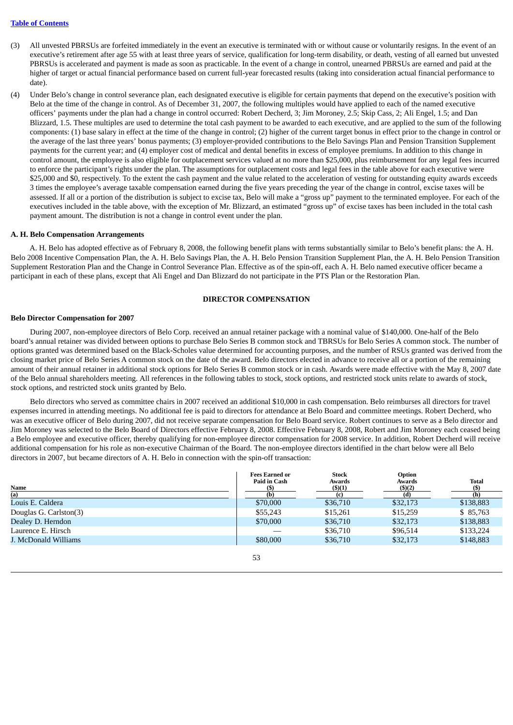### **Table of [Contents](#page-2-0)**

- (3) All unvested PBRSUs are forfeited immediately in the event an executive is terminated with or without cause or voluntarily resigns. In the event of an executive's retirement after age 55 with at least three years of service, qualification for long-term disability, or death, vesting of all earned but unvested PBRSUs is accelerated and payment is made as soon as practicable. In the event of a change in control, unearned PBRSUs are earned and paid at the higher of target or actual financial performance based on current full-year forecasted results (taking into consideration actual financial performance to date).
- (4) Under Belo's change in control severance plan, each designated executive is eligible for certain payments that depend on the executive's position with Belo at the time of the change in control. As of December 31, 2007, the following multiples would have applied to each of the named executive officers' payments under the plan had a change in control occurred: Robert Decherd, 3; Jim Moroney, 2.5; Skip Cass, 2; Ali Engel, 1.5; and Dan Blizzard, 1.5. These multiples are used to determine the total cash payment to be awarded to each executive, and are applied to the sum of the following components: (1) base salary in effect at the time of the change in control; (2) higher of the current target bonus in effect prior to the change in control or the average of the last three years' bonus payments; (3) employer-provided contributions to the Belo Savings Plan and Pension Transition Supplement payments for the current year; and (4) employer cost of medical and dental benefits in excess of employee premiums. In addition to this change in control amount, the employee is also eligible for outplacement services valued at no more than \$25,000, plus reimbursement for any legal fees incurred to enforce the participant's rights under the plan. The assumptions for outplacement costs and legal fees in the table above for each executive were \$25,000 and \$0, respectively. To the extent the cash payment and the value related to the acceleration of vesting for outstanding equity awards exceeds 3 times the employee's average taxable compensation earned during the five years preceding the year of the change in control, excise taxes will be assessed. If all or a portion of the distribution is subject to excise tax, Belo will make a "gross up" payment to the terminated employee. For each of the executives included in the table above, with the exception of Mr. Blizzard, an estimated "gross up" of excise taxes has been included in the total cash payment amount. The distribution is not a change in control event under the plan.

#### **A. H. Belo Compensation Arrangements**

A. H. Belo has adopted effective as of February 8, 2008, the following benefit plans with terms substantially similar to Belo's benefit plans: the A. H. Belo 2008 Incentive Compensation Plan, the A. H. Belo Savings Plan, the A. H. Belo Pension Transition Supplement Plan, the A. H. Belo Pension Transition Supplement Restoration Plan and the Change in Control Severance Plan. Effective as of the spin-off, each A. H. Belo named executive officer became a participant in each of these plans, except that Ali Engel and Dan Blizzard do not participate in the PTS Plan or the Restoration Plan.

### **DIRECTOR COMPENSATION**

#### **Belo Director Compensation for 2007**

During 2007, non-employee directors of Belo Corp. received an annual retainer package with a nominal value of \$140,000. One-half of the Belo board's annual retainer was divided between options to purchase Belo Series B common stock and TBRSUs for Belo Series A common stock. The number of options granted was determined based on the Black-Scholes value determined for accounting purposes, and the number of RSUs granted was derived from the closing market price of Belo Series A common stock on the date of the award. Belo directors elected in advance to receive all or a portion of the remaining amount of their annual retainer in additional stock options for Belo Series B common stock or in cash. Awards were made effective with the May 8, 2007 date of the Belo annual shareholders meeting. All references in the following tables to stock, stock options, and restricted stock units relate to awards of stock, stock options, and restricted stock units granted by Belo.

Belo directors who served as committee chairs in 2007 received an additional \$10,000 in cash compensation. Belo reimburses all directors for travel expenses incurred in attending meetings. No additional fee is paid to directors for attendance at Belo Board and committee meetings. Robert Decherd, who was an executive officer of Belo during 2007, did not receive separate compensation for Belo Board service. Robert continues to serve as a Belo director and Jim Moroney was selected to the Belo Board of Directors effective February 8, 2008. Effective February 8, 2008, Robert and Jim Moroney each ceased being a Belo employee and executive officer, thereby qualifying for non-employee director compensation for 2008 service. In addition, Robert Decherd will receive additional compensation for his role as non-executive Chairman of the Board. The non-employee directors identified in the chart below were all Belo directors in 2007, but became directors of A. H. Belo in connection with the spin-off transaction:

| Name                   | <b>Fees Earned or</b><br>Paid in Cash<br>(S) | <b>Stock</b><br>Awards<br>$($ \$ $)(1)$ | Option<br>Awards<br>$($ \$ $)(2)$ | <b>Total</b> |
|------------------------|----------------------------------------------|-----------------------------------------|-----------------------------------|--------------|
| (a)                    | (b)                                          |                                         |                                   |              |
| Louis E. Caldera       | \$70,000                                     | \$36,710                                | \$32,173                          | \$138,883    |
| Douglas G. Carlston(3) | \$55,243                                     | \$15,261                                | \$15,259                          | \$85,763     |
| Dealey D. Herndon      | \$70,000                                     | \$36,710                                | \$32,173                          | \$138,883    |
| Laurence E. Hirsch     |                                              | \$36,710                                | \$96,514                          | \$133,224    |
| J. McDonald Williams   | \$80,000                                     | \$36,710                                | \$32,173                          | \$148,883    |

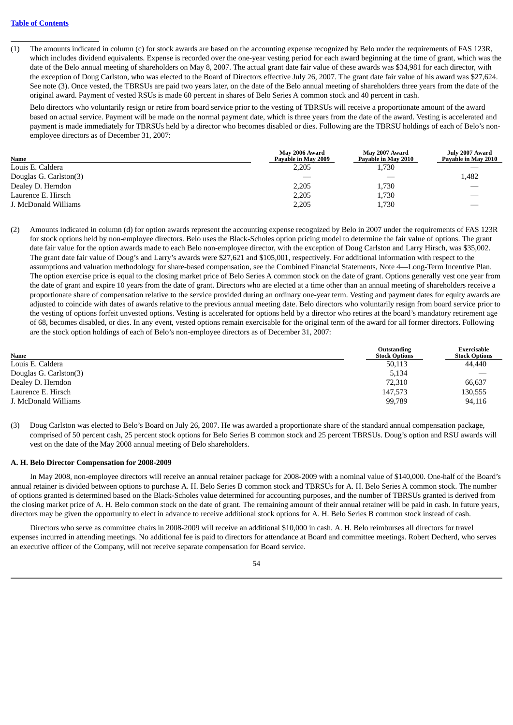(1) The amounts indicated in column (c) for stock awards are based on the accounting expense recognized by Belo under the requirements of FAS 123R, which includes dividend equivalents. Expense is recorded over the one-year vesting period for each award beginning at the time of grant, which was the date of the Belo annual meeting of shareholders on May 8, 2007. The actual grant date fair value of these awards was \$34,981 for each director, with the exception of Doug Carlston, who was elected to the Board of Directors effective July 26, 2007. The grant date fair value of his award was \$27,624. See note (3). Once vested, the TBRSUs are paid two years later, on the date of the Belo annual meeting of shareholders three years from the date of the original award. Payment of vested RSUs is made 60 percent in shares of Belo Series A common stock and 40 percent in cash.

Belo directors who voluntarily resign or retire from board service prior to the vesting of TBRSUs will receive a proportionate amount of the award based on actual service. Payment will be made on the normal payment date, which is three years from the date of the award. Vesting is accelerated and payment is made immediately for TBRSUs held by a director who becomes disabled or dies. Following are the TBRSU holdings of each of Belo's nonemployee directors as of December 31, 2007:

| Name                   | May 2006 Award<br>Payable in May 2009 | May 2007 Award<br>Payable in May 2010 | July 2007 Award<br>Payable in May 2010 |
|------------------------|---------------------------------------|---------------------------------------|----------------------------------------|
| Louis E. Caldera       | 2,205                                 | 1,730                                 |                                        |
| Douglas G. Carlston(3) |                                       |                                       | 1,482                                  |
| Dealey D. Herndon      | 2,205                                 | 1,730                                 |                                        |
| Laurence E. Hirsch     | 2,205                                 | 1,730                                 |                                        |
| J. McDonald Williams   | 2,205                                 | 1,730                                 |                                        |

(2) Amounts indicated in column (d) for option awards represent the accounting expense recognized by Belo in 2007 under the requirements of FAS 123R for stock options held by non-employee directors. Belo uses the Black-Scholes option pricing model to determine the fair value of options. The grant date fair value for the option awards made to each Belo non-employee director, with the exception of Doug Carlston and Larry Hirsch, was \$35,002. The grant date fair value of Doug's and Larry's awards were \$27,621 and \$105,001, respectively. For additional information with respect to the assumptions and valuation methodology for share-based compensation, see the Combined Financial Statements, Note 4—Long-Term Incentive Plan. The option exercise price is equal to the closing market price of Belo Series A common stock on the date of grant. Options generally vest one year from the date of grant and expire 10 years from the date of grant. Directors who are elected at a time other than an annual meeting of shareholders receive a proportionate share of compensation relative to the service provided during an ordinary one-year term. Vesting and payment dates for equity awards are adjusted to coincide with dates of awards relative to the previous annual meeting date. Belo directors who voluntarily resign from board service prior to the vesting of options forfeit unvested options. Vesting is accelerated for options held by a director who retires at the board's mandatory retirement age of 68, becomes disabled, or dies. In any event, vested options remain exercisable for the original term of the award for all former directors. Following are the stock option holdings of each of Belo's non-employee directors as of December 31, 2007:

| <b>Name</b>            | Outstanding<br><b>Stock Options</b> | Exercisable<br><b>Stock Options</b> |
|------------------------|-------------------------------------|-------------------------------------|
| Louis E. Caldera       | 50,113                              | 44,440                              |
| Douglas G. Carlston(3) | 5,134                               | $\overbrace{\phantom{aaaaa}}$       |
| Dealey D. Herndon      | 72,310                              | 66.637                              |
| Laurence E. Hirsch     | 147.573                             | 130,555                             |
| J. McDonald Williams   | 99,789                              | 94,116                              |

(3) Doug Carlston was elected to Belo's Board on July 26, 2007. He was awarded a proportionate share of the standard annual compensation package, comprised of 50 percent cash, 25 percent stock options for Belo Series B common stock and 25 percent TBRSUs. Doug's option and RSU awards will vest on the date of the May 2008 annual meeting of Belo shareholders.

#### **A. H. Belo Director Compensation for 2008-2009**

In May 2008, non-employee directors will receive an annual retainer package for 2008-2009 with a nominal value of \$140,000. One-half of the Board's annual retainer is divided between options to purchase A. H. Belo Series B common stock and TBRSUs for A. H. Belo Series A common stock. The number of options granted is determined based on the Black-Scholes value determined for accounting purposes, and the number of TBRSUs granted is derived from the closing market price of A. H. Belo common stock on the date of grant. The remaining amount of their annual retainer will be paid in cash. In future years, directors may be given the opportunity to elect in advance to receive additional stock options for A. H. Belo Series B common stock instead of cash.

Directors who serve as committee chairs in 2008-2009 will receive an additional \$10,000 in cash. A. H. Belo reimburses all directors for travel expenses incurred in attending meetings. No additional fee is paid to directors for attendance at Board and committee meetings. Robert Decherd, who serves an executive officer of the Company, will not receive separate compensation for Board service.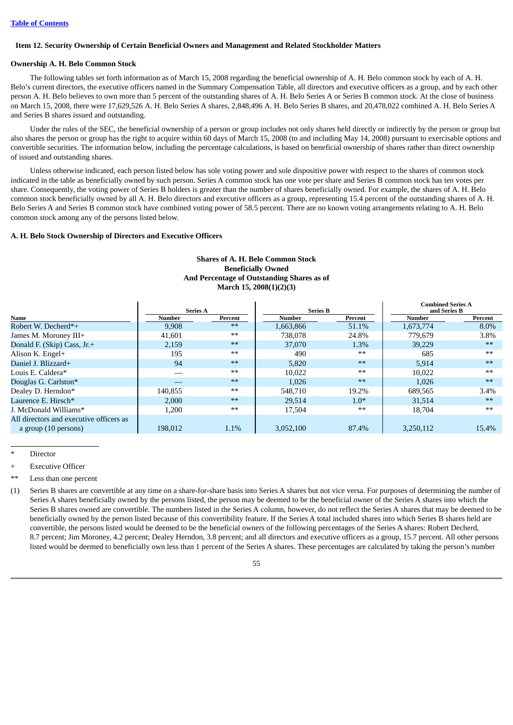#### **Item 12. Security Ownership of Certain Beneficial Owners and Management and Related Stockholder Matters**

## **Ownership A. H. Belo Common Stock**

The following tables set forth information as of March 15, 2008 regarding the beneficial ownership of A. H. Belo common stock by each of A. H. Belo's current directors, the executive officers named in the Summary Compensation Table, all directors and executive officers as a group, and by each other person A. H. Belo believes to own more than 5 percent of the outstanding shares of A. H. Belo Series A or Series B common stock. At the close of business on March 15, 2008, there were 17,629,526 A. H. Belo Series A shares, 2,848,496 A. H. Belo Series B shares, and 20,478,022 combined A. H. Belo Series A and Series B shares issued and outstanding.

Under the rules of the SEC, the beneficial ownership of a person or group includes not only shares held directly or indirectly by the person or group but also shares the person or group has the right to acquire within 60 days of March 15, 2008 (to and including May 14, 2008) pursuant to exercisable options and convertible securities. The information below, including the percentage calculations, is based on beneficial ownership of shares rather than direct ownership of issued and outstanding shares.

Unless otherwise indicated, each person listed below has sole voting power and sole dispositive power with respect to the shares of common stock indicated in the table as beneficially owned by such person. Series A common stock has one vote per share and Series B common stock has ten votes per share. Consequently, the voting power of Series B holders is greater than the number of shares beneficially owned. For example, the shares of A. H. Belo common stock beneficially owned by all A. H. Belo directors and executive officers as a group, representing 15.4 percent of the outstanding shares of A. H. Belo Series A and Series B common stock have combined voting power of 58.5 percent. There are no known voting arrangements relating to A. H. Belo common stock among any of the persons listed below.

#### **A. H. Belo Stock Ownership of Directors and Executive Officers**

|                                         |                 |         |                 |         | <b>Combined Series A</b> |         |
|-----------------------------------------|-----------------|---------|-----------------|---------|--------------------------|---------|
|                                         | <b>Series A</b> |         | <b>Series B</b> |         | and Series B             |         |
| Name                                    | Number          | Percent | Number          | Percent | Number                   | Percent |
| Robert W. Decherd*+                     | 9,908           | $**$    | 1,663,866       | 51.1%   | 1,673,774                | 8.0%    |
| James M. Moroney III+                   | 41.601          | $**$    | 738,078         | 24.8%   | 779.679                  | 3.8%    |
| Donald F. (Skip) Cass, Jr.+             | 2,159           | $**$    | 37,070          | 1.3%    | 39.229                   | $**$    |
| Alison K. Engel+                        | 195             | $***$   | 490             | $***$   | 685                      | $***$   |
| Daniel J. Blizzard+                     | 94              | $**$    | 5,820           | $***$   | 5.914                    | $**$    |
| Louis E. Caldera*                       |                 | $**$    | 10,022          | $***$   | 10,022                   | $**$    |
| Douglas G. Carlston*                    |                 | $**$    | 1,026           | $***$   | 1,026                    | $**$    |
| Dealey D. Herndon*                      | 140,855         | $***$   | 548,710         | 19.2%   | 689,565                  | 3.4%    |
| Laurence E. Hirsch*                     | 2,000           | $**$    | 29.514          | $1.0*$  | 31.514                   | $**$    |
| J. McDonald Williams*                   | 1,200           | $**$    | 17,504          | $***$   | 18,704                   | $**$    |
| All directors and executive officers as |                 |         |                 |         |                          |         |
| a group (10 persons)                    | 198,012         | 1.1%    | 3.052.100       | 87.4%   | 3,250,112                | 15.4%   |

# **Shares of A. H. Belo Common Stock Beneficially Owned And Percentage of Outstanding Shares as of March 15, 2008(1)(2)(3)**

**Director** 

Less than one percent

(1) Series B shares are convertible at any time on a share-for-share basis into Series A shares but not vice versa. For purposes of determining the number of Series A shares beneficially owned by the persons listed, the person may be deemed to be the beneficial owner of the Series A shares into which the Series B shares owned are convertible. The numbers listed in the Series A column, however, do not reflect the Series A shares that may be deemed to be beneficially owned by the person listed because of this convertibility feature. If the Series A total included shares into which Series B shares held are convertible, the persons listed would be deemed to be the beneficial owners of the following percentages of the Series A shares: Robert Decherd, 8.7 percent; Jim Moroney, 4.2 percent; Dealey Herndon, 3.8 percent; and all directors and executive officers as a group, 15.7 percent. All other persons listed would be deemed to beneficially own less than 1 percent of the Series A shares. These percentages are calculated by taking the person's number

**Executive Officer**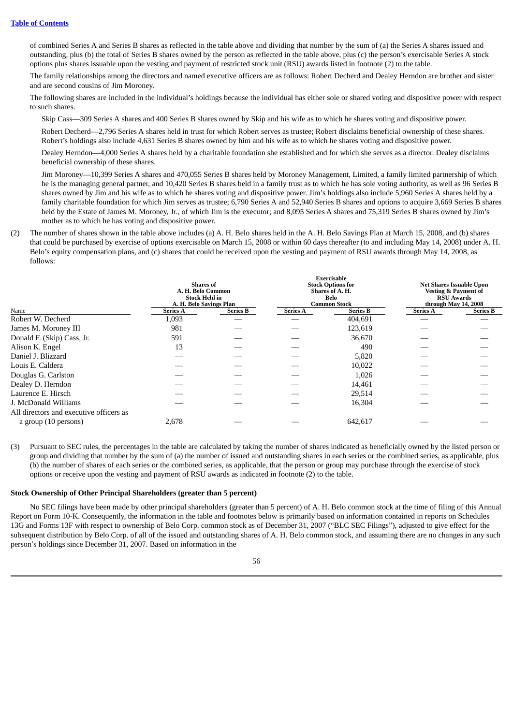of combined Series A and Series B shares as reflected in the table above and dividing that number by the sum of (a) the Series A shares issued and outstanding, plus (b) the total of Series B shares owned by the person as reflected in the table above, plus (c) the person's exercisable Series A stock options plus shares issuable upon the vesting and payment of restricted stock unit (RSU) awards listed in footnote (2) to the table.

The family relationships among the directors and named executive officers are as follows: Robert Decherd and Dealey Herndon are brother and sister and are second cousins of Jim Moroney.

The following shares are included in the individual's holdings because the individual has either sole or shared voting and dispositive power with respect to such shares.

Skip Cass—309 Series A shares and 400 Series B shares owned by Skip and his wife as to which he shares voting and dispositive power.

Robert Decherd—2,796 Series A shares held in trust for which Robert serves as trustee; Robert disclaims beneficial ownership of these shares. Robert's holdings also include 4,631 Series B shares owned by him and his wife as to which he shares voting and dispositive power.

Dealey Herndon—4,000 Series A shares held by a charitable foundation she established and for which she serves as a director. Dealey disclaims beneficial ownership of these shares.

Jim Moroney—10,399 Series A shares and 470,055 Series B shares held by Moroney Management, Limited, a family limited partnership of which he is the managing general partner, and 10,420 Series B shares held in a family trust as to which he has sole voting authority, as well as 96 Series B shares owned by Jim and his wife as to which he shares voting and dispositive power. Jim's holdings also include 5,960 Series A shares held by a family charitable foundation for which Jim serves as trustee; 6,790 Series A and 52,940 Series B shares and options to acquire 3,669 Series B shares held by the Estate of James M. Moroney, Jr., of which Jim is the executor; and 8,095 Series A shares and 75,319 Series B shares owned by Jim's mother as to which he has voting and dispositive power.

(2) The number of shares shown in the table above includes (a) A. H. Belo shares held in the A. H. Belo Savings Plan at March 15, 2008, and (b) shares that could be purchased by exercise of options exercisable on March 15, 2008 or within 60 days thereafter (to and including May 14, 2008) under A. H. Belo's equity compensation plans, and (c) shares that could be received upon the vesting and payment of RSU awards through May 14, 2008, as follows:

|                                         |                 | <b>Shares</b> of<br>A. H. Belo Common<br><b>Stock Held in</b><br>A. H. Belo Savings Plan |                 | <b>Exercisable</b><br><b>Stock Options for</b><br>Shares of A. H.<br>Belo<br><b>Common Stock</b> |                 | <b>Net Shares Issuable Upon</b><br><b>Vesting &amp; Payment of</b><br><b>RSU</b> Awards<br>through May 14, 2008 |  |
|-----------------------------------------|-----------------|------------------------------------------------------------------------------------------|-----------------|--------------------------------------------------------------------------------------------------|-----------------|-----------------------------------------------------------------------------------------------------------------|--|
| Name                                    | <b>Series A</b> | <b>Series B</b>                                                                          | <b>Series A</b> | <b>Series B</b>                                                                                  | <b>Series A</b> | <b>Series B</b>                                                                                                 |  |
| Robert W. Decherd                       | 1,093           |                                                                                          |                 | 404,691                                                                                          |                 |                                                                                                                 |  |
| James M. Moroney III                    | 981             |                                                                                          |                 | 123,619                                                                                          |                 |                                                                                                                 |  |
| Donald F. (Skip) Cass, Jr.              | 591             |                                                                                          |                 | 36,670                                                                                           |                 |                                                                                                                 |  |
| Alison K. Engel                         | 13              |                                                                                          |                 | 490                                                                                              |                 |                                                                                                                 |  |
| Daniel J. Blizzard                      |                 |                                                                                          |                 | 5,820                                                                                            |                 |                                                                                                                 |  |
| Louis E. Caldera                        |                 |                                                                                          |                 | 10,022                                                                                           |                 |                                                                                                                 |  |
| Douglas G. Carlston                     |                 |                                                                                          |                 | 1,026                                                                                            |                 |                                                                                                                 |  |
| Dealey D. Herndon                       |                 |                                                                                          |                 | 14,461                                                                                           |                 |                                                                                                                 |  |
| Laurence E. Hirsch                      |                 |                                                                                          |                 | 29,514                                                                                           |                 |                                                                                                                 |  |
| J. McDonald Williams                    |                 |                                                                                          |                 | 16,304                                                                                           |                 |                                                                                                                 |  |
| All directors and executive officers as |                 |                                                                                          |                 |                                                                                                  |                 |                                                                                                                 |  |
| a group (10 persons)                    | 2,678           |                                                                                          |                 | 642,617                                                                                          |                 |                                                                                                                 |  |

(3) Pursuant to SEC rules, the percentages in the table are calculated by taking the number of shares indicated as beneficially owned by the listed person or group and dividing that number by the sum of (a) the number of issued and outstanding shares in each series or the combined series, as applicable, plus (b) the number of shares of each series or the combined series, as applicable, that the person or group may purchase through the exercise of stock options or receive upon the vesting and payment of RSU awards as indicated in footnote (2) to the table.

#### **Stock Ownership of Other Principal Shareholders (greater than 5 percent)**

No SEC filings have been made by other principal shareholders (greater than 5 percent) of A. H. Belo common stock at the time of filing of this Annual Report on Form 10-K. Consequently, the information in the table and footnotes below is primarily based on information contained in reports on Schedules 13G and Forms 13F with respect to ownership of Belo Corp. common stock as of December 31, 2007 ("BLC SEC Filings"), adjusted to give effect for the subsequent distribution by Belo Corp. of all of the issued and outstanding shares of A. H. Belo common stock, and assuming there are no changes in any such person's holdings since December 31, 2007. Based on information in the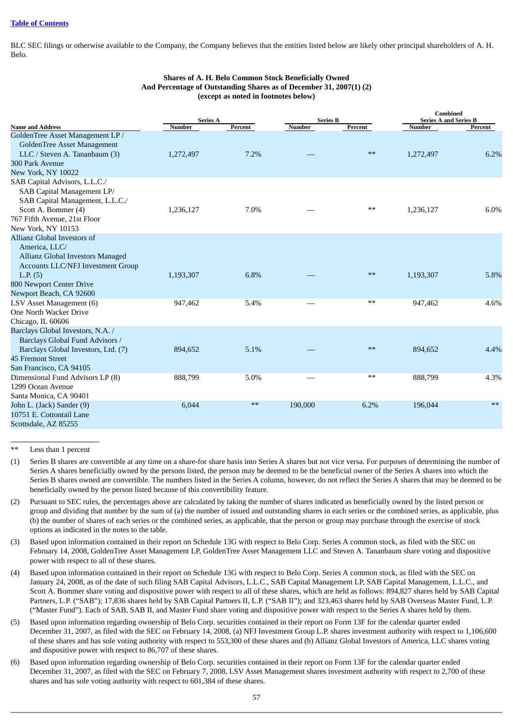BLC SEC filings or otherwise available to the Company, the Company believes that the entities listed below are likely other principal shareholders of A. H. Belo.

|                                                                                                                                                                             |               | <b>Series A</b><br><b>Series B</b> |         |         | <b>Combined</b><br><b>Series A and Series B</b> |         |  |
|-----------------------------------------------------------------------------------------------------------------------------------------------------------------------------|---------------|------------------------------------|---------|---------|-------------------------------------------------|---------|--|
| <b>Name and Address</b>                                                                                                                                                     | <b>Number</b> | Percent                            | Number  | Percent | <b>Number</b>                                   | Percent |  |
| GoldenTree Asset Management LP /<br><b>GoldenTree Asset Management</b><br>LLC / Steven A. Tananbaum (3)<br>300 Park Avenue<br>New York, NY 10022                            | 1,272,497     | 7.2%                               |         | $**$    | 1,272,497                                       | 6.2%    |  |
| SAB Capital Advisors, L.L.C./<br>SAB Capital Management LP/<br>SAB Capital Management, L.L.C./<br>Scott A. Bommer (4)<br>767 Fifth Avenue, 21st Floor<br>New York, NY 10153 | 1,236,127     | 7.0%                               |         | $***$   | 1,236,127                                       | 6.0%    |  |
| Allianz Global Investors of<br>America, LLC/<br>Allianz Global Investors Managed<br><b>Accounts LLC/NFJ Investment Group</b><br>L.P. (5)<br>800 Newport Center Drive        | 1,193,307     | 6.8%                               |         | $**$    | 1,193,307                                       | 5.8%    |  |
| Newport Beach, CA 92600<br>LSV Asset Management (6)<br>One North Wacker Drive<br>Chicago, IL 60606                                                                          | 947,462       | 5.4%                               |         | $**$    | 947,462                                         | 4.6%    |  |
| Barclays Global Investors, N.A. /<br>Barclays Global Fund Advisors /<br>Barclays Global Investors, Ltd. (7)<br>45 Fremont Street<br>San Francisco, CA 94105                 | 894,652       | 5.1%                               |         | $**$    | 894,652                                         | 4.4%    |  |
| Dimensional Fund Advisors LP (8)<br>1299 Ocean Avenue<br>Santa Monica, CA 90401                                                                                             | 888,799       | 5.0%                               |         | $***$   | 888,799                                         | 4.3%    |  |
| John L. (Jack) Sander (9)<br>10751 E. Cottontail Lane<br>Scottsdale, AZ 85255                                                                                               | 6,044         | $**$                               | 190,000 | 6.2%    | 196,044                                         | $**$    |  |

### **Shares of A. H. Belo Common Stock Beneficially Owned And Percentage of Outstanding Shares as of December 31, 2007(1) (2) (except as noted in footnotes below)**

Less than 1 percent

- (1) Series B shares are convertible at any time on a share-for share basis into Series A shares but not vice versa. For purposes of determining the number of Series A shares beneficially owned by the persons listed, the person may be deemed to be the beneficial owner of the Series A shares into which the Series B shares owned are convertible. The numbers listed in the Series A column, however, do not reflect the Series A shares that may be deemed to be beneficially owned by the person listed because of this convertibility feature.
- (2) Pursuant to SEC rules, the percentages above are calculated by taking the number of shares indicated as beneficially owned by the listed person or group and dividing that number by the sum of (a) the number of issued and outstanding shares in each series or the combined series, as applicable, plus (b) the number of shares of each series or the combined series, as applicable, that the person or group may purchase through the exercise of stock options as indicated in the notes to the table.
- (3) Based upon information contained in their report on Schedule 13G with respect to Belo Corp. Series A common stock, as filed with the SEC on February 14, 2008, GoldenTree Asset Management LP, GoldenTree Asset Management LLC and Steven A. Tananbaum share voting and dispositive power with respect to all of these shares.
- (4) Based upon information contained in their report on Schedule 13G with respect to Belo Corp. Series A common stock, as filed with the SEC on January 24, 2008, as of the date of such filing SAB Capital Advisors, L.L.C., SAB Capital Management LP, SAB Capital Management, L.L.C., and Scott A. Bommer share voting and dispositive power with respect to all of these shares, which are held as follows: 894,827 shares held by SAB Capital Partners, L.P. ("SAB"); 17,836 shares held by SAB Capital Partners II, L.P. ("SAB II"); and 323,463 shares held by SAB Overseas Master Fund, L.P. ("Master Fund"). Each of SAB, SAB II, and Master Fund share voting and dispositive power with respect to the Series A shares held by them.
- (5) Based upon information regarding ownership of Belo Corp. securities contained in their report on Form 13F for the calendar quarter ended December 31, 2007, as filed with the SEC on February 14, 2008, (a) NFJ Investment Group L.P. shares investment authority with respect to 1,106,600 of these shares and has sole voting authority with respect to 553,300 of these shares and (b) Allianz Global Investors of America, LLC shares voting and dispositive power with respect to 86,707 of these shares.
- (6) Based upon information regarding ownership of Belo Corp. securities contained in their report on Form 13F for the calendar quarter ended December 31, 2007, as filed with the SEC on February 7, 2008, LSV Asset Management shares investment authority with respect to 2,700 of these shares and has sole voting authority with respect to 601,384 of these shares.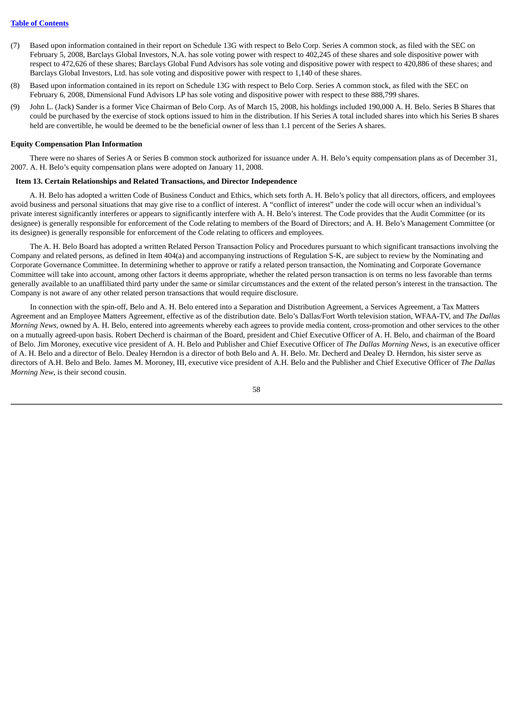- (7) Based upon information contained in their report on Schedule 13G with respect to Belo Corp. Series A common stock, as filed with the SEC on February 5, 2008, Barclays Global Investors, N.A. has sole voting power with respect to 402,245 of these shares and sole dispositive power with respect to 472,626 of these shares; Barclays Global Fund Advisors has sole voting and dispositive power with respect to 420,886 of these shares; and Barclays Global Investors, Ltd. has sole voting and dispositive power with respect to 1,140 of these shares.
- (8) Based upon information contained in its report on Schedule 13G with respect to Belo Corp. Series A common stock, as filed with the SEC on February 6, 2008, Dimensional Fund Advisors LP has sole voting and dispositive power with respect to these 888,799 shares.
- (9) John L. (Jack) Sander is a former Vice Chairman of Belo Corp. As of March 15, 2008, his holdings included 190,000 A. H. Belo. Series B Shares that could be purchased by the exercise of stock options issued to him in the distribution. If his Series A total included shares into which his Series B shares held are convertible, he would be deemed to be the beneficial owner of less than 1.1 percent of the Series A shares.

#### **Equity Compensation Plan Information**

There were no shares of Series A or Series B common stock authorized for issuance under A. H. Belo's equity compensation plans as of December 31, 2007. A. H. Belo's equity compensation plans were adopted on January 11, 2008.

#### **Item 13. Certain Relationships and Related Transactions, and Director Independence**

A. H. Belo has adopted a written Code of Business Conduct and Ethics, which sets forth A. H. Belo's policy that all directors, officers, and employees avoid business and personal situations that may give rise to a conflict of interest. A "conflict of interest" under the code will occur when an individual's private interest significantly interferes or appears to significantly interfere with A. H. Belo's interest. The Code provides that the Audit Committee (or its designee) is generally responsible for enforcement of the Code relating to members of the Board of Directors; and A. H. Belo's Management Committee (or its designee) is generally responsible for enforcement of the Code relating to officers and employees.

The A. H. Belo Board has adopted a written Related Person Transaction Policy and Procedures pursuant to which significant transactions involving the Company and related persons, as defined in Item 404(a) and accompanying instructions of Regulation S-K, are subject to review by the Nominating and Corporate Governance Committee. In determining whether to approve or ratify a related person transaction, the Nominating and Corporate Governance Committee will take into account, among other factors it deems appropriate, whether the related person transaction is on terms no less favorable than terms generally available to an unaffiliated third party under the same or similar circumstances and the extent of the related person's interest in the transaction. The Company is not aware of any other related person transactions that would require disclosure.

In connection with the spin-off, Belo and A. H. Belo entered into a Separation and Distribution Agreement, a Services Agreement, a Tax Matters Agreement and an Employee Matters Agreement, effective as of the distribution date. Belo's Dallas/Fort Worth television station, WFAA-TV, and *The Dallas Morning News*, owned by A. H. Belo, entered into agreements whereby each agrees to provide media content, cross-promotion and other services to the other on a mutually agreed-upon basis. Robert Decherd is chairman of the Board, president and Chief Executive Officer of A. H. Belo, and chairman of the Board of Belo. Jim Moroney, executive vice president of A. H. Belo and Publisher and Chief Executive Officer of *The Dallas Morning News*, is an executive officer of A. H. Belo and a director of Belo. Dealey Herndon is a director of both Belo and A. H. Belo. Mr. Decherd and Dealey D. Herndon, his sister serve as directors of A.H. Belo and Belo. James M. Moroney, III, executive vice president of A.H. Belo and the Publisher and Chief Executive Officer of *The Dallas Morning New*, is their second cousin.

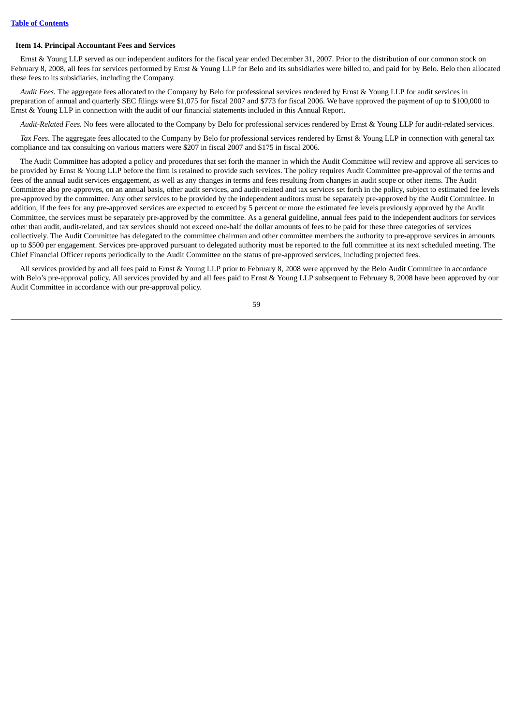#### **Item 14. Principal Accountant Fees and Services**

Ernst & Young LLP served as our independent auditors for the fiscal year ended December 31, 2007. Prior to the distribution of our common stock on February 8, 2008, all fees for services performed by Ernst & Young LLP for Belo and its subsidiaries were billed to, and paid for by Belo. Belo then allocated these fees to its subsidiaries, including the Company.

*Audit Fees.* The aggregate fees allocated to the Company by Belo for professional services rendered by Ernst & Young LLP for audit services in preparation of annual and quarterly SEC filings were \$1,075 for fiscal 2007 and \$773 for fiscal 2006. We have approved the payment of up to \$100,000 to Ernst & Young LLP in connection with the audit of our financial statements included in this Annual Report.

*Audit-Related Fees.* No fees were allocated to the Company by Belo for professional services rendered by Ernst & Young LLP for audit-related services.

*Tax Fees*. The aggregate fees allocated to the Company by Belo for professional services rendered by Ernst & Young LLP in connection with general tax compliance and tax consulting on various matters were \$207 in fiscal 2007 and \$175 in fiscal 2006.

The Audit Committee has adopted a policy and procedures that set forth the manner in which the Audit Committee will review and approve all services to be provided by Ernst & Young LLP before the firm is retained to provide such services. The policy requires Audit Committee pre-approval of the terms and fees of the annual audit services engagement, as well as any changes in terms and fees resulting from changes in audit scope or other items. The Audit Committee also pre-approves, on an annual basis, other audit services, and audit-related and tax services set forth in the policy, subject to estimated fee levels pre-approved by the committee. Any other services to be provided by the independent auditors must be separately pre-approved by the Audit Committee. In addition, if the fees for any pre-approved services are expected to exceed by 5 percent or more the estimated fee levels previously approved by the Audit Committee, the services must be separately pre-approved by the committee. As a general guideline, annual fees paid to the independent auditors for services other than audit, audit-related, and tax services should not exceed one-half the dollar amounts of fees to be paid for these three categories of services collectively. The Audit Committee has delegated to the committee chairman and other committee members the authority to pre-approve services in amounts up to \$500 per engagement. Services pre-approved pursuant to delegated authority must be reported to the full committee at its next scheduled meeting. The Chief Financial Officer reports periodically to the Audit Committee on the status of pre-approved services, including projected fees.

All services provided by and all fees paid to Ernst & Young LLP prior to February 8, 2008 were approved by the Belo Audit Committee in accordance with Belo's pre-approval policy. All services provided by and all fees paid to Ernst & Young LLP subsequent to February 8, 2008 have been approved by our Audit Committee in accordance with our pre-approval policy.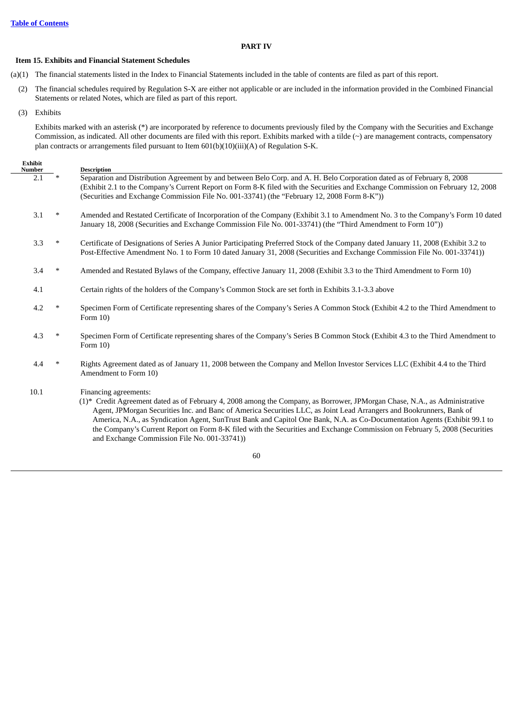## **PART IV**

### **Item 15. Exhibits and Financial Statement Schedules**

(a)(1) The financial statements listed in the Index to Financial Statements included in the table of contents are filed as part of this report.

- (2) The financial schedules required by Regulation S-X are either not applicable or are included in the information provided in the Combined Financial Statements or related Notes, which are filed as part of this report.
- (3) Exhibits

Exhibits marked with an asterisk (\*) are incorporated by reference to documents previously filed by the Company with the Securities and Exchange Commission, as indicated. All other documents are filed with this report. Exhibits marked with a tilde  $(\sim)$  are management contracts, compensatory plan contracts or arrangements filed pursuant to Item 601(b)(10)(iii)(A) of Regulation S-K.

## **Exhibit**

| Number |        | <b>Description</b>                                                                                                                                                                                                                                                                                                                                                                                                                                                                                                                                                                    |
|--------|--------|---------------------------------------------------------------------------------------------------------------------------------------------------------------------------------------------------------------------------------------------------------------------------------------------------------------------------------------------------------------------------------------------------------------------------------------------------------------------------------------------------------------------------------------------------------------------------------------|
| 2.1    | $\ast$ | Separation and Distribution Agreement by and between Belo Corp. and A. H. Belo Corporation dated as of February 8, 2008<br>(Exhibit 2.1 to the Company's Current Report on Form 8-K filed with the Securities and Exchange Commission on February 12, 2008                                                                                                                                                                                                                                                                                                                            |
|        |        | (Securities and Exchange Commission File No. 001-33741) (the "February 12, 2008 Form 8-K"))                                                                                                                                                                                                                                                                                                                                                                                                                                                                                           |
| 3.1    | $\ast$ | Amended and Restated Certificate of Incorporation of the Company (Exhibit 3.1 to Amendment No. 3 to the Company's Form 10 dated<br>January 18, 2008 (Securities and Exchange Commission File No. 001-33741) (the "Third Amendment to Form 10"))                                                                                                                                                                                                                                                                                                                                       |
| 3.3    | ∗      | Certificate of Designations of Series A Junior Participating Preferred Stock of the Company dated January 11, 2008 (Exhibit 3.2 to<br>Post-Effective Amendment No. 1 to Form 10 dated January 31, 2008 (Securities and Exchange Commission File No. 001-33741))                                                                                                                                                                                                                                                                                                                       |
| 3.4    | $\ast$ | Amended and Restated Bylaws of the Company, effective January 11, 2008 (Exhibit 3.3 to the Third Amendment to Form 10)                                                                                                                                                                                                                                                                                                                                                                                                                                                                |
| 4.1    |        | Certain rights of the holders of the Company's Common Stock are set forth in Exhibits 3.1-3.3 above                                                                                                                                                                                                                                                                                                                                                                                                                                                                                   |
| 4.2    | $\ast$ | Specimen Form of Certificate representing shares of the Company's Series A Common Stock (Exhibit 4.2 to the Third Amendment to<br>Form $10$ )                                                                                                                                                                                                                                                                                                                                                                                                                                         |
| 4.3    | $\ast$ | Specimen Form of Certificate representing shares of the Company's Series B Common Stock (Exhibit 4.3 to the Third Amendment to<br>Form $10$ )                                                                                                                                                                                                                                                                                                                                                                                                                                         |
| 4.4    | ∗      | Rights Agreement dated as of January 11, 2008 between the Company and Mellon Investor Services LLC (Exhibit 4.4 to the Third<br>Amendment to Form 10)                                                                                                                                                                                                                                                                                                                                                                                                                                 |
| 10.1   |        | Financing agreements:<br>(1)* Credit Agreement dated as of February 4, 2008 among the Company, as Borrower, JPMorgan Chase, N.A., as Administrative<br>Agent, JPMorgan Securities Inc. and Banc of America Securities LLC, as Joint Lead Arrangers and Bookrunners, Bank of<br>America, N.A., as Syndication Agent, SunTrust Bank and Capitol One Bank, N.A. as Co-Documentation Agents (Exhibit 99.1 to<br>the Company's Current Report on Form 8-K filed with the Securities and Exchange Commission on February 5, 2008 (Securities<br>and Exchange Commission File No. 001-33741) |

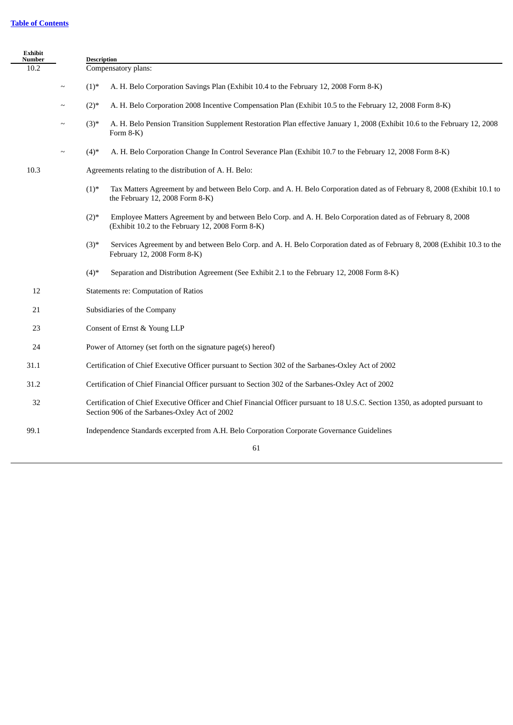# **Table of [Contents](#page-2-0)**

| Exhibit<br><b>Number</b> |        | <b>Description</b>                                                                                                                                                               |  |
|--------------------------|--------|----------------------------------------------------------------------------------------------------------------------------------------------------------------------------------|--|
| 10.2                     |        | Compensatory plans:                                                                                                                                                              |  |
|                          | $\sim$ | $(1)^*$<br>A. H. Belo Corporation Savings Plan (Exhibit 10.4 to the February 12, 2008 Form 8-K)                                                                                  |  |
|                          | $\sim$ | $(2)$ *<br>A. H. Belo Corporation 2008 Incentive Compensation Plan (Exhibit 10.5 to the February 12, 2008 Form 8-K)                                                              |  |
|                          | $\sim$ | $(3)$ *<br>A. H. Belo Pension Transition Supplement Restoration Plan effective January 1, 2008 (Exhibit 10.6 to the February 12, 2008<br>Form 8-K)                               |  |
|                          | $\sim$ | $(4)$ *<br>A. H. Belo Corporation Change In Control Severance Plan (Exhibit 10.7 to the February 12, 2008 Form 8-K)                                                              |  |
| 10.3                     |        | Agreements relating to the distribution of A. H. Belo:                                                                                                                           |  |
|                          |        | $(1)$ *<br>Tax Matters Agreement by and between Belo Corp. and A. H. Belo Corporation dated as of February 8, 2008 (Exhibit 10.1 to<br>the February 12, 2008 Form 8-K)           |  |
|                          |        | $(2)$ *<br>Employee Matters Agreement by and between Belo Corp. and A. H. Belo Corporation dated as of February 8, 2008<br>(Exhibit 10.2 to the February 12, 2008 Form 8-K)      |  |
|                          |        | $(3)$ *<br>Services Agreement by and between Belo Corp. and A. H. Belo Corporation dated as of February 8, 2008 (Exhibit 10.3 to the<br>February 12, 2008 Form 8-K)              |  |
|                          |        | $(4)$ *<br>Separation and Distribution Agreement (See Exhibit 2.1 to the February 12, 2008 Form 8-K)                                                                             |  |
| 12                       |        | Statements re: Computation of Ratios                                                                                                                                             |  |
| 21                       |        | Subsidiaries of the Company                                                                                                                                                      |  |
| 23                       |        | Consent of Ernst & Young LLP                                                                                                                                                     |  |
| 24                       |        | Power of Attorney (set forth on the signature page(s) hereof)                                                                                                                    |  |
| 31.1                     |        | Certification of Chief Executive Officer pursuant to Section 302 of the Sarbanes-Oxley Act of 2002                                                                               |  |
| 31.2                     |        | Certification of Chief Financial Officer pursuant to Section 302 of the Sarbanes-Oxley Act of 2002                                                                               |  |
| 32                       |        | Certification of Chief Executive Officer and Chief Financial Officer pursuant to 18 U.S.C. Section 1350, as adopted pursuant to<br>Section 906 of the Sarbanes-Oxley Act of 2002 |  |
| 99.1                     |        | Independence Standards excerpted from A.H. Belo Corporation Corporate Governance Guidelines                                                                                      |  |
|                          |        | 61                                                                                                                                                                               |  |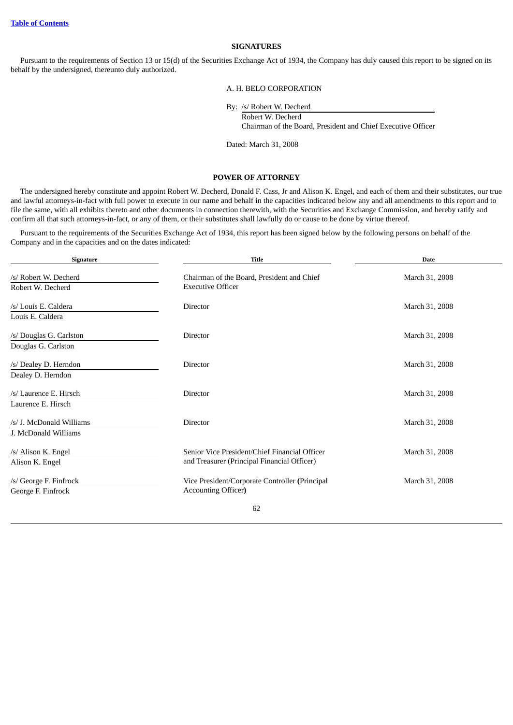### **SIGNATURES**

Pursuant to the requirements of Section 13 or 15(d) of the Securities Exchange Act of 1934, the Company has duly caused this report to be signed on its behalf by the undersigned, thereunto duly authorized.

A. H. BELO CORPORATION

By: /s/ Robert W. Decherd Robert W. Decherd Chairman of the Board, President and Chief Executive Officer

Dated: March 31, 2008

### **POWER OF ATTORNEY**

The undersigned hereby constitute and appoint Robert W. Decherd, Donald F. Cass, Jr and Alison K. Engel, and each of them and their substitutes, our true and lawful attorneys-in-fact with full power to execute in our name and behalf in the capacities indicated below any and all amendments to this report and to file the same, with all exhibits thereto and other documents in connection therewith, with the Securities and Exchange Commission, and hereby ratify and confirm all that such attorneys-in-fact, or any of them, or their substitutes shall lawfully do or cause to be done by virtue thereof.

Pursuant to the requirements of the Securities Exchange Act of 1934, this report has been signed below by the following persons on behalf of the Company and in the capacities and on the dates indicated:

| Signature                                  | <b>Title</b>                                                           | <b>Date</b>    |
|--------------------------------------------|------------------------------------------------------------------------|----------------|
| /s/ Robert W. Decherd<br>Robert W. Decherd | Chairman of the Board, President and Chief<br><b>Executive Officer</b> | March 31, 2008 |
|                                            |                                                                        |                |
| /s/ Louis E. Caldera<br>Louis E. Caldera   | Director                                                               | March 31, 2008 |
| /s/ Douglas G. Carlston                    | Director                                                               | March 31, 2008 |
| Douglas G. Carlston                        |                                                                        |                |
| /s/ Dealey D. Herndon                      | Director                                                               | March 31, 2008 |
| Dealey D. Herndon                          |                                                                        |                |
| /s/ Laurence E. Hirsch                     | Director                                                               | March 31, 2008 |
| Laurence E. Hirsch                         |                                                                        |                |
| /s/ J. McDonald Williams                   | <b>Director</b>                                                        | March 31, 2008 |
| J. McDonald Williams                       |                                                                        |                |
| /s/ Alison K. Engel                        | Senior Vice President/Chief Financial Officer                          | March 31, 2008 |
| Alison K. Engel                            | and Treasurer (Principal Financial Officer)                            |                |
| /s/ George F. Finfrock                     | Vice President/Corporate Controller (Principal                         | March 31, 2008 |
| George F. Finfrock                         | <b>Accounting Officer)</b>                                             |                |
|                                            | 62                                                                     |                |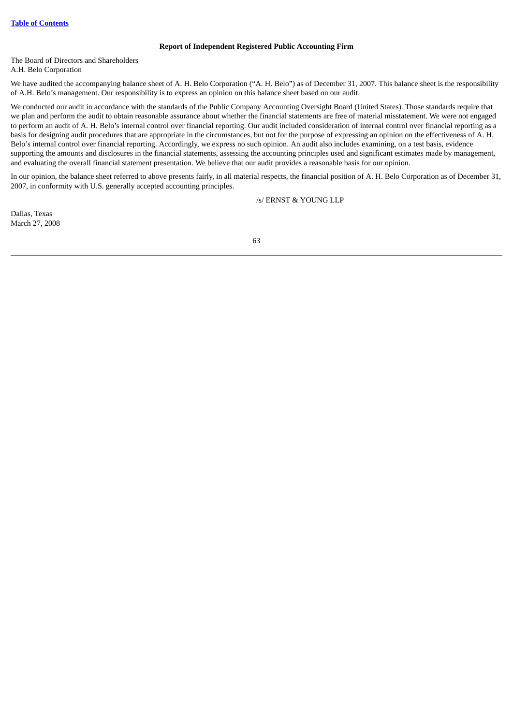### **Report of Independent Registered Public Accounting Firm**

The Board of Directors and Shareholders A.H. Belo Corporation

We have audited the accompanying balance sheet of A. H. Belo Corporation ("A. H. Belo") as of December 31, 2007. This balance sheet is the responsibility of A.H. Belo's management. Our responsibility is to express an opinion on this balance sheet based on our audit.

We conducted our audit in accordance with the standards of the Public Company Accounting Oversight Board (United States). Those standards require that we plan and perform the audit to obtain reasonable assurance about whether the financial statements are free of material misstatement. We were not engaged to perform an audit of A. H. Belo's internal control over financial reporting. Our audit included consideration of internal control over financial reporting as a basis for designing audit procedures that are appropriate in the circumstances, but not for the purpose of expressing an opinion on the effectiveness of A. H. Belo's internal control over financial reporting. Accordingly, we express no such opinion. An audit also includes examining, on a test basis, evidence supporting the amounts and disclosures in the financial statements, assessing the accounting principles used and significant estimates made by management, and evaluating the overall financial statement presentation. We believe that our audit provides a reasonable basis for our opinion.

In our opinion, the balance sheet referred to above presents fairly, in all material respects, the financial position of A. H. Belo Corporation as of December 31, 2007, in conformity with U.S. generally accepted accounting principles.

/s/ ERNST & YOUNG LLP

Dallas, Texas March 27, 2008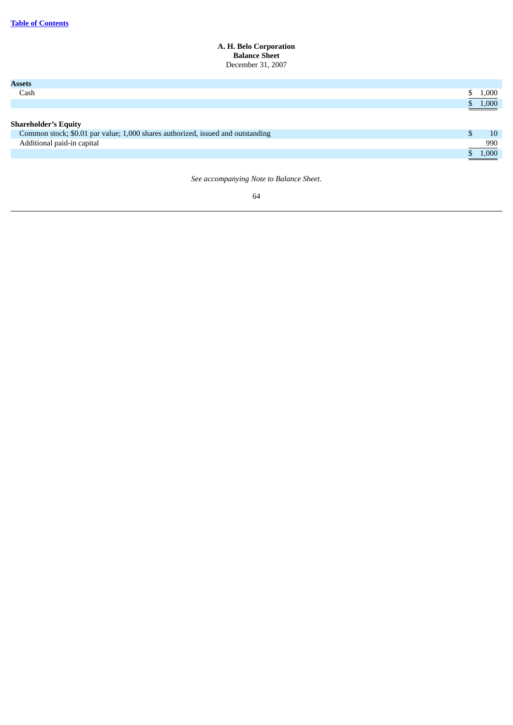#### **A. H. Belo Corporation Balance Sheet** December 31, 2007

| <b>Assets</b>                                                                   |                     |
|---------------------------------------------------------------------------------|---------------------|
| Cash                                                                            | 1,000               |
|                                                                                 | \$ 1,000            |
|                                                                                 |                     |
| <b>Shareholder's Equity</b>                                                     |                     |
| Common stock; \$0.01 par value; 1,000 shares authorized, issued and outstanding | 10                  |
| Additional paid-in capital                                                      | 990                 |
|                                                                                 | $\frac{1}{2}$ 1,000 |
|                                                                                 |                     |

*See accompanying Note to Balance Sheet*.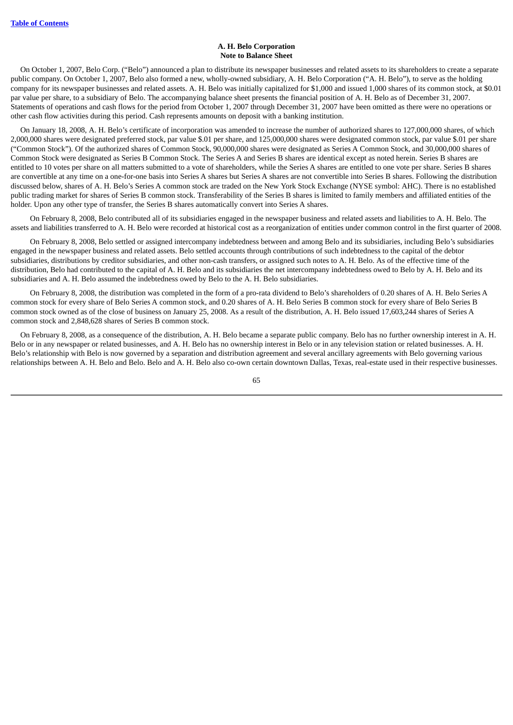#### **A. H. Belo Corporation Note to Balance Sheet**

On October 1, 2007, Belo Corp. ("Belo") announced a plan to distribute its newspaper businesses and related assets to its shareholders to create a separate public company. On October 1, 2007, Belo also formed a new, wholly-owned subsidiary, A. H. Belo Corporation ("A. H. Belo"), to serve as the holding company for its newspaper businesses and related assets. A. H. Belo was initially capitalized for \$1,000 and issued 1,000 shares of its common stock, at \$0.01 par value per share, to a subsidiary of Belo. The accompanying balance sheet presents the financial position of A. H. Belo as of December 31, 2007. Statements of operations and cash flows for the period from October 1, 2007 through December 31, 2007 have been omitted as there were no operations or other cash flow activities during this period. Cash represents amounts on deposit with a banking institution.

On January 18, 2008, A. H. Belo's certificate of incorporation was amended to increase the number of authorized shares to 127,000,000 shares, of which 2,000,000 shares were designated preferred stock, par value \$.01 per share, and 125,000,000 shares were designated common stock, par value \$.01 per share ("Common Stock"). Of the authorized shares of Common Stock, 90,000,000 shares were designated as Series A Common Stock, and 30,000,000 shares of Common Stock were designated as Series B Common Stock. The Series A and Series B shares are identical except as noted herein. Series B shares are entitled to 10 votes per share on all matters submitted to a vote of shareholders, while the Series A shares are entitled to one vote per share. Series B shares are convertible at any time on a one-for-one basis into Series A shares but Series A shares are not convertible into Series B shares. Following the distribution discussed below, shares of A. H. Belo's Series A common stock are traded on the New York Stock Exchange (NYSE symbol: AHC). There is no established public trading market for shares of Series B common stock. Transferability of the Series B shares is limited to family members and affiliated entities of the holder. Upon any other type of transfer, the Series B shares automatically convert into Series A shares.

On February 8, 2008, Belo contributed all of its subsidiaries engaged in the newspaper business and related assets and liabilities to A. H. Belo. The assets and liabilities transferred to A. H. Belo were recorded at historical cost as a reorganization of entities under common control in the first quarter of 2008.

On February 8, 2008, Belo settled or assigned intercompany indebtedness between and among Belo and its subsidiaries, including Belo's subsidiaries engaged in the newspaper business and related assets. Belo settled accounts through contributions of such indebtedness to the capital of the debtor subsidiaries, distributions by creditor subsidiaries, and other non-cash transfers, or assigned such notes to A. H. Belo. As of the effective time of the distribution, Belo had contributed to the capital of A. H. Belo and its subsidiaries the net intercompany indebtedness owed to Belo by A. H. Belo and its subsidiaries and A. H. Belo assumed the indebtedness owed by Belo to the A. H. Belo subsidiaries.

On February 8, 2008, the distribution was completed in the form of a pro-rata dividend to Belo's shareholders of 0.20 shares of A. H. Belo Series A common stock for every share of Belo Series A common stock, and 0.20 shares of A. H. Belo Series B common stock for every share of Belo Series B common stock owned as of the close of business on January 25, 2008. As a result of the distribution, A. H. Belo issued 17,603,244 shares of Series A common stock and 2,848,628 shares of Series B common stock.

On February 8, 2008, as a consequence of the distribution, A. H. Belo became a separate public company. Belo has no further ownership interest in A. H. Belo or in any newspaper or related businesses, and A. H. Belo has no ownership interest in Belo or in any television station or related businesses. A. H. Belo's relationship with Belo is now governed by a separation and distribution agreement and several ancillary agreements with Belo governing various relationships between A. H. Belo and Belo. Belo and A. H. Belo also co-own certain downtown Dallas, Texas, real-estate used in their respective businesses.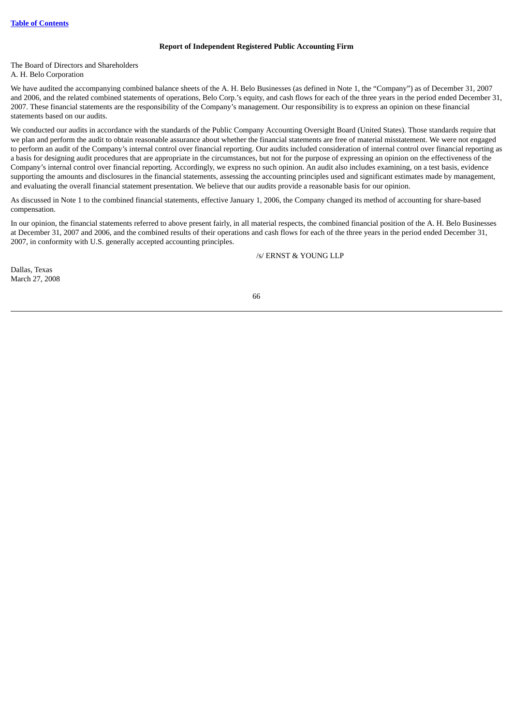### **Report of Independent Registered Public Accounting Firm**

The Board of Directors and Shareholders A. H. Belo Corporation

We have audited the accompanying combined balance sheets of the A. H. Belo Businesses (as defined in Note 1, the "Company") as of December 31, 2007 and 2006, and the related combined statements of operations, Belo Corp.'s equity, and cash flows for each of the three years in the period ended December 31, 2007. These financial statements are the responsibility of the Company's management. Our responsibility is to express an opinion on these financial statements based on our audits.

We conducted our audits in accordance with the standards of the Public Company Accounting Oversight Board (United States). Those standards require that we plan and perform the audit to obtain reasonable assurance about whether the financial statements are free of material misstatement. We were not engaged to perform an audit of the Company's internal control over financial reporting. Our audits included consideration of internal control over financial reporting as a basis for designing audit procedures that are appropriate in the circumstances, but not for the purpose of expressing an opinion on the effectiveness of the Company's internal control over financial reporting. Accordingly, we express no such opinion. An audit also includes examining, on a test basis, evidence supporting the amounts and disclosures in the financial statements, assessing the accounting principles used and significant estimates made by management, and evaluating the overall financial statement presentation. We believe that our audits provide a reasonable basis for our opinion.

As discussed in Note 1 to the combined financial statements, effective January 1, 2006, the Company changed its method of accounting for share-based compensation.

In our opinion, the financial statements referred to above present fairly, in all material respects, the combined financial position of the A. H. Belo Businesses at December 31, 2007 and 2006, and the combined results of their operations and cash flows for each of the three years in the period ended December 31, 2007, in conformity with U.S. generally accepted accounting principles.

/s/ ERNST & YOUNG LLP

Dallas, Texas March 27, 2008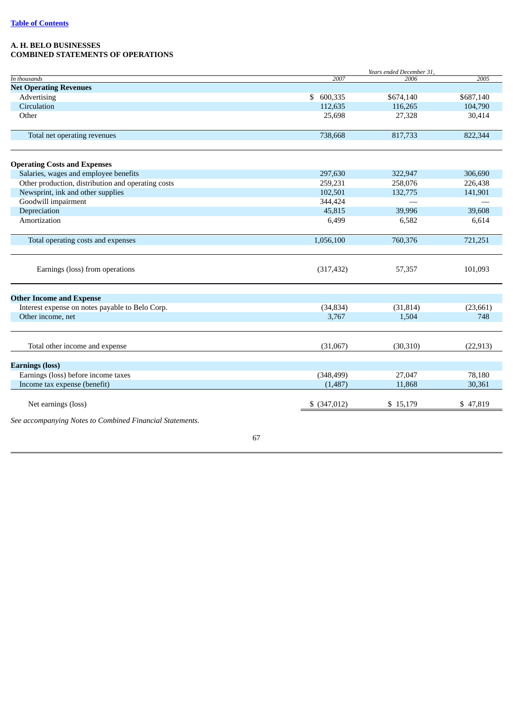## **A. H. BELO BUSINESSES COMBINED STATEMENTS OF OPERATIONS**

|                               | Years ended December 31, |           |           |
|-------------------------------|--------------------------|-----------|-----------|
| In thousands                  | 2007                     | 2006      | 2005      |
| <b>Net Operating Revenues</b> |                          |           |           |
| Advertising                   | \$600,335                | \$674,140 | \$687,140 |
| Circulation                   | 112,635                  | 116,265   | 104,790   |
| Other                         | 25,698                   | 27,328    | 30,414    |
|                               |                          |           |           |
| Total net operating revenues  | 738,668                  | 817,733   | 822,344   |
|                               |                          |           |           |

| <b>Operating Costs and Expenses</b>                                                                            |               |                    |                    |
|----------------------------------------------------------------------------------------------------------------|---------------|--------------------|--------------------|
| Salaries, wages and employee benefits                                                                          | 297,630       | 322,947            | 306,690            |
| Other production, distribution and operating costs<br>Newsprint, ink and other supplies<br>Goodwill impairment | 259,231       | 258,076<br>132,775 | 226,438<br>141,901 |
|                                                                                                                | 102,501       |                    |                    |
|                                                                                                                | 344,424       |                    |                    |
| Depreciation                                                                                                   | 45,815        | 39,996             | 39,608             |
| Amortization                                                                                                   | 6,499         | 6,582              | 6,614              |
| Total operating costs and expenses                                                                             | 1,056,100     | 760,376            | 721,251            |
| Earnings (loss) from operations                                                                                | (317, 432)    | 57,357             | 101,093            |
| <b>Other Income and Expense</b>                                                                                |               |                    |                    |
| Interest expense on notes payable to Belo Corp.                                                                | (34, 834)     | (31, 814)          | (23, 661)          |
| Other income, net                                                                                              | 3,767         | 1,504              | 748                |
| Total other income and expense                                                                                 | (31,067)      | (30, 310)          | (22, 913)          |
| <b>Earnings (loss)</b>                                                                                         |               |                    |                    |
| Earnings (loss) before income taxes                                                                            | (348, 499)    | 27,047             | 78,180             |
| Income tax expense (benefit)                                                                                   | (1,487)       | 11,868             | 30,361             |
| Net earnings (loss)                                                                                            | $$$ (347,012) | \$15,179           | \$47,819           |
| See accompanying Notes to Combined Financial Statements.                                                       |               |                    |                    |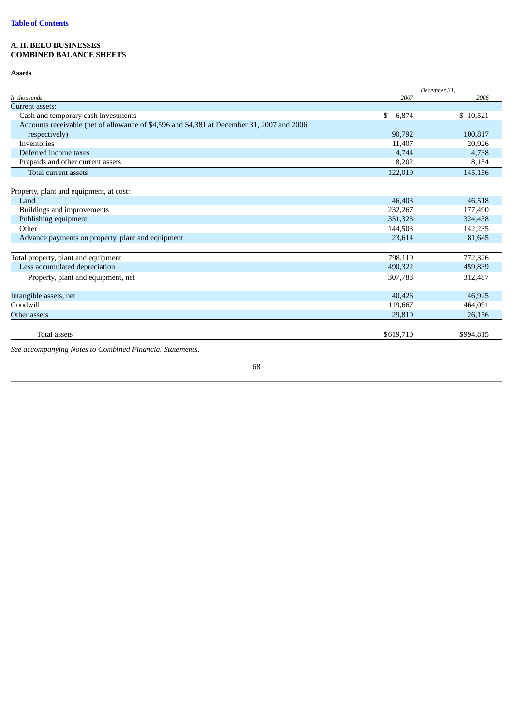# **A. H. BELO BUSINESSES COMBINED BALANCE SHEETS**

**Assets**

|                                                                                             | December 31, |           |
|---------------------------------------------------------------------------------------------|--------------|-----------|
| In thousands                                                                                | 2007         | 2006      |
| <b>Current assets:</b>                                                                      |              |           |
| Cash and temporary cash investments                                                         | \$<br>6,874  | \$10,521  |
| Accounts receivable (net of allowance of \$4,596 and \$4,381 at December 31, 2007 and 2006, |              |           |
| respectively)                                                                               | 90,792       | 100,817   |
| Inventories                                                                                 | 11,407       | 20,926    |
| Deferred income taxes                                                                       | 4,744        | 4,738     |
| Prepaids and other current assets                                                           | 8,202        | 8,154     |
| Total current assets                                                                        | 122,019      | 145,156   |
| Property, plant and equipment, at cost:                                                     |              |           |
| Land                                                                                        | 46,403       | 46,518    |
| Buildings and improvements                                                                  | 232,267      | 177,490   |
| Publishing equipment                                                                        | 351,323      | 324,438   |
| Other                                                                                       | 144,503      | 142,235   |
| Advance payments on property, plant and equipment                                           | 23,614       | 81,645    |
| Total property, plant and equipment                                                         | 798,110      | 772,326   |
| Less accumulated depreciation                                                               | 490,322      | 459,839   |
| Property, plant and equipment, net                                                          | 307,788      | 312,487   |
| Intangible assets, net                                                                      | 40,426       | 46,925    |
| Goodwill                                                                                    | 119,667      | 464,091   |
| Other assets                                                                                | 29,810       | 26,156    |
| <b>Total assets</b>                                                                         | \$619,710    | \$994,815 |

*See accompanying Notes to Combined Financial Statements.*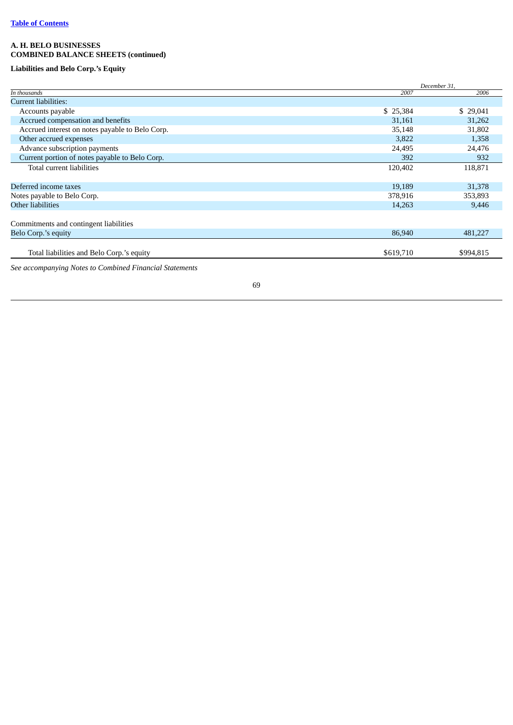# **A. H. BELO BUSINESSES COMBINED BALANCE SHEETS (continued)**

# **Liabilities and Belo Corp.'s Equity**

|                                                         |           | December 31, |  |
|---------------------------------------------------------|-----------|--------------|--|
| In thousands                                            | 2007      | 2006         |  |
| Current liabilities:                                    |           |              |  |
| Accounts payable                                        | \$25,384  | \$29,041     |  |
| Accrued compensation and benefits                       | 31,161    | 31,262       |  |
| Accrued interest on notes payable to Belo Corp.         | 35,148    | 31,802       |  |
| Other accrued expenses                                  | 3,822     | 1,358        |  |
| Advance subscription payments                           | 24,495    | 24,476       |  |
| Current portion of notes payable to Belo Corp.          | 392       | 932          |  |
| Total current liabilities                               | 120,402   | 118,871      |  |
| Deferred income taxes                                   | 19,189    | 31,378       |  |
| Notes payable to Belo Corp.                             | 378,916   | 353,893      |  |
| Other liabilities                                       | 14,263    | 9,446        |  |
| Commitments and contingent liabilities                  |           |              |  |
| Belo Corp.'s equity                                     | 86,940    | 481,227      |  |
| Total liabilities and Belo Corp.'s equity               | \$619,710 | \$994,815    |  |
| See accompanying Notes to Combined Financial Statements |           |              |  |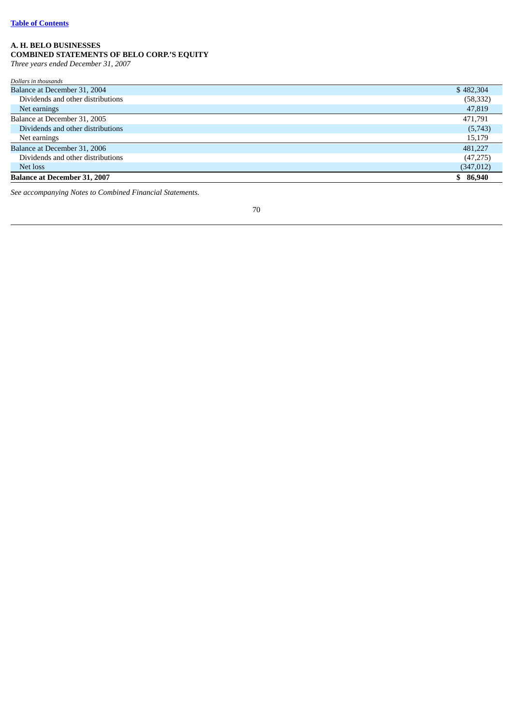### **A. H. BELO BUSINESSES**

# **COMBINED STATEMENTS OF BELO CORP.'S EQUITY**

Three years ended December 31, 2007

| <b>Balance at December 31, 2007</b> | \$86,940   |
|-------------------------------------|------------|
| Net loss                            | (347, 012) |
| Dividends and other distributions   | (47, 275)  |
| Balance at December 31, 2006        | 481.227    |
| Net earnings                        | 15,179     |
| Dividends and other distributions   | (5,743)    |
| Balance at December 31, 2005        | 471.791    |
| Net earnings                        | 47,819     |
| Dividends and other distributions   | (58, 332)  |
| Balance at December 31, 2004        | \$482,304  |
| Dollars in thousands                |            |

See accompanying Notes to Combined Financial Statements.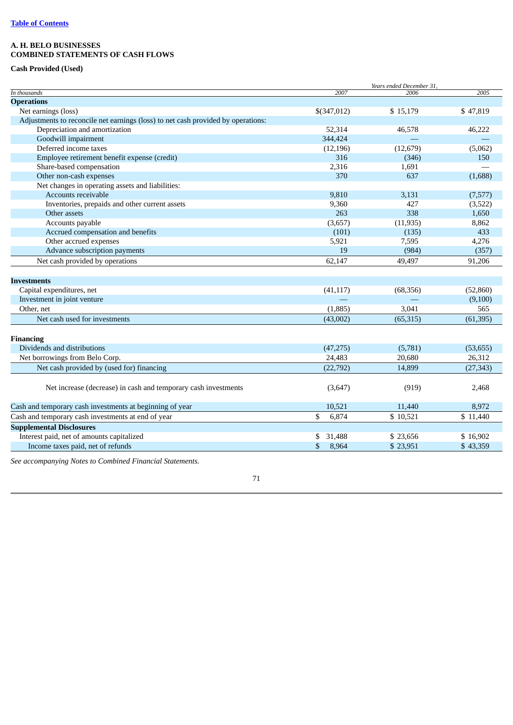# **A. H. BELO BUSINESSES COMBINED STATEMENTS OF CASH FLOWS**

## **Cash Provided (Used)**

|                                                                                  |              | Years ended December 31, |           |
|----------------------------------------------------------------------------------|--------------|--------------------------|-----------|
| In thousands                                                                     | 2007         | 2006                     | 2005      |
| <b>Operations</b>                                                                |              |                          |           |
| Net earnings (loss)                                                              | \$(347,012)  | \$15,179                 | \$47,819  |
| Adjustments to reconcile net earnings (loss) to net cash provided by operations: |              |                          |           |
| Depreciation and amortization                                                    | 52,314       | 46,578                   | 46,222    |
| Goodwill impairment                                                              | 344,424      |                          |           |
| Deferred income taxes                                                            | (12, 196)    | (12, 679)                | (5,062)   |
| Employee retirement benefit expense (credit)                                     | 316          | (346)                    | 150       |
| Share-based compensation                                                         | 2,316        | 1,691                    |           |
| Other non-cash expenses                                                          | 370          | 637                      | (1,688)   |
| Net changes in operating assets and liabilities:                                 |              |                          |           |
| Accounts receivable                                                              | 9,810        | 3,131                    | (7,577)   |
| Inventories, prepaids and other current assets                                   | 9,360        | 427                      | (3,522)   |
| Other assets                                                                     | 263          | 338                      | 1,650     |
| Accounts payable                                                                 | (3,657)      | (11, 935)                | 8,862     |
| Accrued compensation and benefits                                                | (101)        | (135)                    | 433       |
| Other accrued expenses                                                           | 5,921        | 7,595                    | 4,276     |
| Advance subscription payments                                                    | 19           | (984)                    | (357)     |
| Net cash provided by operations                                                  | 62,147       | 49,497                   | 91,206    |
|                                                                                  |              |                          |           |
| <b>Investments</b>                                                               |              |                          |           |
| Capital expenditures, net                                                        | (41, 117)    | (68, 356)                | (52,860)  |
| Investment in joint venture                                                      |              |                          | (9,100)   |
| Other, net                                                                       | (1,885)      | 3,041                    | 565       |
| Net cash used for investments                                                    | (43,002)     | (65, 315)                | (61, 395) |
|                                                                                  |              |                          |           |
| <b>Financing</b>                                                                 |              |                          |           |
| Dividends and distributions                                                      | (47, 275)    | (5,781)                  | (53, 655) |
| Net borrowings from Belo Corp.                                                   | 24,483       | 20,680                   | 26,312    |
| Net cash provided by (used for) financing                                        | (22, 792)    | 14,899                   | (27, 343) |
|                                                                                  |              |                          |           |
| Net increase (decrease) in cash and temporary cash investments                   | (3,647)      | (919)                    | 2,468     |
|                                                                                  |              |                          |           |
| Cash and temporary cash investments at beginning of year                         | 10,521       | 11,440                   | 8,972     |
| Cash and temporary cash investments at end of year                               | \$<br>6,874  | \$10,521                 | \$11,440  |
| <b>Supplemental Disclosures</b>                                                  |              |                          |           |
| Interest paid, net of amounts capitalized                                        | 31,488<br>\$ | \$23,656                 | \$16,902  |
| Income taxes paid, net of refunds                                                | \$<br>8,964  | \$23,951                 | \$43,359  |

*See accompanying Notes to Combined Financial Statements.*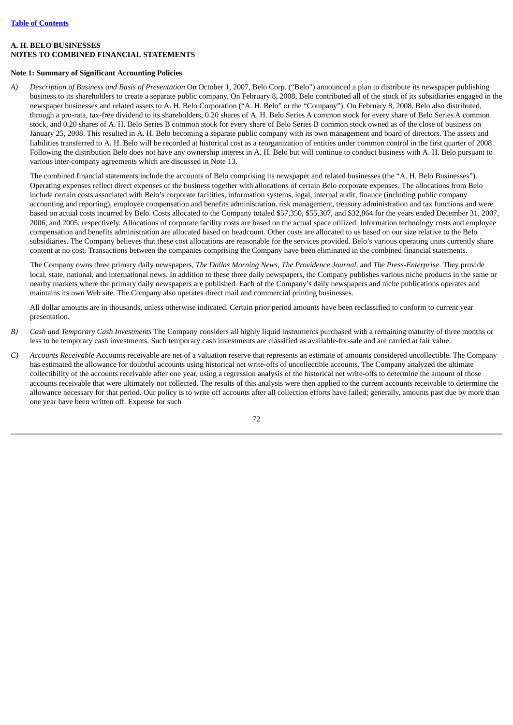## **A. H. BELO BUSINESSES NOTES TO COMBINED FINANCIAL STATEMENTS**

## **Note 1: Summary of Significant Accounting Policies**

*A) Description of Business and Basis of Presentation* On October 1, 2007, Belo Corp. ("Belo") announced a plan to distribute its newspaper publishing business to its shareholders to create a separate public company. On February 8, 2008, Belo contributed all of the stock of its subsidiaries engaged in the newspaper businesses and related assets to A. H. Belo Corporation ("A. H. Belo" or the "Company"). On February 8, 2008, Belo also distributed, through a pro-rata, tax-free dividend to its shareholders, 0.20 shares of A. H. Belo Series A common stock for every share of Belo Series A common stock, and 0.20 shares of A. H. Belo Series B common stock for every share of Belo Series B common stock owned as of the close of business on January 25, 2008. This resulted in A. H. Belo becoming a separate public company with its own management and board of directors. The assets and liabilities transferred to A. H. Belo will be recorded at historical cost as a reorganization of entities under common control in the first quarter of 2008. Following the distribution Belo does not have any ownership interest in A. H. Belo but will continue to conduct business with A. H. Belo pursuant to various inter-company agreements which are discussed in Note 13.

The combined financial statements include the accounts of Belo comprising its newspaper and related businesses (the "A. H. Belo Businesses"). Operating expenses reflect direct expenses of the business together with allocations of certain Belo corporate expenses. The allocations from Belo include certain costs associated with Belo's corporate facilities, information systems, legal, internal audit, finance (including public company accounting and reporting), employee compensation and benefits administration, risk management, treasury administration and tax functions and were based on actual costs incurred by Belo. Costs allocated to the Company totaled \$57,350, \$55,307, and \$32,864 for the years ended December 31, 2007, 2006, and 2005, respectively. Allocations of corporate facility costs are based on the actual space utilized. Information technology costs and employee compensation and benefits administration are allocated based on headcount. Other costs are allocated to us based on our size relative to the Belo subsidiaries. The Company believes that these cost allocations are reasonable for the services provided. Belo's various operating units currently share content at no cost. Transactions between the companies comprising the Company have been eliminated in the combined financial statements.

The Company owns three primary daily newspapers, *The Dallas Morning News*, *The Providence Journal*, and *The Press-Enterprise*. They provide local, state, national, and international news. In addition to these three daily newspapers, the Company publishes various niche products in the same or nearby markets where the primary daily newspapers are published. Each of the Company's daily newspapers and niche publications operates and maintains its own Web site. The Company also operates direct mail and commercial printing businesses.

All dollar amounts are in thousands, unless otherwise indicated. Certain prior period amounts have been reclassified to conform to current year presentation.

- *B) Cash and Temporary Cash Investments* The Company considers all highly liquid instruments purchased with a remaining maturity of three months or less to be temporary cash investments. Such temporary cash investments are classified as available-for-sale and are carried at fair value.
- *C) Accounts Receivable* Accounts receivable are net of a valuation reserve that represents an estimate of amounts considered uncollectible. The Company has estimated the allowance for doubtful accounts using historical net write-offs of uncollectible accounts. The Company analyzed the ultimate collectibility of the accounts receivable after one year, using a regression analysis of the historical net write-offs to determine the amount of those accounts receivable that were ultimately not collected. The results of this analysis were then applied to the current accounts receivable to determine the allowance necessary for that period. Our policy is to write off accounts after all collection efforts have failed; generally, amounts past due by more than one year have been written off. Expense for such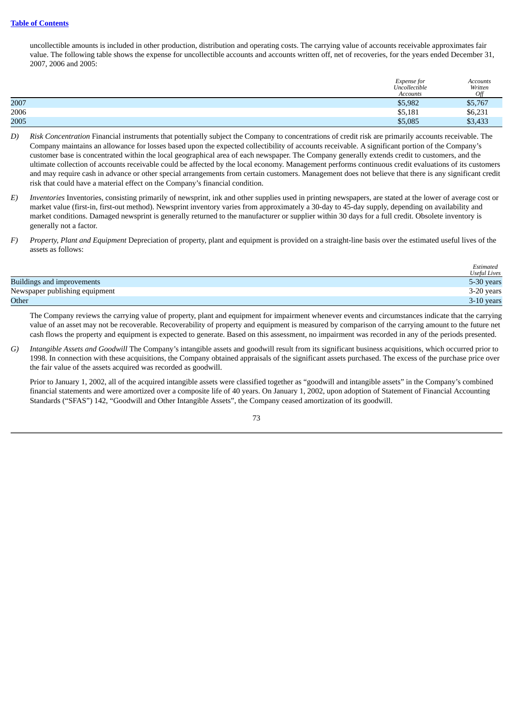uncollectible amounts is included in other production, distribution and operating costs. The carrying value of accounts receivable approximates fair value. The following table shows the expense for uncollectible accounts and accounts written off, net of recoveries, for the years ended December 31, 2007, 2006 and 2005:

|      | Expense for<br>Uncollectible | Accounts<br>Written |
|------|------------------------------|---------------------|
|      | <b>Accounts</b>              | Off                 |
| 2007 | \$5,982                      | \$5,767             |
| 2006 | \$5,181                      | \$6,231             |
| 2005 | \$5,085                      | \$3,433             |

- *D) Risk Concentration* Financial instruments that potentially subject the Company to concentrations of credit risk are primarily accounts receivable. The Company maintains an allowance for losses based upon the expected collectibility of accounts receivable. A significant portion of the Company's customer base is concentrated within the local geographical area of each newspaper. The Company generally extends credit to customers, and the ultimate collection of accounts receivable could be affected by the local economy. Management performs continuous credit evaluations of its customers and may require cash in advance or other special arrangements from certain customers. Management does not believe that there is any significant credit risk that could have a material effect on the Company's financial condition.
- *E) Inventories* Inventories, consisting primarily of newsprint, ink and other supplies used in printing newspapers, are stated at the lower of average cost or market value (first-in, first-out method). Newsprint inventory varies from approximately a 30-day to 45-day supply, depending on availability and market conditions. Damaged newsprint is generally returned to the manufacturer or supplier within 30 days for a full credit. Obsolete inventory is generally not a factor.
- *F) Property, Plant and Equipment* Depreciation of property, plant and equipment is provided on a straight-line basis over the estimated useful lives of the assets as follows:

|                                | Estimated<br><b>Useful Lives</b> |
|--------------------------------|----------------------------------|
| Buildings and improvements     | 5-30 years                       |
| Newspaper publishing equipment | 3-20 years                       |
| Other                          | 3-10 years                       |

The Company reviews the carrying value of property, plant and equipment for impairment whenever events and circumstances indicate that the carrying value of an asset may not be recoverable. Recoverability of property and equipment is measured by comparison of the carrying amount to the future net cash flows the property and equipment is expected to generate. Based on this assessment, no impairment was recorded in any of the periods presented.

*G) Intangible Assets and Goodwill* The Company's intangible assets and goodwill result from its significant business acquisitions, which occurred prior to 1998. In connection with these acquisitions, the Company obtained appraisals of the significant assets purchased. The excess of the purchase price over the fair value of the assets acquired was recorded as goodwill.

Prior to January 1, 2002, all of the acquired intangible assets were classified together as "goodwill and intangible assets" in the Company's combined financial statements and were amortized over a composite life of 40 years. On January 1, 2002, upon adoption of Statement of Financial Accounting Standards ("SFAS") 142, "Goodwill and Other Intangible Assets", the Company ceased amortization of its goodwill.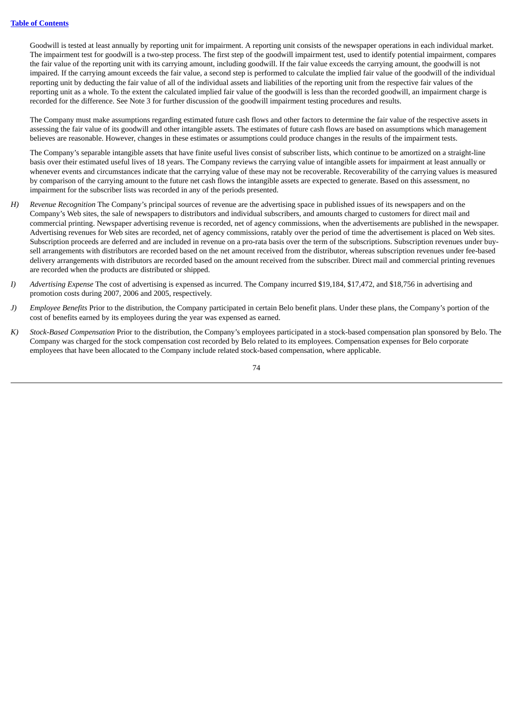Goodwill is tested at least annually by reporting unit for impairment. A reporting unit consists of the newspaper operations in each individual market. The impairment test for goodwill is a two-step process. The first step of the goodwill impairment test, used to identify potential impairment, compares the fair value of the reporting unit with its carrying amount, including goodwill. If the fair value exceeds the carrying amount, the goodwill is not impaired. If the carrying amount exceeds the fair value, a second step is performed to calculate the implied fair value of the goodwill of the individual reporting unit by deducting the fair value of all of the individual assets and liabilities of the reporting unit from the respective fair values of the reporting unit as a whole. To the extent the calculated implied fair value of the goodwill is less than the recorded goodwill, an impairment charge is recorded for the difference. See Note 3 for further discussion of the goodwill impairment testing procedures and results.

The Company must make assumptions regarding estimated future cash flows and other factors to determine the fair value of the respective assets in assessing the fair value of its goodwill and other intangible assets. The estimates of future cash flows are based on assumptions which management believes are reasonable. However, changes in these estimates or assumptions could produce changes in the results of the impairment tests.

The Company's separable intangible assets that have finite useful lives consist of subscriber lists, which continue to be amortized on a straight-line basis over their estimated useful lives of 18 years. The Company reviews the carrying value of intangible assets for impairment at least annually or whenever events and circumstances indicate that the carrying value of these may not be recoverable. Recoverability of the carrying values is measured by comparison of the carrying amount to the future net cash flows the intangible assets are expected to generate. Based on this assessment, no impairment for the subscriber lists was recorded in any of the periods presented.

- *H) Revenue Recognition* The Company's principal sources of revenue are the advertising space in published issues of its newspapers and on the Company's Web sites, the sale of newspapers to distributors and individual subscribers, and amounts charged to customers for direct mail and commercial printing. Newspaper advertising revenue is recorded, net of agency commissions, when the advertisements are published in the newspaper. Advertising revenues for Web sites are recorded, net of agency commissions, ratably over the period of time the advertisement is placed on Web sites. Subscription proceeds are deferred and are included in revenue on a pro-rata basis over the term of the subscriptions. Subscription revenues under buysell arrangements with distributors are recorded based on the net amount received from the distributor, whereas subscription revenues under fee-based delivery arrangements with distributors are recorded based on the amount received from the subscriber. Direct mail and commercial printing revenues are recorded when the products are distributed or shipped.
- *I) Advertising Expense* The cost of advertising is expensed as incurred. The Company incurred \$19,184, \$17,472, and \$18,756 in advertising and promotion costs during 2007, 2006 and 2005, respectively.
- *J) Employee Benefits* Prior to the distribution, the Company participated in certain Belo benefit plans. Under these plans, the Company's portion of the cost of benefits earned by its employees during the year was expensed as earned.
- *K) Stock-Based Compensation* Prior to the distribution, the Company's employees participated in a stock-based compensation plan sponsored by Belo. The Company was charged for the stock compensation cost recorded by Belo related to its employees. Compensation expenses for Belo corporate employees that have been allocated to the Company include related stock-based compensation, where applicable.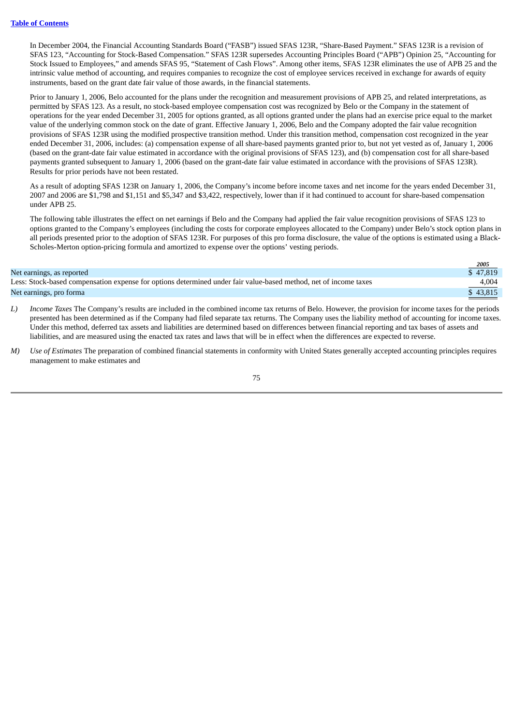In December 2004, the Financial Accounting Standards Board ("FASB") issued SFAS 123R, "Share-Based Payment." SFAS 123R is a revision of SFAS 123, "Accounting for Stock-Based Compensation." SFAS 123R supersedes Accounting Principles Board ("APB") Opinion 25, "Accounting for Stock Issued to Employees," and amends SFAS 95, "Statement of Cash Flows". Among other items, SFAS 123R eliminates the use of APB 25 and the intrinsic value method of accounting, and requires companies to recognize the cost of employee services received in exchange for awards of equity instruments, based on the grant date fair value of those awards, in the financial statements.

Prior to January 1, 2006, Belo accounted for the plans under the recognition and measurement provisions of APB 25, and related interpretations, as permitted by SFAS 123. As a result, no stock-based employee compensation cost was recognized by Belo or the Company in the statement of operations for the year ended December 31, 2005 for options granted, as all options granted under the plans had an exercise price equal to the market value of the underlying common stock on the date of grant. Effective January 1, 2006, Belo and the Company adopted the fair value recognition provisions of SFAS 123R using the modified prospective transition method. Under this transition method, compensation cost recognized in the year ended December 31, 2006, includes: (a) compensation expense of all share-based payments granted prior to, but not yet vested as of, January 1, 2006 (based on the grant-date fair value estimated in accordance with the original provisions of SFAS 123), and (b) compensation cost for all share-based payments granted subsequent to January 1, 2006 (based on the grant-date fair value estimated in accordance with the provisions of SFAS 123R). Results for prior periods have not been restated.

As a result of adopting SFAS 123R on January 1, 2006, the Company's income before income taxes and net income for the years ended December 31, 2007 and 2006 are \$1,798 and \$1,151 and \$5,347 and \$3,422, respectively, lower than if it had continued to account for share-based compensation under APB 25.

The following table illustrates the effect on net earnings if Belo and the Company had applied the fair value recognition provisions of SFAS 123 to options granted to the Company's employees (including the costs for corporate employees allocated to the Company) under Belo's stock option plans in all periods presented prior to the adoption of SFAS 123R. For purposes of this pro forma disclosure, the value of the options is estimated using a Black-Scholes-Merton option-pricing formula and amortized to expense over the options' vesting periods.

|                                                                                                                  | $-2005$                           |
|------------------------------------------------------------------------------------------------------------------|-----------------------------------|
| Net earnings, as reported                                                                                        | \$47.819                          |
| Less: Stock-based compensation expense for options determined under fair value-based method, net of income taxes | 4,004<br>$\overline{\phantom{a}}$ |
| Net earnings, pro forma                                                                                          | \$43.815                          |

- *L) Income Taxes* The Company's results are included in the combined income tax returns of Belo. However, the provision for income taxes for the periods presented has been determined as if the Company had filed separate tax returns. The Company uses the liability method of accounting for income taxes. Under this method, deferred tax assets and liabilities are determined based on differences between financial reporting and tax bases of assets and liabilities, and are measured using the enacted tax rates and laws that will be in effect when the differences are expected to reverse.
- *M) Use of Estimates* The preparation of combined financial statements in conformity with United States generally accepted accounting principles requires management to make estimates and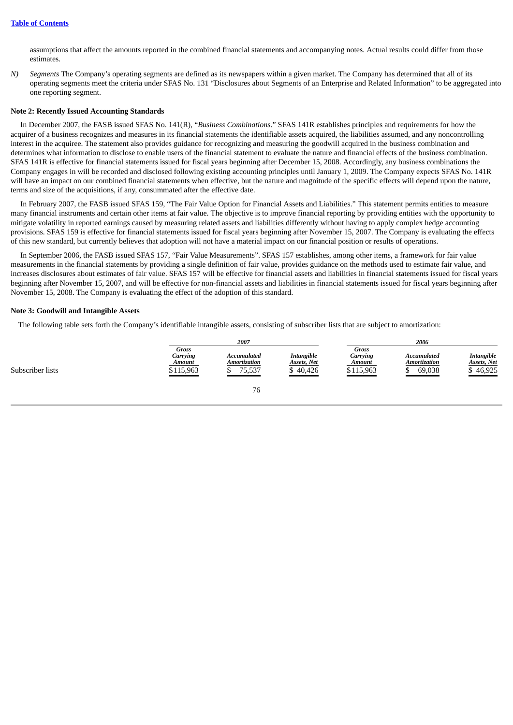assumptions that affect the amounts reported in the combined financial statements and accompanying notes. Actual results could differ from those estimates.

*N) Segments* The Company's operating segments are defined as its newspapers within a given market. The Company has determined that all of its operating segments meet the criteria under SFAS No. 131 "Disclosures about Segments of an Enterprise and Related Information" to be aggregated into one reporting segment.

### **Note 2: Recently Issued Accounting Standards**

In December 2007, the FASB issued SFAS No. 141(R), "*Business Combinations*." SFAS 141R establishes principles and requirements for how the acquirer of a business recognizes and measures in its financial statements the identifiable assets acquired, the liabilities assumed, and any noncontrolling interest in the acquiree. The statement also provides guidance for recognizing and measuring the goodwill acquired in the business combination and determines what information to disclose to enable users of the financial statement to evaluate the nature and financial effects of the business combination. SFAS 141R is effective for financial statements issued for fiscal years beginning after December 15, 2008. Accordingly, any business combinations the Company engages in will be recorded and disclosed following existing accounting principles until January 1, 2009. The Company expects SFAS No. 141R will have an impact on our combined financial statements when effective, but the nature and magnitude of the specific effects will depend upon the nature, terms and size of the acquisitions, if any, consummated after the effective date.

In February 2007, the FASB issued SFAS 159, "The Fair Value Option for Financial Assets and Liabilities." This statement permits entities to measure many financial instruments and certain other items at fair value. The objective is to improve financial reporting by providing entities with the opportunity to mitigate volatility in reported earnings caused by measuring related assets and liabilities differently without having to apply complex hedge accounting provisions. SFAS 159 is effective for financial statements issued for fiscal years beginning after November 15, 2007. The Company is evaluating the effects of this new standard, but currently believes that adoption will not have a material impact on our financial position or results of operations.

In September 2006, the FASB issued SFAS 157, "Fair Value Measurements". SFAS 157 establishes, among other items, a framework for fair value measurements in the financial statements by providing a single definition of fair value, provides guidance on the methods used to estimate fair value, and increases disclosures about estimates of fair value. SFAS 157 will be effective for financial assets and liabilities in financial statements issued for fiscal years beginning after November 15, 2007, and will be effective for non-financial assets and liabilities in financial statements issued for fiscal years beginning after November 15, 2008. The Company is evaluating the effect of the adoption of this standard.

#### **Note 3: Goodwill and Intangible Assets**

The following table sets forth the Company's identifiable intangible assets, consisting of subscriber lists that are subject to amortization:

|                  |                                                                         | 2007                                                                                                                                                                  |                                              |                                          | 2006                                              |                                                                        |
|------------------|-------------------------------------------------------------------------|-----------------------------------------------------------------------------------------------------------------------------------------------------------------------|----------------------------------------------|------------------------------------------|---------------------------------------------------|------------------------------------------------------------------------|
| Subscriber lists | Gross<br>Carrying<br>Amount<br>\$115,963<br>$\overbrace{\hspace{27mm}}$ | Accumulated<br><b>Amortization</b><br>/5,537<br><u> Tanzania de la contenentación de la contenentación de la contenentación de la contenentación de la contenenta</u> | <b>Intangible</b><br>Assets, Net<br>\$40,426 | Gross<br>Carrying<br>Amount<br>\$115,963 | <b>Accumulated</b><br>Amortization<br>69.038<br>ື | <b>Intangible</b><br>Assets, Net<br>46,925<br>$\overline{\phantom{a}}$ |
|                  |                                                                         | 76                                                                                                                                                                    |                                              |                                          |                                                   |                                                                        |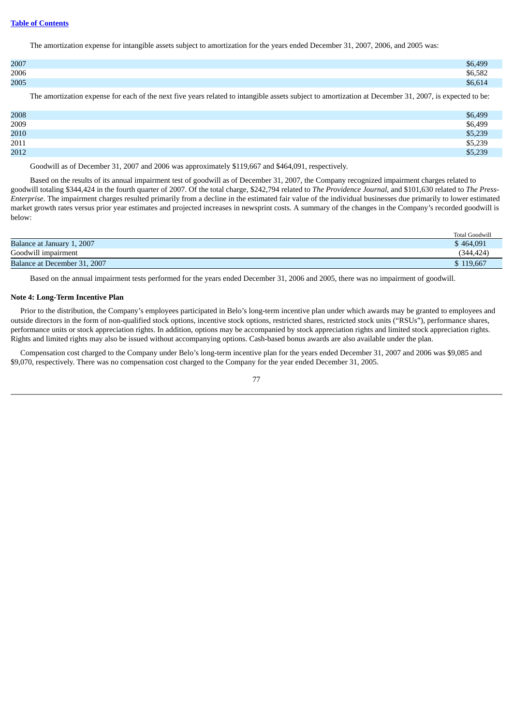The amortization expense for intangible assets subject to amortization for the years ended December 31, 2007, 2006, and 2005 was:

| 2007 | \$6,499 |
|------|---------|
| 2006 | \$6,582 |
| 2005 | \$6,614 |

The amortization expense for each of the next five years related to intangible assets subject to amortization at December 31, 2007, is expected to be:

| 2008 | \$6,499 |
|------|---------|
| 2009 | \$6,499 |
| 2010 | \$5,239 |
| 2011 | \$5,239 |
| 2012 | \$5,239 |

Goodwill as of December 31, 2007 and 2006 was approximately \$119,667 and \$464,091, respectively.

Based on the results of its annual impairment test of goodwill as of December 31, 2007, the Company recognized impairment charges related to goodwill totaling \$344,424 in the fourth quarter of 2007. Of the total charge, \$242,794 related to *The Providence Journal,* and \$101,630 related to *The Press-Enterprise*. The impairment charges resulted primarily from a decline in the estimated fair value of the individual businesses due primarily to lower estimated market growth rates versus prior year estimates and projected increases in newsprint costs. A summary of the changes in the Company's recorded goodwill is below:

|                                   | <b>Total Goodwill</b> |
|-----------------------------------|-----------------------|
| <b>Balance at January 1, 2007</b> | \$464,091             |
| Goodwill impairment               | (344.424)             |
| Balance at December 31, 2007      | \$119,667             |

Based on the annual impairment tests performed for the years ended December 31, 2006 and 2005, there was no impairment of goodwill.

### **Note 4: Long-Term Incentive Plan**

Prior to the distribution, the Company's employees participated in Belo's long-term incentive plan under which awards may be granted to employees and outside directors in the form of non-qualified stock options, incentive stock options, restricted shares, restricted stock units ("RSUs"), performance shares, performance units or stock appreciation rights. In addition, options may be accompanied by stock appreciation rights and limited stock appreciation rights. Rights and limited rights may also be issued without accompanying options. Cash-based bonus awards are also available under the plan.

Compensation cost charged to the Company under Belo's long-term incentive plan for the years ended December 31, 2007 and 2006 was \$9,085 and \$9,070, respectively. There was no compensation cost charged to the Company for the year ended December 31, 2005.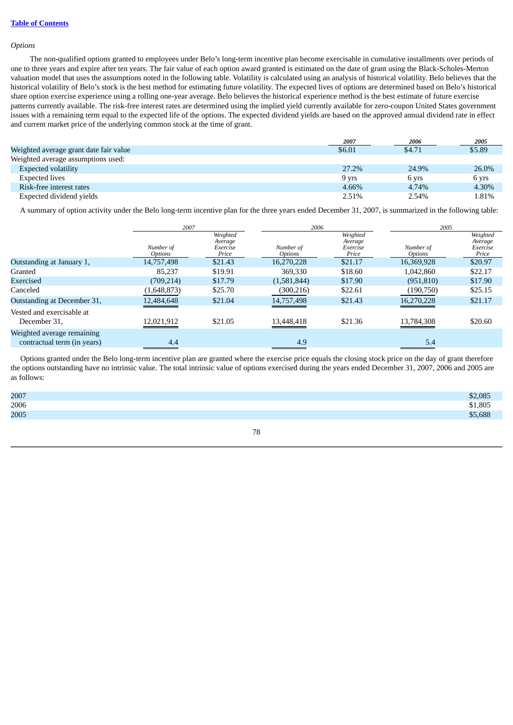### *Options*

The non-qualified options granted to employees under Belo's long-term incentive plan become exercisable in cumulative installments over periods of one to three years and expire after ten years. The fair value of each option award granted is estimated on the date of grant using the Black-Scholes-Merton valuation model that uses the assumptions noted in the following table. Volatility is calculated using an analysis of historical volatility. Belo believes that the historical volatility of Belo's stock is the best method for estimating future volatility. The expected lives of options are determined based on Belo's historical share option exercise experience using a rolling one-year average. Belo believes the historical experience method is the best estimate of future exercise patterns currently available. The risk-free interest rates are determined using the implied yield currently available for zero-coupon United States government issues with a remaining term equal to the expected life of the options. The expected dividend yields are based on the approved annual dividend rate in effect and current market price of the underlying common stock at the time of grant.

|                                        | 2007   | 2006   | 2005   |
|----------------------------------------|--------|--------|--------|
| Weighted average grant date fair value | \$6.01 | \$4.71 | \$5.89 |
| Weighted average assumptions used:     |        |        |        |
| Expected volatility                    | 27.2%  | 24.9%  | 26.0%  |
| Expected lives                         | 9 yrs  | 6 yrs  | 6 yrs  |
| Risk-free interest rates               | 4.66%  | 4.74%  | 4.30%  |
| Expected dividend yields               | 2.51%  | 2.54%  | 1.81%  |

A summary of option activity under the Belo long-term incentive plan for the three years ended December 31, 2007, is summarized in the following table:

|                                                           | 2007                 |                                          |                                    | 2006                                     |                                    | 2005                                     |  |
|-----------------------------------------------------------|----------------------|------------------------------------------|------------------------------------|------------------------------------------|------------------------------------|------------------------------------------|--|
|                                                           | Number of<br>Options | Weighted<br>Average<br>Exercise<br>Price | Number of<br><i><b>Options</b></i> | Weighted<br>Average<br>Exercise<br>Price | Number of<br><i><b>Options</b></i> | Weighted<br>Average<br>Exercise<br>Price |  |
| Outstanding at January 1,                                 | 14,757,498           | \$21.43                                  | 16,270,228                         | \$21.17                                  | 16,369,928                         | \$20.97                                  |  |
| Granted                                                   | 85.237               | \$19.91                                  | 369,330                            | \$18.60                                  | 1,042,860                          | \$22.17                                  |  |
| Exercised                                                 | (709, 214)           | \$17.79                                  | (1,581,844)                        | \$17.90                                  | (951, 810)                         | \$17.90                                  |  |
| Canceled                                                  | (1,648,873)          | \$25.70                                  | (300, 216)                         | \$22.61                                  | (190, 750)                         | \$25.15                                  |  |
| Outstanding at December 31,                               | 12,484,648           | \$21.04                                  | 14,757,498                         | \$21.43                                  | 16,270,228                         | \$21.17                                  |  |
| Vested and exercisable at<br>December 31,                 | 12,021,912           | \$21.05                                  | 13,448,418                         | \$21.36                                  | 13,784,308                         | \$20.60                                  |  |
| Weighted average remaining<br>contractual term (in years) | 4.4                  |                                          | 4.9                                |                                          | 5.4                                |                                          |  |

Options granted under the Belo long-term incentive plan are granted where the exercise price equals the closing stock price on the day of grant therefore the options outstanding have no intrinsic value. The total intrinsic value of options exercised during the years ended December 31, 2007, 2006 and 2005 are as follows:

| 2007 | \$2,085 |
|------|---------|
| 2006 | \$1,805 |
| 2005 | \$5,688 |
|      |         |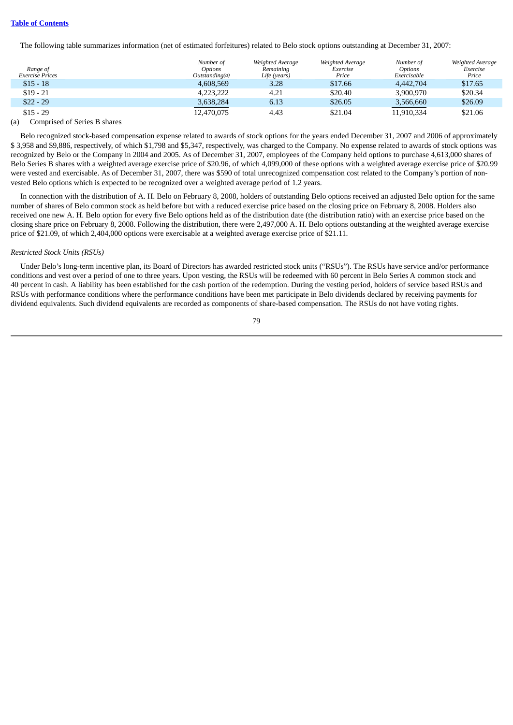The following table summarizes information (net of estimated forfeitures) related to Belo stock options outstanding at December 31, 2007:

| Range of<br><b>Exercise Prices</b> | Number of<br><b>Options</b><br>Outstandina(a) | Weighted Average<br>Remainina<br>Life (years) | Weighted Average<br>Exercise<br>Price | Number of<br><b>Options</b><br>Exercisable | Weighted Average<br>Exercise<br>Price |
|------------------------------------|-----------------------------------------------|-----------------------------------------------|---------------------------------------|--------------------------------------------|---------------------------------------|
| $$15 - 18$                         | 4.608.569                                     | 3.28                                          | \$17.66                               | 4.442,704                                  | \$17.65                               |
| $$19 - 21$                         | 4.223.222                                     | 4.21                                          | \$20.40                               | 3.900.970                                  | \$20.34                               |
| $$22 - 29$                         | 3,638,284                                     | 6.13                                          | \$26.05                               | 3,566,660                                  | \$26.09                               |
| $$15 - 29$                         | 12,470,075                                    | 4.43                                          | \$21.04                               | 11,910,334                                 | \$21.06                               |
| $\sim$ $\sim$ $\sim$<br>- -        |                                               |                                               |                                       |                                            |                                       |

#### (a) Comprised of Series B shares

Belo recognized stock-based compensation expense related to awards of stock options for the years ended December 31, 2007 and 2006 of approximately \$ 3,958 and \$9,886, respectively, of which \$1,798 and \$5,347, respectively, was charged to the Company. No expense related to awards of stock options was recognized by Belo or the Company in 2004 and 2005. As of December 31, 2007, employees of the Company held options to purchase 4,613,000 shares of Belo Series B shares with a weighted average exercise price of \$20.96, of which 4,099,000 of these options with a weighted average exercise price of \$20.99 were vested and exercisable. As of December 31, 2007, there was \$590 of total unrecognized compensation cost related to the Company's portion of nonvested Belo options which is expected to be recognized over a weighted average period of 1.2 years.

In connection with the distribution of A. H. Belo on February 8, 2008, holders of outstanding Belo options received an adjusted Belo option for the same number of shares of Belo common stock as held before but with a reduced exercise price based on the closing price on February 8, 2008. Holders also received one new A. H. Belo option for every five Belo options held as of the distribution date (the distribution ratio) with an exercise price based on the closing share price on February 8, 2008. Following the distribution, there were 2,497,000 A. H. Belo options outstanding at the weighted average exercise price of \$21.09, of which 2,404,000 options were exercisable at a weighted average exercise price of \$21.11.

#### *Restricted Stock Units (RSUs)*

Under Belo's long-term incentive plan, its Board of Directors has awarded restricted stock units ("RSUs"). The RSUs have service and/or performance conditions and vest over a period of one to three years. Upon vesting, the RSUs will be redeemed with 60 percent in Belo Series A common stock and 40 percent in cash. A liability has been established for the cash portion of the redemption. During the vesting period, holders of service based RSUs and RSUs with performance conditions where the performance conditions have been met participate in Belo dividends declared by receiving payments for dividend equivalents. Such dividend equivalents are recorded as components of share-based compensation. The RSUs do not have voting rights.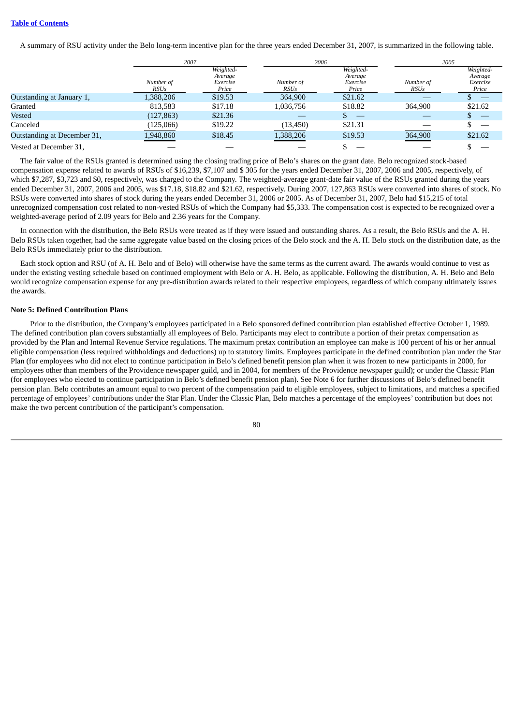A summary of RSU activity under the Belo long-term incentive plan for the three years ended December 31, 2007, is summarized in the following table.

|                             | 2007                     |                                           | 2006                     |                                           | 2005                     |                                           |
|-----------------------------|--------------------------|-------------------------------------------|--------------------------|-------------------------------------------|--------------------------|-------------------------------------------|
|                             | Number of<br><b>RSUs</b> | Weighted-<br>Average<br>Exercise<br>Price | Number of<br><b>RSUs</b> | Weighted-<br>Average<br>Exercise<br>Price | Number of<br><b>RSUs</b> | Weighted-<br>Average<br>Exercise<br>Price |
| Outstanding at January 1,   | 1,388,206                | \$19.53                                   | 364,900                  | \$21.62                                   |                          |                                           |
| Granted                     | 813,583                  | \$17.18                                   | 1,036,756                | \$18.82                                   | 364,900                  | \$21.62                                   |
| Vested                      | (127, 863)               | \$21.36                                   |                          |                                           |                          |                                           |
| Canceled                    | (125,066)                | \$19.22                                   | (13, 450)                | \$21.31                                   |                          |                                           |
| Outstanding at December 31, | 1,948,860                | \$18.45                                   | 1,388,206                | \$19.53                                   | 364,900                  | \$21.62                                   |
| Vested at December 31,      |                          |                                           |                          |                                           |                          |                                           |

The fair value of the RSUs granted is determined using the closing trading price of Belo's shares on the grant date. Belo recognized stock-based compensation expense related to awards of RSUs of \$16,239, \$7,107 and \$ 305 for the years ended December 31, 2007, 2006 and 2005, respectively, of which \$7,287, \$3,723 and \$0, respectively, was charged to the Company. The weighted-average grant-date fair value of the RSUs granted during the years ended December 31, 2007, 2006 and 2005, was \$17.18, \$18.82 and \$21.62, respectively. During 2007, 127,863 RSUs were converted into shares of stock. No RSUs were converted into shares of stock during the years ended December 31, 2006 or 2005. As of December 31, 2007, Belo had \$15,215 of total unrecognized compensation cost related to non-vested RSUs of which the Company had \$5,333. The compensation cost is expected to be recognized over a weighted-average period of 2.09 years for Belo and 2.36 years for the Company.

In connection with the distribution, the Belo RSUs were treated as if they were issued and outstanding shares. As a result, the Belo RSUs and the A. H. Belo RSUs taken together, had the same aggregate value based on the closing prices of the Belo stock and the A. H. Belo stock on the distribution date, as the Belo RSUs immediately prior to the distribution.

Each stock option and RSU (of A. H. Belo and of Belo) will otherwise have the same terms as the current award. The awards would continue to vest as under the existing vesting schedule based on continued employment with Belo or A. H. Belo, as applicable. Following the distribution, A. H. Belo and Belo would recognize compensation expense for any pre-distribution awards related to their respective employees, regardless of which company ultimately issues the awards.

### **Note 5: Defined Contribution Plans**

Prior to the distribution, the Company's employees participated in a Belo sponsored defined contribution plan established effective October 1, 1989. The defined contribution plan covers substantially all employees of Belo. Participants may elect to contribute a portion of their pretax compensation as provided by the Plan and Internal Revenue Service regulations. The maximum pretax contribution an employee can make is 100 percent of his or her annual eligible compensation (less required withholdings and deductions) up to statutory limits. Employees participate in the defined contribution plan under the Star Plan (for employees who did not elect to continue participation in Belo's defined benefit pension plan when it was frozen to new participants in 2000, for employees other than members of the Providence newspaper guild, and in 2004, for members of the Providence newspaper guild); or under the Classic Plan (for employees who elected to continue participation in Belo's defined benefit pension plan). See Note 6 for further discussions of Belo's defined benefit pension plan. Belo contributes an amount equal to two percent of the compensation paid to eligible employees, subject to limitations, and matches a specified percentage of employees' contributions under the Star Plan. Under the Classic Plan, Belo matches a percentage of the employees' contribution but does not make the two percent contribution of the participant's compensation.

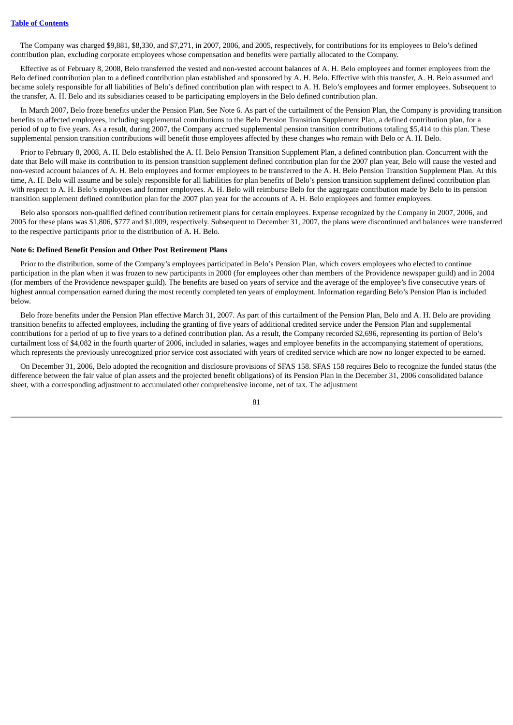The Company was charged \$9,881, \$8,330, and \$7,271, in 2007, 2006, and 2005, respectively, for contributions for its employees to Belo's defined contribution plan, excluding corporate employees whose compensation and benefits were partially allocated to the Company.

Effective as of February 8, 2008, Belo transferred the vested and non-vested account balances of A. H. Belo employees and former employees from the Belo defined contribution plan to a defined contribution plan established and sponsored by A. H. Belo. Effective with this transfer, A. H. Belo assumed and became solely responsible for all liabilities of Belo's defined contribution plan with respect to A. H. Belo's employees and former employees. Subsequent to the transfer, A. H. Belo and its subsidiaries ceased to be participating employers in the Belo defined contribution plan.

In March 2007, Belo froze benefits under the Pension Plan. See Note 6. As part of the curtailment of the Pension Plan, the Company is providing transition benefits to affected employees, including supplemental contributions to the Belo Pension Transition Supplement Plan, a defined contribution plan, for a period of up to five years. As a result, during 2007, the Company accrued supplemental pension transition contributions totaling \$5,414 to this plan. These supplemental pension transition contributions will benefit those employees affected by these changes who remain with Belo or A. H. Belo.

Prior to February 8, 2008, A. H. Belo established the A. H. Belo Pension Transition Supplement Plan, a defined contribution plan. Concurrent with the date that Belo will make its contribution to its pension transition supplement defined contribution plan for the 2007 plan year, Belo will cause the vested and non-vested account balances of A. H. Belo employees and former employees to be transferred to the A. H. Belo Pension Transition Supplement Plan. At this time, A. H. Belo will assume and be solely responsible for all liabilities for plan benefits of Belo's pension transition supplement defined contribution plan with respect to A. H. Belo's employees and former employees. A. H. Belo will reimburse Belo for the aggregate contribution made by Belo to its pension transition supplement defined contribution plan for the 2007 plan year for the accounts of A. H. Belo employees and former employees.

Belo also sponsors non-qualified defined contribution retirement plans for certain employees. Expense recognized by the Company in 2007, 2006, and 2005 for these plans was \$1,806, \$777 and \$1,009, respectively. Subsequent to December 31, 2007, the plans were discontinued and balances were transferred to the respective participants prior to the distribution of A. H. Belo.

### **Note 6: Defined Benefit Pension and Other Post Retirement Plans**

Prior to the distribution, some of the Company's employees participated in Belo's Pension Plan, which covers employees who elected to continue participation in the plan when it was frozen to new participants in 2000 (for employees other than members of the Providence newspaper guild) and in 2004 (for members of the Providence newspaper guild). The benefits are based on years of service and the average of the employee's five consecutive years of highest annual compensation earned during the most recently completed ten years of employment. Information regarding Belo's Pension Plan is included below.

Belo froze benefits under the Pension Plan effective March 31, 2007. As part of this curtailment of the Pension Plan, Belo and A. H. Belo are providing transition benefits to affected employees, including the granting of five years of additional credited service under the Pension Plan and supplemental contributions for a period of up to five years to a defined contribution plan. As a result, the Company recorded \$2,696, representing its portion of Belo's curtailment loss of \$4,082 in the fourth quarter of 2006, included in salaries, wages and employee benefits in the accompanying statement of operations, which represents the previously unrecognized prior service cost associated with years of credited service which are now no longer expected to be earned.

On December 31, 2006, Belo adopted the recognition and disclosure provisions of SFAS 158. SFAS 158 requires Belo to recognize the funded status (the difference between the fair value of plan assets and the projected benefit obligations) of its Pension Plan in the December 31, 2006 consolidated balance sheet, with a corresponding adjustment to accumulated other comprehensive income, net of tax. The adjustment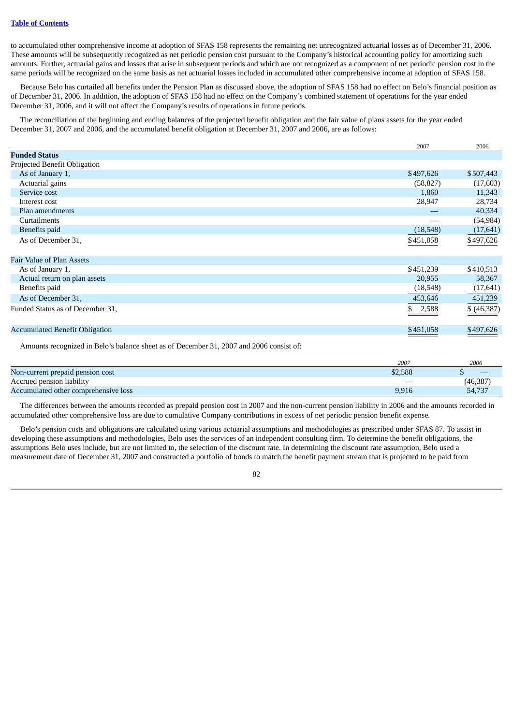to accumulated other comprehensive income at adoption of SFAS 158 represents the remaining net unrecognized actuarial losses as of December 31, 2006. These amounts will be subsequently recognized as net periodic pension cost pursuant to the Company's historical accounting policy for amortizing such amounts. Further, actuarial gains and losses that arise in subsequent periods and which are not recognized as a component of net periodic pension cost in the same periods will be recognized on the same basis as net actuarial losses included in accumulated other comprehensive income at adoption of SFAS 158.

Because Belo has curtailed all benefits under the Pension Plan as discussed above, the adoption of SFAS 158 had no effect on Belo's financial position as of December 31, 2006. In addition, the adoption of SFAS 158 had no effect on the Company's combined statement of operations for the year ended December 31, 2006, and it will not affect the Company's results of operations in future periods.

The reconciliation of the beginning and ending balances of the projected benefit obligation and the fair value of plans assets for the year ended December 31, 2007 and 2006, and the accumulated benefit obligation at December 31, 2007 and 2006, are as follows:

|                                       | 2007         | 2006        |
|---------------------------------------|--------------|-------------|
| <b>Funded Status</b>                  |              |             |
| Projected Benefit Obligation          |              |             |
| As of January 1,                      | \$497,626    | \$507,443   |
| Actuarial gains                       | (58, 827)    | (17,603)    |
| Service cost                          | 1,860        | 11,343      |
| Interest cost                         | 28,947       | 28,734      |
| Plan amendments                       |              | 40,334      |
| Curtailments                          |              | (54, 984)   |
| <b>Benefits</b> paid                  | (18,548)     | (17, 641)   |
| As of December 31,                    | \$451,058    | \$497,626   |
| Fair Value of Plan Assets             |              |             |
| As of January 1,                      | \$451,239    | \$410,513   |
| Actual return on plan assets          | 20,955       | 58,367      |
| Benefits paid                         | (18, 548)    | (17, 641)   |
| As of December 31,                    | 453,646      | 451,239     |
| Funded Status as of December 31,      | 2,588<br>\$. | \$ (46,387) |
| <b>Accumulated Benefit Obligation</b> | \$451,058    | \$497,626   |

Amounts recognized in Belo's balance sheet as of December 31, 2007 and 2006 consist of:

|                                      | 2007                     | 2006      |
|--------------------------------------|--------------------------|-----------|
| Non-current prepaid pension cost     | \$2,588                  |           |
| Accrued pension liability            | $\overline{\phantom{a}}$ | (46, 387) |
| Accumulated other comprehensive loss | 9,916                    | 54,737    |

The differences between the amounts recorded as prepaid pension cost in 2007 and the non-current pension liability in 2006 and the amounts recorded in accumulated other comprehensive loss are due to cumulative Company contributions in excess of net periodic pension benefit expense.

Belo's pension costs and obligations are calculated using various actuarial assumptions and methodologies as prescribed under SFAS 87. To assist in developing these assumptions and methodologies, Belo uses the services of an independent consulting firm. To determine the benefit obligations, the assumptions Belo uses include, but are not limited to, the selection of the discount rate. In determining the discount rate assumption, Belo used a measurement date of December 31, 2007 and constructed a portfolio of bonds to match the benefit payment stream that is projected to be paid from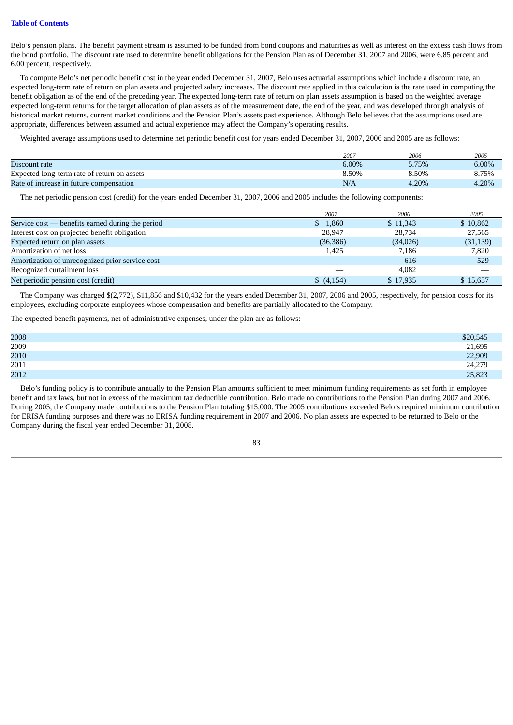Belo's pension plans. The benefit payment stream is assumed to be funded from bond coupons and maturities as well as interest on the excess cash flows from the bond portfolio. The discount rate used to determine benefit obligations for the Pension Plan as of December 31, 2007 and 2006, were 6.85 percent and 6.00 percent, respectively.

To compute Belo's net periodic benefit cost in the year ended December 31, 2007, Belo uses actuarial assumptions which include a discount rate, an expected long-term rate of return on plan assets and projected salary increases. The discount rate applied in this calculation is the rate used in computing the benefit obligation as of the end of the preceding year. The expected long-term rate of return on plan assets assumption is based on the weighted average expected long-term returns for the target allocation of plan assets as of the measurement date, the end of the year, and was developed through analysis of historical market returns, current market conditions and the Pension Plan's assets past experience. Although Belo believes that the assumptions used are appropriate, differences between assumed and actual experience may affect the Company's operating results.

Weighted average assumptions used to determine net periodic benefit cost for years ended December 31, 2007, 2006 and 2005 are as follows:

|                                             | 2007     | 2006  | 2005     |
|---------------------------------------------|----------|-------|----------|
| Discount rate                               | $6.00\%$ | 5.75% | $6.00\%$ |
| Expected long-term rate of return on assets | 8.50%    | 8.50% | 8.75%    |
| Rate of increase in future compensation     | N/A      | 4.20% | 4.20%    |

The net periodic pension cost (credit) for the years ended December 31, 2007, 2006 and 2005 includes the following components:

|                                                  | 2007                 | 2006      | 2005      |
|--------------------------------------------------|----------------------|-----------|-----------|
| Service $cost$ benefits earned during the period | \$1,860              | \$11.343  | \$10,862  |
| Interest cost on projected benefit obligation    | 28.947               | 28,734    | 27,565    |
| Expected return on plan assets                   | (36, 386)            | (34, 026) | (31, 139) |
| Amortization of net loss                         | 1,425                | 7,186     | 7,820     |
| Amortization of unrecognized prior service cost  |                      | 616       | 529       |
| Recognized curtailment loss                      |                      | 4.082     |           |
| Net periodic pension cost (credit)               | $\frac{1}{2}(4,154)$ | \$17,935  | \$15,637  |

The Company was charged \$(2,772), \$11,856 and \$10,432 for the years ended December 31, 2007, 2006 and 2005, respectively, for pension costs for its employees, excluding corporate employees whose compensation and benefits are partially allocated to the Company.

The expected benefit payments, net of administrative expenses, under the plan are as follows:

| \$20,545 |
|----------|
| 21,695   |
| 22,909   |
| 24,279   |
| 25,823   |
|          |

Belo's funding policy is to contribute annually to the Pension Plan amounts sufficient to meet minimum funding requirements as set forth in employee benefit and tax laws, but not in excess of the maximum tax deductible contribution. Belo made no contributions to the Pension Plan during 2007 and 2006. During 2005, the Company made contributions to the Pension Plan totaling \$15,000. The 2005 contributions exceeded Belo's required minimum contribution for ERISA funding purposes and there was no ERISA funding requirement in 2007 and 2006. No plan assets are expected to be returned to Belo or the Company during the fiscal year ended December 31, 2008.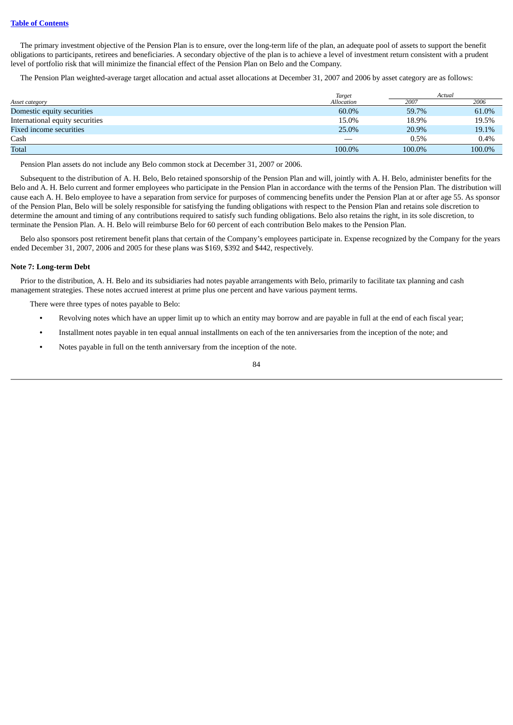The primary investment objective of the Pension Plan is to ensure, over the long-term life of the plan, an adequate pool of assets to support the benefit obligations to participants, retirees and beneficiaries. A secondary objective of the plan is to achieve a level of investment return consistent with a prudent level of portfolio risk that will minimize the financial effect of the Pension Plan on Belo and the Company.

The Pension Plan weighted-average target allocation and actual asset allocations at December 31, 2007 and 2006 by asset category are as follows:

|                                 | Target     | Actual |        |
|---------------------------------|------------|--------|--------|
| Asset category                  | Allocation | 2007   | 2006   |
| Domestic equity securities      | 60.0%      | 59.7%  | 61.0%  |
| International equity securities | 15.0%      | 18.9%  | 19.5%  |
| Fixed income securities         | 25.0%      | 20.9%  | 19.1%  |
| Cash                            |            | 0.5%   | 0.4%   |
| <b>Total</b>                    | 100.0%     | 100.0% | 100.0% |

Pension Plan assets do not include any Belo common stock at December 31, 2007 or 2006.

Subsequent to the distribution of A. H. Belo, Belo retained sponsorship of the Pension Plan and will, jointly with A. H. Belo, administer benefits for the Belo and A. H. Belo current and former employees who participate in the Pension Plan in accordance with the terms of the Pension Plan. The distribution will cause each A. H. Belo employee to have a separation from service for purposes of commencing benefits under the Pension Plan at or after age 55. As sponsor of the Pension Plan, Belo will be solely responsible for satisfying the funding obligations with respect to the Pension Plan and retains sole discretion to determine the amount and timing of any contributions required to satisfy such funding obligations. Belo also retains the right, in its sole discretion, to terminate the Pension Plan. A. H. Belo will reimburse Belo for 60 percent of each contribution Belo makes to the Pension Plan.

Belo also sponsors post retirement benefit plans that certain of the Company's employees participate in. Expense recognized by the Company for the years ended December 31, 2007, 2006 and 2005 for these plans was \$169, \$392 and \$442, respectively.

### **Note 7: Long-term Debt**

Prior to the distribution, A. H. Belo and its subsidiaries had notes payable arrangements with Belo, primarily to facilitate tax planning and cash management strategies. These notes accrued interest at prime plus one percent and have various payment terms.

There were three types of notes payable to Belo:

- **•** Revolving notes which have an upper limit up to which an entity may borrow and are payable in full at the end of each fiscal year;
- **•** Installment notes payable in ten equal annual installments on each of the ten anniversaries from the inception of the note; and
- **•** Notes payable in full on the tenth anniversary from the inception of the note.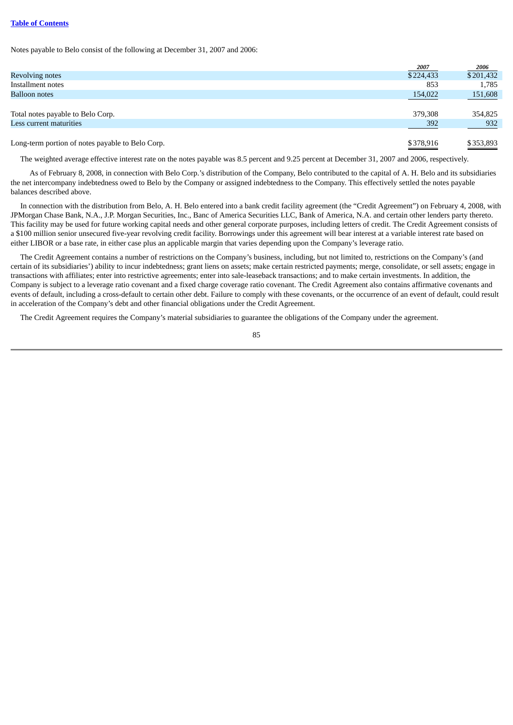Notes payable to Belo consist of the following at December 31, 2007 and 2006:

|                                                  | 2007      | 2006      |
|--------------------------------------------------|-----------|-----------|
| <b>Revolving notes</b>                           | \$224,433 | \$201,432 |
| Installment notes                                | 853       | 1.785     |
| <b>Balloon notes</b>                             | 154,022   | 151,608   |
|                                                  |           |           |
| Total notes payable to Belo Corp.                | 379,308   | 354,825   |
| Less current maturities                          | 392       | 932       |
|                                                  |           |           |
| Long-term portion of notes payable to Belo Corp. | \$378,916 | \$353,893 |

The weighted average effective interest rate on the notes payable was 8.5 percent and 9.25 percent at December 31, 2007 and 2006, respectively.

As of February 8, 2008, in connection with Belo Corp.'s distribution of the Company, Belo contributed to the capital of A. H. Belo and its subsidiaries the net intercompany indebtedness owed to Belo by the Company or assigned indebtedness to the Company. This effectively settled the notes payable balances described above.

In connection with the distribution from Belo, A. H. Belo entered into a bank credit facility agreement (the "Credit Agreement") on February 4, 2008, with JPMorgan Chase Bank, N.A., J.P. Morgan Securities, Inc., Banc of America Securities LLC, Bank of America, N.A. and certain other lenders party thereto. This facility may be used for future working capital needs and other general corporate purposes, including letters of credit. The Credit Agreement consists of a \$100 million senior unsecured five-year revolving credit facility. Borrowings under this agreement will bear interest at a variable interest rate based on either LIBOR or a base rate, in either case plus an applicable margin that varies depending upon the Company's leverage ratio.

The Credit Agreement contains a number of restrictions on the Company's business, including, but not limited to, restrictions on the Company's (and certain of its subsidiaries') ability to incur indebtedness; grant liens on assets; make certain restricted payments; merge, consolidate, or sell assets; engage in transactions with affiliates; enter into restrictive agreements; enter into sale-leaseback transactions; and to make certain investments. In addition, the Company is subject to a leverage ratio covenant and a fixed charge coverage ratio covenant. The Credit Agreement also contains affirmative covenants and events of default, including a cross-default to certain other debt. Failure to comply with these covenants, or the occurrence of an event of default, could result in acceleration of the Company's debt and other financial obligations under the Credit Agreement.

The Credit Agreement requires the Company's material subsidiaries to guarantee the obligations of the Company under the agreement.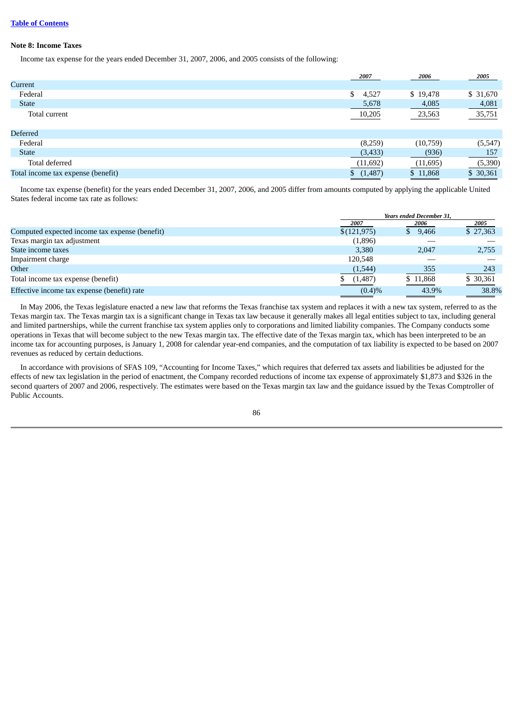### **Note 8: Income Taxes**

Income tax expense for the years ended December 31, 2007, 2006, and 2005 consists of the following:

|                                    | 2007        | 2006     | 2005      |
|------------------------------------|-------------|----------|-----------|
| Current                            |             |          |           |
| Federal                            | 4,527<br>\$ | \$19,478 | \$ 31,670 |
| <b>State</b>                       | 5,678       | 4,085    | 4,081     |
| Total current                      | 10,205      | 23,563   | 35,751    |
| Deferred                           |             |          |           |
| Federal                            | (8,259)     | (10,759) | (5, 547)  |
| <b>State</b>                       | (3, 433)    | (936)    | 157       |
| Total deferred                     | (11,692)    | (11,695) | (5,390)   |
| Total income tax expense (benefit) | (1,487)     | \$11,868 | \$ 30,361 |

Income tax expense (benefit) for the years ended December 31, 2007, 2006, and 2005 differ from amounts computed by applying the applicable United States federal income tax rate as follows:

|                                                |             | <b>Years ended December 31.</b> |           |  |
|------------------------------------------------|-------------|---------------------------------|-----------|--|
|                                                | 2007        | 2006                            | 2005      |  |
| Computed expected income tax expense (benefit) | \$(121,975) | \$9,466                         | \$27,363  |  |
| Texas margin tax adjustment                    | (1,896)     |                                 |           |  |
| State income taxes                             | 3,380       | 2,047                           | 2,755     |  |
| Impairment charge                              | 120.548     |                                 |           |  |
| Other                                          | (1,544)     | 355                             | 243       |  |
| Total income tax expense (benefit)             | (1,487)     | \$11,868                        | \$ 30,361 |  |
| Effective income tax expense (benefit) rate    | $(0.4)\%$   | 43.9%                           | 38.8%     |  |

In May 2006, the Texas legislature enacted a new law that reforms the Texas franchise tax system and replaces it with a new tax system, referred to as the Texas margin tax. The Texas margin tax is a significant change in Texas tax law because it generally makes all legal entities subject to tax, including general and limited partnerships, while the current franchise tax system applies only to corporations and limited liability companies. The Company conducts some operations in Texas that will become subject to the new Texas margin tax. The effective date of the Texas margin tax, which has been interpreted to be an income tax for accounting purposes, is January 1, 2008 for calendar year-end companies, and the computation of tax liability is expected to be based on 2007 revenues as reduced by certain deductions.

In accordance with provisions of SFAS 109, "Accounting for Income Taxes," which requires that deferred tax assets and liabilities be adjusted for the effects of new tax legislation in the period of enactment, the Company recorded reductions of income tax expense of approximately \$1,873 and \$326 in the second quarters of 2007 and 2006, respectively. The estimates were based on the Texas margin tax law and the guidance issued by the Texas Comptroller of Public Accounts.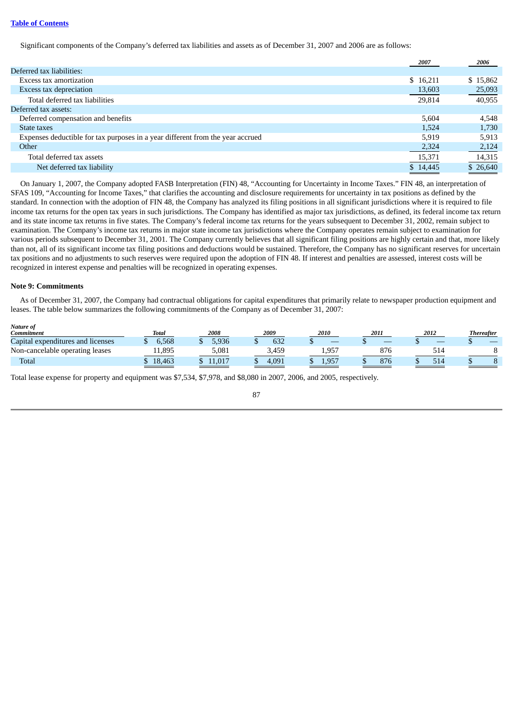Significant components of the Company's deferred tax liabilities and assets as of December 31, 2007 and 2006 are as follows:

|                                                                                | 2007     | 2006     |
|--------------------------------------------------------------------------------|----------|----------|
| Deferred tax liabilities:                                                      |          |          |
| Excess tax amortization                                                        | \$16,211 | \$15,862 |
| Excess tax depreciation                                                        | 13,603   | 25,093   |
| Total deferred tax liabilities                                                 | 29,814   | 40,955   |
| Deferred tax assets:                                                           |          |          |
| Deferred compensation and benefits                                             | 5.604    | 4,548    |
| State taxes                                                                    | 1.524    | 1,730    |
| Expenses deductible for tax purposes in a year different from the year accrued | 5.919    | 5,913    |
| Other                                                                          | 2,324    | 2,124    |
| Total deferred tax assets                                                      | 15,371   | 14,315   |
| Net deferred tax liability                                                     | \$14,445 | \$26,640 |
|                                                                                |          |          |

On January 1, 2007, the Company adopted FASB Interpretation (FIN) 48, "Accounting for Uncertainty in Income Taxes." FIN 48, an interpretation of SFAS 109, "Accounting for Income Taxes," that clarifies the accounting and disclosure requirements for uncertainty in tax positions as defined by the standard. In connection with the adoption of FIN 48, the Company has analyzed its filing positions in all significant jurisdictions where it is required to file income tax returns for the open tax years in such jurisdictions. The Company has identified as major tax jurisdictions, as defined, its federal income tax return and its state income tax returns in five states. The Company's federal income tax returns for the years subsequent to December 31, 2002, remain subject to examination. The Company's income tax returns in major state income tax jurisdictions where the Company operates remain subject to examination for various periods subsequent to December 31, 2001. The Company currently believes that all significant filing positions are highly certain and that, more likely than not, all of its significant income tax filing positions and deductions would be sustained. Therefore, the Company has no significant reserves for uncertain tax positions and no adjustments to such reserves were required upon the adoption of FIN 48. If interest and penalties are assessed, interest costs will be recognized in interest expense and penalties will be recognized in operating expenses.

### **Note 9: Commitments**

As of December 31, 2007, the Company had contractual obligations for capital expenditures that primarily relate to newspaper production equipment and leases. The table below summarizes the following commitments of the Company as of December 31, 2007:

| <b>Nature of</b><br><b>Commitment</b> | Total  | 2008   | 2009  | 2010  | 2011 | 2012 | <b>Thereafter</b> |
|---------------------------------------|--------|--------|-------|-------|------|------|-------------------|
| Capital expenditures and licenses     | 6.568  | 5.936  | 632   |       | _    |      |                   |
| Non-cancelable operating leases       | 11.895 | 5.081  | 3.459 | 1,957 | 876  | 514  |                   |
| Total                                 | 18.463 | 11.017 | 4.091 | 1.957 | 876  | 514  |                   |

Total lease expense for property and equipment was \$7,534, \$7,978, and \$8,080 in 2007, 2006, and 2005, respectively.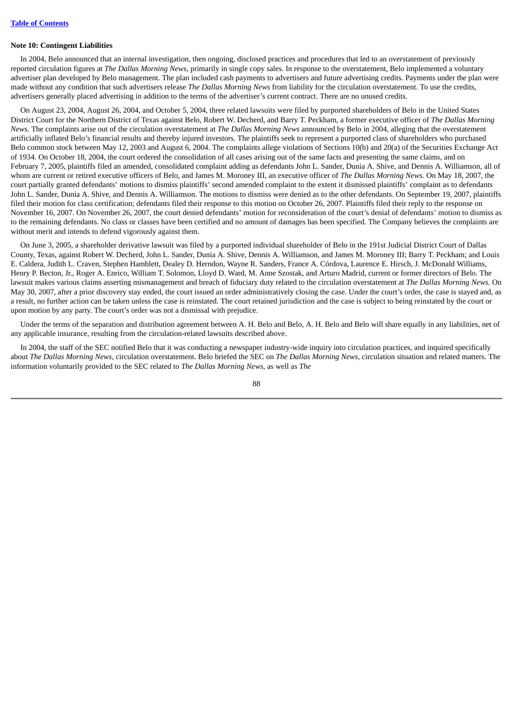#### **Note 10: Contingent Liabilities**

In 2004, Belo announced that an internal investigation, then ongoing, disclosed practices and procedures that led to an overstatement of previously reported circulation figures at *The Dallas Morning News*, primarily in single copy sales. In response to the overstatement, Belo implemented a voluntary advertiser plan developed by Belo management. The plan included cash payments to advertisers and future advertising credits. Payments under the plan were made without any condition that such advertisers release *The Dallas Morning News* from liability for the circulation overstatement. To use the credits, advertisers generally placed advertising in addition to the terms of the advertiser's current contract. There are no unused credits.

On August 23, 2004, August 26, 2004, and October 5, 2004, three related lawsuits were filed by purported shareholders of Belo in the United States District Court for the Northern District of Texas against Belo, Robert W. Decherd, and Barry T. Peckham, a former executive officer of *The Dallas Morning News*. The complaints arise out of the circulation overstatement at *The Dallas Morning News* announced by Belo in 2004, alleging that the overstatement artificially inflated Belo's financial results and thereby injured investors. The plaintiffs seek to represent a purported class of shareholders who purchased Belo common stock between May 12, 2003 and August 6, 2004. The complaints allege violations of Sections 10(b) and 20(a) of the Securities Exchange Act of 1934. On October 18, 2004, the court ordered the consolidation of all cases arising out of the same facts and presenting the same claims, and on February 7, 2005, plaintiffs filed an amended, consolidated complaint adding as defendants John L. Sander, Dunia A. Shive, and Dennis A. Williamson, all of whom are current or retired executive officers of Belo, and James M. Moroney III, an executive officer of *The Dallas Morning News*. On May 18, 2007, the court partially granted defendants' motions to dismiss plaintiffs' second amended complaint to the extent it dismissed plaintiffs' complaint as to defendants John L. Sander, Dunia A. Shive, and Dennis A. Williamson. The motions to dismiss were denied as to the other defendants. On September 19, 2007, plaintiffs filed their motion for class certification; defendants filed their response to this motion on October 26, 2007. Plaintiffs filed their reply to the response on November 16, 2007. On November 26, 2007, the court denied defendants' motion for reconsideration of the court's denial of defendants' motion to dismiss as to the remaining defendants. No class or classes have been certified and no amount of damages has been specified. The Company believes the complaints are without merit and intends to defend vigorously against them.

On June 3, 2005, a shareholder derivative lawsuit was filed by a purported individual shareholder of Belo in the 191st Judicial District Court of Dallas County, Texas, against Robert W. Decherd, John L. Sander, Dunia A. Shive, Dennis A. Williamson, and James M. Moroney III; Barry T. Peckham; and Louis E. Caldera, Judith L. Craven, Stephen Hamblett, Dealey D. Herndon, Wayne R. Sanders, France A. Córdova, Laurence E. Hirsch, J. McDonald Williams, Henry P. Becton, Jr., Roger A. Enrico, William T. Solomon, Lloyd D. Ward, M. Anne Szostak, and Arturo Madrid, current or former directors of Belo. The lawsuit makes various claims asserting mismanagement and breach of fiduciary duty related to the circulation overstatement at *The Dallas Morning News.* On May 30, 2007, after a prior discovery stay ended, the court issued an order administratively closing the case. Under the court's order, the case is stayed and, as a result, no further action can be taken unless the case is reinstated. The court retained jurisdiction and the case is subject to being reinstated by the court or upon motion by any party. The court's order was not a dismissal with prejudice.

Under the terms of the separation and distribution agreement between A. H. Belo and Belo, A. H. Belo and Belo will share equally in any liabilities, net of any applicable insurance, resulting from the circulation-related lawsuits described above.

In 2004, the staff of the SEC notified Belo that it was conducting a newspaper industry-wide inquiry into circulation practices, and inquired specifically about *The Dallas Morning News,* circulation overstatement. Belo briefed the SEC on *The Dallas Morning News,* circulation situation and related matters. The information voluntarily provided to the SEC related to *The Dallas Morning News*, as well as *The*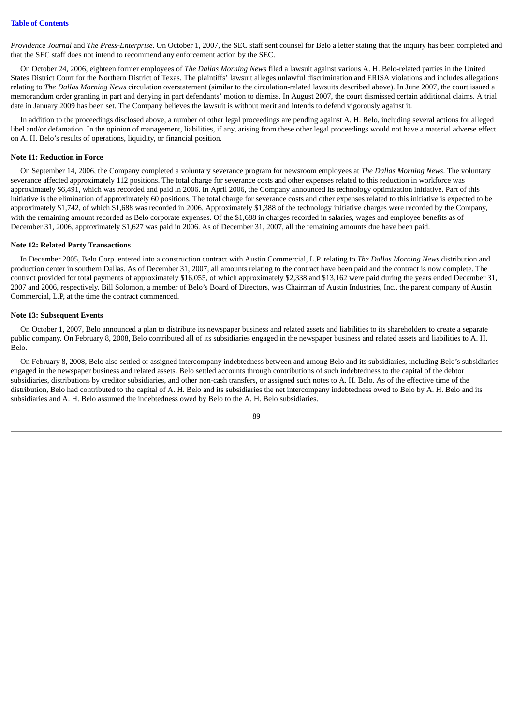*Providence Journal* and *The Press-Enterprise*. On October 1, 2007, the SEC staff sent counsel for Belo a letter stating that the inquiry has been completed and that the SEC staff does not intend to recommend any enforcement action by the SEC.

On October 24, 2006, eighteen former employees of *The Dallas Morning News* filed a lawsuit against various A. H. Belo-related parties in the United States District Court for the Northern District of Texas. The plaintiffs' lawsuit alleges unlawful discrimination and ERISA violations and includes allegations relating to *The Dallas Morning News* circulation overstatement (similar to the circulation-related lawsuits described above). In June 2007, the court issued a memorandum order granting in part and denying in part defendants' motion to dismiss. In August 2007, the court dismissed certain additional claims. A trial date in January 2009 has been set. The Company believes the lawsuit is without merit and intends to defend vigorously against it.

In addition to the proceedings disclosed above, a number of other legal proceedings are pending against A. H. Belo, including several actions for alleged libel and/or defamation. In the opinion of management, liabilities, if any, arising from these other legal proceedings would not have a material adverse effect on A. H. Belo's results of operations, liquidity, or financial position.

#### **Note 11: Reduction in Force**

On September 14, 2006, the Company completed a voluntary severance program for newsroom employees at *The Dallas Morning News*. The voluntary severance affected approximately 112 positions. The total charge for severance costs and other expenses related to this reduction in workforce was approximately \$6,491, which was recorded and paid in 2006. In April 2006, the Company announced its technology optimization initiative. Part of this initiative is the elimination of approximately 60 positions. The total charge for severance costs and other expenses related to this initiative is expected to be approximately \$1,742, of which \$1,688 was recorded in 2006. Approximately \$1,388 of the technology initiative charges were recorded by the Company, with the remaining amount recorded as Belo corporate expenses. Of the \$1,688 in charges recorded in salaries, wages and employee benefits as of December 31, 2006, approximately \$1,627 was paid in 2006. As of December 31, 2007, all the remaining amounts due have been paid.

#### **Note 12: Related Party Transactions**

In December 2005, Belo Corp. entered into a construction contract with Austin Commercial, L.P. relating to *The Dallas Morning News* distribution and production center in southern Dallas. As of December 31, 2007, all amounts relating to the contract have been paid and the contract is now complete. The contract provided for total payments of approximately \$16,055, of which approximately \$2,338 and \$13,162 were paid during the years ended December 31, 2007 and 2006, respectively. Bill Solomon, a member of Belo's Board of Directors, was Chairman of Austin Industries, Inc., the parent company of Austin Commercial, L.P, at the time the contract commenced.

#### **Note 13: Subsequent Events**

On October 1, 2007, Belo announced a plan to distribute its newspaper business and related assets and liabilities to its shareholders to create a separate public company. On February 8, 2008, Belo contributed all of its subsidiaries engaged in the newspaper business and related assets and liabilities to A. H. Belo.

On February 8, 2008, Belo also settled or assigned intercompany indebtedness between and among Belo and its subsidiaries, including Belo's subsidiaries engaged in the newspaper business and related assets. Belo settled accounts through contributions of such indebtedness to the capital of the debtor subsidiaries, distributions by creditor subsidiaries, and other non-cash transfers, or assigned such notes to A. H. Belo. As of the effective time of the distribution, Belo had contributed to the capital of A. H. Belo and its subsidiaries the net intercompany indebtedness owed to Belo by A. H. Belo and its subsidiaries and A. H. Belo assumed the indebtedness owed by Belo to the A. H. Belo subsidiaries.

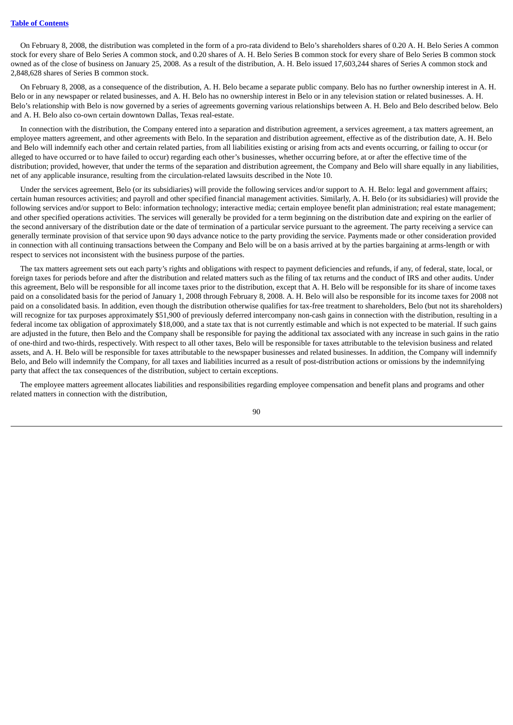On February 8, 2008, the distribution was completed in the form of a pro-rata dividend to Belo's shareholders shares of 0.20 A. H. Belo Series A common stock for every share of Belo Series A common stock, and 0.20 shares of A. H. Belo Series B common stock for every share of Belo Series B common stock owned as of the close of business on January 25, 2008. As a result of the distribution, A. H. Belo issued 17,603,244 shares of Series A common stock and 2,848,628 shares of Series B common stock.

On February 8, 2008, as a consequence of the distribution, A. H. Belo became a separate public company. Belo has no further ownership interest in A. H. Belo or in any newspaper or related businesses, and A. H. Belo has no ownership interest in Belo or in any television station or related businesses. A. H. Belo's relationship with Belo is now governed by a series of agreements governing various relationships between A. H. Belo and Belo described below. Belo and A. H. Belo also co-own certain downtown Dallas, Texas real-estate.

In connection with the distribution, the Company entered into a separation and distribution agreement, a services agreement, a tax matters agreement, an employee matters agreement, and other agreements with Belo. In the separation and distribution agreement, effective as of the distribution date, A. H. Belo and Belo will indemnify each other and certain related parties, from all liabilities existing or arising from acts and events occurring, or failing to occur (or alleged to have occurred or to have failed to occur) regarding each other's businesses, whether occurring before, at or after the effective time of the distribution; provided, however, that under the terms of the separation and distribution agreement, the Company and Belo will share equally in any liabilities, net of any applicable insurance, resulting from the circulation-related lawsuits described in the Note 10.

Under the services agreement, Belo (or its subsidiaries) will provide the following services and/or support to A. H. Belo: legal and government affairs; certain human resources activities; and payroll and other specified financial management activities. Similarly, A. H. Belo (or its subsidiaries) will provide the following services and/or support to Belo: information technology; interactive media; certain employee benefit plan administration; real estate management; and other specified operations activities. The services will generally be provided for a term beginning on the distribution date and expiring on the earlier of the second anniversary of the distribution date or the date of termination of a particular service pursuant to the agreement. The party receiving a service can generally terminate provision of that service upon 90 days advance notice to the party providing the service. Payments made or other consideration provided in connection with all continuing transactions between the Company and Belo will be on a basis arrived at by the parties bargaining at arms-length or with respect to services not inconsistent with the business purpose of the parties.

The tax matters agreement sets out each party's rights and obligations with respect to payment deficiencies and refunds, if any, of federal, state, local, or foreign taxes for periods before and after the distribution and related matters such as the filing of tax returns and the conduct of IRS and other audits. Under this agreement, Belo will be responsible for all income taxes prior to the distribution, except that A. H. Belo will be responsible for its share of income taxes paid on a consolidated basis for the period of January 1, 2008 through February 8, 2008. A. H. Belo will also be responsible for its income taxes for 2008 not paid on a consolidated basis. In addition, even though the distribution otherwise qualifies for tax-free treatment to shareholders, Belo (but not its shareholders) will recognize for tax purposes approximately \$51,900 of previously deferred intercompany non-cash gains in connection with the distribution, resulting in a federal income tax obligation of approximately \$18,000, and a state tax that is not currently estimable and which is not expected to be material. If such gains are adjusted in the future, then Belo and the Company shall be responsible for paying the additional tax associated with any increase in such gains in the ratio of one-third and two-thirds, respectively. With respect to all other taxes, Belo will be responsible for taxes attributable to the television business and related assets, and A. H. Belo will be responsible for taxes attributable to the newspaper businesses and related businesses. In addition, the Company will indemnify Belo, and Belo will indemnify the Company, for all taxes and liabilities incurred as a result of post-distribution actions or omissions by the indemnifying party that affect the tax consequences of the distribution, subject to certain exceptions.

The employee matters agreement allocates liabilities and responsibilities regarding employee compensation and benefit plans and programs and other related matters in connection with the distribution,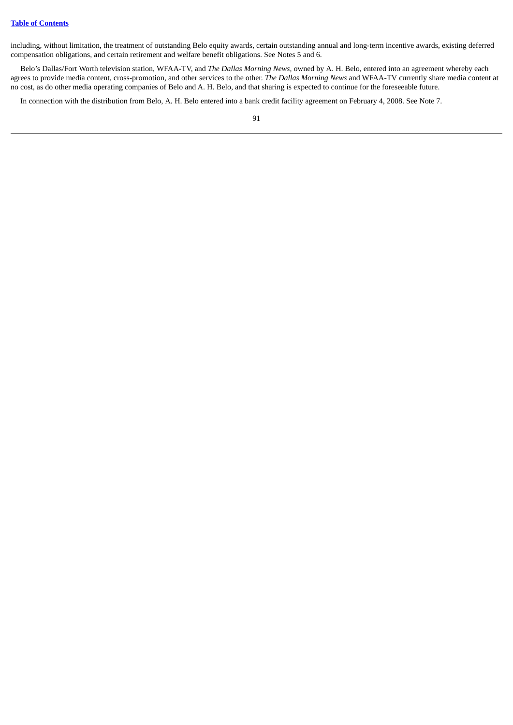including, without limitation, the treatment of outstanding Belo equity awards, certain outstanding annual and long-term incentive awards, existing deferred compensation obligations, and certain retirement and welfare benefit obligations. See Notes 5 and 6.

Belo's Dallas/Fort Worth television station, WFAA-TV, and *The Dallas Morning News,* owned by A. H. Belo, entered into an agreement whereby each agrees to provide media content, cross-promotion, and other services to the other. *The Dallas Morning News* and WFAA-TV currently share media content at no cost, as do other media operating companies of Belo and A. H. Belo, and that sharing is expected to continue for the foreseeable future.

In connection with the distribution from Belo, A. H. Belo entered into a bank credit facility agreement on February 4, 2008. See Note 7.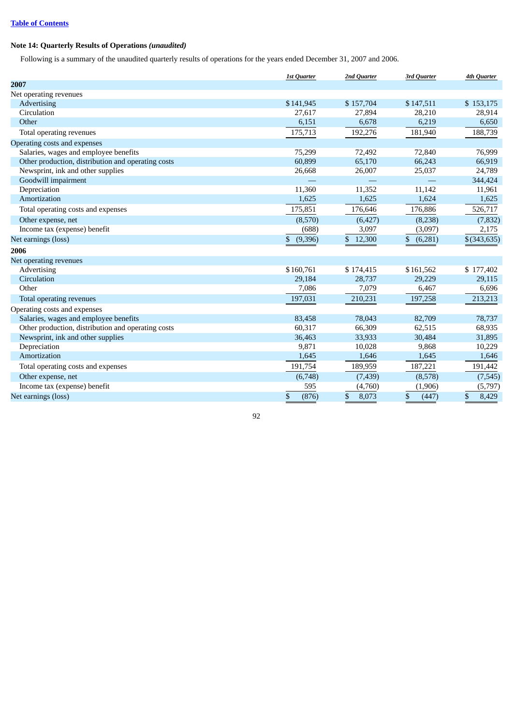## **Note 14: Quarterly Results of Operations** *(unaudited)*

Following is a summary of the unaudited quarterly results of operations for the years ended December 31, 2007 and 2006.

|                                                    | <b>1st Quarter</b> | 2nd Quarter           | 3rd Quarter   | <b>4th Quarter</b>      |
|----------------------------------------------------|--------------------|-----------------------|---------------|-------------------------|
| 2007                                               |                    |                       |               |                         |
| Net operating revenues                             |                    |                       |               |                         |
| Advertising                                        | \$141,945          | \$157,704             | \$147,511     | \$153,175               |
| Circulation                                        | 27,617             | 27,894                | 28,210        | 28,914                  |
| Other                                              | 6,151              | 6,678                 | 6,219         | 6,650                   |
| Total operating revenues                           | 175,713            | 192,276               | 181,940       | 188,739                 |
| Operating costs and expenses                       |                    |                       |               |                         |
| Salaries, wages and employee benefits              | 75,299             | 72,492                | 72,840        | 76,999                  |
| Other production, distribution and operating costs | 60,899             | 65,170                | 66,243        | 66,919                  |
| Newsprint, ink and other supplies                  | 26,668             | 26,007                | 25,037        | 24,789                  |
| Goodwill impairment                                |                    |                       | $\equiv$      | 344,424                 |
| Depreciation                                       | 11,360             | 11,352                | 11,142        | 11,961                  |
| Amortization                                       | 1,625              | 1,625                 | 1,624         | 1,625                   |
| Total operating costs and expenses                 | 175,851            | 176,646               | 176,886       | 526,717                 |
| Other expense, net                                 | (8,570)            | (6, 427)              | (8,238)       | (7, 832)                |
| Income tax (expense) benefit                       | (688)              | 3,097                 | (3,097)       | 2,175                   |
| Net earnings (loss)                                | \$<br>(9,396)      | \$12,300              | \$<br>(6,281) | $$$ (343,635)           |
| 2006                                               |                    |                       |               |                         |
| Net operating revenues                             |                    |                       |               |                         |
| Advertising                                        | \$160,761          | \$174,415             | \$161,562     | \$177,402               |
| Circulation                                        | 29,184             | 28,737                | 29,229        | 29,115                  |
| Other                                              | 7,086              | 7,079                 | 6,467         | 6,696                   |
| Total operating revenues                           | 197,031            | 210,231               | 197,258       | 213,213                 |
| Operating costs and expenses                       |                    |                       |               |                         |
| Salaries, wages and employee benefits              | 83,458             | 78,043                | 82,709        | 78,737                  |
| Other production, distribution and operating costs | 60,317             | 66,309                | 62,515        | 68,935                  |
| Newsprint, ink and other supplies                  | 36,463             | 33,933                | 30,484        | 31,895                  |
| Depreciation                                       | 9,871              | 10,028                | 9,868         | 10,229                  |
| Amortization                                       | 1,645              | 1,646                 | 1,645         | 1,646                   |
| Total operating costs and expenses                 | 191,754            | 189,959               | 187,221       | 191,442                 |
| Other expense, net                                 | (6,748)            | (7,439)               | (8,578)       | (7, 545)                |
| Income tax (expense) benefit                       | 595                | (4,760)               | (1,906)       | (5,797)                 |
| Net earnings (loss)                                | \$<br>(876)        | $\mathbb{S}$<br>8,073 | \$<br>(447)   | $\mathfrak{S}$<br>8,429 |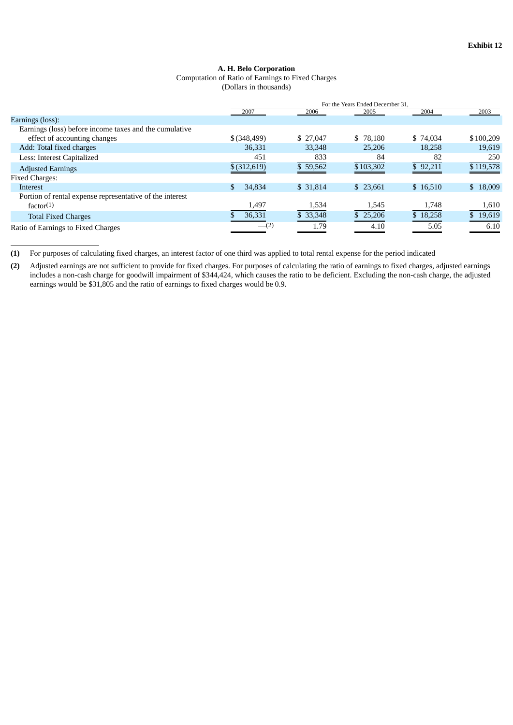## **A. H. Belo Corporation** Computation of Ratio of Earnings to Fixed Charges

(Dollars in thousands)

|                                                          |                  | For the Years Ended December 31. |           |          |           |
|----------------------------------------------------------|------------------|----------------------------------|-----------|----------|-----------|
|                                                          | 2007             | 2006                             | 2005      | 2004     | 2003      |
| Earnings (loss):                                         |                  |                                  |           |          |           |
| Earnings (loss) before income taxes and the cumulative   |                  |                                  |           |          |           |
| effect of accounting changes                             | $$$ $(348, 499)$ | \$ 27,047                        | \$78,180  | \$74,034 | \$100,209 |
| Add: Total fixed charges                                 | 36,331           | 33,348                           | 25,206    | 18,258   | 19,619    |
| Less: Interest Capitalized                               | 451              | 833                              | 84        | 82       | 250       |
| <b>Adjusted Earnings</b>                                 | $$$ $(312,619)$  | \$59,562                         | \$103,302 | \$92,211 | \$119,578 |
| <b>Fixed Charges:</b>                                    |                  |                                  |           |          |           |
| <b>Interest</b>                                          | 34,834           | \$ 31,814                        | \$23.661  | \$16,510 | \$18,009  |
| Portion of rental expense representative of the interest |                  |                                  |           |          |           |
| factor(1)                                                | 1,497            | 1,534                            | 1,545     | 1,748    | 1,610     |
| <b>Total Fixed Charges</b>                               | 36,331           | \$33,348                         | \$25,206  | \$18,258 | \$19,619  |
| Ratio of Earnings to Fixed Charges                       | $-$ (2)          | .79                              | 4.10      | 5.05     | 6.10      |

**<sup>(1)</sup>** For purposes of calculating fixed charges, an interest factor of one third was applied to total rental expense for the period indicated

**<sup>(2)</sup>** Adjusted earnings are not sufficient to provide for fixed charges. For purposes of calculating the ratio of earnings to fixed charges, adjusted earnings includes a non-cash charge for goodwill impairment of \$344,424, which causes the ratio to be deficient. Excluding the non-cash charge, the adjusted earnings would be \$31,805 and the ratio of earnings to fixed charges would be 0.9.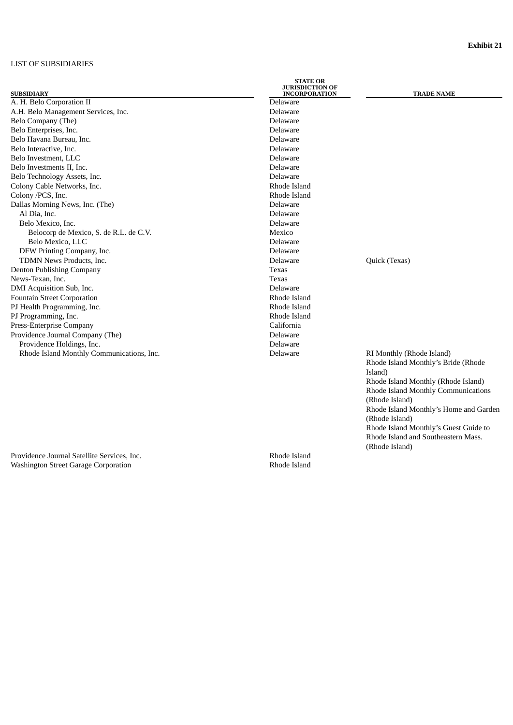## LIST OF SUBSIDIARIES

|                                           | <b>STATE OR</b><br><b>JURISDICTION OF</b> |                                        |
|-------------------------------------------|-------------------------------------------|----------------------------------------|
| <b>SUBSIDIARY</b>                         | <b>INCORPORATION</b>                      | <b>TRADE NAME</b>                      |
| A. H. Belo Corporation II                 | Delaware                                  |                                        |
| A.H. Belo Management Services, Inc.       | Delaware                                  |                                        |
| Belo Company (The)                        | Delaware                                  |                                        |
| Belo Enterprises, Inc.                    | Delaware                                  |                                        |
| Belo Havana Bureau, Inc.                  | Delaware                                  |                                        |
| Belo Interactive, Inc.                    | Delaware                                  |                                        |
| Belo Investment, LLC                      | Delaware                                  |                                        |
| Belo Investments II, Inc.                 | Delaware                                  |                                        |
| Belo Technology Assets, Inc.              | Delaware                                  |                                        |
| Colony Cable Networks, Inc.               | Rhode Island                              |                                        |
| Colony /PCS, Inc.                         | Rhode Island                              |                                        |
| Dallas Morning News, Inc. (The)           | Delaware                                  |                                        |
| Al Dia, Inc.                              | Delaware                                  |                                        |
| Belo Mexico, Inc.                         | Delaware                                  |                                        |
| Belocorp de Mexico, S. de R.L. de C.V.    | Mexico                                    |                                        |
| Belo Mexico, LLC                          | Delaware                                  |                                        |
| DFW Printing Company, Inc.                | Delaware                                  |                                        |
| TDMN News Products, Inc.                  | Delaware                                  | Quick (Texas)                          |
| Denton Publishing Company                 | Texas                                     |                                        |
| News-Texan, Inc.                          | Texas                                     |                                        |
| DMI Acquisition Sub, Inc.                 | Delaware                                  |                                        |
| <b>Fountain Street Corporation</b>        | Rhode Island                              |                                        |
| PJ Health Programming, Inc.               | Rhode Island                              |                                        |
| PJ Programming, Inc.                      | Rhode Island                              |                                        |
| Press-Enterprise Company                  | California                                |                                        |
| Providence Journal Company (The)          | Delaware                                  |                                        |
| Providence Holdings, Inc.                 | Delaware                                  |                                        |
| Rhode Island Monthly Communications, Inc. | Delaware                                  | RI Monthly (Rhode Island)              |
|                                           |                                           | Rhode Island Monthly's Bride (Rhode    |
|                                           |                                           | Island)                                |
|                                           |                                           | Rhode Island Monthly (Rhode Island)    |
|                                           |                                           | Rhode Island Monthly Communications    |
|                                           |                                           | (Rhode Island)                         |
|                                           |                                           | Rhode Island Monthly's Home and Garden |
|                                           |                                           | (Rhode Island)                         |
|                                           |                                           | Rhode Island Monthly's Guest Guide to  |
|                                           |                                           | Rhode Island and Southeastern Mass.    |

Providence Journal Satellite Services, Inc.<br>
Washington Street Garage Corporation<br>
Rhode Island Washington Street Garage Corporation

(Rhode Island)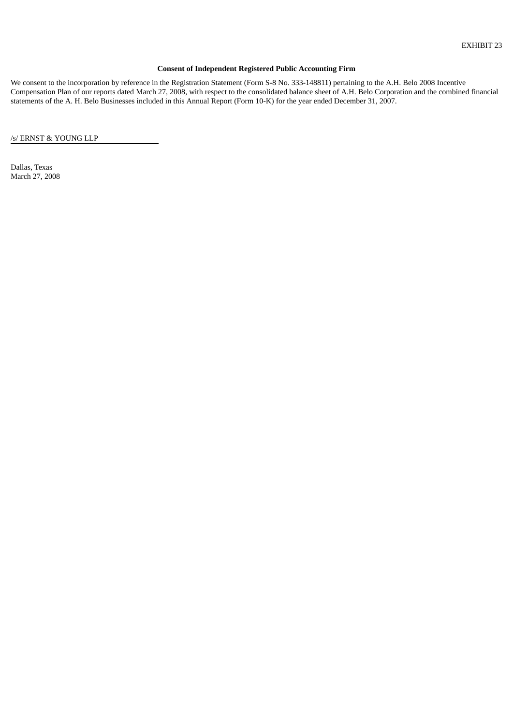## **Consent of Independent Registered Public Accounting Firm**

We consent to the incorporation by reference in the Registration Statement (Form S-8 No. 333-148811) pertaining to the A.H. Belo 2008 Incentive Compensation Plan of our reports dated March 27, 2008, with respect to the consolidated balance sheet of A.H. Belo Corporation and the combined financial statements of the A. H. Belo Businesses included in this Annual Report (Form 10-K) for the year ended December 31, 2007.

/s/ ERNST & YOUNG LLP

Dallas, Texas March 27, 2008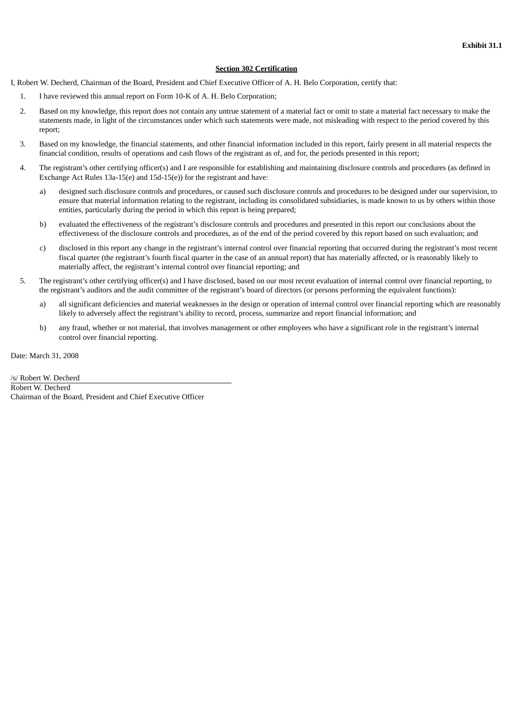### **Section 302 Certification**

- I, Robert W. Decherd, Chairman of the Board, President and Chief Executive Officer of A. H. Belo Corporation, certify that:
	- 1. I have reviewed this annual report on Form 10-K of A. H. Belo Corporation;
	- 2. Based on my knowledge, this report does not contain any untrue statement of a material fact or omit to state a material fact necessary to make the statements made, in light of the circumstances under which such statements were made, not misleading with respect to the period covered by this report;
	- 3. Based on my knowledge, the financial statements, and other financial information included in this report, fairly present in all material respects the financial condition, results of operations and cash flows of the registrant as of, and for, the periods presented in this report;
	- 4. The registrant's other certifying officer(s) and I are responsible for establishing and maintaining disclosure controls and procedures (as defined in Exchange Act Rules 13a-15(e) and 15d-15(e)) for the registrant and have:
		- a) designed such disclosure controls and procedures, or caused such disclosure controls and procedures to be designed under our supervision, to ensure that material information relating to the registrant, including its consolidated subsidiaries, is made known to us by others within those entities, particularly during the period in which this report is being prepared;
		- b) evaluated the effectiveness of the registrant's disclosure controls and procedures and presented in this report our conclusions about the effectiveness of the disclosure controls and procedures, as of the end of the period covered by this report based on such evaluation; and
		- c) disclosed in this report any change in the registrant's internal control over financial reporting that occurred during the registrant's most recent fiscal quarter (the registrant's fourth fiscal quarter in the case of an annual report) that has materially affected, or is reasonably likely to materially affect, the registrant's internal control over financial reporting; and
	- 5. The registrant's other certifying officer(s) and I have disclosed, based on our most recent evaluation of internal control over financial reporting, to the registrant's auditors and the audit committee of the registrant's board of directors (or persons performing the equivalent functions):
		- a) all significant deficiencies and material weaknesses in the design or operation of internal control over financial reporting which are reasonably likely to adversely affect the registrant's ability to record, process, summarize and report financial information; and
		- b) any fraud, whether or not material, that involves management or other employees who have a significant role in the registrant's internal control over financial reporting.

Date: March 31, 2008

/s/ Robert W. Decherd

Robert W. Decherd Chairman of the Board, President and Chief Executive Officer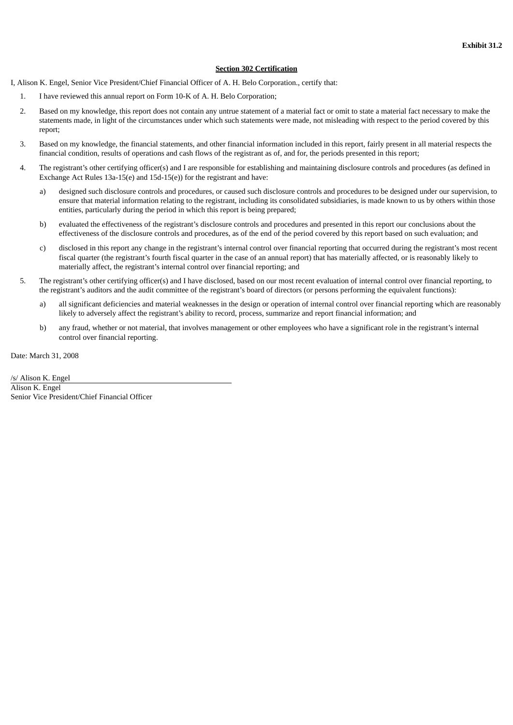### **Section 302 Certification**

I, Alison K. Engel, Senior Vice President/Chief Financial Officer of A. H. Belo Corporation., certify that:

- 1. I have reviewed this annual report on Form 10-K of A. H. Belo Corporation;
- 2. Based on my knowledge, this report does not contain any untrue statement of a material fact or omit to state a material fact necessary to make the statements made, in light of the circumstances under which such statements were made, not misleading with respect to the period covered by this report;
- 3. Based on my knowledge, the financial statements, and other financial information included in this report, fairly present in all material respects the financial condition, results of operations and cash flows of the registrant as of, and for, the periods presented in this report;
- 4. The registrant's other certifying officer(s) and I are responsible for establishing and maintaining disclosure controls and procedures (as defined in Exchange Act Rules 13a-15(e) and 15d-15(e)) for the registrant and have:
	- a) designed such disclosure controls and procedures, or caused such disclosure controls and procedures to be designed under our supervision, to ensure that material information relating to the registrant, including its consolidated subsidiaries, is made known to us by others within those entities, particularly during the period in which this report is being prepared;
	- b) evaluated the effectiveness of the registrant's disclosure controls and procedures and presented in this report our conclusions about the effectiveness of the disclosure controls and procedures, as of the end of the period covered by this report based on such evaluation; and
	- c) disclosed in this report any change in the registrant's internal control over financial reporting that occurred during the registrant's most recent fiscal quarter (the registrant's fourth fiscal quarter in the case of an annual report) that has materially affected, or is reasonably likely to materially affect, the registrant's internal control over financial reporting; and
- 5. The registrant's other certifying officer(s) and I have disclosed, based on our most recent evaluation of internal control over financial reporting, to the registrant's auditors and the audit committee of the registrant's board of directors (or persons performing the equivalent functions):
	- a) all significant deficiencies and material weaknesses in the design or operation of internal control over financial reporting which are reasonably likely to adversely affect the registrant's ability to record, process, summarize and report financial information; and
	- b) any fraud, whether or not material, that involves management or other employees who have a significant role in the registrant's internal control over financial reporting.

Date: March 31, 2008

/s/ Alison K. Engel Alison K. Engel Senior Vice President/Chief Financial Officer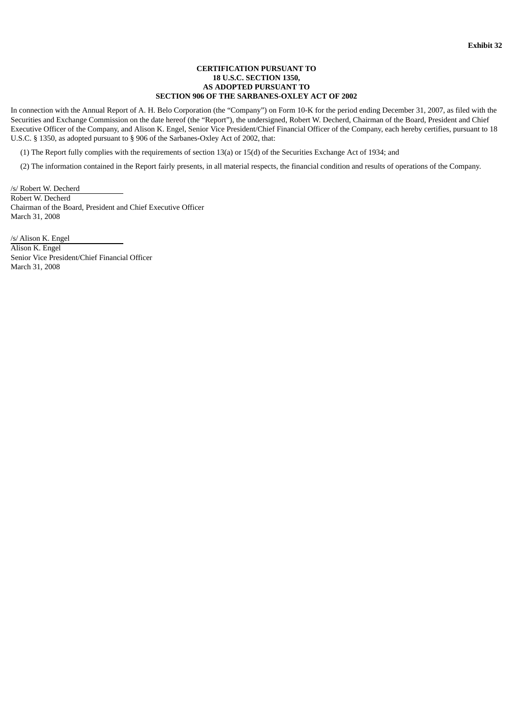### **CERTIFICATION PURSUANT TO 18 U.S.C. SECTION 1350, AS ADOPTED PURSUANT TO SECTION 906 OF THE SARBANES-OXLEY ACT OF 2002**

In connection with the Annual Report of A. H. Belo Corporation (the "Company") on Form 10-K for the period ending December 31, 2007, as filed with the Securities and Exchange Commission on the date hereof (the "Report"), the undersigned, Robert W. Decherd, Chairman of the Board, President and Chief Executive Officer of the Company, and Alison K. Engel, Senior Vice President/Chief Financial Officer of the Company, each hereby certifies, pursuant to 18 U.S.C. § 1350, as adopted pursuant to § 906 of the Sarbanes-Oxley Act of 2002, that:

(1) The Report fully complies with the requirements of section 13(a) or 15(d) of the Securities Exchange Act of 1934; and

(2) The information contained in the Report fairly presents, in all material respects, the financial condition and results of operations of the Company.

/s/ Robert W. Decherd Robert W. Decherd Chairman of the Board, President and Chief Executive Officer March 31, 2008

/s/ Alison K. Engel Alison K. Engel Senior Vice President/Chief Financial Officer March 31, 2008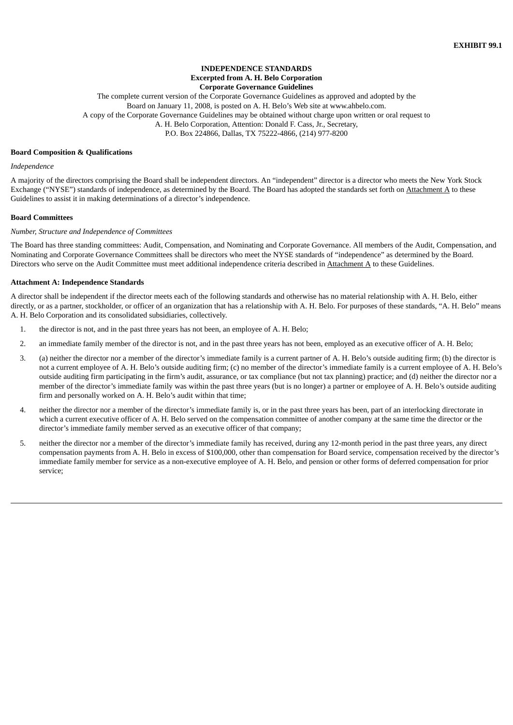### **INDEPENDENCE STANDARDS Excerpted from A. H. Belo Corporation Corporate Governance Guidelines**

The complete current version of the Corporate Governance Guidelines as approved and adopted by the Board on January 11, 2008, is posted on A. H. Belo's Web site at www.ahbelo.com. A copy of the Corporate Governance Guidelines may be obtained without charge upon written or oral request to A. H. Belo Corporation, Attention: Donald F. Cass, Jr., Secretary, P.O. Box 224866, Dallas, TX 75222-4866, (214) 977-8200

#### **Board Composition & Qualifications**

#### *Independence*

A majority of the directors comprising the Board shall be independent directors. An "independent" director is a director who meets the New York Stock Exchange ("NYSE") standards of independence, as determined by the Board. The Board has adopted the standards set forth on  $Attachment A$  to these</u> Guidelines to assist it in making determinations of a director's independence.

#### **Board Committees**

#### *Number, Structure and Independence of Committees*

The Board has three standing committees: Audit, Compensation, and Nominating and Corporate Governance. All members of the Audit, Compensation, and Nominating and Corporate Governance Committees shall be directors who meet the NYSE standards of "independence" as determined by the Board. Directors who serve on the Audit Committee must meet additional independence criteria described in Attachment A to these Guidelines.

#### **Attachment A: Independence Standards**

A director shall be independent if the director meets each of the following standards and otherwise has no material relationship with A. H. Belo, either directly, or as a partner, stockholder, or officer of an organization that has a relationship with A. H. Belo. For purposes of these standards, "A. H. Belo" means A. H. Belo Corporation and its consolidated subsidiaries, collectively.

- 1. the director is not, and in the past three years has not been, an employee of A. H. Belo;
- 2. an immediate family member of the director is not, and in the past three years has not been, employed as an executive officer of A. H. Belo;
- 3. (a) neither the director nor a member of the director's immediate family is a current partner of A. H. Belo's outside auditing firm; (b) the director is not a current employee of A. H. Belo's outside auditing firm; (c) no member of the director's immediate family is a current employee of A. H. Belo's outside auditing firm participating in the firm's audit, assurance, or tax compliance (but not tax planning) practice; and (d) neither the director nor a member of the director's immediate family was within the past three years (but is no longer) a partner or employee of A. H. Belo's outside auditing firm and personally worked on A. H. Belo's audit within that time;
- 4. neither the director nor a member of the director's immediate family is, or in the past three years has been, part of an interlocking directorate in which a current executive officer of A. H. Belo served on the compensation committee of another company at the same time the director or the director's immediate family member served as an executive officer of that company;
- 5. neither the director nor a member of the director's immediate family has received, during any 12-month period in the past three years, any direct compensation payments from A. H. Belo in excess of \$100,000, other than compensation for Board service, compensation received by the director's immediate family member for service as a non-executive employee of A. H. Belo, and pension or other forms of deferred compensation for prior service;